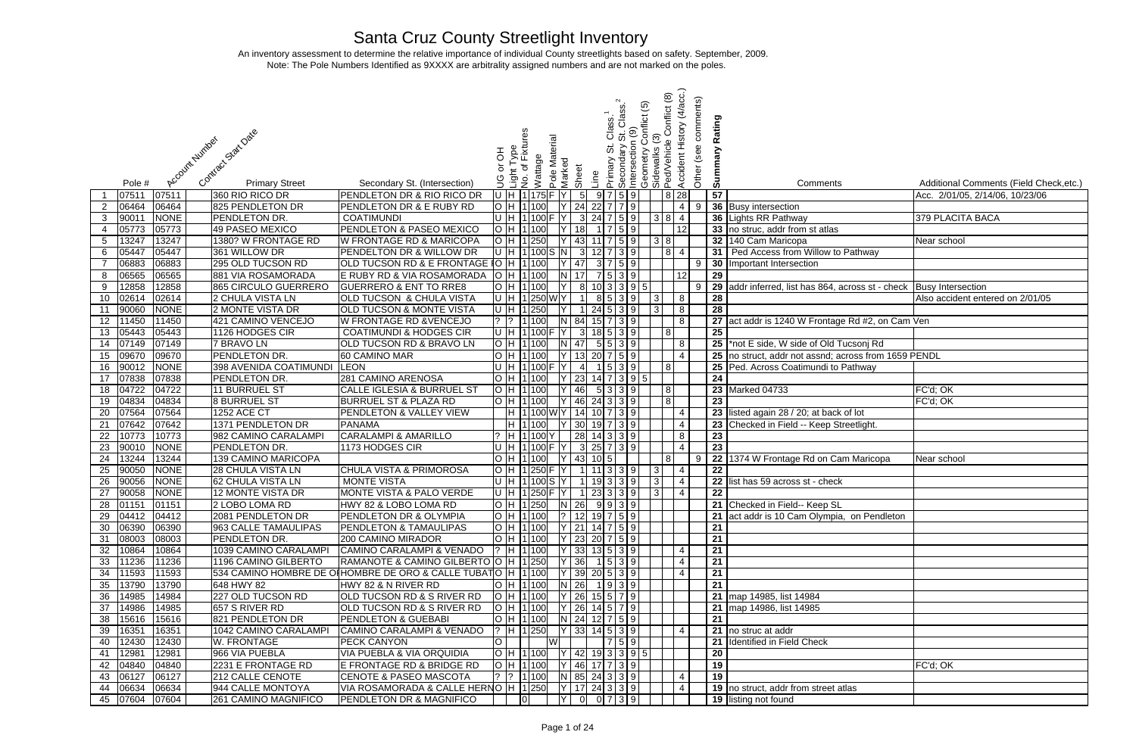## Santa Cruz County Streetlight Inventory

 Note: The Pole Numbers Identified as 9XXXX are arbitrality assigned numbers and are not marked on the poles. An inventory assessment to determine the relative importance of individual County streetlights based on safety. September, 2009.

| <u>⊻</u>        | ō | ທ  | Comments                                          | Additional Comments (Field Check, etc.) |
|-----------------|---|----|---------------------------------------------------|-----------------------------------------|
| $\overline{28}$ |   | 57 |                                                   | Acc. 2/01/05, 2/14/06, 10/23/06         |
| 4               | 9 |    | 36 Busy intersection                              |                                         |
| 4               |   |    | 36 Lights RR Pathway                              | 379 PLACITA BACA                        |
| $\overline{2}$  |   |    | 33 no struc, addr from st atlas                   |                                         |
|                 |   |    | 32 140 Cam Maricopa                               | Near school                             |
| $\overline{4}$  |   | 31 | Ped Access from Willow to Pathway                 |                                         |
|                 | 9 | 30 | Important Intersection                            |                                         |
| $\overline{2}$  |   | 29 |                                                   |                                         |
|                 | 9 | 29 | addr inferred, list has 864, across st - check    | <b>Busy Intersection</b>                |
|                 |   | 28 |                                                   | Also accident entered on 2/01/05        |
| $\frac{8}{8}$   |   | 28 |                                                   |                                         |
|                 |   | 27 | act addr is 1240 W Frontage Rd #2, on Cam Ven     |                                         |
|                 |   | 25 |                                                   |                                         |
| $\overline{8}$  |   | 25 | *not E side, W side of Old Tucsonj Rd             |                                         |
| 4               |   | 25 | no struct, addr not assnd; across from 1659 PENDL |                                         |
|                 |   | 25 | Ped. Across Coatimundi to Pathway                 |                                         |
|                 |   | 24 |                                                   |                                         |
|                 |   | 23 | Marked 04733                                      | FC'd; OK                                |
|                 |   | 23 |                                                   | FC'd; OK                                |
| 4               |   | 23 | listed again 28 / 20; at back of lot              |                                         |
| 4               |   | 23 | Checked in Field -- Keep Streetlight.             |                                         |
| 8               |   | 23 |                                                   |                                         |
| 4               |   | 23 |                                                   |                                         |
|                 | 9 | 22 | 1374 W Frontage Rd on Cam Maricopa                | Near school                             |
| 4               |   | 22 |                                                   |                                         |
| 4               |   | 22 | list has 59 across st - check                     |                                         |
| 4               |   | 22 |                                                   |                                         |
|                 |   | 21 | Checked in Field-- Keep SL                        |                                         |
|                 |   | 21 | act addr is 10 Cam Olympia, on Pendleton          |                                         |
|                 |   | 21 |                                                   |                                         |
|                 |   | 21 |                                                   |                                         |
| 4               |   | 21 |                                                   |                                         |
| 4               |   | 21 |                                                   |                                         |
| 4               |   | 21 |                                                   |                                         |
|                 |   | 21 |                                                   |                                         |
|                 |   |    | 21 map 14985, list 14984                          |                                         |
|                 |   | 21 | map 14986, list 14985                             |                                         |
|                 |   | 21 |                                                   |                                         |
| 4               |   | 21 | no struc at addr                                  |                                         |
|                 |   | 21 | <b>Identified in Field Check</b>                  |                                         |
|                 |   | 20 |                                                   |                                         |
|                 |   | 19 |                                                   | FC'd; OK                                |
| 4               |   | 19 |                                                   |                                         |
| 4               |   | 19 | no struct, addr from street atlas                 |                                         |
|                 |   | 19 | listing not found                                 |                                         |

|                 |                |             | Contract Stat Date<br>Account Humber |                                                                 | 공    | Light Type<br>No. of Fixtu | Wattage                                    | Pole Material | Marked |                             |                  | Class.<br>ö<br>Primary                                    | $\odot$<br>Secondary S<br>Intersection<br>Geometry Co | $\odot$<br>ionflict | Conflict (8)<br>Sidewalks (3)<br>Ped/Vehicle (              | (4/acc.)<br>comments)<br>Accident History<br>(see | Rating<br>mary  |                                                   |                                         |
|-----------------|----------------|-------------|--------------------------------------|-----------------------------------------------------------------|------|----------------------------|--------------------------------------------|---------------|--------|-----------------------------|------------------|-----------------------------------------------------------|-------------------------------------------------------|---------------------|-------------------------------------------------------------|---------------------------------------------------|-----------------|---------------------------------------------------|-----------------------------------------|
|                 | Pole #         |             | <b>Primary Street</b>                | Secondary St. (Intersection)                                    |      |                            |                                            |               |        | Sheet                       | Line             |                                                           |                                                       |                     |                                                             | Other                                             | ್ಯ              | Comments                                          | Additional Comments (Field Check, etc.) |
|                 | 07511          | 07511       | 360 RIO RICO DR                      | PENDLETON DR & RIO RICO DR                                      |      |                            | U H 1135 F Y                               |               |        | $5\phantom{.0}$             |                  | 9759                                                      |                                                       |                     | 8 28                                                        |                                                   | 57              |                                                   | Acc. 2/01/05, 2/14/06, 10/23/06         |
| 2               | 06464          | 06464       | 825 PENDLETON DR                     | <b>PENDLETON DR &amp; E RUBY RD</b>                             |      |                            | O H 1 100                                  |               |        | 24                          |                  | $22$ 7 7 9                                                |                                                       |                     |                                                             | $\overline{4}$<br>- 9                             |                 | 36 Busy intersection                              |                                         |
| $\mathbf{3}$    | 90011          | <b>NONE</b> | PENDLETON DR.                        | <b>COATIMUNDI</b>                                               |      |                            | U H 1100                                   |               |        | 3 <sup>1</sup>              |                  | $24 \mid 7 \mid 5 \mid 9$                                 |                                                       |                     | 3 8 4                                                       |                                                   | $36$  L         | Lights RR Pathway                                 | 379 PLACITA BACA                        |
| -4              | 05773          | 05773       | 49 PASEO MEXICO                      | <b>PENDLETON &amp; PASEO MEXICO</b>                             |      |                            | O H 1 100                                  |               |        | 18                          |                  | 5 9                                                       |                                                       |                     |                                                             | 12                                                |                 | 33 no struc, addr from st atlas                   |                                         |
| $5\overline{)}$ | 13247          | 13247       | 1380? W FRONTAGE RD                  | <b>W FRONTAGE RD &amp; MARICOPA</b>                             |      |                            | O H 1 250                                  |               |        | 43                          |                  | $11$ 7 5 9                                                |                                                       |                     | 3 8                                                         |                                                   | 32 <sub>1</sub> | 140 Cam Maricopa                                  | Near school                             |
| 6               | 05447          | 05447       | 361 WILLOW DR                        | PENDELTON DR & WILLOW DR                                        |      |                            | $ U $ H $ 1 100 S N $                      |               |        |                             |                  | 3 12 7 3 9                                                |                                                       |                     | $\begin{array}{ c c c } \hline 8 & 4 \\ \hline \end{array}$ |                                                   | 31              | Ped Access from Willow to Pathway                 |                                         |
|                 | 06883          | 06883       | 295 OLD TUCSON RD                    | OLD TUCSON RD & E FRONTAGE 10 H 1100                            |      |                            |                                            |               |        | 47                          |                  | 3 7 5 9                                                   |                                                       |                     |                                                             | 9                                                 | 30              | Important Intersection                            |                                         |
| 8               | 06565          | 06565       | 881 VIA ROSAMORADA                   | E RUBY RD & VIA ROSAMORADA                                      |      |                            | O H 1 100                                  |               |        | 17                          |                  | 7 5 3 9                                                   |                                                       |                     |                                                             | 12                                                | 29              |                                                   |                                         |
| 9               | 12858          | 12858       | 865 CIRCULO GUERRERO                 | <b>GUERRERO &amp; ENT TO RRE8</b>                               |      |                            | O H 1 100                                  |               |        | 8 <sup>1</sup>              |                  | 10 3 3 9 5                                                |                                                       |                     |                                                             | 9                                                 |                 | 29 addr inferred, list has 864, across st - check | <b>Busy Intersection</b>                |
| 10              | 02614          | 02614       | 2 CHULA VISTA LN                     | <b>OLD TUCSON &amp; CHULA VISTA</b>                             |      |                            | U H 1250 WY                                |               |        | -1                          |                  | 8539                                                      |                                                       | $\sqrt{3}$          |                                                             | 8                                                 | $\overline{28}$ |                                                   | Also accident entered on 2/01/05        |
| 11              | 90060          | <b>NONE</b> | 2 MONTE VISTA DR                     | <b>OLD TUCSON &amp; MONTE VISTA</b>                             |      |                            | U H 1 250                                  |               |        | $\overline{1}$              |                  | $24$ 5 3 9                                                |                                                       | 3                   |                                                             | 8                                                 | 28              |                                                   |                                         |
| 12              | 11450          | 11450       | 421 CAMINO VENCEJO                   | W FRONTAGE RD & VENCEJO                                         |      |                            | 1100                                       |               |        | 84                          |                  | $15$ 7 3 9                                                |                                                       |                     |                                                             | 8                                                 |                 | 27 act addr is 1240 W Frontage Rd #2, on Cam Ven  |                                         |
| 13              | 05443          | 05443       | 1126 HODGES CIR                      | <b>COATIMUNDI &amp; HODGES CIR</b>                              |      |                            | U H 1 100 F Y                              |               |        | 3                           |                  | $18$ 5 3 9                                                |                                                       |                     | 8                                                           |                                                   | 25              |                                                   |                                         |
| 14              | 07149          | 07149       | 7 BRAVO LN                           | OLD TUCSON RD & BRAVO LN                                        |      |                            | $\overline{O}$ H $\overline{11}$ 100       |               |        | 47                          |                  | 5 5 3 9                                                   |                                                       |                     |                                                             |                                                   |                 | 25 *not E side, W side of Old Tucsonj Rd          |                                         |
|                 |                | 09670       | PENDLETON DR.                        |                                                                 |      |                            | O H 1 100                                  |               |        | 13                          |                  | $20$ 7 5 9                                                |                                                       |                     |                                                             | 8<br>$\overline{4}$                               | 25              |                                                   |                                         |
| 15              | 09670          |             | 398 AVENIDA COATIMUNDI               | 60 CAMINO MAR<br><b>LEON</b>                                    |      |                            |                                            |               |        |                             |                  | 1539                                                      |                                                       |                     |                                                             |                                                   |                 | no struct, addr not assnd; across from 1659 PENDL |                                         |
| 16              | 90012          | <b>NONE</b> |                                      |                                                                 |      |                            | U H 1100                                   |               |        |                             |                  |                                                           |                                                       |                     | 8                                                           |                                                   | 25              | Ped. Across Coatimundi to Pathway                 |                                         |
| 17              | 07838          | 07838       | PENDLETON DR.                        | 281 CAMINO ARENOSA                                              | lO H |                            | 1 100                                      |               |        | 23                          |                  | $14$ 7 3 9 5                                              |                                                       |                     |                                                             |                                                   | 24              |                                                   |                                         |
| 18              | 04722          | 04722       | 11 BURRUEL ST                        | <b>CALLE IGLESIA &amp; BURRUEL ST</b>                           |      |                            | O/H1100                                    |               |        | 46                          |                  | 5 3 3 9                                                   |                                                       |                     | 8                                                           |                                                   |                 | <b>23</b> Marked 04733                            | FC'd; OK                                |
| 19              | 04834          | 04834       | <b>8 BURRUEL ST</b>                  | <b>BURRUEL ST &amp; PLAZA RD</b>                                |      |                            | O H 1 100                                  |               |        | 46                          |                  | $24 \overline{3} \overline{3} \overline{9}$               |                                                       |                     | 8                                                           |                                                   | $\overline{23}$ |                                                   | FC'd; OK                                |
| 20              | 07564          | 07564       | 1252 ACE CT                          | <b>PENDLETON &amp; VALLEY VIEW</b>                              |      |                            | H 1100 WY                                  |               |        | 14                          |                  | $10$ 7 3 9                                                |                                                       |                     |                                                             | 4                                                 | $\overline{23}$ | isted again 28 / 20; at back of lot               |                                         |
| 21              | 07642          | 07642       | 1371 PENDLETON DR                    | <b>PANAMA</b>                                                   |      |                            | H 1100                                     |               |        |                             |                  | $30 \ 19 \ 7 \ 3 \ 9$                                     |                                                       |                     |                                                             | $\overline{a}$                                    | 23              | Checked in Field -- Keep Streetlight.             |                                         |
| $\overline{22}$ | 10773          | 10773       | 982 CAMINO CARALAMPI                 | <b>CARALAMPI &amp; AMARILLO</b>                                 |      |                            | ? H 1100                                   |               |        |                             |                  | 28 14 3 3 9                                               |                                                       |                     |                                                             | 8                                                 | 23              |                                                   |                                         |
| 23              | 90010          | <b>NONE</b> | PENDLETON DR.                        | 1173 HODGES CIR                                                 |      |                            | U H 1 100 F Y                              |               |        |                             |                  | 3 25 7 3 9                                                |                                                       |                     |                                                             | $\overline{4}$                                    | $\overline{23}$ |                                                   |                                         |
| $\overline{24}$ | 13244          | 13244       | 139 CAMINO MARICOPA                  |                                                                 |      |                            | O H 1 100                                  |               |        | 43                          | $10\overline{5}$ |                                                           |                                                       |                     | 8                                                           | -9                                                |                 | 22 1374 W Frontage Rd on Cam Maricopa             | Near school                             |
| 25              | 90050          | <b>NONE</b> | 28 CHULA VISTA LN                    | <b>CHULA VISTA &amp; PRIMOROSA</b>                              |      |                            | O H 1250 F Y                               |               |        | $\overline{1}$              |                  | 113399                                                    |                                                       | 3                   |                                                             | $\overline{4}$                                    | $\overline{22}$ |                                                   |                                         |
| 26              | 90056          | <b>NONE</b> | 62 CHULA VISTA LN                    | <b>MONTE VISTA</b>                                              |      |                            | U H 1100 S Y                               |               |        | $\overline{1}$              |                  | 19339                                                     |                                                       | 3                   |                                                             | $\overline{4}$                                    | 22              | list has 59 across st - check                     |                                         |
| 27              | 90058          | <b>NONE</b> | <b>12 MONTE VISTA DR</b>             | <b>MONTE VISTA &amp; PALO VERDE</b>                             |      |                            | U H 1 250 F Y                              |               |        |                             |                  | 1 23 3 3 9                                                |                                                       | 3                   |                                                             | $\vert 4$                                         | $\overline{22}$ |                                                   |                                         |
|                 | 28 01151 01151 |             | 2 LOBO LOMA RD                       | HWY 82 & LOBO LOMA RD                                           |      |                            |                                            |               |        | $ O H 1 250 $ $ N 26 $ 9939 |                  |                                                           |                                                       |                     |                                                             |                                                   |                 | 21 Checked in Field-- Keep SL                     |                                         |
| 29              | 04412          | 04412       | 2081 PENDLETON DR                    | <b>PENDLETON DR &amp; OLYMPIA</b>                               |      |                            | $O/H$ 1100                                 |               |        | $\frac{1}{2}$ 12 19 7 5 9   |                  |                                                           |                                                       |                     |                                                             |                                                   |                 | 21 act addr is 10 Cam Olympia, on Pendleton       |                                         |
| 30              | 06390          | 06390       | 963 CALLE TAMAULIPAS                 | <b>PENDLETON &amp; TAMAULIPAS</b>                               |      |                            | O H 1 100                                  |               |        | $ Y $ 21   14   7   5   9   |                  |                                                           |                                                       |                     |                                                             |                                                   | 21              |                                                   |                                         |
| 31              | 08003          | 08003       | PENDLETON DR.                        | 200 CAMINO MIRADOR                                              |      |                            | O H 1100                                   |               |        | $Y$ 23 20 7 5 9             |                  |                                                           |                                                       |                     |                                                             |                                                   | 21              |                                                   |                                         |
| 32              | 10864          | 10864       | 1039 CAMINO CARALAMPI                | CAMINO CARALAMPI & VENADO                                       |      |                            | 2 H 1 100                                  |               |        |                             |                  | $33 \mid 13 \mid 5 \mid 3 \mid 9$                         |                                                       |                     |                                                             | -4                                                | $\overline{21}$ |                                                   |                                         |
| 33              | 11236          | 11236       | 1196 CAMINO GILBERTO                 | RAMANOTE & CAMINO GILBERTO O  H  1 250                          |      |                            |                                            |               |        | 36                          |                  | $1 \, 5 \, 3 \, 9$                                        |                                                       |                     |                                                             | -4                                                | $\overline{21}$ |                                                   |                                         |
| 34              | 11593          | 11593       |                                      | 534 CAMINO HOMBRE DE OI HOMBRE DE ORO & CALLE TUBATIO  H  1 100 |      |                            |                                            |               |        |                             |                  | $39$ 20 5 3 9                                             |                                                       |                     |                                                             | -4                                                | 21              |                                                   |                                         |
| 35              | 13790          | 13790       | 648 HWY 82                           | HWY 82 & N RIVER RD                                             |      |                            | O H 1 100                                  |               |        | 26                          |                  | 1939                                                      |                                                       |                     |                                                             |                                                   | $\overline{21}$ |                                                   |                                         |
| 36              | 14985          | 14984       | 227 OLD TUCSON RD                    | <b>OLD TUCSON RD &amp; S RIVER RD</b>                           |      |                            | O H 1 100                                  |               |        |                             |                  | $26$ 15 5 7 9                                             |                                                       |                     |                                                             |                                                   |                 | 21 map 14985, list 14984                          |                                         |
| 37              | 14986          | 14985       | 657 S RIVER RD                       | OLD TUCSON RD & S RIVER RD                                      |      |                            | O H 1 100                                  |               |        |                             |                  | $26 \overline{14} \overline{5} \overline{7} \overline{9}$ |                                                       |                     |                                                             |                                                   |                 | 21 map 14986, list 14985                          |                                         |
| 38              | 15616          | 15616       | 821 PENDLETON DR                     | <b>PENDLETON &amp; GUEBABI</b>                                  |      |                            | O H 1100                                   |               |        | N 24 12 7 5 9               |                  |                                                           |                                                       |                     |                                                             |                                                   | $\overline{21}$ |                                                   |                                         |
| 39              | 16351          | 16351       | 1042 CAMINO CARALAMPI                | CAMINO CARALAMPI & VENADO                                       |      |                            | $\left  \right.2$ H $\left  1 \right $ 250 |               |        |                             |                  | 33   14   5   3   9                                       |                                                       |                     |                                                             | $\overline{4}$                                    |                 | 21 no struc at addr                               |                                         |
| 40              | 12430          | 12430       | W. FRONTAGE                          | <b>PECK CANYON</b>                                              | O    |                            |                                            | W             |        |                             |                  | 759                                                       |                                                       |                     |                                                             |                                                   |                 | 21 Identified in Field Check                      |                                         |
| 41              | 12981          | 12981       | 966 VIA PUEBLA                       | <b>VIA PUEBLA &amp; VIA ORQUIDIA</b>                            |      |                            | O H 1 100                                  |               |        | $Y$ 42 19 3 3 9 5           |                  |                                                           |                                                       |                     |                                                             |                                                   | 20              |                                                   |                                         |
| 42              | 04840          | 04840       | 2231 E FRONTAGE RD                   | E FRONTAGE RD & BRIDGE RD                                       |      |                            | O H 1 100                                  |               |        | $ Y $ 46 17 7 3 9           |                  |                                                           |                                                       |                     |                                                             |                                                   | 19              |                                                   | FC'd; OK                                |
|                 | 43 06127       | 06127       | 212 CALLE CENOTE                     | <b>CENOTE &amp; PASEO MASCOTA</b>                               |      |                            | $ ?$ $ ?$ $ 1 100$                         |               |        | $N$ 85 24 3 3 9             |                  |                                                           |                                                       |                     |                                                             | 4                                                 | $\overline{19}$ |                                                   |                                         |
| 44              | 06634          | 06634       | 944 CALLE MONTOYA                    | VIA ROSAMORADA & CALLE HERNO   H  1 250                         |      |                            |                                            |               |        | $ Y $ 17 24 3 3 9           |                  |                                                           |                                                       |                     |                                                             | $\vert 4$                                         |                 | 19 no struct, addr from street atlas              |                                         |
|                 | 45 07604       | 07604       | 261 CAMINO MAGNIFICO                 | <b>PENDLETON DR &amp; MAGNIFICO</b>                             |      |                            |                                            |               | Y      | 0                           |                  | $0 \mid 7 \mid 3 \mid 9$                                  |                                                       |                     |                                                             |                                                   |                 | 19 listing not found                              |                                         |
|                 |                |             |                                      |                                                                 |      |                            |                                            |               |        |                             |                  |                                                           |                                                       |                     |                                                             |                                                   |                 |                                                   |                                         |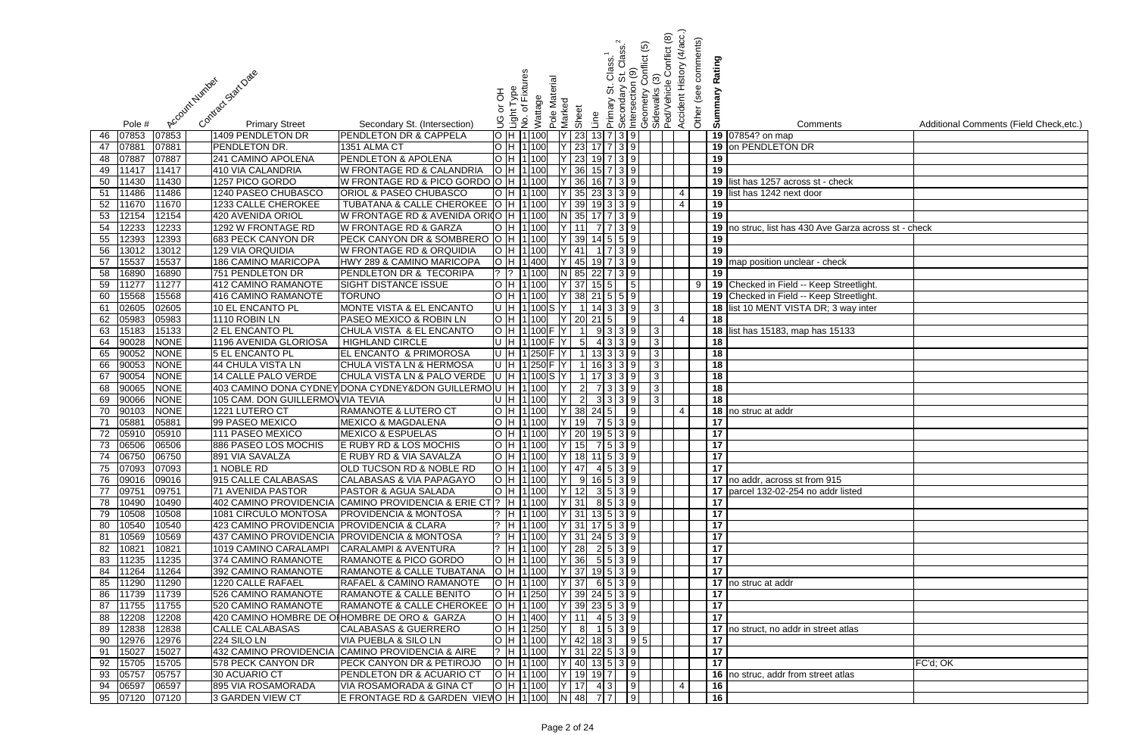|          |                |                |                                              |                                                                                              |         |                                                             |               |                 |                                 |                                |                           |                                               |              | (4/acc.)             |                       |                                                       |                                         |
|----------|----------------|----------------|----------------------------------------------|----------------------------------------------------------------------------------------------|---------|-------------------------------------------------------------|---------------|-----------------|---------------------------------|--------------------------------|---------------------------|-----------------------------------------------|--------------|----------------------|-----------------------|-------------------------------------------------------|-----------------------------------------|
|          |                |                |                                              |                                                                                              |         |                                                             |               |                 |                                 |                                | Class.                    | <u>ව</u>                                      | Conflict (8) | Other (see comments) |                       |                                                       |                                         |
|          |                |                |                                              |                                                                                              |         |                                                             |               |                 |                                 | $\frac{2}{3}$                  |                           | onflict                                       |              |                      | Rating                |                                                       |                                         |
|          |                |                |                                              |                                                                                              |         |                                                             |               |                 |                                 |                                | $\frac{0}{\sigma}$        |                                               |              |                      |                       |                                                       |                                         |
|          |                |                |                                              |                                                                                              | 동       |                                                             |               |                 |                                 | ι.<br>Θ                        |                           |                                               |              |                      |                       |                                                       |                                         |
|          |                |                |                                              |                                                                                              | ŏ       |                                                             |               |                 |                                 |                                |                           |                                               |              |                      |                       |                                                       |                                         |
|          | Pole #         | Account Number | Contract Start Date<br><b>Primary Street</b> | Secondary St. (Intersection)                                                                 | ပ<br>၁  | Light Type<br>No. of Fixtures<br>Wattage                    | Pole Material | Marked<br>Sheet | Line                            | Primary                        | Intersection<br>Secondary | Geometry Co<br>Sidewalks (3)<br>Ped/Vehicle ( |              | Accident History     | Summary               | Comments                                              | Additional Comments (Field Check, etc.) |
| 46       | 07853          | 07853          | 1409 PENDLETON DR                            | PENDLETON DR & CAPPELA                                                                       |         | H 1 100                                                     |               |                 | 23                              | $13 \mid 7 \mid 3 \mid 9$      |                           |                                               |              |                      |                       | 19 07854? on map                                      |                                         |
| 47       | 07881          | 07881          | PENDLETON DR.                                | 1351 ALMA CT                                                                                 |         | H 1100                                                      |               |                 | 23                              | $17 \mid 7 \mid 3 \mid 9 \mid$ |                           |                                               |              |                      |                       | 19 on PENDLETON DR                                    |                                         |
| 48       | 07887          | 07887          | 241 CAMINO APOLENA                           | PENDLETON & APOLENA                                                                          |         | H 1100                                                      |               |                 | 23                              | $19$ 7 3 9                     |                           |                                               |              |                      | 19                    |                                                       |                                         |
| 49       | 11417          | 11417          | 410 VIA CALANDRIA                            | W FRONTAGE RD & CALANDRIA                                                                    |         | H 1 100                                                     |               |                 | 36                              | $15 \mid 7 \mid 3 \mid 9$      |                           |                                               |              |                      | 19                    |                                                       |                                         |
| 50       | 11430          | 11430          | 1257 PICO GORDO                              | W FRONTAGE RD & PICO GORDO O                                                                 |         | H 11 100                                                    |               |                 | 36                              | $16 \mid 7 \mid 3 \mid 9$      |                           |                                               |              |                      |                       | 19 list has 1257 across st - check                    |                                         |
| 51       | 11486          | 11486          | 1240 PASEO CHUBASCO                          | <b>ORIOL &amp; PASEO CHUBASCO</b>                                                            |         | 1 100                                                       |               |                 | 35                              | $23 \mid 3 \mid 3 \mid 9$      |                           |                                               |              | -4                   | 19                    | list has 1242 next door                               |                                         |
| 52       | 11670          | 11670          | 1233 CALLE CHEROKEE                          | TUBATANA & CALLE CHEROKEE                                                                    |         | H 1100                                                      |               |                 | 39                              | $19 \mid 3 \mid 3 \mid 9$      |                           |                                               |              | $\overline{4}$       | 19                    |                                                       |                                         |
| 53       | 12154          | 12154          | 420 AVENIDA ORIOL                            | W FRONTAGE RD & AVENIDA ORIO                                                                 |         | H 1100                                                      |               | 35              |                                 | $17$ 7 3 9                     |                           |                                               |              |                      | 19                    |                                                       |                                         |
| 54       | 12233          | 12233          | 1292 W FRONTAGE RD                           | <b>W FRONTAGE RD &amp; GARZA</b>                                                             |         | H 1100                                                      |               |                 | 11                              | 7 7 3 9                        |                           |                                               |              |                      |                       | 19 no struc, list has 430 Ave Garza across st - check |                                         |
| 55       | 12393          | 12393          | 683 PECK CANYON DR                           | PECK CANYON DR & SOMBRERO                                                                    |         | H 1100                                                      |               |                 | 39                              | $14$ 5 5 9                     |                           |                                               |              |                      | 19                    |                                                       |                                         |
| 56       | 13012          | 13012          | <b>129 VIA ORQUIDIA</b>                      | W FRONTAGE RD & ORQUIDIA                                                                     | IH.     | 1 100                                                       |               | 41              |                                 | $1 \mid 7 \mid 3 \mid 9 \mid$  |                           |                                               |              |                      | $\overline{19}$       |                                                       |                                         |
| 57       | 15537          | 15537          | 186 CAMINO MARICOPA                          | HWY 289 & CAMINO MARICOPA                                                                    |         | O H 1 400                                                   |               |                 | 45                              | 19 7 3 9                       |                           |                                               |              |                      |                       | 19 map position unclear - check                       |                                         |
| 58       | 16890          | 16890          | 751 PENDLETON DR                             | PENDLETON DR & TECORIPA                                                                      |         | 1 100                                                       |               | N 85            |                                 | $22 \mid 7 \mid 3 \mid 9$      |                           |                                               |              |                      | 19                    |                                                       |                                         |
| 59       | 11277          | 11277          | 412 CAMINO RAMANOTE                          | <b>SIGHT DISTANCE ISSUE</b>                                                                  |         | H  1 100                                                    |               | Y 37            |                                 | 15 5 1                         | $\vert 5 \vert$           |                                               |              | 9                    |                       | 19 Checked in Field -- Keep Streetlight.              |                                         |
| 60       | 15568          | 15568          | 416 CAMINO RAMANOTE                          | <b>TORUNO</b>                                                                                |         | H   1   100                                                 |               | Y 38            |                                 | $21 \mid 5 \mid 5 \mid 9$      |                           |                                               |              |                      |                       | 19 Checked in Field -- Keep Streetlight.              |                                         |
| 61       | 02605          | 02605          | <b>10 EL ENCANTO PL</b>                      | <b>MONTE VISTA &amp; EL ENCANTO</b>                                                          |         | U H 1100S                                                   |               |                 |                                 | $14 \mid 3 \mid 3 \mid 9$      |                           | 3                                             |              |                      |                       | 18 list 10 MENT VISTA DR; 3 way inter                 |                                         |
| 62       | 05983<br>15183 | 05983<br>15133 | 1110 ROBIN LN<br>2 EL ENCANTO PL             | PASEO MEXICO & ROBIN LN<br>CHULA VISTA & EL ENCANTO                                          |         | H 1100<br>H 1100 F                                          |               |                 | 20                              | $21 \, 5$<br>9 3 3 9           | $\overline{9}$            |                                               |              | 4                    | $\overline{18}$       |                                                       |                                         |
| 63       | 90028          | <b>NONE</b>    | 1196 AVENIDA GLORIOSA                        | <b>HIGHLAND CIRCLE</b>                                                                       |         | H 1100F                                                     |               |                 | 5 <sub>l</sub>                  | 4339                           |                           | 3 <br> 3                                      |              |                      | 18                    | 18 list has 15183, map has 15133                      |                                         |
| 64<br>65 | 90052          | <b>NONE</b>    | 5 EL ENCANTO PL                              | <b>EL ENCANTO &amp; PRIMOROSA</b>                                                            | lu Ih I |                                                             | 1 $250$ F Y   |                 | $\overline{1}$                  | $13 \mid 3 \mid 3 \mid 9$      |                           | 3                                             |              |                      | 18                    |                                                       |                                         |
| 66       | 90053          | <b>NONE</b>    | 44 CHULA VISTA LN                            | CHULA VISTA LN & HERMOSA                                                                     |         | U H 1250 F Y                                                |               |                 | $\overline{1}$                  | $16 \ 3 \ 3 \ 9$               |                           | 3                                             |              |                      | 18                    |                                                       |                                         |
| 67       | 90054          | <b>NONE</b>    | 14 CALLE PALO VERDE                          | CHULA VISTA LN & PALO VERDE                                                                  |         | U H 1100S                                                   |               |                 |                                 | $17 \mid 3 \mid 3 \mid 9$      |                           | 3                                             |              |                      | $\overline{18}$       |                                                       |                                         |
| 68       | 90065          | <b>NONE</b>    |                                              | 403 CAMINO DONA CYDNEY DONA CYDNEY&DON GUILLERMOU   H 1 100                                  |         |                                                             |               |                 |                                 | 7339                           |                           | 3                                             |              |                      | 18                    |                                                       |                                         |
| 69       | 90066          | <b>NONE</b>    | 105 CAM. DON GUILLERMOVVIA TEVIA             |                                                                                              |         | H 1100                                                      |               |                 | $\overline{2}$                  | 3 3 3 9                        |                           |                                               |              |                      | 18                    |                                                       |                                         |
| 70       | 90103          | <b>NONE</b>    | 1221 LUTERO CT                               | RAMANOTE & LUTERO CT                                                                         |         | H 1100                                                      |               |                 | 38<br>24                        |                                | $\vert$ 9                 |                                               |              | -4                   |                       | 18 no struc at addr                                   |                                         |
| 71       | 0588           | 05881          | 99 PASEO MEXICO                              | <b>MEXICO &amp; MAGDALENA</b>                                                                |         | H 11100                                                     |               |                 | 19                              | $7 5 3 \overline{9} $          |                           |                                               |              |                      | 17                    |                                                       |                                         |
| 72       | 05910          | 05910          | 111 PASEO MEXICO                             | <b>MEXICO &amp; ESPUELAS</b>                                                                 |         | H 1100                                                      |               |                 | 20                              | $19$ 5 3 9                     |                           |                                               |              |                      | 17                    |                                                       |                                         |
|          | 73 06506 06506 |                | 886 PASEO LOS MOCHIS                         | E RUBY RD & LOS MOCHIS                                                                       |         | O[H 1 100   Y 15  7 5 3 9]                                  |               |                 |                                 |                                |                           |                                               |              |                      | $ 17\rangle$          |                                                       |                                         |
|          | 74 06750       | 06750          | 891 VIA SAVALZA                              | E RUBY RD & VIA SAVALZA                                                                      |         | O[H[1]100] [Y]18]11539                                      |               |                 |                                 |                                |                           |                                               |              |                      | $\overline{17}$       |                                                       |                                         |
| 75       | 07093          | 07093          | 1 NOBLE RD                                   | <b>OLD TUCSON RD &amp; NOBLE RD</b>                                                          |         | O[H 1 100   Y 47  45 39]                                    |               |                 |                                 |                                |                           |                                               |              |                      | $\overline{17}$       |                                                       |                                         |
| 76       | 09016          | 09016          | 915 CALLE CALABASAS                          | CALABASAS & VIA PAPAGAYO                                                                     |         | O[H 1 100   Y  9 165 39]                                    |               |                 |                                 |                                |                           |                                               |              |                      |                       | 17 no addr, across st from 915                        |                                         |
| 77       | 09751          | 09751          | 71 AVENIDA PASTOR                            | <b>PASTOR &amp; AGUA SALADA</b>                                                              |         | OH 1100 Y 12 3 5 3 9                                        |               |                 |                                 |                                |                           |                                               |              |                      |                       | 17 parcel 132-02-254 no addr listed                   |                                         |
| 78       | 10490          | 10490          |                                              | 402 CAMINO PROVIDENCIA CAMINO PROVIDENCIA & ERIE CT ?   H   1   100   Y   31   8   5   3   9 |         |                                                             |               |                 |                                 |                                |                           |                                               |              |                      | 17                    |                                                       |                                         |
| 79       | 10508          | 10508          | 1081 CIRCULO MONTOSA                         | <b>PROVIDENCIA &amp; MONTOSA</b>                                                             |         | $?$ H 1100 Y 31 13 5 3 9                                    |               |                 |                                 |                                |                           |                                               |              |                      | $\overline{17}$       |                                                       |                                         |
| 80       | 10540          | 10540          | 423 CAMINO PROVIDENCIA PROVIDENCIA & CLARA   |                                                                                              |         | $?$  H  1 100   Y   31   17   5   3   9                     |               |                 |                                 |                                |                           |                                               |              |                      | 17                    |                                                       |                                         |
| 81       | 10569          | 10569          |                                              | 437 CAMINO PROVIDENCIA PROVIDENCIA & MONTOSA                                                 |         | $?$ H 1 100 Y 31 24 5 3 9                                   |               |                 |                                 |                                |                           |                                               |              |                      | 17                    |                                                       |                                         |
| 82       | 10821          | 10821          | 1019 CAMINO CARALAMPI                        | <b>CARALAMPI &amp; AVENTURA</b>                                                              |         | $?$ H 1100 Y 28 2 5 3 9                                     |               |                 |                                 |                                |                           |                                               |              |                      | 17                    |                                                       |                                         |
| 83       | 11235<br>11264 | 11235<br>11264 | 374 CAMINO RAMANOTE<br>392 CAMINO RAMANOTE   | RAMANOTE & PICO GORDO<br>RAMANOTE & CALLE TUBATANA                                           |         | O H 1 100   Y 36  5  5 3  9 <br>O H 1100                    |               |                 |                                 |                                |                           |                                               |              |                      | 17<br>$\overline{17}$ |                                                       |                                         |
| 84<br>85 | 11290          | 11290          | 1220 CALLE RAFAEL                            | RAFAEL & CAMINO RAMANOTE                                                                     |         | O  H  1 100                                                 |               |                 | Y 37 19 5 3 9<br>$Y$ 37 6 5 3 9 |                                |                           |                                               |              |                      |                       | 17 no struc at addr                                   |                                         |
| 86       | 11739          | 11739          | 526 CAMINO RAMANOTE                          | RAMANOTE & CALLE BENITO                                                                      |         | H   1   250                                                 |               |                 | Y 39 24 5 3 9                   |                                |                           |                                               |              |                      | 17                    |                                                       |                                         |
| 87       | 11755          | 11755          | 520 CAMINO RAMANOTE                          | RAMANOTE & CALLE CHEROKEE  O  H  1 100                                                       |         |                                                             |               |                 | Y 39 23 5 3 9                   |                                |                           |                                               |              |                      | 17                    |                                                       |                                         |
| 88       | 12208          | 12208          |                                              | 420 CAMINO HOMBRE DE OIHOMBRE DE ORO & GARZA                                                 |         | H 1400                                                      |               | Y 11            |                                 | $4$ 5 3 9                      |                           |                                               |              |                      | 17                    |                                                       |                                         |
| 89       | 12838          | 12838          | <b>CALLE CALABASAS</b>                       | <b>CALABASAS &amp; GUERRERO</b>                                                              |         | H 1250                                                      |               |                 | $8 \mid$                        | 1   5   3   9                  |                           |                                               |              |                      |                       | 17 no struct, no addr in street atlas                 |                                         |
| 90       | 12976          | 12976          | 224 SILO LN                                  | VIA PUEBLA & SILO LN                                                                         |         | O H 1100                                                    |               |                 | $ Y $ 42 18 3 9 5               |                                |                           |                                               |              |                      | 17                    |                                                       |                                         |
| 91       | 15027          | 15027          |                                              | 432 CAMINO PROVIDENCIA CAMINO PROVIDENCIA & AIRE                                             |         | $?$ H 1100 Y 31 22 5 3 9                                    |               |                 |                                 |                                |                           |                                               |              |                      | 17                    |                                                       |                                         |
| 92       | 15705          | 15705          | 578 PECK CANYON DR                           | <b>PECK CANYON DR &amp; PETIROJO</b>                                                         |         | $\overline{O}$  H  1 100   $\overline{Y}$   40  13  5  3  9 |               |                 |                                 |                                |                           |                                               |              |                      | 17                    |                                                       | FC'd; OK                                |
| 93       | 05757          | 05757          | 30 ACUARIO CT                                | PENDLETON DR & ACUARIO CT                                                                    |         | O  H  1 100     Y   19  19  7       9                       |               |                 |                                 |                                |                           |                                               |              |                      |                       | 16 no struc, addr from street atlas                   |                                         |
| 94       | 06597          | 06597          | 895 VIA ROSAMORADA                           | VIA ROSAMORADA & GINA CT                                                                     |         | $\bigcirc$  H  1 100   Y   17  4  3   9                     |               |                 |                                 |                                |                           |                                               |              | -4                   | 16                    |                                                       |                                         |
|          | 95 07120       | 07120          | 3 GARDEN VIEW CT                             | E FRONTAGE RD & GARDEN VIEVO H 1100 N 48 77   9                                              |         |                                                             |               |                 |                                 |                                |                           |                                               |              |                      | 16                    |                                                       |                                         |

| $\overline{\mathbf{s}}$ | Additional Comments (Field Check, etc.) |
|-------------------------|-----------------------------------------|
|                         |                                         |
|                         |                                         |
|                         |                                         |
|                         |                                         |
| าeck                    |                                         |
|                         |                                         |
|                         |                                         |
| Garza across st - check |                                         |
|                         |                                         |
|                         |                                         |
| :ck                     |                                         |
|                         |                                         |
| Streetlight.            |                                         |
| Streetlight.            |                                         |
| way inter               |                                         |
|                         |                                         |
| 5133                    |                                         |
|                         |                                         |
|                         |                                         |
|                         |                                         |
|                         |                                         |
|                         |                                         |
|                         |                                         |
|                         |                                         |
|                         |                                         |
|                         |                                         |
|                         |                                         |
|                         |                                         |
|                         |                                         |
| $\overline{5}$          |                                         |
| r listed                |                                         |
|                         |                                         |
|                         |                                         |
|                         |                                         |
|                         |                                         |
|                         |                                         |
|                         |                                         |
|                         |                                         |
|                         |                                         |
|                         |                                         |
|                         |                                         |
|                         |                                         |
| atlas                   |                                         |
|                         |                                         |
|                         |                                         |
|                         | FC'd; OK                                |
| atlas                   |                                         |
|                         |                                         |
|                         |                                         |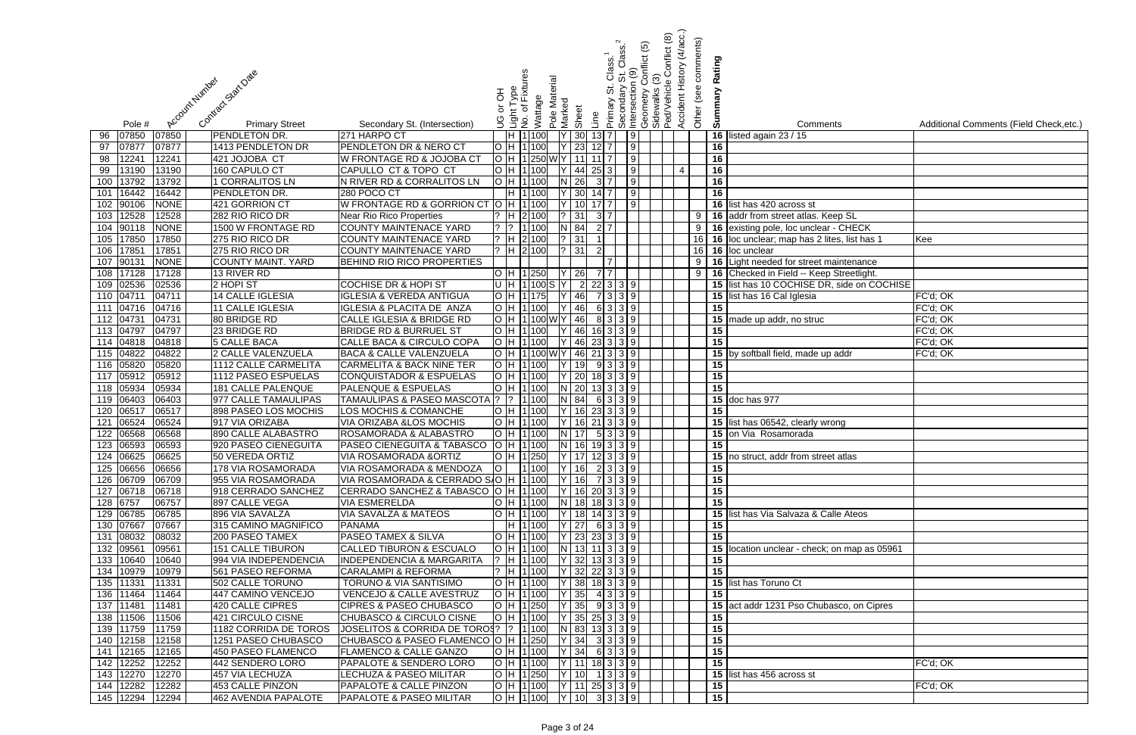|     |                        |                 |                |                                             |                                                                   |        |                               |         |                         |                                                                           |                   |                           |                               | <u>ව</u>                                                           | Conflict (8) | Accident History (4/acc.) |                      |    |                                                |                                         |
|-----|------------------------|-----------------|----------------|---------------------------------------------|-------------------------------------------------------------------|--------|-------------------------------|---------|-------------------------|---------------------------------------------------------------------------|-------------------|---------------------------|-------------------------------|--------------------------------------------------------------------|--------------|---------------------------|----------------------|----|------------------------------------------------|-----------------------------------------|
|     |                        |                 |                |                                             |                                                                   |        |                               |         |                         |                                                                           |                   | Class.                    |                               |                                                                    |              |                           | Other (see comments) |    |                                                |                                         |
|     |                        |                 |                |                                             |                                                                   |        |                               |         |                         |                                                                           |                   | $\frac{2}{3}$             | $\frac{6}{5}$                 | ionflict                                                           |              |                           | Rating               |    |                                                |                                         |
|     |                        |                 |                |                                             |                                                                   |        |                               |         |                         |                                                                           |                   |                           |                               |                                                                    |              |                           |                      |    |                                                |                                         |
|     |                        |                 |                |                                             |                                                                   | 공      |                               |         |                         |                                                                           |                   | 5.                        |                               |                                                                    |              |                           |                      |    |                                                |                                         |
|     |                        |                 |                |                                             |                                                                   | ă      | $\Delta$                      |         |                         |                                                                           |                   |                           |                               |                                                                    |              |                           |                      |    |                                                |                                         |
|     | Pole #                 |                 | Account Number | Contract Stat Date<br><b>Primary Street</b> | Secondary St. (Intersection)                                      | ပ<br>၁ | Light Type<br>No. of Fixtures | Wattage | Pole Material<br>Marked | Sheet                                                                     | Line              | Primary St.<br>Secondary  |                               | Intersection (<br> Geometry Co<br> Sidewalks (3)<br> Ped/Vehicle ( |              |                           | Summary              |    | Comments                                       | Additional Comments (Field Check, etc.) |
| 96  | 07850                  | 07850           |                | PENDLETON DR.                               | 271 HARPO CT                                                      |        | H 1 100                       |         |                         | $Y$ 30                                                                    | $13\vert 7 \vert$ |                           | 9                             |                                                                    |              |                           |                      | 16 | listed again 23 / 15                           |                                         |
| 97  | 07877                  | 07877           |                | 1413 PENDLETON DR                           | PENDLETON DR & NERO CT                                            |        | H 1100                        |         |                         | $Y$ 23                                                                    | $12$ 7            |                           | 9                             |                                                                    |              |                           | 16                   |    |                                                |                                         |
| 98  | 12241                  | 12241           |                | 421 JOJOBA CT                               | W FRONTAGE RD & JOJOBA CT                                         |        |                               |         |                         | H 1250 W Y 11                                                             |                   |                           | $\sqrt{9}$                    |                                                                    |              |                           | 16                   |    |                                                |                                         |
| 99  | 13190                  | 13190           |                | 160 CAPULO CT                               | CAPULLO CT & TOPO CT                                              |        | H 1100                        |         |                         | 44                                                                        | $25 \mid 3 \mid$  |                           | 9                             |                                                                    |              | $\overline{4}$            | 16                   |    |                                                |                                         |
| 100 | 13792                  | 13792           |                | 1 CORRALITOS LN                             | N RIVER RD & CORRALITOS LN                                        |        | H 1 100                       |         | IN I                    | 26                                                                        |                   | 3 7                       | 9                             |                                                                    |              |                           | 16                   |    |                                                |                                         |
| 101 | 16442                  | 16442           |                | PENDLETON DR.                               | 280 POCO CT                                                       |        | H 1 100                       |         |                         | 30                                                                        | $14$ 7            |                           | 9                             |                                                                    |              |                           | 16                   |    |                                                |                                         |
|     | 102 90106              | <b>NONE</b>     |                | 421 GORRION CT                              | W FRONTAGE RD & GORRION CT O                                      |        | H 1 100                       |         |                         | 10                                                                        |                   |                           | 9                             |                                                                    |              |                           |                      |    | 16 list has 420 across st                      |                                         |
| 103 | 12528                  | 12528           |                | 282 RIO RICO DR                             | Near Rio Rico Properties                                          |        |                               | 2 100   |                         | ? 31                                                                      | $3\overline{7}$   |                           |                               |                                                                    |              |                           | 9<br>16              |    | addr from street atlas. Keep SL                |                                         |
| 104 | 90118                  | <b>NONE</b>     |                | 1500 W FRONTAGE RD                          | COUNTY MAINTENACE YARD                                            |        |                               | 1100    |                         | N 84                                                                      | $2\overline{17}$  |                           |                               |                                                                    |              |                           | 9 <sup>1</sup>       |    | 16 existing pole, loc unclear - CHECK          |                                         |
| 105 | 17850                  | 17850           |                | 275 RIO RICO DR                             | COUNTY MAINTENACE YARD                                            |        | H 2 100                       |         |                         | ? 31                                                                      |                   |                           |                               |                                                                    |              |                           |                      |    | 16 16 loc unclear; map has 2 lites, list has 1 | Kee                                     |
| 106 | 17851                  | 17851           |                | 275 RIO RICO DR                             | COUNTY MAINTENACE YARD                                            |        | $H$ 2 100                     |         |                         | ?   31                                                                    |                   |                           |                               |                                                                    |              |                           |                      |    | 16 16 loc unclear                              |                                         |
| 107 | 90131                  | <b>NONE</b>     |                | <b>COUNTY MAINT. YARD</b>                   | BEHIND RIO RICO PROPERTIES                                        |        |                               |         |                         |                                                                           |                   |                           |                               |                                                                    |              |                           | 9<br>16              |    | Light needed for street maintenance            |                                         |
| 108 | 17128                  | 17128           |                | 13 RIVER RD                                 |                                                                   |        | H 1250                        |         |                         | 26                                                                        |                   | $7\overline{7}$           |                               |                                                                    |              |                           | 9 <sup>1</sup><br>16 |    | Checked in Field -- Keep Streetlight.          |                                         |
|     | 109 02536<br>110 0471  | 02536           |                | 2 HOPI ST                                   | <b>COCHISE DR &amp; HOPI ST</b>                                   |        | H 1100 S Y                    |         |                         | $\overline{2}$                                                            |                   | $22$ 3 3 9                |                               |                                                                    |              |                           |                      |    | 15 list has 10 COCHISE DR, side on COCHISE     |                                         |
|     | 111 04716              | 04711           |                | <b>14 CALLE IGLESIA</b>                     | <b>IGLESIA &amp; VEREDA ANTIGUA</b>                               |        | H 11175                       |         |                         | 46<br>$Y$ 46                                                              |                   | 7339                      |                               |                                                                    |              |                           | $\overline{15}$      |    | 15 list has 16 Cal Iglesia                     | FC'd; OK                                |
|     | 112 04731              | 04716<br>04731  |                | 11 CALLE IGLESIA<br>80 BRIDGE RD            | IGLESIA & PLACITA DE ANZA<br>CALLE IGLESIA & BRIDGE RD            |        | H 1100                        |         |                         | H  1 100 W Y   46                                                         |                   | 6 3 3 9<br>8339           |                               |                                                                    |              |                           |                      |    |                                                | FC'd; OK<br>FC'd; OK                    |
|     | 113 04797              | 04797           |                | 23 BRIDGE RD                                | <b>BRIDGE RD &amp; BURRUEL ST</b>                                 |        | H 1 100                       |         |                         | $ Y $ 46 16 3 3 9                                                         |                   |                           |                               |                                                                    |              |                           | 15                   |    | 15 made up addr, no struc                      | FC'd; OK                                |
|     | 114 04818              | 04818           |                | <b>5 CALLE BACA</b>                         | CALLE BACA & CIRCULO COPA                                         |        | H 1 100                       |         |                         | $ Y $ 46 23 3 3 9                                                         |                   |                           |                               |                                                                    |              |                           | $\overline{15}$      |    |                                                | FC'd; OK                                |
|     | 115 04822              | 04822           |                | 2 CALLE VALENZUELA                          | <b>BACA &amp; CALLE VALENZUELA</b>                                |        |                               |         |                         | H 1100WY 46 21 3 3 9                                                      |                   |                           |                               |                                                                    |              |                           |                      |    | 15 by softball field, made up addr             | FC'd; OK                                |
|     | 116 05820              | 05820           |                | <b>1112 CALLE CARMELITA</b>                 | <b>CARMELITA &amp; BACK NINE TER</b>                              |        | H 1 100                       |         |                         | 19                                                                        |                   |                           | 9 3 3 9                       |                                                                    |              |                           | 15                   |    |                                                |                                         |
|     | 117 05912              | 05912           |                | 1112 PASEO ESPUELAS                         | <b>CONQUISTADOR &amp; ESPUELAS</b>                                |        | H 1100                        |         |                         | $Y$ 20                                                                    |                   |                           | $18$ 3 3 9                    |                                                                    |              |                           | 15                   |    |                                                |                                         |
|     | 118 05934              | 05934           |                | 181 CALLE PALENQUE                          | <b>PALENQUE &amp; ESPUELAS</b>                                    |        | H 1 100                       |         |                         | $N$ 20                                                                    |                   |                           | 133399                        |                                                                    |              |                           | $\overline{15}$      |    |                                                |                                         |
|     | 119 06403              | 06403           |                | 977 CALLE TAMAULIPAS                        | <b>TAMAULIPAS &amp; PASEO MASCOTA</b>                             |        | $? \vert 1 \vert 100$         |         |                         | N 84                                                                      |                   |                           | 6339                          |                                                                    |              |                           |                      |    | 15 doc has 977                                 |                                         |
|     | 120 06517              | 06517           |                | 898 PASEO LOS MOCHIS                        | LOS MOCHIS & COMANCHE                                             |        | H 1100                        |         |                         | 16                                                                        |                   | $23 \mid 3 \mid 3 \mid 9$ |                               |                                                                    |              |                           | 15                   |    |                                                |                                         |
| 121 | 06524                  | 06524           |                | 917 VIA ORIZABA                             | VIA ORIZABA &LOS MOCHIS                                           |        | H 1100                        |         |                         | 16                                                                        |                   | $21 \ 3 \ 3 \ 9$          |                               |                                                                    |              |                           | 15                   |    | list has 06542, clearly wrong                  |                                         |
| 122 | 06568                  | 06568           |                | 890 CALLE ALABASTRO                         | ROSAMORADA & ALABASTRO                                            |        | $H$ 1100                      |         | IN I                    | 17                                                                        |                   | 5 3 3 9                   |                               |                                                                    |              |                           |                      |    | 15 on Via Rosamorada                           |                                         |
|     |                        | 123 06593 06593 |                | 920 PASEO CIENEGUITA                        | PASEO CIENEGUITA & TABASCO  O  H  1 100     N   16  19  3   3   9 |        |                               |         |                         |                                                                           |                   |                           |                               |                                                                    |              |                           | 15                   |    |                                                |                                         |
|     | 124 06625              | 06625           |                | 50 VEREDA ORTIZ                             | VIA ROSAMORADA & ORTIZ                                            |        |                               |         |                         | $H$  1  250   $Y$   17   12   3   3   9                                   |                   |                           |                               |                                                                    |              |                           |                      |    | 15 no struct, addr from street atlas           |                                         |
|     | 125 06656              | 06656           |                | 178 VIA ROSAMORADA                          | VIA ROSAMORADA & MENDOZA                                          |        |                               | 1 100   |                         | Y 16 2 3 3 9                                                              |                   |                           |                               |                                                                    |              |                           | 15                   |    |                                                |                                         |
|     | 126 06709              | 06709           |                | 955 VIA ROSAMORADA                          | VIA ROSAMORADA & CERRADO S/O H   1   100                          |        |                               |         |                         | $ Y $ 16   7 3 3 9                                                        |                   |                           |                               |                                                                    |              |                           | 15                   |    |                                                |                                         |
|     | 127 06718              | 06718           |                | 918 CERRADO SANCHEZ                         | CERRADO SANCHEZ & TABASCO O H 1100 Y 16 20 3 3 9                  |        |                               |         |                         |                                                                           |                   |                           |                               |                                                                    |              |                           | $\overline{15}$      |    |                                                |                                         |
|     | 128 6757               | 06757           |                | 897 CALLE VEGA                              | <b>VIA ESMERELDA</b>                                              |        |                               |         |                         | O  H  1 100  N   18   18   3   3   9                                      |                   |                           |                               |                                                                    |              |                           | 15                   |    |                                                |                                         |
|     | 129 06785              | 06785           |                | 896 VIA SAVALZA                             | VIA SAVALZA & MATEOS                                              |        | H 1 100                       |         |                         | Y 18 14 3 3 9                                                             |                   |                           |                               |                                                                    |              |                           |                      |    | 15 list has Via Salvaza & Calle Ateos          |                                         |
|     | 130 07667<br>131 08032 | 07667<br>08032  |                | 315 CAMINO MAGNIFICO                        | <b>PANAMA</b><br><b>PASEO TAMEX &amp; SILVA</b>                   |        |                               |         |                         | H  1 100   Y   27  6  3   3   9   <br> H  1 100   Y   23   23   3   3   9 |                   |                           |                               |                                                                    |              |                           | 15<br>15             |    |                                                |                                         |
|     | 132 09561              | 09561           |                | 200 PASEO TAMEX<br><b>151 CALLE TIBURON</b> | <b>CALLED TIBURON &amp; ESCUALO</b>                               |        |                               |         |                         | O H 1100 N 13 11 3 3 9                                                    |                   |                           |                               |                                                                    |              |                           |                      |    | 15 location unclear - check; on map as 05961   |                                         |
|     | 133 10640              | 10640           |                | 994 VIA INDEPENDENCIA                       | <b>INDEPENDENCIA &amp; MARGARITA</b>                              |        | $?$ H 1100                    |         |                         | $ Y $ 32 13 3 3 9                                                         |                   |                           |                               |                                                                    |              |                           | 15                   |    |                                                |                                         |
|     | 134 10979              | 10979           |                | 561 PASEO REFORMA                           | CARALAMPI & REFORMA                                               |        | $?$ H 1 100                   |         |                         | $ Y $ 32 22 3 3 9                                                         |                   |                           |                               |                                                                    |              |                           | 15                   |    |                                                |                                         |
|     | 135 11331              | 11331           |                | 502 CALLE TORUNO                            | TORUNO & VIA SANTISIMO                                            |        | O H 1 100                     |         |                         | $ Y $ 38 18 3 3 9                                                         |                   |                           |                               |                                                                    |              |                           |                      |    | 15 list has Toruno Ct                          |                                         |
|     | 136 11464              | 11464           |                | 447 CAMINO VENCEJO                          | VENCEJO & CALLE AVESTRUZ                                          |        | O H 1100                      |         |                         | $Y$ 35                                                                    |                   |                           | 4339                          |                                                                    |              |                           | 15                   |    |                                                |                                         |
| 137 | 11481                  | 11481           |                | 420 CALLE CIPRES                            | <b>CIPRES &amp; PASEO CHUBASCO</b>                                |        | H 1250                        |         |                         | $Y$ 35                                                                    |                   | 9339                      |                               |                                                                    |              |                           |                      |    | 15 act addr 1231 Pso Chubasco, on Cipres       |                                         |
|     | 138 11506              | 11506           |                | 421 CIRCULO CISNE                           | CHUBASCO & CIRCULO CISNE                                          |        | H 1100                        |         |                         | $Y$   35  25  3  3  9                                                     |                   |                           |                               |                                                                    |              |                           | 15                   |    |                                                |                                         |
|     | 139 11759              | 11759           |                | 1182 CORRIDA DE TOROS                       | JOSELITOS & CORRIDA DE TOROS?  ?  1 100                           |        |                               |         |                         | N 83 13 3 3 9                                                             |                   |                           |                               |                                                                    |              |                           | 15                   |    |                                                |                                         |
| 140 | 12158                  | 12158           |                | 1251 PASEO CHUBASCO                         | CHUBASCO & PASEO FLAMENCO O H 1250                                |        |                               |         |                         | $Y$ 34                                                                    |                   | 3 3 3 9                   |                               |                                                                    |              |                           | $\overline{15}$      |    |                                                |                                         |
| 141 | 12165                  | 12165           |                | 450 PASEO FLAMENCO                          | <b>FLAMENCO &amp; CALLE GANZO</b>                                 |        | H 1100                        |         |                         | $Y$ 34                                                                    |                   |                           | 6339                          |                                                                    |              |                           | $\overline{15}$      |    |                                                |                                         |
| 142 | 12252                  | 12252           |                | 442 SENDERO LORO                            | PAPALOTE & SENDERO LORO                                           |        | O H 1 100                     |         |                         | $Y$ 11                                                                    |                   |                           | $18 \ 3 \ 3 \ 9$              |                                                                    |              |                           | 15                   |    |                                                | FC'd; OK                                |
| 143 | 12270                  | 12270           |                | 457 VIA LECHUZA                             | LECHUZA & PASEO MILITAR                                           |        | $O$  H  1  250                |         |                         | Y 10                                                                      |                   |                           | 1339                          |                                                                    |              |                           |                      |    | 15 list has 456 across st                      |                                         |
| 144 | 12282                  | 12282           |                | 453 CALLE PINZON                            | PAPALOTE & CALLE PINZON                                           |        |                               |         |                         | $\overline{O}$  H  1 100  Y   11   25   3   3   9                         |                   |                           |                               |                                                                    |              |                           | 15                   |    |                                                | FC'd; OK                                |
|     | 145 12294              | 12294           |                | 462 AVENDIA PAPALOTE                        | <b>PAPALOTE &amp; PASEO MILITAR</b>                               |        |                               |         |                         | O H 1100 Y 10                                                             |                   |                           | $3 \mid 3 \mid 3 \mid 9 \mid$ |                                                                    |              |                           | 15                   |    |                                                |                                         |

| ts              | Additional Comments (Field Check, etc.) |
|-----------------|-----------------------------------------|
|                 |                                         |
|                 |                                         |
|                 |                                         |
|                 |                                         |
|                 |                                         |
|                 |                                         |
|                 |                                         |
| $pp$ $SL$       |                                         |
| <b>CHECK</b>    |                                         |
| s, list has 1   | Kee                                     |
|                 |                                         |
| intenance       |                                         |
| Streetlight.    |                                         |
| side on COCHISE |                                         |
|                 | FC'd; OK                                |
|                 | FC'd; OK<br>FC'd; OK                    |
|                 | FC'd; OK                                |
|                 |                                         |
|                 | FC'd; OK<br>FC'd; OK                    |
| addr            |                                         |
|                 |                                         |
|                 |                                         |
|                 |                                         |
|                 |                                         |
|                 |                                         |
| ng              |                                         |
|                 |                                         |
| atlas           |                                         |
|                 |                                         |
|                 |                                         |
|                 |                                         |
|                 |                                         |
| e Ateos         |                                         |
|                 |                                         |
|                 |                                         |
|                 |                                         |
| n map as 05961  |                                         |
|                 |                                         |
|                 |                                         |
|                 |                                         |
|                 |                                         |
| sco, on Cipres  |                                         |
|                 |                                         |
|                 |                                         |
|                 |                                         |
|                 | FC'd; OK                                |
|                 |                                         |
|                 | FC'd; OK                                |
|                 |                                         |
|                 |                                         |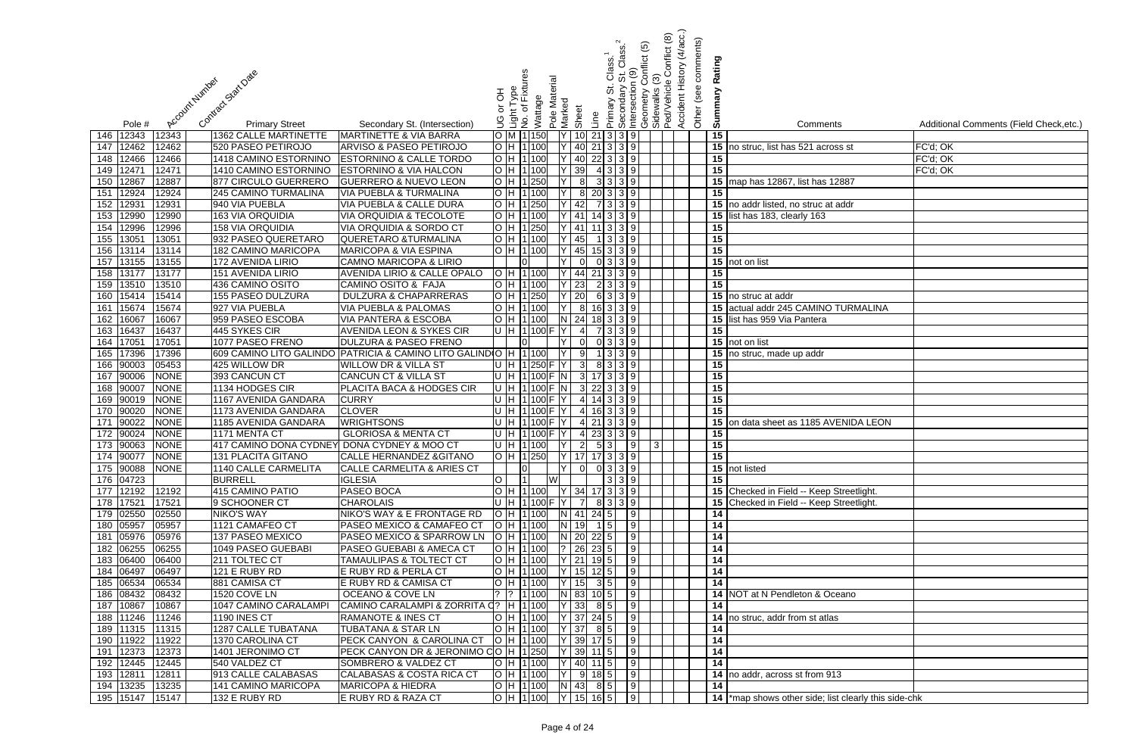|     |                    |                      |                                |                                                                    |         |                             |          |               |                                               |                 |                           |                | <u>ව</u> | Conflict (8)                   | (4/acc.)<br>Other (see comments) |                 |                                                      |                                         |
|-----|--------------------|----------------------|--------------------------------|--------------------------------------------------------------------|---------|-----------------------------|----------|---------------|-----------------------------------------------|-----------------|---------------------------|----------------|----------|--------------------------------|----------------------------------|-----------------|------------------------------------------------------|-----------------------------------------|
|     |                    |                      |                                |                                                                    |         |                             |          |               |                                               |                 | Class.                    |                | onflict  |                                |                                  | Rating          |                                                      |                                         |
|     |                    |                      | Contract Stat Date             |                                                                    |         | δĝ                          |          |               |                                               |                 | $\frac{2}{3}$             | $\frac{6}{10}$ |          |                                | Accident History                 |                 |                                                      |                                         |
|     |                    |                      |                                |                                                                    |         |                             |          |               |                                               |                 | <br>თ                     |                |          |                                |                                  |                 |                                                      |                                         |
|     |                    | Account Number       |                                |                                                                    | 공       | Light Type<br>No. of Fixtur |          | Pole Material |                                               |                 | Secondary                 | ntersection    | eometry  | Sidewalks (3)<br>Ped/Vehicle ( |                                  | Summary         |                                                      |                                         |
|     |                    |                      |                                |                                                                    | ŏ       |                             | Wattage  | Marked        | Sheet                                         |                 | Primary                   |                |          |                                |                                  |                 |                                                      |                                         |
|     | Pole #             |                      | <b>Primary Street</b>          | Secondary St. (Intersection)                                       |         |                             |          |               |                                               | Line            |                           | ৩              |          |                                |                                  |                 | Comments                                             | Additional Comments (Field Check, etc.) |
| 146 | 12343              | 12343                | <b>1362 CALLE MARTINETTE</b>   | <b>MARTINETTE &amp; VIA BARRA</b>                                  |         | M   1   150                 |          |               | 10 <sup>1</sup>                               |                 | 21339                     |                |          |                                |                                  | 15              |                                                      |                                         |
| 147 | 12462              | 12462                | 520 PASEO PETIROJO             | <b>ARVISO &amp; PASEO PETIROJO</b>                                 |         | H 1100                      |          |               | 40                                            |                 | $21 \mid 3 \mid 3 \mid 9$ |                |          |                                |                                  |                 | 15 no struc, list has 521 across st                  | FC'd; OK                                |
| 148 | 12466              | 12466                | 1418 CAMINO ESTORNINO          | <b>ESTORNINO &amp; CALLE TORDO</b>                                 |         | H 1100                      |          |               | 40                                            |                 | $22 \mid 3 \mid 3 \mid 9$ |                |          |                                |                                  | 15              |                                                      | FC'd; OK                                |
| 149 | 1247'              | 12471                | 1410 CAMINO ESTORNINO          | ESTORNINO & VIA HALCON                                             |         | H 1100                      |          |               | 39                                            |                 | 4339                      |                |          |                                |                                  | $\overline{15}$ |                                                      | FC'd; OK                                |
| 150 | 12867              | 12887                | 877 CIRCULO GUERRERO           | <b>GUERRERO &amp; NUEVO LEON</b>                                   |         | НI                          | 1 250    |               | 8                                             |                 | 3 3 3 9                   |                |          |                                |                                  |                 | 15 map has 12867, list has 12887                     |                                         |
| 151 | 12924              | 12924                | 245 CAMINO TURMALINA           | <b>VIA PUEBLA &amp; TURMALINA</b>                                  |         | IH I                        | 1 100    |               | 8                                             |                 | 20 3 3 9                  |                |          |                                |                                  | 15              |                                                      |                                         |
| 152 | 1293'              | 12931                | 940 VIA PUEBLA                 | VIA PUEBLA & CALLE DURA                                            |         |                             | 1 250    |               | 42                                            |                 | 7 3 3 9                   |                |          |                                |                                  |                 | 15 no addr listed, no struc at addr                  |                                         |
| 153 | 12990              | 12990                | <b>163 VIA ORQUIDIA</b>        | VIA ORQUIDIA & TECOLOTE                                            |         |                             | 1 100    |               | 41                                            |                 | $14 \mid 3 \mid 3 \mid 9$ |                |          |                                |                                  | 15              | list has 183, clearly 163                            |                                         |
| 154 | 12996              | 12996                | 158 VIA ORQUIDIA               | VIA ORQUIDIA & SORDO CT                                            |         |                             | 1 250    |               | 41                                            |                 | $3 \mid 3 \mid 9$         |                |          |                                |                                  | 15              |                                                      |                                         |
| 155 | 1305'              | 13051                | 932 PASEO QUERETARO            | <b>QUERETARO &amp;TURMALINA</b>                                    |         | 1100                        |          |               | 45                                            |                 | $3 \mid 3 \mid 9$         |                |          |                                |                                  | 15              |                                                      |                                         |
| 156 | 13114              | 13114                | 182 CAMINO MARICOPA            | <b>MARICOPA &amp; VIA ESPINA</b>                                   |         | H 11100                     |          |               | 45                                            |                 | $15 \ 3 \ 3 \ 9$          |                |          |                                |                                  | 15              |                                                      |                                         |
| 157 | 13155              | 13155                | 172 AVENIDA LIRIO              | <b>CAMNO MARICOPA &amp; LIRIO</b>                                  |         |                             |          |               | $\Omega$                                      |                 | 0 3 3 9                   |                |          |                                |                                  |                 | 15 not on list                                       |                                         |
| 158 | 13177              | 13177                | 151 AVENIDA LIRIO              | <b>AVENIDA LIRIO &amp; CALLE OPALO</b>                             |         | O H 11100                   |          |               | 44                                            |                 | $21 \mid 3 \mid 3 \mid 9$ |                |          |                                |                                  | 15              |                                                      |                                         |
|     | 159 13510          | 13510                | 436 CAMINO OSITO               | CAMINO OSITO & FAJA                                                |         | H  1 100                    |          |               | 23                                            |                 | 2 3 3 9                   |                |          |                                |                                  | 15              |                                                      |                                         |
| 160 | 15414              | 15414                | 155 PASEO DULZURA              | <b>DULZURA &amp; CHAPARRERAS</b>                                   |         | H 1250                      |          |               | 20                                            |                 | 6 3 3 9                   |                |          |                                |                                  |                 | 15 no struc at addr                                  |                                         |
| 161 | 15674              | 15674                | 927 VIA PUEBLA                 | <b>VIA PUEBLA &amp; PALOMAS</b>                                    |         | 1 100                       |          |               | $8 \mid$                                      |                 | $16$ 3 3 9                |                |          |                                |                                  |                 | 15 actual addr 245 CAMINO TURMALINA                  |                                         |
| 162 | 16067              | 16067                | 959 PASEO ESCOBA               | <b>VIA PANTERA &amp; ESCOBA</b>                                    |         | H 1100                      |          |               | $N$ 24                                        |                 | 18 3 3 9                  |                |          |                                |                                  |                 | 15 list has 959 Via Pantera                          |                                         |
| 163 | 16437              | 16437                | 445 SYKES CIR                  | <b>AVENIDA LEON &amp; SYKES CIR</b>                                |         | U H 1100                    |          |               | $\overline{4}$                                |                 | 7 3 3 9                   |                |          |                                |                                  | 15              |                                                      |                                         |
| 164 | 17051              | 17051                | 1077 PASEO FRENO               | <b>DULZURA &amp; PASEO FRENO</b>                                   |         |                             |          |               | $\Omega$                                      |                 | 0 3 3 9                   |                |          |                                |                                  |                 | 15 not on list                                       |                                         |
|     | 165 17396          | 17396                |                                | 609 CAMINO LITO GALINDO PATRICIA & CAMINO LITO GALINDO             |         | H 1 100<br>U H 1250 F Y     |          |               | 9                                             |                 | 1339                      |                |          |                                |                                  |                 | 15 no struc, made up addr                            |                                         |
| 167 | 166 90003<br>90006 | 05453<br><b>NONE</b> | 425 WILLOW DR<br>393 CANCUN CT | <b>WILLOW DR &amp; VILLA ST</b><br><b>CANCUN CT &amp; VILLA ST</b> |         | U H 1100 F N                |          |               | 3                                             |                 | 8339<br>3 17 3 3 9        |                |          |                                |                                  | 15<br>15        |                                                      |                                         |
| 168 | 90007              | <b>NONE</b>          | 1134 HODGES CIR                | PLACITA BACA & HODGES CIR                                          | 'U  H T |                             |          | $1 100 $ F N  | 3 <sup>l</sup>                                |                 | $22 \mid 3 \mid 3 \mid 9$ |                |          |                                |                                  | $\overline{15}$ |                                                      |                                         |
| 169 | 90019              | <b>NONE</b>          | 1167 AVENIDA GANDARA           | <b>CURRY</b>                                                       |         | $U$  H  1 100  F            |          |               | $\overline{4}$                                |                 | 14339                     |                |          |                                |                                  | 15              |                                                      |                                         |
| 170 | 90020              | <b>NONE</b>          | 1173 AVENIDA GANDARA           | <b>CLOVER</b>                                                      |         | H 1100 F                    |          |               | $\overline{4}$                                |                 | $16$ 3 3 9                |                |          |                                |                                  | 15              |                                                      |                                         |
| 171 | 90022              | <b>NONE</b>          | 1185 AVENIDA GANDARA           | <b>WRIGHTSONS</b>                                                  |         |                             | $1100$ F |               | $\overline{4}$                                |                 | $21 \mid 3 \mid 3 \mid 9$ |                |          |                                |                                  | 15              | on data sheet as 1185 AVENIDA LEON                   |                                         |
| 172 | 90024              | <b>NONE</b>          | 1171 MENTA CT                  | <b>GLORIOSA &amp; MENTA CT</b>                                     |         | H 1100F                     |          |               | $\overline{4}$                                |                 | $23 \mid 3 \mid 3 \mid 9$ |                |          |                                |                                  | 15              |                                                      |                                         |
|     | 173  90063  NONE   |                      |                                | 417 CAMINO DONA CYDNEY  DONA CYDNEY & MOO CT                       |         |                             |          |               | U  H  1 100     Y     2    5  3     9     3   |                 |                           |                |          |                                |                                  | 15              |                                                      |                                         |
|     | 174 90077          | <b>NONE</b>          | 131 PLACITA GITANO             | <b>CALLE HERNANDEZ &amp; GITANO</b>                                |         |                             |          |               | O H 1250 Y 17 17 3 3 9                        |                 |                           |                |          |                                |                                  | 15              |                                                      |                                         |
|     | 175 90088          | <b>NONE</b>          | 1140 CALLE CARMELITA           | <b>CALLE CARMELITA &amp; ARIES CT</b>                              |         | IOL                         |          | - IY I        | 0                                             |                 | 0 3 3 9                   |                |          |                                |                                  |                 | 15 not listed                                        |                                         |
|     | 176 04723          |                      | <b>BURRELL</b>                 | <b>IGLESIA</b>                                                     |         |                             |          | W             |                                               |                 | $339$                     |                |          |                                |                                  | 15              |                                                      |                                         |
|     | 177 12192          | 12192                | 415 CAMINO PATIO               | <b>PASEO BOCA</b>                                                  |         |                             |          |               | O  H  1 100     Y   34  17   3   3   9        |                 |                           |                |          |                                |                                  |                 | 15 Checked in Field -- Keep Streetlight.             |                                         |
|     | 178 17521          | 17521                | 9 SCHOONER CT                  | <b>CHAROLAIS</b>                                                   |         |                             |          |               | U  H  1 100 F  Y     7    8  3   3   9        |                 |                           |                |          |                                |                                  |                 | 15 Checked in Field -- Keep Streetlight.             |                                         |
|     | 179 02550          | 02550                | <b>NIKO'S WAY</b>              | NIKO'S WAY & E FRONTAGE RD                                         |         |                             |          |               | O  H  1 100    N   41  24  5       9          |                 |                           |                |          |                                |                                  | 14              |                                                      |                                         |
|     | 180 05957          | 05957                | 1121 CAMAFEO CT                | PASEO MEXICO & CAMAFEO CT                                          |         |                             |          |               | OH 1100 N 19 15 9                             |                 |                           |                |          |                                |                                  | $\overline{14}$ |                                                      |                                         |
|     | 181 05976          | 05976                | 137 PASEO MEXICO               | PASEO MEXICO & SPARROW LN                                          |         | $O$ H $ 1 $ 100             |          |               | N 20 22 5 9                                   |                 |                           |                |          |                                |                                  | 14              |                                                      |                                         |
|     | 182 06255          | 06255                | 1049 PASEO GUEBABI             | <b>PASEO GUEBABI &amp; AMECA CT</b>                                |         | H 1 100                     |          |               |                                               |                 |                           |                |          |                                |                                  | 14              |                                                      |                                         |
|     | 183 06400          | 06400                | 211 TOLTEC CT                  | <b>TAMAULIPAS &amp; TOLTECT CT</b>                                 |         |                             |          |               | O H 1100 Y 21 19 5 9                          |                 |                           |                |          |                                |                                  | 14              |                                                      |                                         |
|     | 184 06497          | 06497                | 121 E RUBY RD                  | E RUBY RD & PERLA CT                                               |         |                             |          |               | $ H 1 100$   Y   15   12   5     9            |                 |                           |                |          |                                |                                  | $\overline{14}$ |                                                      |                                         |
|     | 185 06534          | 06534                | 881 CAMISA CT                  | E RUBY RD & CAMISA CT                                              |         | H 1 100                     |          |               | Y 15                                          |                 | $3 \mid 5 \mid 9 \mid$    |                |          |                                |                                  | 14              |                                                      |                                         |
|     | 186 08432          | 08432                | <b>1520 COVE LN</b>            | <b>OCEANO &amp; COVE LN</b>                                        |         | $?$ 1 100                   |          |               | N 83 10 5                                     |                 |                           | $\sqrt{9}$     |          |                                |                                  |                 | 14 NOT at N Pendleton & Oceano                       |                                         |
| 187 | 10867              | 10867                | 1047 CAMINO CARALAMPI          | CAMINO CARALAMPI & ZORRITA Q?   H   1   100                        |         |                             |          |               | $Y$ 33                                        | $8 \mid 5 \mid$ |                           | $\overline{9}$ |          |                                |                                  | 14              |                                                      |                                         |
|     | 188 11246          | 11246                | <b>1190 INES CT</b>            | <b>RAMANOTE &amp; INES CT</b>                                      |         | H 1100                      |          |               | $Y$   37   24   5     9                       |                 |                           |                |          |                                |                                  |                 | 14 no struc, addr from st atlas                      |                                         |
|     | 189 11315          | 11315                | 1287 CALLE TUBATANA            | <b>TUBATANA &amp; STAR LN</b>                                      |         | H 1100                      |          |               | $Y$   37 8 5   9                              |                 |                           |                |          |                                |                                  | 14              |                                                      |                                         |
| 190 | 11922              | 11922                | 1370 CAROLINA CT               | PECK CANYON & CAROLINA CT                                          |         | O H 1100                    |          |               | $39 \mid 17 \mid 5 \mid$                      |                 |                           | $\sqrt{9}$     |          |                                |                                  | 14              |                                                      |                                         |
| 191 | 12373              | 12373                | 1401 JERONIMO CT               | PECK CANYON DR & JERONIMO CO H 1250                                |         |                             |          |               | $39$ 11 5                                     |                 |                           | 9              |          |                                |                                  | 14              |                                                      |                                         |
| 192 | 12445              | 12445                | 540 VALDEZ CT                  | SOMBRERO & VALDEZ CT                                               |         | O H 1100                    |          |               | $40$ 11 5 9                                   |                 |                           |                |          |                                |                                  | 14              |                                                      |                                         |
|     | 193 12811          | 12811                | 913 CALLE CALABASAS            | CALABASAS & COSTA RICA CT                                          |         | $O$  H  1 100    Y          |          |               |                                               |                 | $9 18 5 $ 9               |                |          |                                |                                  |                 | 14 no addr, across st from 913                       |                                         |
| 194 | 13235              | 13235                | 141 CAMINO MARICOPA            | <b>MARICOPA &amp; HIEDRA</b>                                       |         |                             |          |               | $O H 1 100 $ $N 43 85 9 $                     |                 |                           |                |          |                                |                                  | 14              |                                                      |                                         |
|     | 195 15147          | 15147                | 132 E RUBY RD                  | E RUBY RD & RAZA CT                                                |         |                             |          |               | $\overline{O}$  H  1 100  Y   15   16   5   9 |                 |                           |                |          |                                |                                  |                 | 14 *map shows other side; list clearly this side-chk |                                         |

| $\ddot{\mathbf{s}}$     | Additional Comments (Field Check, etc.) |
|-------------------------|-----------------------------------------|
|                         | FC'd; OK                                |
| ss st                   | FC'd; OK                                |
|                         | FC'd; OK                                |
| 2887                    |                                         |
|                         |                                         |
| addr                    |                                         |
|                         |                                         |
|                         |                                         |
|                         |                                         |
|                         |                                         |
|                         |                                         |
|                         |                                         |
|                         |                                         |
| <b>TURMALINA</b>        |                                         |
|                         |                                         |
|                         |                                         |
|                         |                                         |
|                         |                                         |
|                         |                                         |
|                         |                                         |
|                         |                                         |
|                         |                                         |
| <b>ENIDA LEON</b>       |                                         |
|                         |                                         |
|                         |                                         |
|                         |                                         |
|                         |                                         |
| Streetlight.            |                                         |
| Streetlight.            |                                         |
|                         |                                         |
|                         |                                         |
|                         |                                         |
|                         |                                         |
|                         |                                         |
|                         |                                         |
| eano                    |                                         |
|                         |                                         |
| ;                       |                                         |
|                         |                                         |
|                         |                                         |
|                         |                                         |
| $\overline{3}$          |                                         |
|                         |                                         |
| t clearly this side-chk |                                         |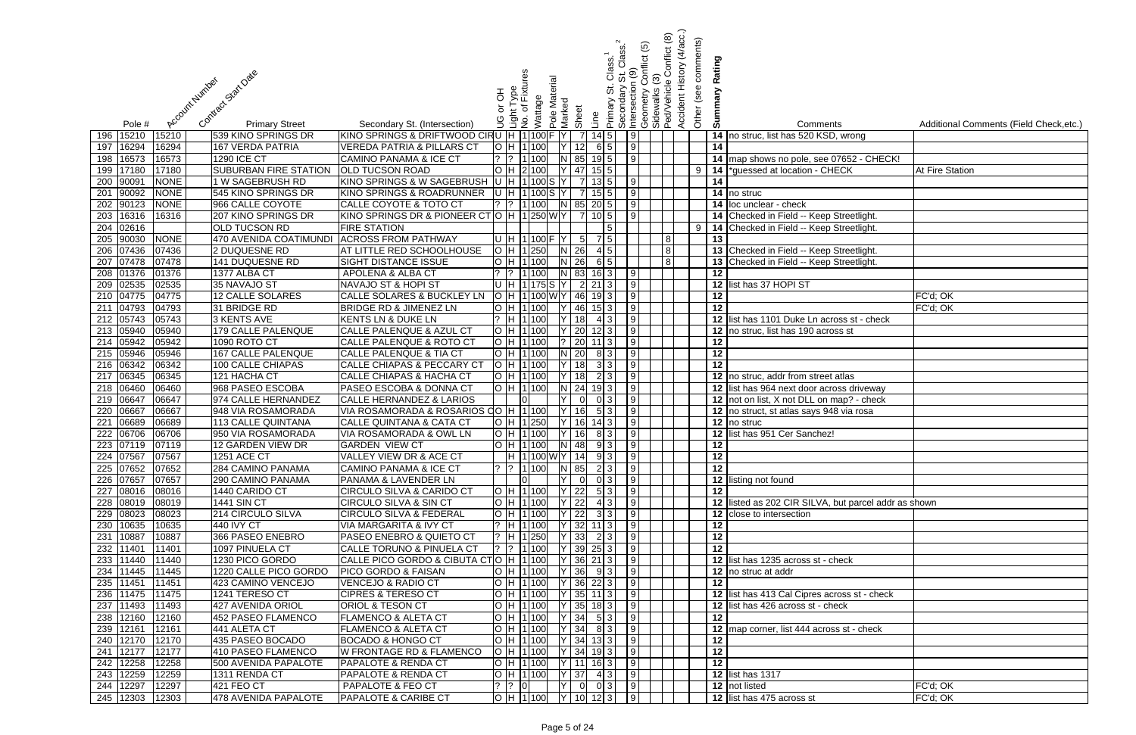|     |                        |                 |                                          |                                                                                |        |                               |         |                     |                                       |                   |                          |                                                                    | <u>ව</u> | Conflict (8) | Accident History (4/acc.)<br>Other (see comments) |                 |                                                                                        |                                         |
|-----|------------------------|-----------------|------------------------------------------|--------------------------------------------------------------------------------|--------|-------------------------------|---------|---------------------|---------------------------------------|-------------------|--------------------------|--------------------------------------------------------------------|----------|--------------|---------------------------------------------------|-----------------|----------------------------------------------------------------------------------------|-----------------------------------------|
|     |                        |                 |                                          |                                                                                |        |                               |         |                     |                                       |                   | Class.                   |                                                                    | onflict  |              |                                                   | Rating          |                                                                                        |                                         |
|     |                        |                 | Contract Stat Date                       |                                                                                |        | Light Type<br>No. of Fixtures |         |                     |                                       |                   | $\frac{2}{3}$            | $\frac{0}{2}$                                                      |          |              |                                                   |                 |                                                                                        |                                         |
|     |                        |                 |                                          |                                                                                |        |                               |         |                     |                                       |                   | 5.                       |                                                                    |          |              |                                                   |                 |                                                                                        |                                         |
|     |                        |                 | Account Number                           |                                                                                | 공<br>১ |                               | Wattage | Pole Material       |                                       |                   | Primary St.<br>Secondary | Intersection (<br> Geometry Co<br> Sidewalks (3)<br> Ped/Vehicle ( |          |              |                                                   | Summary         |                                                                                        |                                         |
|     |                        |                 |                                          |                                                                                |        |                               |         | Marked              | Sheet                                 | Line              |                          |                                                                    |          |              |                                                   |                 |                                                                                        |                                         |
|     | Pole #                 |                 | <b>Primary Street</b>                    | Secondary St. (Intersection)                                                   | ဠ      |                               |         |                     |                                       |                   |                          |                                                                    |          |              |                                                   |                 | Comments                                                                               | Additional Comments (Field Check, etc.) |
| 196 | 15210                  | 15210           | 539 KINO SPRINGS DR                      | KINO SPRINGS & DRIFTWOOD CIRU  H  1 100                                        |        |                               |         |                     | $\overline{7}$                        | $14 \mid 5 \mid$  |                          | 9                                                                  |          |              |                                                   |                 | 14 no struc, list has 520 KSD, wrong                                                   |                                         |
| 197 | 16294<br>198 16573     | 16294<br>16573  | 167 VERDA PATRIA<br><b>1290 ICE CT</b>   | <b>VEREDA PATRIA &amp; PILLARS CT</b><br><b>CAMINO PANAMA &amp; ICE CT</b>     |        | H   1   100<br>$?$ 1 100      |         |                     | 12<br>N 85                            | $19$ 5            | $6 \mid 5 \mid$          | 9 <br>$\sqrt{9}$                                                   |          |              |                                                   | 14              | 14 map shows no pole, see 07652 - CHECK!                                               |                                         |
|     | 199 17180              | 17180           | <b>SUBURBAN FIRE STATION</b>             | <b>OLD TUCSON ROAD</b>                                                         |        | H 2 100                       |         |                     | Y 47                                  | $15$ 5            |                          |                                                                    |          |              | $9 \mid$                                          |                 | 14 *guessed at location - CHECK                                                        | <b>At Fire Station</b>                  |
|     | 200 90091              | <b>NONE</b>     | 1 W SAGEBRUSH RD                         | KINO SPRINGS & W SAGEBRUSH                                                     |        | U H 1100S                     |         |                     | $\overline{7}$                        | $13\overline{5}$  |                          | 9                                                                  |          |              |                                                   | 14              |                                                                                        |                                         |
| 201 | 90092                  | <b>NONE</b>     | 545 KINO SPRINGS DR                      | KINO SPRINGS & ROADRUNNER                                                      |        |                               |         | H 1100 S Y          | <b>7</b>                              | $15$ 5            |                          | 9                                                                  |          |              |                                                   |                 | $\overline{14}$ no struc                                                               |                                         |
|     | 202 90123              | <b>NONE</b>     | 966 CALLE COYOTE                         | <b>CALLE COYOTE &amp; TOTO CT</b>                                              |        |                               | 1 100   | $\lfloor N \rfloor$ | 85                                    | $20\vert 5 \vert$ |                          | 9                                                                  |          |              |                                                   |                 | 14 loc unclear - check                                                                 |                                         |
| 203 | 16316                  | 16316           | 207 KINO SPRINGS DR                      | KINO SPRINGS DR & PIONEER CT                                                   |        |                               |         | H 1250WY            |                                       |                   |                          | $\overline{9}$                                                     |          |              |                                                   |                 | 14 Checked in Field -- Keep Streetlight.                                               |                                         |
|     | 204 02616              |                 | <b>OLD TUCSON RD</b>                     | <b>FIRE STATION</b>                                                            |        |                               |         |                     |                                       |                   |                          |                                                                    |          |              | 9                                                 |                 | 14 Checked in Field -- Keep Streetlight.                                               |                                         |
| 205 | 90030                  | <b>NONE</b>     | 470 AVENIDA COATIMUNDI                   | <b>ACROSS FROM PATHWAY</b>                                                     |        |                               |         | U H 1100 F Y        | $5 \vert$                             |                   | $\overline{451}$         |                                                                    |          | 8            |                                                   | 13              |                                                                                        |                                         |
|     | 206 07436              | 07436           | 2 DUQUESNE RD                            | <b>AT LITTLE RED SCHOOLHOUSE</b>                                               |        | H 1250                        |         |                     | $N$ 26                                |                   |                          |                                                                    |          | 8            |                                                   |                 | 13 Checked in Field -- Keep Streetlight.                                               |                                         |
| 207 | 07478                  | 07478           | 141 DUQUESNE RD                          | <b>SIGHT DISTANCE ISSUE</b>                                                    |        | H   1   100                   |         |                     | $N$ 26                                |                   | 6 5                      |                                                                    |          | 8            |                                                   |                 | 13 Checked in Field -- Keep Streetlight.                                               |                                         |
|     | 208 01376              | 01376           | 1377 ALBA CT                             | APOLENA & ALBA CT                                                              |        |                               | 1 100   |                     | N 83                                  | $16$ 3            |                          | 9                                                                  |          |              |                                                   | 12              |                                                                                        |                                         |
|     | 209 02535              | 02535           | 35 NAVAJO ST                             | NAVAJO ST & HOPI ST                                                            |        |                               |         | JH 11175 S Y        |                                       | $\sqrt{2}$ 21 3   |                          | 9                                                                  |          |              |                                                   |                 | 12 list has 37 HOPI ST                                                                 |                                         |
|     | 210 04775              | 04775           | 12 CALLE SOLARES                         | <b>CALLE SOLARES &amp; BUCKLEY LN</b>                                          |        |                               |         |                     | H  1 100 W Y   46                     | $19 \mid 3 \mid$  |                          | 9                                                                  |          |              |                                                   | 12              |                                                                                        | FC'd; OK                                |
|     | 211 04793              | 04793           | 31 BRIDGE RD                             | BRIDGE RD & JIMENEZ LN                                                         |        | H 1100                        |         |                     | 46                                    | $15 \mid 3 \mid$  |                          | 9                                                                  |          |              |                                                   | 12              |                                                                                        | FC'd; OK                                |
|     | 212 05743              | 05743           | <b>3 KENTS AVE</b>                       | <b>KENTS LN &amp; DUKE LN</b>                                                  |        | H 1 100                       |         |                     | 18                                    |                   | 4 3 L                    | 9                                                                  |          |              |                                                   |                 | 12 list has 1101 Duke Ln across st - check                                             |                                         |
|     | 213 05940              | 05940           | 179 CALLE PALENQUE                       | CALLE PALENQUE & AZUL CT                                                       |        | O H 1100                      |         |                     | $Y$ 20                                | $12$ 3            |                          | $\sqrt{9}$                                                         |          |              |                                                   |                 | 12 no struc, list has 190 across st                                                    |                                         |
|     | 214 05942              | 05942           | 1090 ROTO CT                             | CALLE PALENQUE & ROTO CT                                                       |        | H 1100                        |         |                     | $?$ 20                                | $11 \mid 3 \mid$  |                          | 9                                                                  |          |              |                                                   | 12              |                                                                                        |                                         |
|     | 215 05946              | 05946           | <b>167 CALLE PALENQUE</b>                | <b>CALLE PALENQUE &amp; TIA CT</b>                                             |        | H 1 100                       |         |                     | $N$ 20                                |                   | 8 3 1                    | $\sqrt{9}$                                                         |          |              |                                                   | $\overline{12}$ |                                                                                        |                                         |
|     | 216 06342              | 06342           | 100 CALLE CHIAPAS                        | <b>CALLE CHIAPAS &amp; PECCARY CT</b>                                          |        | H 1 100<br>H 1 100            |         |                     | 18                                    |                   | 3 3                      | $\vert 9 \vert$                                                    |          |              |                                                   | 12              |                                                                                        |                                         |
|     | 217 06345<br>218 06460 | 06345<br>06460  | 121 HACHA CT<br>968 PASEO ESCOBA         | <b>CALLE CHIAPAS &amp; HACHA CT</b><br><b>PASEO ESCOBA &amp; DONNA CT</b>      |        | H 1 100                       |         |                     | 18<br>$N$ 24                          | $19$ 3            | 2 3                      | 9 <br>$\overline{9}$                                               |          |              |                                                   |                 | 12 no struc, addr from street atlas                                                    |                                         |
|     | 219 06647              | 06647           | 974 CALLE HERNANDEZ                      | <b>CALLE HERNANDEZ &amp; LARIOS</b>                                            |        |                               |         |                     | $\overline{0}$                        |                   | 0 3                      | 9                                                                  |          |              |                                                   |                 | 12 list has 964 next door across driveway<br>12 not on list, X not DLL on map? - check |                                         |
| 220 | 06667                  | 06667           | 948 VIA ROSAMORADA                       | VIA ROSAMORADA & ROSARIOS QO H 1100                                            |        |                               |         | ΥI                  | 16                                    |                   | 5 3                      | 9                                                                  |          |              |                                                   |                 | 12 no struct, st atlas says 948 via rosa                                               |                                         |
| 221 | 06689                  | 06689           | 113 CALLE QUINTANA                       | <b>CALLE QUINTANA &amp; CATA CT</b>                                            |        |                               | 1 250   |                     | 16                                    |                   |                          | $\vert 9 \vert$                                                    |          |              |                                                   |                 | 12 no struc                                                                            |                                         |
| 222 | 06706                  | 06706           | 950 VIA ROSAMORADA                       | VIA ROSAMORADA & OWL LN                                                        |        |                               | 1100    |                     | 16                                    | 81                |                          | 9                                                                  |          |              |                                                   | 12              | list has 951 Cer Sanchez!                                                              |                                         |
|     |                        | 223 07119 07119 | 12 GARDEN VIEW DR                        | <b>GARDEN VIEW CT</b>                                                          |        |                               |         |                     | O  H  1 100  N   48  9  3   9         |                   |                          |                                                                    |          |              |                                                   | 12              |                                                                                        |                                         |
|     | 224 07567              | 07567           | <b>1251 ACE CT</b>                       | VALLEY VIEW DR & ACE CT                                                        |        |                               |         |                     | H 1100 WY 14 93 9                     |                   |                          |                                                                    |          |              |                                                   | $\overline{12}$ |                                                                                        |                                         |
|     | 225 07652              | 07652           | 284 CAMINO PANAMA                        | <b>CAMINO PANAMA &amp; ICE CT</b>                                              |        |                               |         |                     | $?$ $?$ $1100$ N 85 2 3 9             |                   |                          |                                                                    |          |              |                                                   | $\overline{12}$ |                                                                                        |                                         |
|     | 226 07657              | 07657           | 290 CAMINO PANAMA                        | PANAMA & LAVENDER LN                                                           |        | IOL                           |         | IY I                | $\overline{0}$                        |                   | $03$ 9                   |                                                                    |          |              |                                                   |                 | 12 listing not found                                                                   |                                         |
|     | 227 08016              | 08016           | 1440 CARIDO CT                           | CIRCULO SILVA & CARIDO CT                                                      |        |                               |         |                     | $O$ H 1100 Y 22                       |                   | 5 3 9                    |                                                                    |          |              |                                                   | $\overline{12}$ |                                                                                        |                                         |
|     | 228 08019              | 08019           | <b>1441 SIN CT</b>                       | <b>CIRCULO SILVA &amp; SIN CT</b>                                              |        | $O$ $H$ $1100$                |         |                     | $Y$ 22                                |                   | $43$ 9                   |                                                                    |          |              |                                                   |                 | 12 listed as 202 CIR SILVA, but parcel addr as shown                                   |                                         |
|     | 229 08023              | 08023           | 214 CIRCULO SILVA                        | <b>CIRCULO SILVA &amp; FEDERAL</b>                                             |        | H 1 100                       |         |                     | $Y$ 22                                |                   | 33   9                   |                                                                    |          |              |                                                   |                 | 12 close to intersection                                                               |                                         |
|     | 230 10635              | 10635           | $\sqrt{440}$ IVY CT                      | VIA MARGARITA & IVY CT                                                         |        | ? H 1100                      |         |                     | $ Y $ 32 11 3 9                       |                   |                          |                                                                    |          |              |                                                   | 12              |                                                                                        |                                         |
|     | 231 10887              | 10887           | 366 PASEO ENEBRO                         | <b>PASEO ENEBRO &amp; QUIETO CT</b>                                            |        | $?$ H 1250                    |         |                     | $ Y $ 33 2 3 9                        |                   |                          |                                                                    |          |              |                                                   | $\overline{12}$ |                                                                                        |                                         |
|     | 232 11401              | 11401           | 1097 PINUELA CT                          | <b>CALLE TORUNO &amp; PINUELA CT</b>                                           |        | $?$  ?  1 100                 |         |                     | $Y$ 39 25 3 9                         |                   |                          |                                                                    |          |              |                                                   | 12              |                                                                                        |                                         |
|     | 233 11440              | 11440<br>11445  | 1230 PICO GORDO<br>1220 CALLE PICO GORDO | CALLE PICO GORDO & CIBUTA CTO   H   1   100 <br><b>PICO GORDO &amp; FAISAN</b> |        | H 1 100                       |         |                     | $Y$ 36 21 3 9                         |                   |                          |                                                                    |          |              |                                                   |                 | 12 list has 1235 across st - check<br>12 no struc at addr                              |                                         |
|     | 234 11445<br>235 11451 | 11451           | 423 CAMINO VENCEJO                       | <b>VENCEJO &amp; RADIO CT</b>                                                  |        | H 1 100                       |         |                     | $Y$ 36<br>Y 36 22 3 9                 |                   | 93   9                   |                                                                    |          |              |                                                   | $\overline{12}$ |                                                                                        |                                         |
|     | 236 11475              | 11475           | 1241 TERESO CT                           | <b>CIPRES &amp; TERESO CT</b>                                                  |        | H 1 100                       |         |                     | $ Y $ 35 11 3 9                       |                   |                          |                                                                    |          |              |                                                   |                 | 12 list has 413 Cal Cipres across st - check                                           |                                         |
| 237 | 11493                  | 11493           | 427 AVENIDA ORIOL                        | ORIOL & TESON CT                                                               |        | H 1100                        |         |                     | $ Y $ 35   18   3                     |                   |                          | $\sqrt{9}$                                                         |          |              |                                                   |                 | 12 list has 426 across st - check                                                      |                                         |
|     | 238 12160              | 12160           | 452 PASEO FLAMENCO                       | <b>FLAMENCO &amp; ALETA CT</b>                                                 |        | H 1100                        |         |                     | $Y$ 34                                | 5 3               |                          | 9                                                                  |          |              |                                                   | 12              |                                                                                        |                                         |
|     | 239 12161              | 12161           | 441 ALETA CT                             | FLAMENCO & ALETA CT                                                            |        | H 1100                        |         |                     | $Y$ 34                                |                   | 83                       | 9                                                                  |          |              |                                                   |                 | 12 map corner, list 444 across st - check                                              |                                         |
|     | 240 12170              | 12170           | 435 PASEO BOCADO                         | <b>BOCADO &amp; HONGO CT</b>                                                   |        | H 1100                        |         |                     | $Y$   34  13  3    9                  |                   |                          |                                                                    |          |              |                                                   | 12              |                                                                                        |                                         |
| 241 | 12177                  | 12177           | 410 PASEO FLAMENCO                       | <b>W FRONTAGE RD &amp; FLAMENCO</b>                                            |        | H 1100                        |         |                     | Y 34 19 3 9                           |                   |                          |                                                                    |          |              |                                                   | 12              |                                                                                        |                                         |
|     | 242 12258              | 12258           | 500 AVENIDA PAPALOTE                     | <b>PAPALOTE &amp; RENDA CT</b>                                                 |        | O  H  1 100                   |         |                     | Y 11                                  |                   | $16 \quad 3 \quad 9$     |                                                                    |          |              |                                                   | $\overline{12}$ |                                                                                        |                                         |
|     | 243 12259              | 12259           | 1311 RENDA CT                            | <b>PAPALOTE &amp; RENDA CT</b>                                                 |        |                               |         |                     | H 1 100 Y 37                          |                   | 4 3                      | $\overline{9}$                                                     |          |              |                                                   |                 | <b>12</b> list has 1317                                                                |                                         |
|     | 244 12297              | 12297           | 421 FEO CT                               | PAPALOTE & FEO CT                                                              |        | $\overline{?}$ $\overline{0}$ |         | Y                   | 0                                     |                   | $03$ 9                   |                                                                    |          |              |                                                   |                 | 12 not listed                                                                          | FC'd; OK                                |
|     | 245 12303              | 12303           | 478 AVENIDA PAPALOTE                     | PAPALOTE & CARIBE CT                                                           |        |                               |         |                     | O  H  1 100     Y   10  12  3       9 |                   |                          |                                                                    |          |              |                                                   |                 | 12 list has 475 across st                                                              | FC'd; OK                                |

| lS.                              | Additional Comments (Field Check, etc.) |
|----------------------------------|-----------------------------------------|
| , wrong                          |                                         |
|                                  |                                         |
| 7652 - CHECK!                    |                                         |
| $\overline{\mathsf{C}}$ K        | At Fire Station                         |
|                                  |                                         |
|                                  |                                         |
| Streetlight.                     |                                         |
| Streetlight.                     |                                         |
|                                  |                                         |
| Streetlight.                     |                                         |
| Streetlight.                     |                                         |
|                                  |                                         |
|                                  |                                         |
|                                  | FC'd; OK                                |
|                                  | FC'd; OK                                |
| oss st - check                   |                                         |
| $\overline{\text{ss} \text{st}}$ |                                         |
|                                  |                                         |
|                                  |                                         |
| atlas                            |                                         |
| ss driveway                      |                                         |
| ap? - check                      |                                         |
| 3 via rosa                       |                                         |
|                                  |                                         |
|                                  |                                         |
|                                  |                                         |
|                                  |                                         |
|                                  |                                         |
|                                  |                                         |
|                                  |                                         |
| but parcel addr as shown         |                                         |
|                                  |                                         |
|                                  |                                         |
|                                  |                                         |
|                                  |                                         |
| າeck                             |                                         |
|                                  |                                         |
| oss st - check                   |                                         |
| эck                              |                                         |
|                                  |                                         |
| s st - check                     |                                         |
|                                  |                                         |
|                                  |                                         |
|                                  |                                         |
|                                  |                                         |
|                                  | FC'd; OK                                |
|                                  | FC'd; OK                                |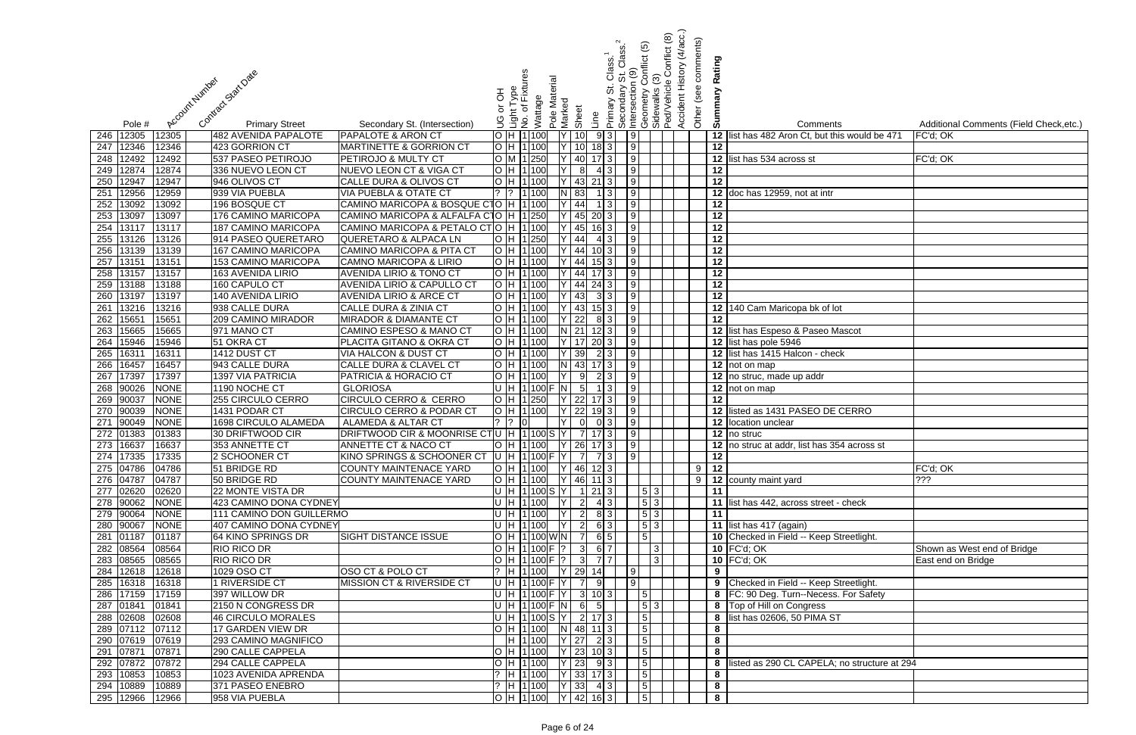|            |                |                |                                            |                                                               |        |                                            |               |                           |                     |                   | Class.                    | <u>ව</u>                   | Conflict (8)                | (4/acc.)<br>Other (see comments) |                       |                                                |                                         |
|------------|----------------|----------------|--------------------------------------------|---------------------------------------------------------------|--------|--------------------------------------------|---------------|---------------------------|---------------------|-------------------|---------------------------|----------------------------|-----------------------------|----------------------------------|-----------------------|------------------------------------------------|-----------------------------------------|
|            |                |                |                                            |                                                               |        |                                            |               |                           |                     | $\frac{8}{3}$     |                           | onflict                    |                             |                                  | Rating                |                                                |                                         |
|            |                |                | Contract Start Date                        |                                                               |        | စ္မိ                                       |               |                           |                     |                   | $\frac{0}{\sigma}$        |                            |                             | Accident History                 |                       |                                                |                                         |
|            |                | Account Number |                                            |                                                               |        | Light Type<br>No. of Fixture               | Pole Material |                           |                     | 5                 | Intersection<br>Secondary |                            | Sidewalks (3<br>Ped/Vehicle |                                  |                       |                                                |                                         |
|            |                |                |                                            |                                                               | 공      | Wattage                                    |               |                           |                     |                   |                           | eometry                    |                             |                                  | Summary               |                                                |                                         |
|            |                |                |                                            |                                                               | ŏ      |                                            |               | Marked<br>Sheet           |                     | Primary           |                           |                            |                             |                                  |                       |                                                |                                         |
|            | Pole #         |                | <b>Primary Street</b>                      | Secondary St. (Intersection)                                  | ပ<br>၁ | ِ<br>ع                                     |               |                           | Line                |                   |                           | O                          |                             |                                  |                       | Comments                                       | Additional Comments (Field Check, etc.) |
| 246        | 12305          | 12305          | <b>482 AVENIDA PAPALOTE</b>                | <b>PAPALOTE &amp; ARON CT</b>                                 |        | H 1 100                                    |               | 10                        |                     | 9 3               | $\overline{9}$            |                            |                             |                                  |                       | 12 list has 482 Aron Ct, but this would be 471 | FC'd; OK                                |
| 247        | 12346          | 12346          | 423 GORRION CT                             | <b>MARTINETTE &amp; GORRION CT</b>                            |        | H 1100                                     |               | 10                        |                     | $18 \mid 3 \mid$  | $\sqrt{9}$                |                            |                             |                                  | 12                    |                                                |                                         |
| 248        | 12492          | 12492          | 537 PASEO PETIROJO                         | PETIROJO & MULTY CT                                           |        | 1 250                                      |               | 40                        |                     | $17 \mid 3 \mid$  | 9                         |                            |                             |                                  |                       | 12 list has 534 across st                      | FC'd; OK                                |
| 249        | 12874          | 12874          | 336 NUEVO LEON CT                          | <b>NUEVO LEON CT &amp; VIGA CT</b>                            |        | H 1 100                                    |               |                           | 8 <sup>1</sup>      | 4 3 L             | 9                         |                            |                             |                                  | 12                    |                                                |                                         |
| 250        | 12947          | 12947          | 946 OLIVOS CT                              | CALLE DURA & OLIVOS CT                                        |        | 1 100                                      |               | 43                        |                     | $21$   3          | 9                         |                            |                             |                                  | 12                    |                                                |                                         |
| 251        | 12956          | 12959          | 939 VIA PUEBLA                             | VIA PUEBLA & OTATE CT                                         |        | 1 100                                      |               | 83                        |                     |                   | 9                         |                            |                             |                                  | 12                    | doc has 12959, not at intr                     |                                         |
| 252        | 13092          | 13092          | 196 BOSQUE CT                              | CAMINO MARICOPA & BOSQUE CTO  H                               |        | 11100                                      |               | 44                        |                     |                   | 9                         |                            |                             |                                  | 12                    |                                                |                                         |
| 253        | 13097<br>13117 | 13097<br>13117 | 176 CAMINO MARICOPA<br>187 CAMINO MARICOPA | CAMINO MARICOPA & ALFALFA C1O<br>CAMINO MARICOPA & PETALO CTO |        | H   1 250<br>H 1100                        |               | 45<br>45                  | -20                 |                   | $\overline{9}$<br>9       |                            |                             |                                  | 12<br>$\overline{12}$ |                                                |                                         |
| 254<br>255 | 13126          | 13126          | 914 PASEO QUERETARO                        | <b>QUERETARO &amp; ALPACA LN</b>                              |        | 1 250                                      |               | 44                        |                     | 4 3               | 9                         |                            |                             |                                  | 12                    |                                                |                                         |
| 256        | 13139          | 13139          | 167 CAMINO MARICOPA                        | CAMINO MARICOPA & PITA CT                                     | IH.    | 1 100                                      |               | 44                        |                     | $10\vert 3 \vert$ | 9                         |                            |                             |                                  | 12                    |                                                |                                         |
| 257        | 13151          | 13151          | 153 CAMINO MARICOPA                        | <b>CAMNO MARICOPA &amp; LIRIO</b>                             |        | H 1100                                     |               | 44                        |                     | $15 \mid 3 \mid$  | $\vert$ 9                 |                            |                             |                                  | 12                    |                                                |                                         |
| 258        | 13157          | 13157          | 163 AVENIDA LIRIO                          | <b>AVENIDA LIRIO &amp; TONO CT</b>                            |        | H 1100                                     |               | 44                        |                     |                   | 9                         |                            |                             |                                  | $\overline{12}$       |                                                |                                         |
| 259        | 13188          | 13188          | 160 CAPULO CT                              | <b>AVENIDA LIRIO &amp; CAPULLO CT</b>                         |        | H  1 100                                   |               | 44                        |                     | $24 \mid 3 \mid$  | 9                         |                            |                             |                                  | 12                    |                                                |                                         |
| 260        | 13197          | 13197          | 140 AVENIDA LIRIO                          | <b>AVENIDA LIRIO &amp; ARCE CT</b>                            |        | H 1 100                                    |               | 43                        |                     | 3 3               | $\overline{9}$            |                            |                             |                                  | $\overline{12}$       |                                                |                                         |
| 261        | 13216          | 13216          | 938 CALLE DURA                             | <b>CALLE DURA &amp; ZINIA CT</b>                              |        | H 1100                                     |               | 43                        |                     | $15 \mid 3 \mid$  | $\vert 9 \vert$           |                            |                             |                                  | 12                    | 140 Cam Maricopa bk of lot                     |                                         |
| 262        | 15651          | 15651          | <b>209 CAMINO MIRADOR</b>                  | <b>MIRADOR &amp; DIAMANTE CT</b>                              |        | H 1100                                     |               | 22                        |                     | 8 3               | $\overline{9}$            |                            |                             |                                  | $\overline{12}$       |                                                |                                         |
| 263        | 15665          | 15665          | 971 MANO CT                                | <b>CAMINO ESPESO &amp; MANO CT</b>                            |        | H 1100                                     |               | $N$ 21                    |                     | $12$ 3            | $\sqrt{9}$                |                            |                             |                                  |                       | 12 list has Espeso & Paseo Mascot              |                                         |
| 264        | 15946          | 15946          | 51 OKRA CT                                 | PLACITA GITANO & OKRA CT                                      |        | H 1 100                                    |               | $Y$ 17                    |                     | $20 \mid 3 \mid$  | 9                         |                            |                             |                                  |                       | 12 list has pole 5946                          |                                         |
| 265        | 1631           | 16311          | 1412 DUST CT                               | VIA HALCON & DUST CT                                          |        | H 1 100                                    |               | 39                        |                     | 2 3               | 9                         |                            |                             |                                  |                       | 12 list has 1415 Halcon - check                |                                         |
| 266        | 16457          | 16457          | 943 CALLE DURA                             | <b>CALLE DURA &amp; CLAVEL CT</b>                             |        | H 1 100                                    |               | 43<br>$\lfloor N \rfloor$ |                     | $17 \mid 3 \mid$  | 9                         |                            |                             |                                  |                       | 12 not on map                                  |                                         |
| 267        | 17397          | 17397          | <b>1397 VIA PATRICIA</b>                   | <b>PATRICIA &amp; HORACIO CT</b>                              |        | H 1 100                                    |               | 9                         |                     | 2 3               | 9                         |                            |                             |                                  |                       | 12 no struc, made up addr                      |                                         |
| 268        | 90026          | <b>NONE</b>    | 1190 NOCHE CT                              | <b>GLORIOSA</b>                                               |        | $H$ 1100 $F$ N                             |               | $5\overline{5}$           |                     |                   | 9                         |                            |                             |                                  |                       | 12 not on map                                  |                                         |
| 269        | 90037          | <b>NONE</b>    | 255 CIRCULO CERRO                          | CIRCULO CERRO & CERRO                                         |        | 1250                                       |               | 22                        |                     |                   | $\overline{9}$            |                            |                             |                                  | 12                    |                                                |                                         |
| 270        | 90039          | <b>NONE</b>    | 1431 PODAR CT                              | <b>CIRCULO CERRO &amp; PODAR C1</b>                           |        | H 1100                                     |               | 22                        |                     |                   | $\overline{9}$            |                            |                             |                                  | 12                    | listed as 1431 PASEO DE CERRO                  |                                         |
| 271        | 90049          | <b>NONE</b>    | 1698 CIRCULO ALAMEDA                       | ALAMEDA & ALTAR CT                                            |        |                                            |               |                           |                     |                   | 9                         |                            |                             |                                  | 12                    | location unclear                               |                                         |
| 272        | 01383          | 01383          | 30 DRIFTWOOD CIR                           | DRIFTWOOD CIR & MOONRISE CTU                                  |        | H 1100 S                                   |               |                           |                     |                   | 9 <sub>l</sub>            |                            |                             |                                  |                       | $\overline{12}$ no struc                       |                                         |
|            | 273 16637      | 16637          | 353 ANNETTE CT                             | ANNETTE CT & NACO CT                                          |        | O  H  1 100   Y   26  17  3     9          |               |                           |                     |                   |                           |                            |                             |                                  |                       | 12 no struc at addr, list has 354 across st    |                                         |
|            | 274 17335      | 17335          | 2 SCHOONER CT                              | KINO SPRINGS & SCHOONER CT                                    |        | U H 1100 F Y 7 7 3 9                       |               |                           |                     |                   |                           |                            |                             |                                  | 12                    |                                                |                                         |
|            | 275 04786      | 04786          | 51 BRIDGE RD                               | COUNTY MAINTENACE YARD                                        |        | $\overline{O}$  H  1 100   Y   46   12   3 |               |                           |                     |                   |                           |                            |                             |                                  | $9$ 12                |                                                | FC'd; OK                                |
|            | 276 04787      | 04787          | 50 BRIDGE RD                               | COUNTY MAINTENACE YARD                                        |        | $O$  H  1 100   Y   46   11   3            |               |                           |                     |                   |                           |                            |                             |                                  |                       | 9 12 county maint yard                         | ?                                       |
|            | 277 02620      | 02620          | 22 MONTE VISTA DR                          |                                                               |        | $U$ H 1100S Y 1213                         |               |                           |                     |                   |                           | $\vert 5 \vert 3 \vert$    |                             |                                  | 11                    |                                                |                                         |
|            | 278 90062      | <b>NONE</b>    | 423 CAMINO DONA CYDNEY                     |                                                               |        | U H 1100 Y                                 |               |                           | $\overline{2}$      | 4 3               |                           | 5 3                        |                             |                                  |                       | 11 list has 442, across street - check         |                                         |
|            | 279 90064      | <b>NONE</b>    | 111 CAMINO DON GUILLERMO                   |                                                               |        | U H 1100 Y                                 |               |                           | $\boxed{2}$ 8 3     |                   |                           | $\vert 5 \vert 3 \vert$    |                             |                                  | $\overline{11}$       |                                                |                                         |
|            | 280 90067      | <b>NONE</b>    | 407 CAMINO DONA CYDNEY                     |                                                               |        | U H 1100 Y                                 |               |                           | $2 \quad 6 \quad 3$ |                   |                           | $\vert 5 \vert 3 \vert$    |                             |                                  |                       | 11 list has 417 (again)                        |                                         |
|            | 281 01187      | 01187          | 64 KINO SPRINGS DR                         | <b>SIGHT DISTANCE ISSUE</b>                                   |        | H 1100 WN 7                                |               |                           |                     | 6 5               |                           | $\boxed{5}$                |                             |                                  |                       | 10 Checked in Field -- Keep Streetlight.       |                                         |
|            | 282 08564      | 08564          | <b>RIO RICO DR</b>                         |                                                               |        | O[H[1]100]F[?]367                          |               |                           |                     |                   |                           | 3                          |                             |                                  |                       | <b>10 FC'd; OK</b>                             | Shown as West end of Bridge             |
|            | 283 08565      | 08565          | <b>RIO RICO DR</b>                         |                                                               |        | $O$ H 1100 F ? 3                           |               |                           |                     | 7. 7 I            |                           | 3                          |                             |                                  |                       | 10 FC'd; OK                                    | East end on Bridge                      |
| 284        | 12618          | 12618          | 1029 OSO CT                                | OSO CT & POLO CT                                              |        | ?  H  1 100  Y   29   14                   |               |                           |                     |                   | 9                         |                            |                             |                                  | 9                     |                                                |                                         |
|            | 285 16318      | 16318          | 1 RIVERSIDE CT                             | <b>MISSION CT &amp; RIVERSIDE CT</b>                          |        | U H 1100 F Y                               |               |                           | <b>71</b>           |                   | 9 <sub>l</sub>            |                            |                             |                                  |                       | 9 Checked in Field -- Keep Streetlight.        |                                         |
|            | 286 17159      | 17159          | 397 WILLOW DR                              |                                                               |        | $U[H 1]100$ $F[Y 3]103$                    |               |                           |                     |                   |                           | $\sqrt{5}$                 |                             |                                  |                       | 8 FC: 90 Deg. Turn--Necess. For Safety         |                                         |
|            | 287 01841      | 01841          | 2150 N CONGRESS DR                         |                                                               |        | U[H 1 100]F[N 6]                           |               |                           | -51                 |                   |                           | $\vert 5 \vert 3 \vert$    |                             |                                  |                       | 8 Top of Hill on Congress                      |                                         |
|            | 288 02608      | 02608          | 46 CIRCULO MORALES                         |                                                               |        | U  H  1 100 S  Y   2   17 3                |               |                           |                     |                   |                           | $\boxed{5}$                |                             |                                  |                       | 8 list has 02606, 50 PIMA ST                   |                                         |
|            | 289 07112      | 07112          | 17 GARDEN VIEW DR                          |                                                               |        | $H$ 1100 N 48 11 3                         |               |                           |                     |                   |                           | $\boxed{5}$                |                             |                                  | 8                     |                                                |                                         |
|            | 290 07619      | 07619          | 293 CAMINO MAGNIFICO                       |                                                               |        | H 1 100                                    |               | $ Y $ 27                  |                     | 2 3               |                           | 5                          |                             |                                  | 8                     |                                                |                                         |
|            | 291 07871      | 07871          | 290 CALLE CAPPELA                          |                                                               |        | O  H  1 100   Y   23   10   3              |               |                           |                     |                   |                           | $\overline{5}$             |                             |                                  | 8                     |                                                |                                         |
|            | 292 07872      | 07872          | 294 CALLE CAPPELA                          |                                                               |        | $O$  H  1 100   Y   23   9 3               |               |                           |                     |                   |                           | $\overline{\phantom{0}}$ 5 |                             |                                  | 8                     | listed as 290 CL CAPELA; no structure at 294   |                                         |
| 293        | 10853          | 10853          | 1023 AVENIDA APRENDA                       |                                                               |        | $?$  H  1 100   Y   33   17   3            |               |                           |                     |                   |                           | $\vert 5 \vert$            |                             |                                  | 8                     |                                                |                                         |
| 294        | 10889          | 10889          | 371 PASEO ENEBRO                           |                                                               |        | $?$  H  1 100   Y   33   4 3               |               |                           |                     |                   |                           | $\vert 5 \vert$            |                             |                                  | 8                     |                                                |                                         |
|            | 295 12966      | 12966          | 958 VIA PUEBLA                             |                                                               |        | $\overline{O}$  H  1 100   Y   42   16 3   |               |                           |                     |                   |                           | $\vert 5 \vert$            |                             |                                  | 8                     |                                                |                                         |

|                             | <u>раў</u><br><u>ЛРК</u> | ਨੈਂ | შ                       | Comments                                                | Additional Comments (Field Check, etc.)           |
|-----------------------------|--------------------------|-----|-------------------------|---------------------------------------------------------|---------------------------------------------------|
|                             |                          |     |                         | 12 list has 482 Aron Ct, but this would be 471          | FC'd; OK                                          |
|                             |                          |     | 12                      |                                                         |                                                   |
|                             |                          |     |                         | 12 list has 534 across st                               | FC'd; OK                                          |
|                             |                          |     | 12                      |                                                         |                                                   |
|                             |                          |     | 12                      |                                                         |                                                   |
|                             |                          |     |                         | 12 doc has 12959, not at intr                           |                                                   |
|                             |                          |     | 12                      |                                                         |                                                   |
|                             |                          |     | 12                      |                                                         |                                                   |
|                             |                          |     | 12                      |                                                         |                                                   |
|                             |                          |     | 12                      |                                                         |                                                   |
|                             |                          |     | 12                      |                                                         |                                                   |
|                             |                          |     | 12                      |                                                         |                                                   |
|                             |                          |     | 12                      |                                                         |                                                   |
|                             |                          |     | $\overline{12}$         |                                                         |                                                   |
|                             |                          |     | $\overline{12}$         |                                                         |                                                   |
|                             |                          |     |                         | 12 140 Cam Maricopa bk of lot                           |                                                   |
|                             |                          |     | 12                      |                                                         |                                                   |
|                             |                          |     |                         | 12 list has Espeso & Paseo Mascot                       |                                                   |
|                             |                          |     |                         | 12 list has pole 5946                                   |                                                   |
|                             |                          |     |                         | 12 list has 1415 Halcon - check                         |                                                   |
|                             |                          |     |                         | 12 not on map                                           |                                                   |
|                             |                          |     |                         | 12 no struc, made up addr                               |                                                   |
|                             |                          |     |                         | 12 not on map                                           |                                                   |
|                             |                          |     | 12                      |                                                         |                                                   |
|                             |                          |     |                         | 12 listed as 1431 PASEO DE CERRO                        |                                                   |
|                             |                          |     |                         | 12 location unclear                                     |                                                   |
|                             |                          |     |                         | 12 no struc                                             |                                                   |
|                             |                          |     |                         | 12 no struc at addr, list has 354 across st             |                                                   |
|                             |                          |     | 12                      |                                                         |                                                   |
|                             |                          | 9   | $\overline{12}$         |                                                         | FC'd; OK                                          |
|                             |                          | 9   |                         | 12 county maint yard                                    | ???                                               |
|                             |                          |     | 11                      |                                                         |                                                   |
|                             |                          |     | 11                      | 11 list has 442, across street - check                  |                                                   |
| $\frac{3}{3}$ $\frac{3}{3}$ |                          |     |                         |                                                         |                                                   |
|                             |                          |     |                         | 11 list has 417 (again)                                 |                                                   |
|                             |                          |     |                         | 10 Checked in Field -- Keep Streetlight.<br>10 FC'd; OK |                                                   |
| $\frac{3}{3}$               |                          |     |                         | 10 FC'd; OK                                             | Shown as West end of Bridge<br>East end on Bridge |
|                             |                          |     | $\boldsymbol{9}$        |                                                         |                                                   |
|                             |                          |     | $\overline{9}$          | Checked in Field -- Keep Streetlight.                   |                                                   |
|                             |                          |     | 8                       | FC: 90 Deg. Turn--Necess. For Safety                    |                                                   |
| 3                           |                          |     | 8                       | Top of Hill on Congress                                 |                                                   |
|                             |                          |     | $\overline{\mathbf{8}}$ | list has 02606, 50 PIMA ST                              |                                                   |
|                             |                          |     | $\overline{\mathbf{8}}$ |                                                         |                                                   |
|                             |                          |     | 8                       |                                                         |                                                   |
|                             |                          |     | 8                       |                                                         |                                                   |
|                             |                          |     | ${\bf 8}$               | listed as 290 CL CAPELA; no structure at 294            |                                                   |
|                             |                          |     | $\bf 8$                 |                                                         |                                                   |
|                             |                          |     | 8                       |                                                         |                                                   |
|                             |                          |     | 8                       |                                                         |                                                   |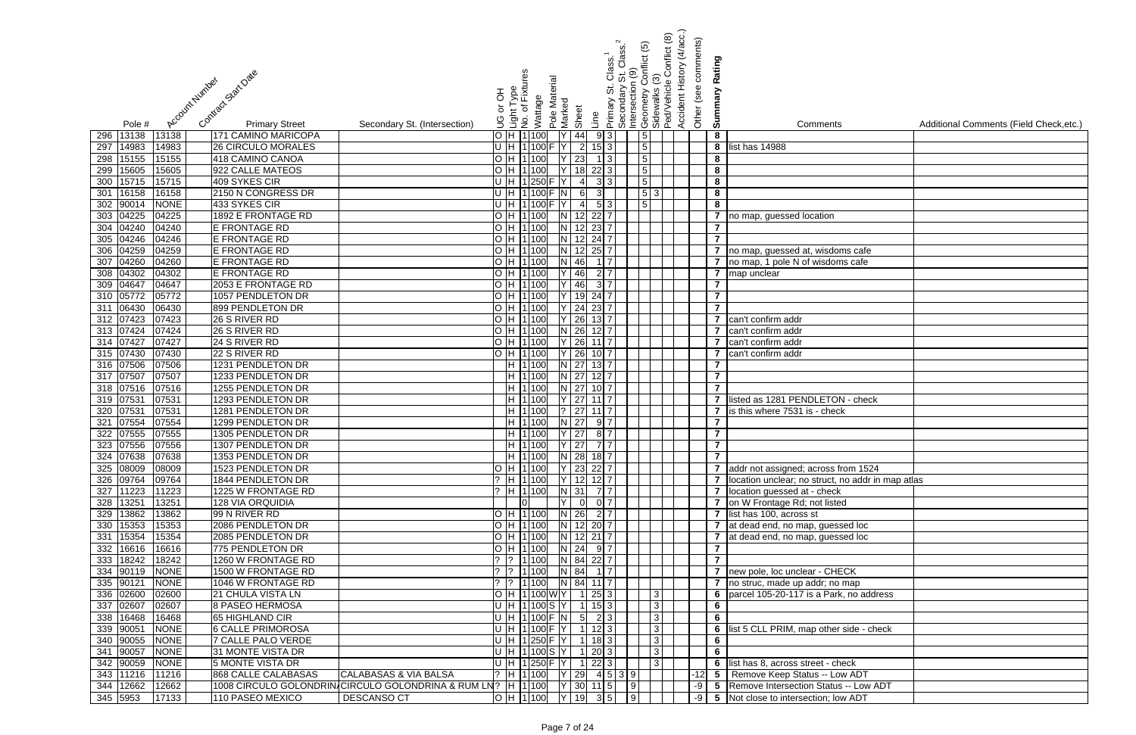| Conflict (8)<br>Other (see comments)<br>Class.<br>conflict<br>Rating<br><b>Accident History</b><br>$\frac{2}{3}$<br>$\frac{6}{10}$<br>δə<br>Contract Statt Date<br>Pole Material<br>Account Number<br>Ped/Vehicle<br>Intersection<br>Light Type<br>No. of Fixtur<br>.<br>ග<br>Secondary<br>Summary<br>Geometry<br>Sidewalks<br>공<br>Wattage<br>Marked<br>Primary<br>$\overline{\sigma}$<br>Sheet<br>Line<br>ပ<br>၁<br><b>Primary Street</b><br>Additional Comments (Field Check, etc.)<br>Pole #<br>Secondary St. (Intersection)<br>Comments<br>9 3 <br>5 <sub>1</sub><br>13138<br>13138<br>171 CAMINO MARICOPA<br>$\overline{H}$ 1100<br>44<br>8<br>296<br>$\boxed{5}$<br>297<br>14983<br><b>26 CIRCULO MORALES</b><br>$\overline{2}$<br>8<br>14983<br>H 1100<br>$15 \mid 3 \mid$<br>list has 14988<br>$\boxed{5}$<br>15155<br>23<br>298<br>418 CAMINO CANOA<br>H 1100<br>8<br>15155<br>$1 \vert 3 \vert$<br>15605<br>5<br>922 CALLE MATEOS<br>H 1 100<br>18<br>8<br>15605<br>$22 \mid 3 \mid$<br>299<br>15715<br>5 <sub>1</sub><br>409 SYKES CIR<br>U H 1250 F Y<br>8<br>15715<br>300<br>$\overline{4}$<br>3 3 <br>16158<br>$\vert 5 \vert 3$<br>8<br>2150 N CONGRESS DR<br>U H 1100 F N<br>16158<br>6<br>31<br>301<br>5 <sup>1</sup><br>90014<br><b>NONE</b><br>433 SYKES CIR<br>8<br>$\overline{4}$<br>5 <sub>l</sub><br>302<br>H   1   100<br>04225<br>1892 E FRONTAGE RD<br>04225<br>12<br>$22$ 7<br>$\overline{7}$<br>303<br>H 1100<br>no map, guessed location<br>04240<br>12<br>04240<br><b>E FRONTAGE RD</b><br>$H$  1 100<br>$\overline{7}$<br>304<br>23<br>04246<br>$\overline{7}$<br>04246<br>E FRONTAGE RD<br>H 1100<br>12 <sup>1</sup><br>305<br>24<br>04259<br>H 1100<br>N<br>12<br>$25$ 7<br>)4259<br>E FRONTAGE RD<br>no map, guessed at, wisdoms cafe<br>306<br>04260<br>H 1100<br>N 46<br>307<br>04260<br>E FRONTAGE RD<br>$\overline{7}$<br>no map, 1 pole N of wisdoms cafe<br>04302<br>H 1100<br>46<br>$2\overline{7}$<br>308<br>04302<br>E FRONTAGE RD<br>7 map unclear<br>309 04647<br>46<br>04647<br>2053 E FRONTAGE RD<br>H 1100<br>$\overline{\mathbf{z}}$<br>3 7 <br>310 05772<br>1057 PENDLETON DR<br>05772<br>H 1100<br>19<br>$\overline{7}$<br>24 7<br>06430<br>899 PENDLETON DR<br>$Y$ 24<br>$\overline{7}$<br>311<br>06430<br>H 1100<br>23 7<br>312 07423<br>$Y$ 26<br>26 S RIVER RD<br>H 1100<br>07423<br>$13$ 7<br>7 can't confirm addr<br>313 07424<br>$N$ 26<br>26 S RIVER RD<br>H 1 100<br>07424<br>7 can't confirm addr<br>12 7 1<br>$314$ 07427<br>H 1 100<br>$Y$ 26<br>24 S RIVER RD<br>07427<br>7 can't confirm addr<br>H 1100<br>$Y$ 26<br>315 07430<br>22 S RIVER RD<br>$\overline{7}$<br>07430<br>$10$   7<br>can't confirm addr<br>316 07506<br>H 1100<br>$N$ 27<br>1231 PENDLETON DR<br>$13\overline{7}$<br>$\overline{7}$<br>07506<br>317 07507<br>H 1 100<br>$N$ 27<br>$12\overline{17}$<br>1233 PENDLETON DR<br>$\overline{7}$<br>07507<br>318 07516<br>$N$ 27<br>1255 PENDLETON DR<br>H 1 100<br>$\overline{7}$<br>07516<br>319 0753<br>$Y$ 27<br>1293 PENDLETON DR<br>H 1100<br>listed as 1281 PENDLETON - check<br>07531<br>$\overline{7}$<br>320 0753<br>? 27<br>07531<br>1281 PENDLETON DR<br>H 1100<br>$\overline{7}$<br>is this where 7531 is - check<br>07554<br>$N$ 27<br>1299 PENDLETON DR<br>H 11100<br>07554<br>321<br>9 I 7<br>$\overline{7}$<br>07555<br>$\overline{\mathbf{7}}$<br>H 1100<br>Y 27<br>07555<br>1305 PENDLETON DR<br>8 7 <br>322<br>323 07556 07556<br>1307 PENDLETON DR<br> H  1 100     Y   27    7  7  <br>$\epsilon$<br>$H$ 1100 N 28 18 7<br>$\overline{7}$<br>324 07638<br>1353 PENDLETON DR<br>07638<br> H  1 100   Y   23   22   7  <br>325 08009<br>1523 PENDLETON DR<br>08009<br>7 addr not assigned; across from 1524<br>?  H  1 100   Y   12   12   7  <br>326 09764<br>09764<br>1844 PENDLETON DR<br>7 location unclear; no struct, no addr in map atlas<br>$?$  H  1 100   N   31   7   7  <br>11223<br>327<br>11223<br>1225 W FRONTAGE RD<br>7 location guessed at - check<br>328 13251<br>$Y$ 0 0 7<br>13251<br>lol<br>7 on W Frontage Rd; not listed<br><b>128 VIA ORQUIDIA</b><br>$H$ 1100 N 26 27<br>329 13862<br>13862<br>99 N RIVER RD<br>7 list has 100, across st<br> H  1 100   N   12   20   7  <br>330 15353<br>15353<br>2086 PENDLETON DR<br>7 at dead end, no map, guessed loc<br>$H$ 1100 N 12 21 7<br>331 15354<br>2085 PENDLETON DR<br>15354<br>7 at dead end, no map, guessed loc<br>H 1100 N 24 9 7<br>332 16616<br>775 PENDLETON DR<br>16616<br>$\overline{7}$<br>$?$ $ ?$ $ 1 100$ N 84 22 7<br>$\overline{7}$<br>333 18242<br>18242<br>1260 W FRONTAGE RD<br>$?$ $?$ $1$ 100 N 84 17<br>334 90119<br><b>NONE</b><br>1500 W FRONTAGE RD<br>7 new pole, loc unclear - CHECK<br>$\begin{bmatrix} ? & 1 & 100 \\ 1 & 0 & 100 \end{bmatrix}$ N 84 11 7<br>335 90121<br><b>NONE</b><br>1046 W FRONTAGE RD<br>7 no struc, made up addr; no map<br>336 02600<br>02600<br><b>21 CHULA VISTA LN</b><br>$ H 1 100 W Y $ 1 25 3<br>6 parcel 105-20-117 is a Park, no address<br> 3 <br>U H 1100S Y 1153<br>337 02607<br><b>8 PASEO HERMOSA</b><br>02607<br>$\vert$ 3<br>6<br>U[H 1 100 F[N]5]<br>$\overline{6}$<br>338 16468<br>16468<br>65 HIGHLAND CIR<br>2 3 <br> 3 <br>339 90051<br>U[H 1 100]F[Y 1 123]<br><b>NONE</b><br><b>6 CALLE PRIMOROSA</b><br>$\overline{3}$<br>6 list 5 CLL PRIM, map other side - check<br>U H 1250 F Y<br>340 90055<br><b>NONE</b><br><b>7 CALLE PALO VERDE</b><br>$1$   18   3  <br> 3 <br>6<br>U H 1100 S Y<br>90057<br><b>NONE</b><br>31 MONTE VISTA DR<br>$1 \ 20 \ 3$<br>$6\phantom{1}$<br>341<br>13<br>U[H 1 250]F[Y 1 22 3]<br>342 90059<br>NONE<br>5 MONTE VISTA DR<br> 3 <br>6 list has 8, across street - check<br>343 11216<br><b>CALABASAS &amp; VIA BALSA</b><br>$?$ H 1100 Y 29 4 5 3 9<br>11216<br>868 CALLE CALABASAS<br>-12 5 Remove Keep Status -- Low ADT<br>1008 CIRCULO GOLONDRIN CIRCULO GOLONDRINA & RUM LN?  H  1 100   Y   30   11   5   9  <br>344 12662<br>12662<br>-9 5 Remove Intersection Status -- Low ADT<br> O  H  1 100     Y   19    3  5       9  <br>-9 5 Not close to intersection; low ADT<br><b>DESCANSO CT</b> |                                       |  |  | <u>ව</u> | (4/acc.) |  |  |
|-------------------------------------------------------------------------------------------------------------------------------------------------------------------------------------------------------------------------------------------------------------------------------------------------------------------------------------------------------------------------------------------------------------------------------------------------------------------------------------------------------------------------------------------------------------------------------------------------------------------------------------------------------------------------------------------------------------------------------------------------------------------------------------------------------------------------------------------------------------------------------------------------------------------------------------------------------------------------------------------------------------------------------------------------------------------------------------------------------------------------------------------------------------------------------------------------------------------------------------------------------------------------------------------------------------------------------------------------------------------------------------------------------------------------------------------------------------------------------------------------------------------------------------------------------------------------------------------------------------------------------------------------------------------------------------------------------------------------------------------------------------------------------------------------------------------------------------------------------------------------------------------------------------------------------------------------------------------------------------------------------------------------------------------------------------------------------------------------------------------------------------------------------------------------------------------------------------------------------------------------------------------------------------------------------------------------------------------------------------------------------------------------------------------------------------------------------------------------------------------------------------------------------------------------------------------------------------------------------------------------------------------------------------------------------------------------------------------------------------------------------------------------------------------------------------------------------------------------------------------------------------------------------------------------------------------------------------------------------------------------------------------------------------------------------------------------------------------------------------------------------------------------------------------------------------------------------------------------------------------------------------------------------------------------------------------------------------------------------------------------------------------------------------------------------------------------------------------------------------------------------------------------------------------------------------------------------------------------------------------------------------------------------------------------------------------------------------------------------------------------------------------------------------------------------------------------------------------------------------------------------------------------------------------------------------------------------------------------------------------------------------------------------------------------------------------------------------------------------------------------------------------------------------------------------------------------------------------------------------------------------------------------------------------------------------------------------------------------------------------------------------------------------------------------------------------------------------------------------------------------------------------------------------------------------------------------------------------------------------------------------------------------------------------------------------------------------------------------------------------------------------------------------------------------------------------------------------------------------------------------------------------------------------------------------------------------------------------------------------------------------------------------------------------------------------------------------------------------------------------------------------------------------------------------------------------------------------------------------------------------------------------------------------------------------------------------------------------------------------------------------------------------------------------------------------------------------------------------------------------------------------------------------------------------------------------------------------------------------------------------------------------------------------------------------------------------------------------------------------------------------------------------------------------------------------------------------------------------------------------------------------------------------------------------------------------------------------------------------------------------------------------------------------------------------------------------------------------------|---------------------------------------|--|--|----------|----------|--|--|
|                                                                                                                                                                                                                                                                                                                                                                                                                                                                                                                                                                                                                                                                                                                                                                                                                                                                                                                                                                                                                                                                                                                                                                                                                                                                                                                                                                                                                                                                                                                                                                                                                                                                                                                                                                                                                                                                                                                                                                                                                                                                                                                                                                                                                                                                                                                                                                                                                                                                                                                                                                                                                                                                                                                                                                                                                                                                                                                                                                                                                                                                                                                                                                                                                                                                                                                                                                                                                                                                                                                                                                                                                                                                                                                                                                                                                                                                                                                                                                                                                                                                                                                                                                                                                                                                                                                                                                                                                                                                                                                                                                                                                                                                                                                                                                                                                                                                                                                                                                                                                                                                                                                                                                                                                                                                                                                                                                                                                                                                                                                                                                                                                                                                                                                                                                                                                                                                                                                                                                                                                                                                                                 |                                       |  |  |          |          |  |  |
|                                                                                                                                                                                                                                                                                                                                                                                                                                                                                                                                                                                                                                                                                                                                                                                                                                                                                                                                                                                                                                                                                                                                                                                                                                                                                                                                                                                                                                                                                                                                                                                                                                                                                                                                                                                                                                                                                                                                                                                                                                                                                                                                                                                                                                                                                                                                                                                                                                                                                                                                                                                                                                                                                                                                                                                                                                                                                                                                                                                                                                                                                                                                                                                                                                                                                                                                                                                                                                                                                                                                                                                                                                                                                                                                                                                                                                                                                                                                                                                                                                                                                                                                                                                                                                                                                                                                                                                                                                                                                                                                                                                                                                                                                                                                                                                                                                                                                                                                                                                                                                                                                                                                                                                                                                                                                                                                                                                                                                                                                                                                                                                                                                                                                                                                                                                                                                                                                                                                                                                                                                                                                                 |                                       |  |  |          |          |  |  |
|                                                                                                                                                                                                                                                                                                                                                                                                                                                                                                                                                                                                                                                                                                                                                                                                                                                                                                                                                                                                                                                                                                                                                                                                                                                                                                                                                                                                                                                                                                                                                                                                                                                                                                                                                                                                                                                                                                                                                                                                                                                                                                                                                                                                                                                                                                                                                                                                                                                                                                                                                                                                                                                                                                                                                                                                                                                                                                                                                                                                                                                                                                                                                                                                                                                                                                                                                                                                                                                                                                                                                                                                                                                                                                                                                                                                                                                                                                                                                                                                                                                                                                                                                                                                                                                                                                                                                                                                                                                                                                                                                                                                                                                                                                                                                                                                                                                                                                                                                                                                                                                                                                                                                                                                                                                                                                                                                                                                                                                                                                                                                                                                                                                                                                                                                                                                                                                                                                                                                                                                                                                                                                 |                                       |  |  |          |          |  |  |
|                                                                                                                                                                                                                                                                                                                                                                                                                                                                                                                                                                                                                                                                                                                                                                                                                                                                                                                                                                                                                                                                                                                                                                                                                                                                                                                                                                                                                                                                                                                                                                                                                                                                                                                                                                                                                                                                                                                                                                                                                                                                                                                                                                                                                                                                                                                                                                                                                                                                                                                                                                                                                                                                                                                                                                                                                                                                                                                                                                                                                                                                                                                                                                                                                                                                                                                                                                                                                                                                                                                                                                                                                                                                                                                                                                                                                                                                                                                                                                                                                                                                                                                                                                                                                                                                                                                                                                                                                                                                                                                                                                                                                                                                                                                                                                                                                                                                                                                                                                                                                                                                                                                                                                                                                                                                                                                                                                                                                                                                                                                                                                                                                                                                                                                                                                                                                                                                                                                                                                                                                                                                                                 |                                       |  |  |          |          |  |  |
|                                                                                                                                                                                                                                                                                                                                                                                                                                                                                                                                                                                                                                                                                                                                                                                                                                                                                                                                                                                                                                                                                                                                                                                                                                                                                                                                                                                                                                                                                                                                                                                                                                                                                                                                                                                                                                                                                                                                                                                                                                                                                                                                                                                                                                                                                                                                                                                                                                                                                                                                                                                                                                                                                                                                                                                                                                                                                                                                                                                                                                                                                                                                                                                                                                                                                                                                                                                                                                                                                                                                                                                                                                                                                                                                                                                                                                                                                                                                                                                                                                                                                                                                                                                                                                                                                                                                                                                                                                                                                                                                                                                                                                                                                                                                                                                                                                                                                                                                                                                                                                                                                                                                                                                                                                                                                                                                                                                                                                                                                                                                                                                                                                                                                                                                                                                                                                                                                                                                                                                                                                                                                                 |                                       |  |  |          |          |  |  |
|                                                                                                                                                                                                                                                                                                                                                                                                                                                                                                                                                                                                                                                                                                                                                                                                                                                                                                                                                                                                                                                                                                                                                                                                                                                                                                                                                                                                                                                                                                                                                                                                                                                                                                                                                                                                                                                                                                                                                                                                                                                                                                                                                                                                                                                                                                                                                                                                                                                                                                                                                                                                                                                                                                                                                                                                                                                                                                                                                                                                                                                                                                                                                                                                                                                                                                                                                                                                                                                                                                                                                                                                                                                                                                                                                                                                                                                                                                                                                                                                                                                                                                                                                                                                                                                                                                                                                                                                                                                                                                                                                                                                                                                                                                                                                                                                                                                                                                                                                                                                                                                                                                                                                                                                                                                                                                                                                                                                                                                                                                                                                                                                                                                                                                                                                                                                                                                                                                                                                                                                                                                                                                 |                                       |  |  |          |          |  |  |
|                                                                                                                                                                                                                                                                                                                                                                                                                                                                                                                                                                                                                                                                                                                                                                                                                                                                                                                                                                                                                                                                                                                                                                                                                                                                                                                                                                                                                                                                                                                                                                                                                                                                                                                                                                                                                                                                                                                                                                                                                                                                                                                                                                                                                                                                                                                                                                                                                                                                                                                                                                                                                                                                                                                                                                                                                                                                                                                                                                                                                                                                                                                                                                                                                                                                                                                                                                                                                                                                                                                                                                                                                                                                                                                                                                                                                                                                                                                                                                                                                                                                                                                                                                                                                                                                                                                                                                                                                                                                                                                                                                                                                                                                                                                                                                                                                                                                                                                                                                                                                                                                                                                                                                                                                                                                                                                                                                                                                                                                                                                                                                                                                                                                                                                                                                                                                                                                                                                                                                                                                                                                                                 |                                       |  |  |          |          |  |  |
|                                                                                                                                                                                                                                                                                                                                                                                                                                                                                                                                                                                                                                                                                                                                                                                                                                                                                                                                                                                                                                                                                                                                                                                                                                                                                                                                                                                                                                                                                                                                                                                                                                                                                                                                                                                                                                                                                                                                                                                                                                                                                                                                                                                                                                                                                                                                                                                                                                                                                                                                                                                                                                                                                                                                                                                                                                                                                                                                                                                                                                                                                                                                                                                                                                                                                                                                                                                                                                                                                                                                                                                                                                                                                                                                                                                                                                                                                                                                                                                                                                                                                                                                                                                                                                                                                                                                                                                                                                                                                                                                                                                                                                                                                                                                                                                                                                                                                                                                                                                                                                                                                                                                                                                                                                                                                                                                                                                                                                                                                                                                                                                                                                                                                                                                                                                                                                                                                                                                                                                                                                                                                                 |                                       |  |  |          |          |  |  |
|                                                                                                                                                                                                                                                                                                                                                                                                                                                                                                                                                                                                                                                                                                                                                                                                                                                                                                                                                                                                                                                                                                                                                                                                                                                                                                                                                                                                                                                                                                                                                                                                                                                                                                                                                                                                                                                                                                                                                                                                                                                                                                                                                                                                                                                                                                                                                                                                                                                                                                                                                                                                                                                                                                                                                                                                                                                                                                                                                                                                                                                                                                                                                                                                                                                                                                                                                                                                                                                                                                                                                                                                                                                                                                                                                                                                                                                                                                                                                                                                                                                                                                                                                                                                                                                                                                                                                                                                                                                                                                                                                                                                                                                                                                                                                                                                                                                                                                                                                                                                                                                                                                                                                                                                                                                                                                                                                                                                                                                                                                                                                                                                                                                                                                                                                                                                                                                                                                                                                                                                                                                                                                 |                                       |  |  |          |          |  |  |
|                                                                                                                                                                                                                                                                                                                                                                                                                                                                                                                                                                                                                                                                                                                                                                                                                                                                                                                                                                                                                                                                                                                                                                                                                                                                                                                                                                                                                                                                                                                                                                                                                                                                                                                                                                                                                                                                                                                                                                                                                                                                                                                                                                                                                                                                                                                                                                                                                                                                                                                                                                                                                                                                                                                                                                                                                                                                                                                                                                                                                                                                                                                                                                                                                                                                                                                                                                                                                                                                                                                                                                                                                                                                                                                                                                                                                                                                                                                                                                                                                                                                                                                                                                                                                                                                                                                                                                                                                                                                                                                                                                                                                                                                                                                                                                                                                                                                                                                                                                                                                                                                                                                                                                                                                                                                                                                                                                                                                                                                                                                                                                                                                                                                                                                                                                                                                                                                                                                                                                                                                                                                                                 |                                       |  |  |          |          |  |  |
|                                                                                                                                                                                                                                                                                                                                                                                                                                                                                                                                                                                                                                                                                                                                                                                                                                                                                                                                                                                                                                                                                                                                                                                                                                                                                                                                                                                                                                                                                                                                                                                                                                                                                                                                                                                                                                                                                                                                                                                                                                                                                                                                                                                                                                                                                                                                                                                                                                                                                                                                                                                                                                                                                                                                                                                                                                                                                                                                                                                                                                                                                                                                                                                                                                                                                                                                                                                                                                                                                                                                                                                                                                                                                                                                                                                                                                                                                                                                                                                                                                                                                                                                                                                                                                                                                                                                                                                                                                                                                                                                                                                                                                                                                                                                                                                                                                                                                                                                                                                                                                                                                                                                                                                                                                                                                                                                                                                                                                                                                                                                                                                                                                                                                                                                                                                                                                                                                                                                                                                                                                                                                                 |                                       |  |  |          |          |  |  |
|                                                                                                                                                                                                                                                                                                                                                                                                                                                                                                                                                                                                                                                                                                                                                                                                                                                                                                                                                                                                                                                                                                                                                                                                                                                                                                                                                                                                                                                                                                                                                                                                                                                                                                                                                                                                                                                                                                                                                                                                                                                                                                                                                                                                                                                                                                                                                                                                                                                                                                                                                                                                                                                                                                                                                                                                                                                                                                                                                                                                                                                                                                                                                                                                                                                                                                                                                                                                                                                                                                                                                                                                                                                                                                                                                                                                                                                                                                                                                                                                                                                                                                                                                                                                                                                                                                                                                                                                                                                                                                                                                                                                                                                                                                                                                                                                                                                                                                                                                                                                                                                                                                                                                                                                                                                                                                                                                                                                                                                                                                                                                                                                                                                                                                                                                                                                                                                                                                                                                                                                                                                                                                 |                                       |  |  |          |          |  |  |
|                                                                                                                                                                                                                                                                                                                                                                                                                                                                                                                                                                                                                                                                                                                                                                                                                                                                                                                                                                                                                                                                                                                                                                                                                                                                                                                                                                                                                                                                                                                                                                                                                                                                                                                                                                                                                                                                                                                                                                                                                                                                                                                                                                                                                                                                                                                                                                                                                                                                                                                                                                                                                                                                                                                                                                                                                                                                                                                                                                                                                                                                                                                                                                                                                                                                                                                                                                                                                                                                                                                                                                                                                                                                                                                                                                                                                                                                                                                                                                                                                                                                                                                                                                                                                                                                                                                                                                                                                                                                                                                                                                                                                                                                                                                                                                                                                                                                                                                                                                                                                                                                                                                                                                                                                                                                                                                                                                                                                                                                                                                                                                                                                                                                                                                                                                                                                                                                                                                                                                                                                                                                                                 |                                       |  |  |          |          |  |  |
|                                                                                                                                                                                                                                                                                                                                                                                                                                                                                                                                                                                                                                                                                                                                                                                                                                                                                                                                                                                                                                                                                                                                                                                                                                                                                                                                                                                                                                                                                                                                                                                                                                                                                                                                                                                                                                                                                                                                                                                                                                                                                                                                                                                                                                                                                                                                                                                                                                                                                                                                                                                                                                                                                                                                                                                                                                                                                                                                                                                                                                                                                                                                                                                                                                                                                                                                                                                                                                                                                                                                                                                                                                                                                                                                                                                                                                                                                                                                                                                                                                                                                                                                                                                                                                                                                                                                                                                                                                                                                                                                                                                                                                                                                                                                                                                                                                                                                                                                                                                                                                                                                                                                                                                                                                                                                                                                                                                                                                                                                                                                                                                                                                                                                                                                                                                                                                                                                                                                                                                                                                                                                                 |                                       |  |  |          |          |  |  |
|                                                                                                                                                                                                                                                                                                                                                                                                                                                                                                                                                                                                                                                                                                                                                                                                                                                                                                                                                                                                                                                                                                                                                                                                                                                                                                                                                                                                                                                                                                                                                                                                                                                                                                                                                                                                                                                                                                                                                                                                                                                                                                                                                                                                                                                                                                                                                                                                                                                                                                                                                                                                                                                                                                                                                                                                                                                                                                                                                                                                                                                                                                                                                                                                                                                                                                                                                                                                                                                                                                                                                                                                                                                                                                                                                                                                                                                                                                                                                                                                                                                                                                                                                                                                                                                                                                                                                                                                                                                                                                                                                                                                                                                                                                                                                                                                                                                                                                                                                                                                                                                                                                                                                                                                                                                                                                                                                                                                                                                                                                                                                                                                                                                                                                                                                                                                                                                                                                                                                                                                                                                                                                 |                                       |  |  |          |          |  |  |
|                                                                                                                                                                                                                                                                                                                                                                                                                                                                                                                                                                                                                                                                                                                                                                                                                                                                                                                                                                                                                                                                                                                                                                                                                                                                                                                                                                                                                                                                                                                                                                                                                                                                                                                                                                                                                                                                                                                                                                                                                                                                                                                                                                                                                                                                                                                                                                                                                                                                                                                                                                                                                                                                                                                                                                                                                                                                                                                                                                                                                                                                                                                                                                                                                                                                                                                                                                                                                                                                                                                                                                                                                                                                                                                                                                                                                                                                                                                                                                                                                                                                                                                                                                                                                                                                                                                                                                                                                                                                                                                                                                                                                                                                                                                                                                                                                                                                                                                                                                                                                                                                                                                                                                                                                                                                                                                                                                                                                                                                                                                                                                                                                                                                                                                                                                                                                                                                                                                                                                                                                                                                                                 |                                       |  |  |          |          |  |  |
|                                                                                                                                                                                                                                                                                                                                                                                                                                                                                                                                                                                                                                                                                                                                                                                                                                                                                                                                                                                                                                                                                                                                                                                                                                                                                                                                                                                                                                                                                                                                                                                                                                                                                                                                                                                                                                                                                                                                                                                                                                                                                                                                                                                                                                                                                                                                                                                                                                                                                                                                                                                                                                                                                                                                                                                                                                                                                                                                                                                                                                                                                                                                                                                                                                                                                                                                                                                                                                                                                                                                                                                                                                                                                                                                                                                                                                                                                                                                                                                                                                                                                                                                                                                                                                                                                                                                                                                                                                                                                                                                                                                                                                                                                                                                                                                                                                                                                                                                                                                                                                                                                                                                                                                                                                                                                                                                                                                                                                                                                                                                                                                                                                                                                                                                                                                                                                                                                                                                                                                                                                                                                                 |                                       |  |  |          |          |  |  |
|                                                                                                                                                                                                                                                                                                                                                                                                                                                                                                                                                                                                                                                                                                                                                                                                                                                                                                                                                                                                                                                                                                                                                                                                                                                                                                                                                                                                                                                                                                                                                                                                                                                                                                                                                                                                                                                                                                                                                                                                                                                                                                                                                                                                                                                                                                                                                                                                                                                                                                                                                                                                                                                                                                                                                                                                                                                                                                                                                                                                                                                                                                                                                                                                                                                                                                                                                                                                                                                                                                                                                                                                                                                                                                                                                                                                                                                                                                                                                                                                                                                                                                                                                                                                                                                                                                                                                                                                                                                                                                                                                                                                                                                                                                                                                                                                                                                                                                                                                                                                                                                                                                                                                                                                                                                                                                                                                                                                                                                                                                                                                                                                                                                                                                                                                                                                                                                                                                                                                                                                                                                                                                 |                                       |  |  |          |          |  |  |
|                                                                                                                                                                                                                                                                                                                                                                                                                                                                                                                                                                                                                                                                                                                                                                                                                                                                                                                                                                                                                                                                                                                                                                                                                                                                                                                                                                                                                                                                                                                                                                                                                                                                                                                                                                                                                                                                                                                                                                                                                                                                                                                                                                                                                                                                                                                                                                                                                                                                                                                                                                                                                                                                                                                                                                                                                                                                                                                                                                                                                                                                                                                                                                                                                                                                                                                                                                                                                                                                                                                                                                                                                                                                                                                                                                                                                                                                                                                                                                                                                                                                                                                                                                                                                                                                                                                                                                                                                                                                                                                                                                                                                                                                                                                                                                                                                                                                                                                                                                                                                                                                                                                                                                                                                                                                                                                                                                                                                                                                                                                                                                                                                                                                                                                                                                                                                                                                                                                                                                                                                                                                                                 |                                       |  |  |          |          |  |  |
|                                                                                                                                                                                                                                                                                                                                                                                                                                                                                                                                                                                                                                                                                                                                                                                                                                                                                                                                                                                                                                                                                                                                                                                                                                                                                                                                                                                                                                                                                                                                                                                                                                                                                                                                                                                                                                                                                                                                                                                                                                                                                                                                                                                                                                                                                                                                                                                                                                                                                                                                                                                                                                                                                                                                                                                                                                                                                                                                                                                                                                                                                                                                                                                                                                                                                                                                                                                                                                                                                                                                                                                                                                                                                                                                                                                                                                                                                                                                                                                                                                                                                                                                                                                                                                                                                                                                                                                                                                                                                                                                                                                                                                                                                                                                                                                                                                                                                                                                                                                                                                                                                                                                                                                                                                                                                                                                                                                                                                                                                                                                                                                                                                                                                                                                                                                                                                                                                                                                                                                                                                                                                                 |                                       |  |  |          |          |  |  |
|                                                                                                                                                                                                                                                                                                                                                                                                                                                                                                                                                                                                                                                                                                                                                                                                                                                                                                                                                                                                                                                                                                                                                                                                                                                                                                                                                                                                                                                                                                                                                                                                                                                                                                                                                                                                                                                                                                                                                                                                                                                                                                                                                                                                                                                                                                                                                                                                                                                                                                                                                                                                                                                                                                                                                                                                                                                                                                                                                                                                                                                                                                                                                                                                                                                                                                                                                                                                                                                                                                                                                                                                                                                                                                                                                                                                                                                                                                                                                                                                                                                                                                                                                                                                                                                                                                                                                                                                                                                                                                                                                                                                                                                                                                                                                                                                                                                                                                                                                                                                                                                                                                                                                                                                                                                                                                                                                                                                                                                                                                                                                                                                                                                                                                                                                                                                                                                                                                                                                                                                                                                                                                 |                                       |  |  |          |          |  |  |
|                                                                                                                                                                                                                                                                                                                                                                                                                                                                                                                                                                                                                                                                                                                                                                                                                                                                                                                                                                                                                                                                                                                                                                                                                                                                                                                                                                                                                                                                                                                                                                                                                                                                                                                                                                                                                                                                                                                                                                                                                                                                                                                                                                                                                                                                                                                                                                                                                                                                                                                                                                                                                                                                                                                                                                                                                                                                                                                                                                                                                                                                                                                                                                                                                                                                                                                                                                                                                                                                                                                                                                                                                                                                                                                                                                                                                                                                                                                                                                                                                                                                                                                                                                                                                                                                                                                                                                                                                                                                                                                                                                                                                                                                                                                                                                                                                                                                                                                                                                                                                                                                                                                                                                                                                                                                                                                                                                                                                                                                                                                                                                                                                                                                                                                                                                                                                                                                                                                                                                                                                                                                                                 |                                       |  |  |          |          |  |  |
|                                                                                                                                                                                                                                                                                                                                                                                                                                                                                                                                                                                                                                                                                                                                                                                                                                                                                                                                                                                                                                                                                                                                                                                                                                                                                                                                                                                                                                                                                                                                                                                                                                                                                                                                                                                                                                                                                                                                                                                                                                                                                                                                                                                                                                                                                                                                                                                                                                                                                                                                                                                                                                                                                                                                                                                                                                                                                                                                                                                                                                                                                                                                                                                                                                                                                                                                                                                                                                                                                                                                                                                                                                                                                                                                                                                                                                                                                                                                                                                                                                                                                                                                                                                                                                                                                                                                                                                                                                                                                                                                                                                                                                                                                                                                                                                                                                                                                                                                                                                                                                                                                                                                                                                                                                                                                                                                                                                                                                                                                                                                                                                                                                                                                                                                                                                                                                                                                                                                                                                                                                                                                                 |                                       |  |  |          |          |  |  |
|                                                                                                                                                                                                                                                                                                                                                                                                                                                                                                                                                                                                                                                                                                                                                                                                                                                                                                                                                                                                                                                                                                                                                                                                                                                                                                                                                                                                                                                                                                                                                                                                                                                                                                                                                                                                                                                                                                                                                                                                                                                                                                                                                                                                                                                                                                                                                                                                                                                                                                                                                                                                                                                                                                                                                                                                                                                                                                                                                                                                                                                                                                                                                                                                                                                                                                                                                                                                                                                                                                                                                                                                                                                                                                                                                                                                                                                                                                                                                                                                                                                                                                                                                                                                                                                                                                                                                                                                                                                                                                                                                                                                                                                                                                                                                                                                                                                                                                                                                                                                                                                                                                                                                                                                                                                                                                                                                                                                                                                                                                                                                                                                                                                                                                                                                                                                                                                                                                                                                                                                                                                                                                 |                                       |  |  |          |          |  |  |
|                                                                                                                                                                                                                                                                                                                                                                                                                                                                                                                                                                                                                                                                                                                                                                                                                                                                                                                                                                                                                                                                                                                                                                                                                                                                                                                                                                                                                                                                                                                                                                                                                                                                                                                                                                                                                                                                                                                                                                                                                                                                                                                                                                                                                                                                                                                                                                                                                                                                                                                                                                                                                                                                                                                                                                                                                                                                                                                                                                                                                                                                                                                                                                                                                                                                                                                                                                                                                                                                                                                                                                                                                                                                                                                                                                                                                                                                                                                                                                                                                                                                                                                                                                                                                                                                                                                                                                                                                                                                                                                                                                                                                                                                                                                                                                                                                                                                                                                                                                                                                                                                                                                                                                                                                                                                                                                                                                                                                                                                                                                                                                                                                                                                                                                                                                                                                                                                                                                                                                                                                                                                                                 |                                       |  |  |          |          |  |  |
|                                                                                                                                                                                                                                                                                                                                                                                                                                                                                                                                                                                                                                                                                                                                                                                                                                                                                                                                                                                                                                                                                                                                                                                                                                                                                                                                                                                                                                                                                                                                                                                                                                                                                                                                                                                                                                                                                                                                                                                                                                                                                                                                                                                                                                                                                                                                                                                                                                                                                                                                                                                                                                                                                                                                                                                                                                                                                                                                                                                                                                                                                                                                                                                                                                                                                                                                                                                                                                                                                                                                                                                                                                                                                                                                                                                                                                                                                                                                                                                                                                                                                                                                                                                                                                                                                                                                                                                                                                                                                                                                                                                                                                                                                                                                                                                                                                                                                                                                                                                                                                                                                                                                                                                                                                                                                                                                                                                                                                                                                                                                                                                                                                                                                                                                                                                                                                                                                                                                                                                                                                                                                                 |                                       |  |  |          |          |  |  |
|                                                                                                                                                                                                                                                                                                                                                                                                                                                                                                                                                                                                                                                                                                                                                                                                                                                                                                                                                                                                                                                                                                                                                                                                                                                                                                                                                                                                                                                                                                                                                                                                                                                                                                                                                                                                                                                                                                                                                                                                                                                                                                                                                                                                                                                                                                                                                                                                                                                                                                                                                                                                                                                                                                                                                                                                                                                                                                                                                                                                                                                                                                                                                                                                                                                                                                                                                                                                                                                                                                                                                                                                                                                                                                                                                                                                                                                                                                                                                                                                                                                                                                                                                                                                                                                                                                                                                                                                                                                                                                                                                                                                                                                                                                                                                                                                                                                                                                                                                                                                                                                                                                                                                                                                                                                                                                                                                                                                                                                                                                                                                                                                                                                                                                                                                                                                                                                                                                                                                                                                                                                                                                 |                                       |  |  |          |          |  |  |
|                                                                                                                                                                                                                                                                                                                                                                                                                                                                                                                                                                                                                                                                                                                                                                                                                                                                                                                                                                                                                                                                                                                                                                                                                                                                                                                                                                                                                                                                                                                                                                                                                                                                                                                                                                                                                                                                                                                                                                                                                                                                                                                                                                                                                                                                                                                                                                                                                                                                                                                                                                                                                                                                                                                                                                                                                                                                                                                                                                                                                                                                                                                                                                                                                                                                                                                                                                                                                                                                                                                                                                                                                                                                                                                                                                                                                                                                                                                                                                                                                                                                                                                                                                                                                                                                                                                                                                                                                                                                                                                                                                                                                                                                                                                                                                                                                                                                                                                                                                                                                                                                                                                                                                                                                                                                                                                                                                                                                                                                                                                                                                                                                                                                                                                                                                                                                                                                                                                                                                                                                                                                                                 |                                       |  |  |          |          |  |  |
|                                                                                                                                                                                                                                                                                                                                                                                                                                                                                                                                                                                                                                                                                                                                                                                                                                                                                                                                                                                                                                                                                                                                                                                                                                                                                                                                                                                                                                                                                                                                                                                                                                                                                                                                                                                                                                                                                                                                                                                                                                                                                                                                                                                                                                                                                                                                                                                                                                                                                                                                                                                                                                                                                                                                                                                                                                                                                                                                                                                                                                                                                                                                                                                                                                                                                                                                                                                                                                                                                                                                                                                                                                                                                                                                                                                                                                                                                                                                                                                                                                                                                                                                                                                                                                                                                                                                                                                                                                                                                                                                                                                                                                                                                                                                                                                                                                                                                                                                                                                                                                                                                                                                                                                                                                                                                                                                                                                                                                                                                                                                                                                                                                                                                                                                                                                                                                                                                                                                                                                                                                                                                                 |                                       |  |  |          |          |  |  |
|                                                                                                                                                                                                                                                                                                                                                                                                                                                                                                                                                                                                                                                                                                                                                                                                                                                                                                                                                                                                                                                                                                                                                                                                                                                                                                                                                                                                                                                                                                                                                                                                                                                                                                                                                                                                                                                                                                                                                                                                                                                                                                                                                                                                                                                                                                                                                                                                                                                                                                                                                                                                                                                                                                                                                                                                                                                                                                                                                                                                                                                                                                                                                                                                                                                                                                                                                                                                                                                                                                                                                                                                                                                                                                                                                                                                                                                                                                                                                                                                                                                                                                                                                                                                                                                                                                                                                                                                                                                                                                                                                                                                                                                                                                                                                                                                                                                                                                                                                                                                                                                                                                                                                                                                                                                                                                                                                                                                                                                                                                                                                                                                                                                                                                                                                                                                                                                                                                                                                                                                                                                                                                 |                                       |  |  |          |          |  |  |
|                                                                                                                                                                                                                                                                                                                                                                                                                                                                                                                                                                                                                                                                                                                                                                                                                                                                                                                                                                                                                                                                                                                                                                                                                                                                                                                                                                                                                                                                                                                                                                                                                                                                                                                                                                                                                                                                                                                                                                                                                                                                                                                                                                                                                                                                                                                                                                                                                                                                                                                                                                                                                                                                                                                                                                                                                                                                                                                                                                                                                                                                                                                                                                                                                                                                                                                                                                                                                                                                                                                                                                                                                                                                                                                                                                                                                                                                                                                                                                                                                                                                                                                                                                                                                                                                                                                                                                                                                                                                                                                                                                                                                                                                                                                                                                                                                                                                                                                                                                                                                                                                                                                                                                                                                                                                                                                                                                                                                                                                                                                                                                                                                                                                                                                                                                                                                                                                                                                                                                                                                                                                                                 |                                       |  |  |          |          |  |  |
|                                                                                                                                                                                                                                                                                                                                                                                                                                                                                                                                                                                                                                                                                                                                                                                                                                                                                                                                                                                                                                                                                                                                                                                                                                                                                                                                                                                                                                                                                                                                                                                                                                                                                                                                                                                                                                                                                                                                                                                                                                                                                                                                                                                                                                                                                                                                                                                                                                                                                                                                                                                                                                                                                                                                                                                                                                                                                                                                                                                                                                                                                                                                                                                                                                                                                                                                                                                                                                                                                                                                                                                                                                                                                                                                                                                                                                                                                                                                                                                                                                                                                                                                                                                                                                                                                                                                                                                                                                                                                                                                                                                                                                                                                                                                                                                                                                                                                                                                                                                                                                                                                                                                                                                                                                                                                                                                                                                                                                                                                                                                                                                                                                                                                                                                                                                                                                                                                                                                                                                                                                                                                                 |                                       |  |  |          |          |  |  |
|                                                                                                                                                                                                                                                                                                                                                                                                                                                                                                                                                                                                                                                                                                                                                                                                                                                                                                                                                                                                                                                                                                                                                                                                                                                                                                                                                                                                                                                                                                                                                                                                                                                                                                                                                                                                                                                                                                                                                                                                                                                                                                                                                                                                                                                                                                                                                                                                                                                                                                                                                                                                                                                                                                                                                                                                                                                                                                                                                                                                                                                                                                                                                                                                                                                                                                                                                                                                                                                                                                                                                                                                                                                                                                                                                                                                                                                                                                                                                                                                                                                                                                                                                                                                                                                                                                                                                                                                                                                                                                                                                                                                                                                                                                                                                                                                                                                                                                                                                                                                                                                                                                                                                                                                                                                                                                                                                                                                                                                                                                                                                                                                                                                                                                                                                                                                                                                                                                                                                                                                                                                                                                 |                                       |  |  |          |          |  |  |
|                                                                                                                                                                                                                                                                                                                                                                                                                                                                                                                                                                                                                                                                                                                                                                                                                                                                                                                                                                                                                                                                                                                                                                                                                                                                                                                                                                                                                                                                                                                                                                                                                                                                                                                                                                                                                                                                                                                                                                                                                                                                                                                                                                                                                                                                                                                                                                                                                                                                                                                                                                                                                                                                                                                                                                                                                                                                                                                                                                                                                                                                                                                                                                                                                                                                                                                                                                                                                                                                                                                                                                                                                                                                                                                                                                                                                                                                                                                                                                                                                                                                                                                                                                                                                                                                                                                                                                                                                                                                                                                                                                                                                                                                                                                                                                                                                                                                                                                                                                                                                                                                                                                                                                                                                                                                                                                                                                                                                                                                                                                                                                                                                                                                                                                                                                                                                                                                                                                                                                                                                                                                                                 |                                       |  |  |          |          |  |  |
|                                                                                                                                                                                                                                                                                                                                                                                                                                                                                                                                                                                                                                                                                                                                                                                                                                                                                                                                                                                                                                                                                                                                                                                                                                                                                                                                                                                                                                                                                                                                                                                                                                                                                                                                                                                                                                                                                                                                                                                                                                                                                                                                                                                                                                                                                                                                                                                                                                                                                                                                                                                                                                                                                                                                                                                                                                                                                                                                                                                                                                                                                                                                                                                                                                                                                                                                                                                                                                                                                                                                                                                                                                                                                                                                                                                                                                                                                                                                                                                                                                                                                                                                                                                                                                                                                                                                                                                                                                                                                                                                                                                                                                                                                                                                                                                                                                                                                                                                                                                                                                                                                                                                                                                                                                                                                                                                                                                                                                                                                                                                                                                                                                                                                                                                                                                                                                                                                                                                                                                                                                                                                                 |                                       |  |  |          |          |  |  |
|                                                                                                                                                                                                                                                                                                                                                                                                                                                                                                                                                                                                                                                                                                                                                                                                                                                                                                                                                                                                                                                                                                                                                                                                                                                                                                                                                                                                                                                                                                                                                                                                                                                                                                                                                                                                                                                                                                                                                                                                                                                                                                                                                                                                                                                                                                                                                                                                                                                                                                                                                                                                                                                                                                                                                                                                                                                                                                                                                                                                                                                                                                                                                                                                                                                                                                                                                                                                                                                                                                                                                                                                                                                                                                                                                                                                                                                                                                                                                                                                                                                                                                                                                                                                                                                                                                                                                                                                                                                                                                                                                                                                                                                                                                                                                                                                                                                                                                                                                                                                                                                                                                                                                                                                                                                                                                                                                                                                                                                                                                                                                                                                                                                                                                                                                                                                                                                                                                                                                                                                                                                                                                 |                                       |  |  |          |          |  |  |
|                                                                                                                                                                                                                                                                                                                                                                                                                                                                                                                                                                                                                                                                                                                                                                                                                                                                                                                                                                                                                                                                                                                                                                                                                                                                                                                                                                                                                                                                                                                                                                                                                                                                                                                                                                                                                                                                                                                                                                                                                                                                                                                                                                                                                                                                                                                                                                                                                                                                                                                                                                                                                                                                                                                                                                                                                                                                                                                                                                                                                                                                                                                                                                                                                                                                                                                                                                                                                                                                                                                                                                                                                                                                                                                                                                                                                                                                                                                                                                                                                                                                                                                                                                                                                                                                                                                                                                                                                                                                                                                                                                                                                                                                                                                                                                                                                                                                                                                                                                                                                                                                                                                                                                                                                                                                                                                                                                                                                                                                                                                                                                                                                                                                                                                                                                                                                                                                                                                                                                                                                                                                                                 |                                       |  |  |          |          |  |  |
|                                                                                                                                                                                                                                                                                                                                                                                                                                                                                                                                                                                                                                                                                                                                                                                                                                                                                                                                                                                                                                                                                                                                                                                                                                                                                                                                                                                                                                                                                                                                                                                                                                                                                                                                                                                                                                                                                                                                                                                                                                                                                                                                                                                                                                                                                                                                                                                                                                                                                                                                                                                                                                                                                                                                                                                                                                                                                                                                                                                                                                                                                                                                                                                                                                                                                                                                                                                                                                                                                                                                                                                                                                                                                                                                                                                                                                                                                                                                                                                                                                                                                                                                                                                                                                                                                                                                                                                                                                                                                                                                                                                                                                                                                                                                                                                                                                                                                                                                                                                                                                                                                                                                                                                                                                                                                                                                                                                                                                                                                                                                                                                                                                                                                                                                                                                                                                                                                                                                                                                                                                                                                                 |                                       |  |  |          |          |  |  |
|                                                                                                                                                                                                                                                                                                                                                                                                                                                                                                                                                                                                                                                                                                                                                                                                                                                                                                                                                                                                                                                                                                                                                                                                                                                                                                                                                                                                                                                                                                                                                                                                                                                                                                                                                                                                                                                                                                                                                                                                                                                                                                                                                                                                                                                                                                                                                                                                                                                                                                                                                                                                                                                                                                                                                                                                                                                                                                                                                                                                                                                                                                                                                                                                                                                                                                                                                                                                                                                                                                                                                                                                                                                                                                                                                                                                                                                                                                                                                                                                                                                                                                                                                                                                                                                                                                                                                                                                                                                                                                                                                                                                                                                                                                                                                                                                                                                                                                                                                                                                                                                                                                                                                                                                                                                                                                                                                                                                                                                                                                                                                                                                                                                                                                                                                                                                                                                                                                                                                                                                                                                                                                 |                                       |  |  |          |          |  |  |
|                                                                                                                                                                                                                                                                                                                                                                                                                                                                                                                                                                                                                                                                                                                                                                                                                                                                                                                                                                                                                                                                                                                                                                                                                                                                                                                                                                                                                                                                                                                                                                                                                                                                                                                                                                                                                                                                                                                                                                                                                                                                                                                                                                                                                                                                                                                                                                                                                                                                                                                                                                                                                                                                                                                                                                                                                                                                                                                                                                                                                                                                                                                                                                                                                                                                                                                                                                                                                                                                                                                                                                                                                                                                                                                                                                                                                                                                                                                                                                                                                                                                                                                                                                                                                                                                                                                                                                                                                                                                                                                                                                                                                                                                                                                                                                                                                                                                                                                                                                                                                                                                                                                                                                                                                                                                                                                                                                                                                                                                                                                                                                                                                                                                                                                                                                                                                                                                                                                                                                                                                                                                                                 |                                       |  |  |          |          |  |  |
|                                                                                                                                                                                                                                                                                                                                                                                                                                                                                                                                                                                                                                                                                                                                                                                                                                                                                                                                                                                                                                                                                                                                                                                                                                                                                                                                                                                                                                                                                                                                                                                                                                                                                                                                                                                                                                                                                                                                                                                                                                                                                                                                                                                                                                                                                                                                                                                                                                                                                                                                                                                                                                                                                                                                                                                                                                                                                                                                                                                                                                                                                                                                                                                                                                                                                                                                                                                                                                                                                                                                                                                                                                                                                                                                                                                                                                                                                                                                                                                                                                                                                                                                                                                                                                                                                                                                                                                                                                                                                                                                                                                                                                                                                                                                                                                                                                                                                                                                                                                                                                                                                                                                                                                                                                                                                                                                                                                                                                                                                                                                                                                                                                                                                                                                                                                                                                                                                                                                                                                                                                                                                                 |                                       |  |  |          |          |  |  |
|                                                                                                                                                                                                                                                                                                                                                                                                                                                                                                                                                                                                                                                                                                                                                                                                                                                                                                                                                                                                                                                                                                                                                                                                                                                                                                                                                                                                                                                                                                                                                                                                                                                                                                                                                                                                                                                                                                                                                                                                                                                                                                                                                                                                                                                                                                                                                                                                                                                                                                                                                                                                                                                                                                                                                                                                                                                                                                                                                                                                                                                                                                                                                                                                                                                                                                                                                                                                                                                                                                                                                                                                                                                                                                                                                                                                                                                                                                                                                                                                                                                                                                                                                                                                                                                                                                                                                                                                                                                                                                                                                                                                                                                                                                                                                                                                                                                                                                                                                                                                                                                                                                                                                                                                                                                                                                                                                                                                                                                                                                                                                                                                                                                                                                                                                                                                                                                                                                                                                                                                                                                                                                 |                                       |  |  |          |          |  |  |
|                                                                                                                                                                                                                                                                                                                                                                                                                                                                                                                                                                                                                                                                                                                                                                                                                                                                                                                                                                                                                                                                                                                                                                                                                                                                                                                                                                                                                                                                                                                                                                                                                                                                                                                                                                                                                                                                                                                                                                                                                                                                                                                                                                                                                                                                                                                                                                                                                                                                                                                                                                                                                                                                                                                                                                                                                                                                                                                                                                                                                                                                                                                                                                                                                                                                                                                                                                                                                                                                                                                                                                                                                                                                                                                                                                                                                                                                                                                                                                                                                                                                                                                                                                                                                                                                                                                                                                                                                                                                                                                                                                                                                                                                                                                                                                                                                                                                                                                                                                                                                                                                                                                                                                                                                                                                                                                                                                                                                                                                                                                                                                                                                                                                                                                                                                                                                                                                                                                                                                                                                                                                                                 |                                       |  |  |          |          |  |  |
|                                                                                                                                                                                                                                                                                                                                                                                                                                                                                                                                                                                                                                                                                                                                                                                                                                                                                                                                                                                                                                                                                                                                                                                                                                                                                                                                                                                                                                                                                                                                                                                                                                                                                                                                                                                                                                                                                                                                                                                                                                                                                                                                                                                                                                                                                                                                                                                                                                                                                                                                                                                                                                                                                                                                                                                                                                                                                                                                                                                                                                                                                                                                                                                                                                                                                                                                                                                                                                                                                                                                                                                                                                                                                                                                                                                                                                                                                                                                                                                                                                                                                                                                                                                                                                                                                                                                                                                                                                                                                                                                                                                                                                                                                                                                                                                                                                                                                                                                                                                                                                                                                                                                                                                                                                                                                                                                                                                                                                                                                                                                                                                                                                                                                                                                                                                                                                                                                                                                                                                                                                                                                                 |                                       |  |  |          |          |  |  |
|                                                                                                                                                                                                                                                                                                                                                                                                                                                                                                                                                                                                                                                                                                                                                                                                                                                                                                                                                                                                                                                                                                                                                                                                                                                                                                                                                                                                                                                                                                                                                                                                                                                                                                                                                                                                                                                                                                                                                                                                                                                                                                                                                                                                                                                                                                                                                                                                                                                                                                                                                                                                                                                                                                                                                                                                                                                                                                                                                                                                                                                                                                                                                                                                                                                                                                                                                                                                                                                                                                                                                                                                                                                                                                                                                                                                                                                                                                                                                                                                                                                                                                                                                                                                                                                                                                                                                                                                                                                                                                                                                                                                                                                                                                                                                                                                                                                                                                                                                                                                                                                                                                                                                                                                                                                                                                                                                                                                                                                                                                                                                                                                                                                                                                                                                                                                                                                                                                                                                                                                                                                                                                 |                                       |  |  |          |          |  |  |
|                                                                                                                                                                                                                                                                                                                                                                                                                                                                                                                                                                                                                                                                                                                                                                                                                                                                                                                                                                                                                                                                                                                                                                                                                                                                                                                                                                                                                                                                                                                                                                                                                                                                                                                                                                                                                                                                                                                                                                                                                                                                                                                                                                                                                                                                                                                                                                                                                                                                                                                                                                                                                                                                                                                                                                                                                                                                                                                                                                                                                                                                                                                                                                                                                                                                                                                                                                                                                                                                                                                                                                                                                                                                                                                                                                                                                                                                                                                                                                                                                                                                                                                                                                                                                                                                                                                                                                                                                                                                                                                                                                                                                                                                                                                                                                                                                                                                                                                                                                                                                                                                                                                                                                                                                                                                                                                                                                                                                                                                                                                                                                                                                                                                                                                                                                                                                                                                                                                                                                                                                                                                                                 |                                       |  |  |          |          |  |  |
|                                                                                                                                                                                                                                                                                                                                                                                                                                                                                                                                                                                                                                                                                                                                                                                                                                                                                                                                                                                                                                                                                                                                                                                                                                                                                                                                                                                                                                                                                                                                                                                                                                                                                                                                                                                                                                                                                                                                                                                                                                                                                                                                                                                                                                                                                                                                                                                                                                                                                                                                                                                                                                                                                                                                                                                                                                                                                                                                                                                                                                                                                                                                                                                                                                                                                                                                                                                                                                                                                                                                                                                                                                                                                                                                                                                                                                                                                                                                                                                                                                                                                                                                                                                                                                                                                                                                                                                                                                                                                                                                                                                                                                                                                                                                                                                                                                                                                                                                                                                                                                                                                                                                                                                                                                                                                                                                                                                                                                                                                                                                                                                                                                                                                                                                                                                                                                                                                                                                                                                                                                                                                                 |                                       |  |  |          |          |  |  |
|                                                                                                                                                                                                                                                                                                                                                                                                                                                                                                                                                                                                                                                                                                                                                                                                                                                                                                                                                                                                                                                                                                                                                                                                                                                                                                                                                                                                                                                                                                                                                                                                                                                                                                                                                                                                                                                                                                                                                                                                                                                                                                                                                                                                                                                                                                                                                                                                                                                                                                                                                                                                                                                                                                                                                                                                                                                                                                                                                                                                                                                                                                                                                                                                                                                                                                                                                                                                                                                                                                                                                                                                                                                                                                                                                                                                                                                                                                                                                                                                                                                                                                                                                                                                                                                                                                                                                                                                                                                                                                                                                                                                                                                                                                                                                                                                                                                                                                                                                                                                                                                                                                                                                                                                                                                                                                                                                                                                                                                                                                                                                                                                                                                                                                                                                                                                                                                                                                                                                                                                                                                                                                 |                                       |  |  |          |          |  |  |
|                                                                                                                                                                                                                                                                                                                                                                                                                                                                                                                                                                                                                                                                                                                                                                                                                                                                                                                                                                                                                                                                                                                                                                                                                                                                                                                                                                                                                                                                                                                                                                                                                                                                                                                                                                                                                                                                                                                                                                                                                                                                                                                                                                                                                                                                                                                                                                                                                                                                                                                                                                                                                                                                                                                                                                                                                                                                                                                                                                                                                                                                                                                                                                                                                                                                                                                                                                                                                                                                                                                                                                                                                                                                                                                                                                                                                                                                                                                                                                                                                                                                                                                                                                                                                                                                                                                                                                                                                                                                                                                                                                                                                                                                                                                                                                                                                                                                                                                                                                                                                                                                                                                                                                                                                                                                                                                                                                                                                                                                                                                                                                                                                                                                                                                                                                                                                                                                                                                                                                                                                                                                                                 |                                       |  |  |          |          |  |  |
|                                                                                                                                                                                                                                                                                                                                                                                                                                                                                                                                                                                                                                                                                                                                                                                                                                                                                                                                                                                                                                                                                                                                                                                                                                                                                                                                                                                                                                                                                                                                                                                                                                                                                                                                                                                                                                                                                                                                                                                                                                                                                                                                                                                                                                                                                                                                                                                                                                                                                                                                                                                                                                                                                                                                                                                                                                                                                                                                                                                                                                                                                                                                                                                                                                                                                                                                                                                                                                                                                                                                                                                                                                                                                                                                                                                                                                                                                                                                                                                                                                                                                                                                                                                                                                                                                                                                                                                                                                                                                                                                                                                                                                                                                                                                                                                                                                                                                                                                                                                                                                                                                                                                                                                                                                                                                                                                                                                                                                                                                                                                                                                                                                                                                                                                                                                                                                                                                                                                                                                                                                                                                                 |                                       |  |  |          |          |  |  |
|                                                                                                                                                                                                                                                                                                                                                                                                                                                                                                                                                                                                                                                                                                                                                                                                                                                                                                                                                                                                                                                                                                                                                                                                                                                                                                                                                                                                                                                                                                                                                                                                                                                                                                                                                                                                                                                                                                                                                                                                                                                                                                                                                                                                                                                                                                                                                                                                                                                                                                                                                                                                                                                                                                                                                                                                                                                                                                                                                                                                                                                                                                                                                                                                                                                                                                                                                                                                                                                                                                                                                                                                                                                                                                                                                                                                                                                                                                                                                                                                                                                                                                                                                                                                                                                                                                                                                                                                                                                                                                                                                                                                                                                                                                                                                                                                                                                                                                                                                                                                                                                                                                                                                                                                                                                                                                                                                                                                                                                                                                                                                                                                                                                                                                                                                                                                                                                                                                                                                                                                                                                                                                 |                                       |  |  |          |          |  |  |
|                                                                                                                                                                                                                                                                                                                                                                                                                                                                                                                                                                                                                                                                                                                                                                                                                                                                                                                                                                                                                                                                                                                                                                                                                                                                                                                                                                                                                                                                                                                                                                                                                                                                                                                                                                                                                                                                                                                                                                                                                                                                                                                                                                                                                                                                                                                                                                                                                                                                                                                                                                                                                                                                                                                                                                                                                                                                                                                                                                                                                                                                                                                                                                                                                                                                                                                                                                                                                                                                                                                                                                                                                                                                                                                                                                                                                                                                                                                                                                                                                                                                                                                                                                                                                                                                                                                                                                                                                                                                                                                                                                                                                                                                                                                                                                                                                                                                                                                                                                                                                                                                                                                                                                                                                                                                                                                                                                                                                                                                                                                                                                                                                                                                                                                                                                                                                                                                                                                                                                                                                                                                                                 |                                       |  |  |          |          |  |  |
|                                                                                                                                                                                                                                                                                                                                                                                                                                                                                                                                                                                                                                                                                                                                                                                                                                                                                                                                                                                                                                                                                                                                                                                                                                                                                                                                                                                                                                                                                                                                                                                                                                                                                                                                                                                                                                                                                                                                                                                                                                                                                                                                                                                                                                                                                                                                                                                                                                                                                                                                                                                                                                                                                                                                                                                                                                                                                                                                                                                                                                                                                                                                                                                                                                                                                                                                                                                                                                                                                                                                                                                                                                                                                                                                                                                                                                                                                                                                                                                                                                                                                                                                                                                                                                                                                                                                                                                                                                                                                                                                                                                                                                                                                                                                                                                                                                                                                                                                                                                                                                                                                                                                                                                                                                                                                                                                                                                                                                                                                                                                                                                                                                                                                                                                                                                                                                                                                                                                                                                                                                                                                                 | 345 5953<br>17133<br>110 PASEO MEXICO |  |  |          |          |  |  |

| :S                                               | Additional Comments (Field Check, etc.) |
|--------------------------------------------------|-----------------------------------------|
|                                                  |                                         |
|                                                  |                                         |
|                                                  |                                         |
|                                                  |                                         |
|                                                  |                                         |
|                                                  |                                         |
|                                                  |                                         |
|                                                  |                                         |
|                                                  |                                         |
| oms cafe                                         |                                         |
| ms cafe                                          |                                         |
|                                                  |                                         |
|                                                  |                                         |
|                                                  |                                         |
|                                                  |                                         |
|                                                  |                                         |
|                                                  |                                         |
|                                                  |                                         |
|                                                  |                                         |
|                                                  |                                         |
|                                                  |                                         |
|                                                  |                                         |
| <sub>N</sub> - check<br>$\overline{\mathsf{ck}}$ |                                         |
|                                                  |                                         |
|                                                  |                                         |
|                                                  |                                         |
|                                                  |                                         |
| from $1524$                                      |                                         |
| no addr in map atlas                             |                                         |
| $\overline{\mathsf{k}}$                          |                                         |
| $\overline{\mathsf{ed}}$                         |                                         |
|                                                  |                                         |
| ssed loc                                         |                                         |
| ssed loc                                         |                                         |
|                                                  |                                         |
|                                                  |                                         |
| <b>IECK</b>                                      |                                         |
| o map                                            |                                         |
| rk, no address                                   |                                         |
|                                                  |                                         |
|                                                  |                                         |
| r side - check                                   |                                         |
|                                                  |                                         |
|                                                  |                                         |
| heck<br>ow ADT                                   |                                         |
| is -- Low ADT                                    |                                         |
| ow ADT                                           |                                         |
|                                                  |                                         |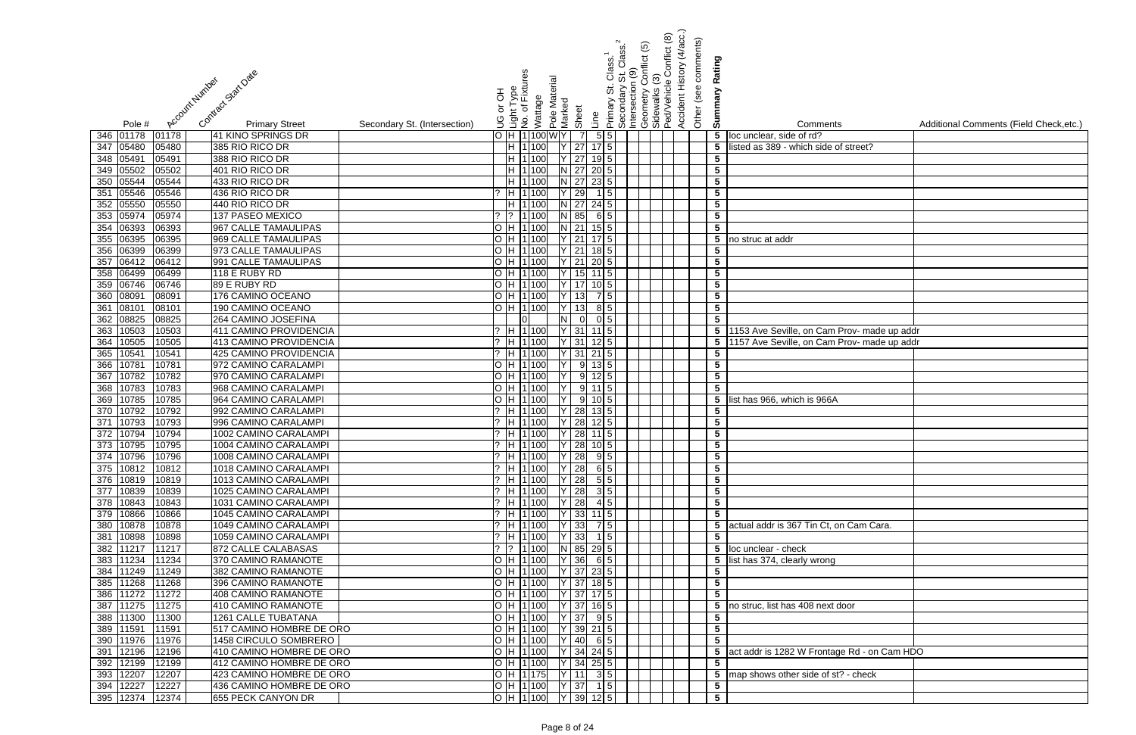| Contract Start Date<br>Account Number                                                      | 종                                 | Light Type<br>No. of Fixtur                              | Pole Material     |                | Class.<br>Class.<br>Primary St. Clas<br> Secondary St. C<br> Intersection (9)<br> Geometry Confl<br> Sidewalks (3)<br> Ped/Vehicle Cor | onflict (5) | Conflict (8) | Accident History (4/acc.)<br>comments)<br>Other (see o | Rating<br>Summary                          |                                               |                                         |
|--------------------------------------------------------------------------------------------|-----------------------------------|----------------------------------------------------------|-------------------|----------------|----------------------------------------------------------------------------------------------------------------------------------------|-------------|--------------|--------------------------------------------------------|--------------------------------------------|-----------------------------------------------|-----------------------------------------|
|                                                                                            | ŏ                                 | Wattage                                                  | Marked            |                |                                                                                                                                        |             |              |                                                        |                                            |                                               |                                         |
| <b>Primary Street</b><br>Pole #                                                            | S<br>Secondary St. (Intersection) |                                                          | Sheet             | Line           |                                                                                                                                        |             |              |                                                        |                                            | Comments                                      | Additional Comments (Field Check, etc.) |
| 01178<br>41 KINO SPRINGS DR<br>346 01178                                                   |                                   | H 1100                                                   | WIY.              |                | 5 5                                                                                                                                    |             |              |                                                        |                                            | 5 loc unclear, side of rd?                    |                                         |
| 347 05480<br>05480<br>385 RIO RICO DR                                                      |                                   | H 1100                                                   | $Y$ 27            |                |                                                                                                                                        |             |              |                                                        | $5\overline{)}$                            | isted as 389 - which side of street?          |                                         |
| 348 05491<br>05491<br>388 RIO RICO DR                                                      |                                   | <b>IH 1100</b>                                           | 27                |                |                                                                                                                                        |             |              |                                                        | $5\phantom{.0}$                            |                                               |                                         |
| 05502<br>05502<br>401 RIO RICO DR<br>349                                                   |                                   | H 1100                                                   | $N$ 27            |                |                                                                                                                                        |             |              |                                                        | $\overline{\mathbf{5}}$                    |                                               |                                         |
| 05544<br>05544<br>433 RIO RICO DR<br>350                                                   |                                   | H 1100                                                   | $N$ 27            |                | $23 \vert 5 \vert$                                                                                                                     |             |              |                                                        | $\overline{\mathbf{5}}$                    |                                               |                                         |
| 05546<br>351<br>05546<br>436 RIO RICO DR                                                   |                                   | H 1100                                                   | 29                |                | 1 5                                                                                                                                    |             |              |                                                        | $5\phantom{.0}$                            |                                               |                                         |
| 05550<br>352<br>05550<br>440 RIO RICO DR                                                   |                                   | H 1100                                                   | $N$ 27            |                | $24 \overline{5}$                                                                                                                      |             |              |                                                        | $5\phantom{.0}$                            |                                               |                                         |
| 05974<br>353<br>05974<br>137 PASEO MEXICO                                                  |                                   | 1100                                                     | $N$ 85            |                | $6 \mid 5 \mid$                                                                                                                        |             |              |                                                        | $\sqrt{5}$                                 |                                               |                                         |
| 06393<br>967 CALLE TAMAULIPAS<br>354<br>06393                                              |                                   | H 1100                                                   | $N$ 21            |                | $15\vert 5 \vert$                                                                                                                      |             |              |                                                        | $\overline{\mathbf{5}}$                    |                                               |                                         |
| 355 06395<br>969 CALLE TAMAULIPAS<br>06395                                                 |                                   | H 1 100                                                  | Y 21              |                |                                                                                                                                        |             |              |                                                        |                                            | $\overline{5}$ no struc at addr               |                                         |
| 356 06399<br>973 CALLE TAMAULIPAS<br>06399                                                 |                                   | H 1100                                                   | $Y$ 21            |                | $18 \mid 5 \mid$                                                                                                                       |             |              |                                                        | 5                                          |                                               |                                         |
| 357 06412<br>991 CALLE TAMAULIPAS<br>06412                                                 |                                   | H 1 100                                                  | $\overline{Y}$ 21 |                | $20\vert 5 \vert$                                                                                                                      |             |              |                                                        | $\overline{\mathbf{5}}$                    |                                               |                                         |
| 358 06499<br>118 E RUBY RD<br>06499                                                        |                                   | H 1 100                                                  |                   | 15             | $11$ 5                                                                                                                                 |             |              |                                                        | $\overline{\mathbf{5}}$                    |                                               |                                         |
| 359 06746<br>06746<br>89 E RUBY RD                                                         |                                   | H 1 100                                                  | $Y$ 17            |                | $10\vert 5 \vert$                                                                                                                      |             |              |                                                        | $\sqrt{5}$                                 |                                               |                                         |
| 360 08091<br>176 CAMINO OCEANO<br>08091                                                    |                                   | H 1 100                                                  | 13                |                | 7 5                                                                                                                                    |             |              |                                                        | $5\phantom{.0}$                            |                                               |                                         |
| 08101<br>08101<br>190 CAMINO OCEANO<br>361                                                 |                                   | H 1 100                                                  |                   | 13             | 8 5                                                                                                                                    |             |              |                                                        | $\overline{\mathbf{5}}$                    |                                               |                                         |
| 362 08825<br>264 CAMINO JOSEFINA<br>08825                                                  |                                   |                                                          | N I               | $\overline{0}$ | $0\vert 5 \vert$                                                                                                                       |             |              |                                                        | $5\phantom{.0}$                            |                                               |                                         |
| 10503<br>411 CAMINO PROVIDENCIA<br>10503<br>363                                            |                                   | H 1100                                                   | $Y$ 31            |                |                                                                                                                                        |             |              |                                                        | 5 <sub>5</sub>                             | 1153 Ave Seville, on Cam Prov- made up addr   |                                         |
| 10505<br>413 CAMINO PROVIDENCIA<br>10505<br>364                                            |                                   | H 1100                                                   | $Y$ 31            |                | $12 \mid 5 \mid$                                                                                                                       |             |              |                                                        | 5 <sub>5</sub>                             | 1157 Ave Seville, on Cam Prov- made up addr   |                                         |
| 1054'<br>10541<br>425 CAMINO PROVIDENCIA<br>365                                            |                                   | H 1100                                                   | 31                |                | $21$ 5                                                                                                                                 |             |              |                                                        | $5\phantom{.0}$                            |                                               |                                         |
| 1078<br>10781<br>366<br>972 CAMINO CARALAMPI                                               |                                   | H 1100                                                   |                   | 9              |                                                                                                                                        |             |              |                                                        | $\overline{\mathbf{5}}$                    |                                               |                                         |
| 10782<br>10782<br>367<br>970 CAMINO CARALAMPI                                              |                                   | H 1100                                                   |                   | -91            | 12 5 1                                                                                                                                 |             |              |                                                        | $\overline{\mathbf{5}}$                    |                                               |                                         |
| 10783<br>368<br>10783<br>968 CAMINO CARALAMPI                                              |                                   | H 1100                                                   |                   | 9              | $11$ 5                                                                                                                                 |             |              |                                                        | $5\phantom{.0}$                            |                                               |                                         |
| 10785<br>10785<br>964 CAMINO CARALAMPI<br>369                                              |                                   | H 1100                                                   |                   | 9              |                                                                                                                                        |             |              |                                                        | $5\phantom{.0}$                            | list has 966, which is 966A                   |                                         |
| 10792<br>10792<br>370<br>992 CAMINO CARALAMPI                                              |                                   | $?$ H 1100                                               |                   | 28             | $13 \mid 5 \mid$                                                                                                                       |             |              |                                                        | $\overline{\mathbf{5}}$                    |                                               |                                         |
| 10793<br>996 CAMINO CARALAMPI<br>371<br>10793                                              |                                   | $\sqrt{?}$ H $ 1 $ 100                                   | 28                |                | $12 \mid 5 \mid$                                                                                                                       |             |              |                                                        | $\overline{\mathbf{5}}$<br>$5\phantom{.0}$ |                                               |                                         |
| 10794<br>372<br>10794<br>1002 CAMINO CARALAMPI<br>373 10795 10795<br>1004 CAMINO CARALAMPI |                                   | <sup>2</sup> H 1100                                      | 28                |                | $11 \mid 5 \mid$                                                                                                                       |             |              |                                                        |                                            |                                               |                                         |
| 374 10796<br>10796<br>1008 CAMINO CARALAMPI                                                |                                   | $?$  H  1 100   Y   28   10   5  <br>$7$ H 1100 Y 28 9 5 |                   |                |                                                                                                                                        |             |              |                                                        | $5\overline{)}$<br>$\overline{\mathbf{5}}$ |                                               |                                         |
| 375 10812 10812<br>1018 CAMINO CARALAMPI                                                   |                                   | $?$ H 1 100 Y 28 6 5                                     |                   |                |                                                                                                                                        |             |              |                                                        | $\overline{\mathbf{5}}$                    |                                               |                                         |
| 376 10819<br>10819<br>1013 CAMINO CARALAMPI                                                |                                   | $7$ H 1100 Y 28 55                                       |                   |                |                                                                                                                                        |             |              |                                                        | $5\phantom{.0}$                            |                                               |                                         |
| 377 10839<br>10839<br>1025 CAMINO CARALAMPI                                                |                                   | $?$  H  1 100   Y   28                                   |                   |                | 3 5                                                                                                                                    |             |              |                                                        | $\overline{\mathbf{5}}$                    |                                               |                                         |
| 378 10843<br>1031 CAMINO CARALAMPI<br>10843                                                |                                   | $?$ H 1 100                                              | $Y$ 28            |                | $4 \overline{5}$                                                                                                                       |             |              |                                                        | $5\phantom{.0}$                            |                                               |                                         |
| 379 10866<br>10866<br>1045 CAMINO CARALAMPI                                                |                                   | ? H 1 100                                                | $Y$ 33 11 5       |                |                                                                                                                                        |             |              |                                                        | $5\overline{)}$                            |                                               |                                         |
| 10878<br>10878<br>1049 CAMINO CARALAMPI<br>380                                             |                                   | H 1 100                                                  | $Y$ 33            |                | 7 5                                                                                                                                    |             |              |                                                        |                                            | 5 actual addr is 367 Tin Ct, on Cam Cara.     |                                         |
| 10898<br>10898<br>1059 CAMINO CARALAMPI<br>381                                             |                                   | H 1100                                                   | $Y$ 33            |                | $1 \vert 5 \vert$                                                                                                                      |             |              |                                                        | $5\phantom{.0}$                            |                                               |                                         |
| 382 11217<br>11217<br>872 CALLE CALABASAS                                                  |                                   | $ ?$  1 100                                              | N 85 29 5         |                |                                                                                                                                        |             |              |                                                        |                                            | 5 loc unclear - check                         |                                         |
| 383 11234<br>11234<br>370 CAMINO RAMANOTE                                                  |                                   | O H 1100                                                 | $Y$ 36            |                | 6 5                                                                                                                                    |             |              |                                                        |                                            | 5 list has 374, clearly wrong                 |                                         |
| 11249<br>11249<br>382 CAMINO RAMANOTE<br>384                                               |                                   | O H 1100                                                 | $Y$ 37 23 5       |                |                                                                                                                                        |             |              |                                                        | $5\phantom{.0}$                            |                                               |                                         |
| 385 11268<br>11268<br>396 CAMINO RAMANOTE                                                  |                                   | O  H  1 100     Y   37  18 5                             |                   |                |                                                                                                                                        |             |              |                                                        | $\overline{\mathbf{5}}$                    |                                               |                                         |
| 386 11272<br>11272<br>408 CAMINO RAMANOTE                                                  |                                   | O H 1 100 Y 37 17 5                                      |                   |                |                                                                                                                                        |             |              |                                                        | $\overline{5}$                             |                                               |                                         |
| 387 11275<br>11275<br>410 CAMINO RAMANOTE                                                  |                                   | O  H  1 100     Y   37   16 5                            |                   |                |                                                                                                                                        |             |              |                                                        |                                            | 5 no struc, list has 408 next door            |                                         |
| 388 11300<br><b>1261 CALLE TUBATANA</b><br>11300                                           |                                   | O H 1 100 Y 37 9 5                                       |                   |                |                                                                                                                                        |             |              |                                                        | 5                                          |                                               |                                         |
| 389 11591<br>517 CAMINO HOMBRE DE ORO<br>11591                                             |                                   | O H 1100 Y 39 21 5                                       |                   |                |                                                                                                                                        |             |              |                                                        | $5\phantom{.0}$                            |                                               |                                         |
| 390 11976<br>1458 CIRCULO SOMBRERO<br>11976                                                |                                   | H 1100 Y 40 6 5                                          |                   |                |                                                                                                                                        |             |              |                                                        | $5\phantom{.0}$                            |                                               |                                         |
| 391 12196<br>12196<br>410 CAMINO HOMBRE DE ORO                                             |                                   | H  1 100   Y   34   24   5                               |                   |                |                                                                                                                                        |             |              |                                                        |                                            | 5 act addr is 1282 W Frontage Rd - on Cam HDO |                                         |
| 392 12199<br>12199<br>412 CAMINO HOMBRE DE ORO                                             |                                   | $ H 1 100$ Y 34 25 5                                     |                   |                |                                                                                                                                        |             |              |                                                        | $\overline{\mathbf{5}}$                    |                                               |                                         |
| 393 12207<br>423 CAMINO HOMBRE DE ORO<br>12207                                             |                                   | $\overline{O}$ H 1175 Y 11                               |                   |                | 3 5                                                                                                                                    |             |              |                                                        |                                            | 5 map shows other side of st? - check         |                                         |
| 12227<br>12227<br>436 CAMINO HOMBRE DE ORO<br>394                                          |                                   | O[H 1 100   Y 37  15]                                    |                   |                |                                                                                                                                        |             |              |                                                        | $5\overline{)}$                            |                                               |                                         |
| 395 12374<br>12374<br>655 PECK CANYON DR                                                   |                                   | $O$ H 1100 Y 39                                          |                   |                | $12\overline{5}$                                                                                                                       |             |              |                                                        | $\overline{\mathbf{5}}$                    |                                               |                                         |

| $\overline{\mathsf{S}}$                  | Additional Comments (Field Check, etc.) |
|------------------------------------------|-----------------------------------------|
| of street?                               |                                         |
|                                          |                                         |
|                                          |                                         |
|                                          |                                         |
|                                          |                                         |
|                                          |                                         |
|                                          |                                         |
|                                          |                                         |
|                                          |                                         |
|                                          |                                         |
|                                          |                                         |
|                                          |                                         |
|                                          |                                         |
| Prov- made up addr<br>Prov- made up addr |                                         |
|                                          |                                         |
|                                          |                                         |
|                                          |                                         |
| $\overline{\phantom{0}}$                 |                                         |
|                                          |                                         |
|                                          |                                         |
|                                          |                                         |
|                                          |                                         |
|                                          |                                         |
|                                          |                                         |
|                                          |                                         |
| on Cam Cara.                             |                                         |
|                                          |                                         |
|                                          |                                         |
|                                          |                                         |
|                                          |                                         |
|                                          |                                         |
| $\overline{\text{door}}$                 |                                         |
|                                          |                                         |
|                                          |                                         |
| ge Rd - on Cam HDO                       |                                         |
| t? - check                               |                                         |
|                                          |                                         |
|                                          |                                         |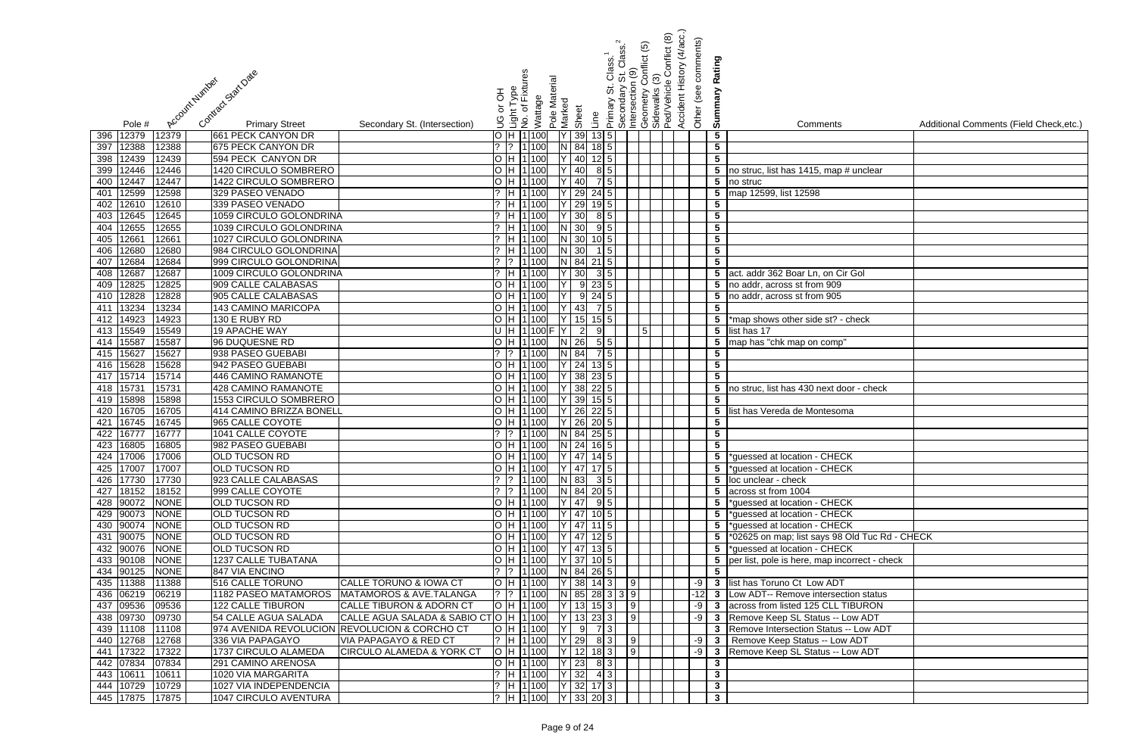|                                                                                                                       |                                                                      | <u>ව</u><br>St. Class.<br>1 (9)<br>conflict                                                    | (4/acc.)<br>Conflict (8) | Other (see comments)                       |                                                  |                                         |
|-----------------------------------------------------------------------------------------------------------------------|----------------------------------------------------------------------|------------------------------------------------------------------------------------------------|--------------------------|--------------------------------------------|--------------------------------------------------|-----------------------------------------|
| Contract Start Date                                                                                                   | nt Type<br>of Fixtures                                               | Class                                                                                          | Accident History         | Rating                                     |                                                  |                                         |
| Account Number                                                                                                        | Pole Material<br>공                                                   | Primary St. C<br>Secondary S<br>Intersection (<br>Geometry Co<br>Sidewalks (3)<br>PedVehicle ( |                          | Summary                                    |                                                  |                                         |
|                                                                                                                       | Wattage<br>Marked<br>ŏ                                               |                                                                                                |                          |                                            |                                                  |                                         |
| <b>Primary Street</b><br>Pole #<br>Secondary St. (Intersection)                                                       | Sheet<br>ہ چاہ<br>اسوال<br>اس کا                                     | Line                                                                                           |                          |                                            | Comments                                         | Additional Comments (Field Check, etc.) |
| 12379<br>12379<br>661 PECK CANYON DR<br>396                                                                           | $O$ H $1100$<br>39                                                   | $13\vert 5 \vert$                                                                              |                          | $\sqrt{5}$                                 |                                                  |                                         |
| 12388<br>12388<br>675 PECK CANYON DR<br>397                                                                           | 84<br>1 100<br>N I<br>$?$  ?                                         | $18$ 5                                                                                         |                          | $5\phantom{.0}$                            |                                                  |                                         |
| 594 PECK CANYON DR<br>12439<br>12439<br>398                                                                           | O H 1100<br>40                                                       | $12$ 5                                                                                         |                          | $\overline{\mathbf{5}}$                    |                                                  |                                         |
| 12446<br>1420 CIRCULO SOMBRERO<br>12446<br>399                                                                        | $O$  H  1 100<br>40                                                  | 85                                                                                             |                          | $5\phantom{.0}$                            | no struc, list has 1415, map # unclear           |                                         |
| 12447<br>1422 CIRCULO SOMBRERO<br>12447<br>400                                                                        | O H 1 100<br>40                                                      |                                                                                                |                          |                                            | $\overline{5}$ no struc                          |                                         |
| 12599<br>12598<br>329 PASEO VENADO<br>401<br>12610<br>12610<br>339 PASEO VENADO<br>402                                | 29<br>H 1100<br>29<br>H 1 100                                        | $24 \overline{\phantom{0}5}$                                                                   |                          | $5\phantom{.0}$<br>$\overline{\mathbf{5}}$ | map 12599, list 12598                            |                                         |
| 12645<br>12645<br>1059 CIRCULO GOLONDRINA<br>403                                                                      | 30<br>$?$ H 1100                                                     | 8 5                                                                                            |                          | $\overline{\mathbf{5}}$                    |                                                  |                                         |
| 12655<br>12655<br>1039 CIRCULO GOLONDRINA<br>404                                                                      | $?$ H 1 100<br>30                                                    | $9 \mid 5$                                                                                     |                          | $5\phantom{.0}$                            |                                                  |                                         |
| 1266'<br>1027 CIRCULO GOLONDRINA<br>405<br>12661                                                                      | ? H 1 100<br>30                                                      | $10$ 5                                                                                         |                          | $\overline{\mathbf{5}}$                    |                                                  |                                         |
| 12680<br>12680<br>984 CIRCULO GOLONDRINA<br>406                                                                       | 30<br>2 H 1100                                                       | 15                                                                                             |                          | $\overline{\mathbf{5}}$                    |                                                  |                                         |
| 12684<br>999 CIRCULO GOLONDRINA<br>407<br>12684                                                                       | N 84<br>$?$  ?  1 100                                                | $21 \vert 5 \vert$                                                                             |                          | $5\phantom{.0}$                            |                                                  |                                         |
| 12687<br>12687<br>1009 CIRCULO GOLONDRINA<br>408                                                                      | 30<br>$?$ H 1100                                                     | $3 \overline{\phantom{a}} 5$                                                                   |                          |                                            | 5 act. addr 362 Boar Ln, on Cir Gol              |                                         |
| 12825<br>909 CALLE CALABASAS<br>12825<br>409                                                                          | O H 1100                                                             | $9 \ 23 \ 5$                                                                                   |                          |                                            | 5 no addr, across st from 909                    |                                         |
| 12828<br>905 CALLE CALABASAS<br>12828<br>410                                                                          | O H 1100                                                             | $9 \ 24 \ 5$                                                                                   |                          |                                            | 5 no addr, across st from 905                    |                                         |
| 13234<br>13234<br><b>143 CAMINO MARICOPA</b><br>411                                                                   | O H 1100<br>43                                                       | 7 5                                                                                            |                          | $5\phantom{.0}$                            |                                                  |                                         |
| 14923<br>130 E RUBY RD<br>14923<br>412                                                                                | 15<br>O H 1100                                                       | $15$ 5                                                                                         |                          |                                            | 5 <sup>*</sup> map shows other side st? - check  |                                         |
| 15549<br><b>19 APACHE WAY</b><br>15549<br>413                                                                         | U H 1100F<br>$\overline{2}$                                          | 5 <sub>1</sub><br>9                                                                            |                          |                                            | 5 list has 17                                    |                                         |
| 15587<br>15587<br>96 DUQUESNE RD<br>414                                                                               | O H 1100<br>26<br>N.                                                 | 5 5                                                                                            |                          | $5\phantom{.0}$                            | map has "chk map on comp'                        |                                         |
| 15627<br>938 PASEO GUEBABI<br>15627<br>415                                                                            | $?$  ?  1 100<br>84                                                  | 7 5                                                                                            |                          | $5\phantom{.0}$                            |                                                  |                                         |
| 15628<br>15628<br>942 PASEO GUEBABI<br>416                                                                            | 24<br>O H 1100                                                       | $13\vert 5 \vert$                                                                              |                          | $5\phantom{.0}$                            |                                                  |                                         |
| 15714<br>446 CAMINO RAMANOTE<br>417<br>15714                                                                          | 38<br>$O$ H 1100                                                     | 23 5                                                                                           |                          | $5\phantom{.0}$                            |                                                  |                                         |
| 15731<br>15731<br>428 CAMINO RAMANOTE<br>418                                                                          | 38<br>$O$ H 1100                                                     | $22 \overline{\phantom{0}}$ 5                                                                  |                          | $5^{\circ}$                                | no struc, list has 430 next door - check         |                                         |
| 15898<br>15898<br>1553 CIRCULO SOMBRERO<br>419<br>16705<br>16705<br>414 CAMINO BRIZZA BONELL                          | 39<br>O H 1 100<br>O H 1100<br>26                                    | $15$ 5<br>$22\overline{5}$                                                                     |                          | $\overline{\mathbf{5}}$<br>$5\overline{)}$ | list has Vereda de Montesoma                     |                                         |
| 420<br>16745<br>16745<br>965 CALLE COYOTE<br>421                                                                      | O H 1100<br>26                                                       | $20\overline{5}$                                                                               |                          | $\overline{\mathbf{5}}$                    |                                                  |                                         |
| 16777<br>422<br>16777<br>1041 CALLE COYOTE                                                                            | 84<br>1 100<br>$?$  ?<br>N.                                          | $25 \mid 5 \mid$                                                                               |                          | $5\phantom{.0}$                            |                                                  |                                         |
| 423 16805 16805<br>982 PASEO GUEBABI                                                                                  | O  H  1 100     N   24  16  5                                        |                                                                                                |                          | 5 <sub>5</sub>                             |                                                  |                                         |
| 424 17006 17006<br><b>OLD TUCSON RD</b>                                                                               | O H 1100 Y 47 14 5                                                   |                                                                                                |                          |                                            | 5 *guessed at location - CHECK                   |                                         |
| 425 17007 17007<br><b>OLD TUCSON RD</b>                                                                               | O H 1100 Y 47 17 5                                                   |                                                                                                |                          |                                            | 5  *guessed at location - CHECK                  |                                         |
| 426 17730 17730<br>923 CALLE CALABASAS                                                                                | ?  ?  1 100   N  83  3  5                                            |                                                                                                |                          |                                            | 5 loc unclear - check                            |                                         |
| 427 18152 18152<br>999 CALLE COYOTE                                                                                   | $\begin{bmatrix} ? & 1 & 100 \\ 0 & 0 & 100 \end{bmatrix}$ N 84 20 5 |                                                                                                |                          |                                            | 5 across st from 1004                            |                                         |
| 428 90072 NONE<br><b>OLD TUCSON RD</b>                                                                                | O  H  1 100  Y   47   9 5                                            |                                                                                                |                          |                                            | 5  *guessed at location - CHECK                  |                                         |
| 429 90073 NONE<br><b>OLD TUCSON RD</b>                                                                                | $\overline{O}$  H $\overline{1}$ 100 $\overline{Y}$   47   10 5      |                                                                                                |                          |                                            | 5 *guessed at location - CHECK                   |                                         |
| 430 90074 NONE<br><b>OLD TUCSON RD</b>                                                                                | O  H  1 100  Y   47   11   5                                         |                                                                                                |                          |                                            | 5 *guessed at location - CHECK                   |                                         |
| <b>OLD TUCSON RD</b><br>431 90075<br><b>NONE</b>                                                                      | O  H  1 100   Y   47   12 5                                          |                                                                                                |                          |                                            | 5 *02625 on map; list says 98 Old Tuc Rd - CHECK |                                         |
| 432 90076<br><b>NONE</b><br><b>OLD TUCSON RD</b>                                                                      | O H 1100<br>$\sqrt{147}$ 13 5                                        |                                                                                                |                          |                                            | 5 *guessed at location - CHECK                   |                                         |
| 433 90108<br>1237 CALLE TUBATANA<br><b>NONE</b>                                                                       | O H 1 100                                                            | 37 10 5                                                                                        |                          |                                            | 5 per list, pole is here, map incorrect - check  |                                         |
| 434 90125<br><b>NONE</b><br>847 VIA ENCINO<br>516 CALLE TORUNO                                                        | ?  ?  1 100 <br>N 84 26 5                                            |                                                                                                |                          | $5\overline{)}$                            | -9 3 list has Toruno Ct Low ADT                  |                                         |
| 435 11388<br>11388<br>CALLE TORUNO & IOWA CT<br>436 06219<br>06219<br>1182 PASEO MATAMOROS<br>MATAMOROS & AVE.TALANGA | O H 1100<br> ?  ?  1 100                                             | $ 38 $ 14 3 9<br>N 85 28 3 3 9                                                                 |                          |                                            | -12 3 Low ADT-- Remove intersection status       |                                         |
| 437 09536<br>09536<br>122 CALLE TIBURON<br>CALLE TIBURON & ADORN CT                                                   | O H 1100                                                             | $13$ 15 3 9                                                                                    |                          |                                            | -9 3 across from listed 125 CLL TIBURON          |                                         |
| CALLE AGUA SALADA & SABIO CTO  H  1 100 <br>438 09730<br>09730<br>54 CALLE AGUA SALADA                                |                                                                      | $13$ 23 3 9                                                                                    |                          |                                            | -9 3 Remove Keep SL Status -- Low ADT            |                                         |
| 439 11108<br>11108<br>974 AVENIDA REVOLUCION REVOLUCION & CORCHO CT                                                   | O H 1100                                                             | $9 \mid 7 \mid 3 \mid$                                                                         |                          |                                            | 3 Remove Intersection Status -- Low ADT          |                                         |
| 440 12768<br>336 VIA PAPAGAYO<br><b>VIA PAPAGAYO &amp; RED CT</b><br>12768                                            | ?  H  1 100    Y   29   8  3     9                                   |                                                                                                |                          |                                            | -9 3 Remove Keep Status -- Low ADT               |                                         |
| 441 17322<br>17322<br>1737 CIRCULO ALAMEDA<br><b>CIRCULO ALAMEDA &amp; YORK CT</b>                                    | $ O H 1 100 $ $ Y 12 183 $  9                                        |                                                                                                |                          |                                            | -9 3 Remove Keep SL Status -- Low ADT            |                                         |
| 442 07834<br>07834<br>291 CAMINO ARENOSA                                                                              | O  H  1 100  Y   23   8   3                                          |                                                                                                |                          | $\mathbf{3}$                               |                                                  |                                         |
| 443 10611<br>10611<br>1020 VIA MARGARITA                                                                              |                                                                      |                                                                                                |                          | $\mathbf{3}$                               |                                                  |                                         |
| 444 10729 10729<br>1027 VIA INDEPENDENCIA                                                                             | ?  H  1 100     Y   32  17  3                                        |                                                                                                |                          | $\mathbf{3}$                               |                                                  |                                         |
| 445 17875 17875<br>1047 CIRCULO AVENTURA                                                                              | ?  H  1 100    Y   33   20   3                                       |                                                                                                |                          | $\mathbf{3}$                               |                                                  |                                         |

| $\overline{\mathbf{s}}$   | Additional Comments (Field Check, etc.) |
|---------------------------|-----------------------------------------|
|                           |                                         |
|                           |                                         |
|                           |                                         |
| p # unclear               |                                         |
|                           |                                         |
|                           |                                         |
|                           |                                         |
|                           |                                         |
|                           |                                         |
|                           |                                         |
|                           |                                         |
| Cir Gol                   |                                         |
|                           |                                         |
| $\frac{9}{5}$             |                                         |
|                           |                                         |
| ' - check                 |                                         |
|                           |                                         |
| p"                        |                                         |
|                           |                                         |
|                           |                                         |
|                           |                                         |
| door - check              |                                         |
|                           |                                         |
| oma                       |                                         |
|                           |                                         |
|                           |                                         |
| $\overline{C}$            |                                         |
| $\overline{C}$ K          |                                         |
|                           |                                         |
|                           |                                         |
| $\overline{\mathsf{C}}$ K |                                         |
| $\overline{C}$ K          |                                         |
| $\overline{\mathsf{C}}$ K |                                         |
| 8 Old Tuc Rd - CHECK      |                                         |
| $\overline{ECK}$          |                                         |
| ncorrect - check          |                                         |
|                           |                                         |
| $\overline{\text{J}T}$    |                                         |
| ection status             |                                         |
|                           |                                         |
| - TIBURON<br>- Low ADT    |                                         |
| IS -- Low ADT             |                                         |
| ow ADT                    |                                         |
| - Low ADT                 |                                         |
|                           |                                         |
|                           |                                         |
|                           |                                         |
|                           |                                         |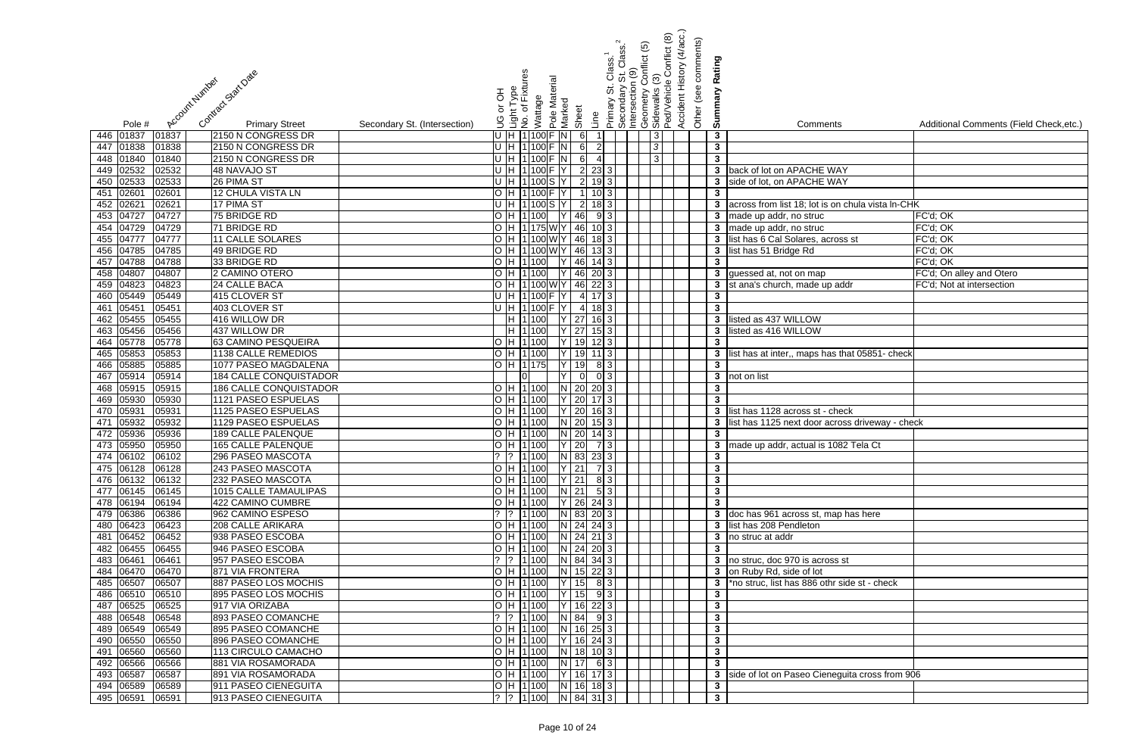|                                                                               | Conflict (8)<br>onflict (5)<br> Primary St. Class. <sup>1</sup><br> Secondary St. Class. <sup>2</sup><br> Intersection (9)<br>ල                                  | Accident History (4/acc.)<br>Other (see comments)<br>Rating |                                                     |                                         |
|-------------------------------------------------------------------------------|------------------------------------------------------------------------------------------------------------------------------------------------------------------|-------------------------------------------------------------|-----------------------------------------------------|-----------------------------------------|
| Contract Start Date<br>Account Humber                                         | Light Type<br>No. of Fixtures<br>Pole Material<br>Geometry Co<br>Sidewalks (3)<br>Ped/Vehicle (<br>Primary St.<br>Secondary<br>라 어<br>Wattage<br>Marked<br>Sheet | Summary                                                     |                                                     |                                         |
| <b>Primary Street</b><br>Secondary St. (Intersection)<br>Pole #               | Line                                                                                                                                                             |                                                             | Comments                                            | Additional Comments (Field Check, etc.) |
| 01837<br>446 01837<br>2150 N CONGRESS DR                                      | U H 1100 F N<br>$6 \overline{6}$<br> 3                                                                                                                           | $\mathbf{3}$                                                |                                                     |                                         |
| 2150 N CONGRESS DR<br>447 01838<br>01838                                      | U H 1100 F N<br>$6 \overline{6}$<br>$\overline{2}$<br> 3                                                                                                         | $\mathbf{3}$                                                |                                                     |                                         |
| 448 01840<br>2150 N CONGRESS DR<br>01840                                      | U H 1100 F N<br>$6 \mid$<br> 3 <br>$\boldsymbol{\Delta}$                                                                                                         | $\mathbf{3}$                                                |                                                     |                                         |
| 449 02532<br>02532<br>48 NAVAJO ST                                            | U H 1100 F Y<br>$\overline{2}$ $\overline{2}$ $\overline{3}$ $\overline{3}$ $\overline{)}$                                                                       |                                                             | 3 back of lot on APACHE WAY                         |                                         |
| 450 02533<br>02533<br>26 PIMA ST<br>0260<br>12 CHULA VISTA LN<br>02601<br>451 | $\overline{2}$<br>U H 1100S Y<br>$19 \mid 3 \mid$<br>H 1100FY                                                                                                    | 3 <sup>1</sup><br>$\mathbf{3}$                              | side of lot, on APACHE WAY                          |                                         |
| 452 02621<br>02621<br>17 PIMA ST                                              | H  1 100 S  Y<br>$\overline{2}$                                                                                                                                  |                                                             | 3 across from list 18; lot is on chula vista In-CHK |                                         |
| 453 04727<br>04727<br>75 BRIDGE RD                                            | H 1100<br>46<br>93                                                                                                                                               |                                                             | 3 made up addr, no struc                            | FC'd; OK                                |
| 04729<br>04729<br>71 BRIDGE RD<br>454                                         | H   1   175   W   Y   46  <br>$10 \mid 3 \mid$                                                                                                                   |                                                             | 3 made up addr, no struc                            | FC'd; OK                                |
| 455 04777<br>04777<br>11 CALLE SOLARES                                        | H  1 100 W Y   46  18  3                                                                                                                                         | 3 <sup>1</sup>                                              | list has 6 Cal Solares, across st                   | FC'd; OK                                |
| 456 04785<br>04785<br>49 BRIDGE RD                                            | H 1100 W Y 46 13 3                                                                                                                                               | $\mathbf{3}$                                                | list has 51 Bridge Rd                               | FC'd; OK                                |
| 457 04788<br>04788<br>33 BRIDGE RD                                            | H 1100<br>46<br><b>IY</b><br>$14 \mid 3 \mid$                                                                                                                    | $\mathbf{3}$                                                |                                                     | FC'd; OK                                |
| 458 04807<br>2 CAMINO OTERO<br>04807                                          | H 1 100<br>Y 46 20 3                                                                                                                                             |                                                             | 3 guessed at, not on map                            | FC'd; On alley and Otero                |
| 459 04823<br>24 CALLE BACA<br>04823                                           | H  1 100 W Y   46 22 3                                                                                                                                           |                                                             | 3 st ana's church, made up addr                     | FC'd; Not at intersection               |
| 460 05449<br>415 CLOVER ST<br>05449                                           | U H 1100 F Y<br>$4 \mid 17 \mid 3 \mid$                                                                                                                          | $\mathbf{3}$                                                |                                                     |                                         |
| 461 05451<br>403 CLOVER ST<br>05451                                           | U H 1100 F Y<br>$4 \ 18 \ 3$                                                                                                                                     | لا                                                          |                                                     |                                         |
| 462 05455<br>416 WILLOW DR<br>05455                                           | H 1100<br>$Y$ 27<br>$16 \mid 3 \mid$                                                                                                                             |                                                             | 3 listed as 437 WILLOW                              |                                         |
| 463 05456<br>437 WILLOW DR<br>05456                                           | H 1 100<br>$Y$ 27<br>15 3                                                                                                                                        | 3 <sup>7</sup>                                              | listed as 416 WILLOW                                |                                         |
| 464 05778<br>63 CAMINO PESQUEIRA<br>05778                                     | H 1100<br>$19$ 12 3<br>Y                                                                                                                                         | $\mathbf{3}$                                                |                                                     |                                         |
| 465 05853<br>1138 CALLE REMEDIOS<br>05853                                     | H 1 100<br>lY l<br>19<br>$11 \mid 3 \mid$                                                                                                                        | 3 <sup>1</sup>                                              | list has at inter,, maps has that 05851- check      |                                         |
| 466 05885<br>1077 PASEO MAGDALENA<br>05885                                    | H 11375<br>19<br>8 3 <br>lY l                                                                                                                                    | $\mathbf{3}$                                                |                                                     |                                         |
| 05914<br>05914<br>184 CALLE CONQUISTADOR<br>467                               | 0 3 <br>$\Omega$                                                                                                                                                 |                                                             | 3 not on list                                       |                                         |
| 468 05915<br>186 CALLE CONQUISTADOR<br>05915                                  | $N$ 20<br>H 1100<br>$20 \vert 3 \vert$                                                                                                                           | $\mathbf{3}$                                                |                                                     |                                         |
| 469 05930<br>1121 PASEO ESPUELAS<br>05930                                     | 20<br>H 1100                                                                                                                                                     | $\mathbf{3}$                                                |                                                     |                                         |
| 05931<br>05931<br>1125 PASEO ESPUELAS<br>470                                  | H 1 100<br>$Y$ 20<br>$16 \mid 3 \mid$                                                                                                                            |                                                             | 3 list has 1128 across st - check                   |                                         |
| 05932<br>05932<br>1129 PASEO ESPUELAS<br>471                                  | $N$ 20<br>H 1100<br>$15 \mid 3 \mid$                                                                                                                             | $\mathbf{3}$                                                | list has 1125 next door across driveway - check     |                                         |
| 472 05936<br>)5936<br><b>189 CALLE PALENQUE</b>                               | H 1 100<br>$N$ 20<br>$14 \mid 3 \mid$                                                                                                                            | $\mathbf{3}$                                                |                                                     |                                         |
| 473 05950 05950<br>165 CALLE PALENQUE<br>474 06102 06102                      | H  1 100   Y   20  7  3   <br>$?$ $ ?$ $ 1 100$ N 83 23 3                                                                                                        | $\mathbf{3}$                                                | 3 made up addr, actual is 1082 Tela Ct              |                                         |
| 296 PASEO MASCOTA<br>475 06128 06128<br>243 PASEO MASCOTA                     | O[H 1 100   Y 21  73]                                                                                                                                            | $\mathbf{3}$                                                |                                                     |                                         |
| 476 06132 06132<br>232 PASEO MASCOTA                                          | O  H  1 100     Y   21     8   3                                                                                                                                 | $\mathbf{3}$                                                |                                                     |                                         |
| 477 06145 06145<br>1015 CALLE TAMAULIPAS                                      | O  H  1 100     N   21     5   3                                                                                                                                 | $\mathbf{3}$                                                |                                                     |                                         |
| 478 06194<br>06194<br>422 CAMINO CUMBRE                                       | $ H 1 100$   Y   26   24   3                                                                                                                                     | $\mathbf{3}$                                                |                                                     |                                         |
| 479 06386<br>06386<br>962 CAMINO ESPESO                                       | $\left  \begin{array}{cc} ? & 1 & 100 \\ \end{array} \right $ N 83 20 3                                                                                          |                                                             | 3 doc has 961 across st, map has here               |                                         |
| 208 CALLE ARIKARA<br>480 06423<br>06423                                       | O  H  1 100     N   24  24  3                                                                                                                                    |                                                             | 3 list has 208 Pendleton                            |                                         |
| 481 06452<br>06452<br>938 PASEO ESCOBA                                        | $H$ 1100 N 24 21 3                                                                                                                                               |                                                             | 3 no struc at addr                                  |                                         |
| 946 PASEO ESCOBA<br>482 06455<br>06455                                        | O  H  1 100   N   24   20 3                                                                                                                                      | $\mathbf{3}$                                                |                                                     |                                         |
| 483 06461<br>06461<br>957 PASEO ESCOBA                                        | $\begin{bmatrix} ? & 1 & 100 \\ 0 & 0 & 0 \\ 0 & 0 & 0 \end{bmatrix}$ N 84 34 3                                                                                  |                                                             | 3 no struc, doc 970 is across st                    |                                         |
| 484 06470<br>06470<br>871 VIA FRONTERA                                        | H 1100<br>$N$ 15 22 3                                                                                                                                            |                                                             | 3 on Ruby Rd, side of lot                           |                                         |
| 485 06507<br>06507<br>887 PASEO LOS MOCHIS                                    | $\overline{ Y }$ 15 8 3<br>H 1 100                                                                                                                               |                                                             | 3 *no struc, list has 886 othr side st - check      |                                         |
| 486 06510<br>06510<br>895 PASEO LOS MOCHIS                                    | H 1100<br>$Y$ 15 9 3                                                                                                                                             | $\mathbf{3}$                                                |                                                     |                                         |
| 487 06525<br>06525<br>917 VIA ORIZABA                                         | $\overline{ Y }$ 16 22 3<br>H 1 100                                                                                                                              | $\mathbf{3}$                                                |                                                     |                                         |
| 488 06548<br>06548<br>893 PASEO COMANCHE                                      | $ 1 100 $ N 84 9 3                                                                                                                                               | $\mathbf{3}$                                                |                                                     |                                         |
| 489 06549<br>06549<br>895 PASEO COMANCHE                                      | $O[H[1]100]$ N 16 25 3                                                                                                                                           | $\mathbf{3}$                                                |                                                     |                                         |
| 490 06550<br>06550<br>896 PASEO COMANCHE                                      | $\overline{O}$ H 1100 Y 16 24 3                                                                                                                                  | $\mathbf{3}$                                                |                                                     |                                         |
| 491 06560<br>06560<br>113 CIRCULO CAMACHO                                     | $\overline{O}$  H  1 100    N   18   10   3                                                                                                                      | $\mathbf{3}$                                                |                                                     |                                         |
| 492 06566<br>06566<br>881 VIA ROSAMORADA                                      | $O[H[1]100]$ $N[17]$ 6 3                                                                                                                                         | $\mathbf{3}$                                                |                                                     |                                         |
| 493 06587<br>06587<br>891 VIA ROSAMORADA                                      | O  H  1 100  Y   16  17 3                                                                                                                                        |                                                             | 3 side of lot on Paseo Cieneguita cross from 906    |                                         |
| 494 06589<br>911 PASEO CIENEGUITA<br>06589                                    | O H 1100 N 16 18 3                                                                                                                                               | $\mathbf{3}$                                                |                                                     |                                         |
| 495 06591<br>913 PASEO CIENEGUITA<br>06591                                    | ?  ?  1 100   N   84   31   3                                                                                                                                    | $\overline{\mathbf{3}}$                                     |                                                     |                                         |

| $\frac{1}{3}$ $\frac{3}{3}$                             | Comments                                                                | Additional Comments (Field Check, etc.) |
|---------------------------------------------------------|-------------------------------------------------------------------------|-----------------------------------------|
|                                                         |                                                                         |                                         |
|                                                         |                                                                         |                                         |
|                                                         |                                                                         |                                         |
| 3                                                       | back of lot on APACHE WAY                                               |                                         |
| $\overline{\mathbf{3}}$                                 | side of lot, on APACHE WAY                                              |                                         |
| 3                                                       |                                                                         |                                         |
| 3                                                       | across from list 18; lot is on chula vista In-CHK                       |                                         |
| 3                                                       | made up addr, no struc                                                  | FC'd; OK                                |
| 3                                                       | made up addr, no struc                                                  | FC'd; OK                                |
| 3                                                       | list has 6 Cal Solares, across st                                       | FC'd; OK                                |
| $\overline{\mathbf{3}}$                                 | list has 51 Bridge Rd                                                   | FC'd; OK                                |
| $\frac{3}{3}$ $\frac{3}{3}$                             |                                                                         | FC'd; OK                                |
|                                                         | guessed at, not on map                                                  | FC'd; On alley and Otero                |
|                                                         | st ana's church, made up addr                                           | FC'd; Not at intersection               |
|                                                         |                                                                         |                                         |
| $\frac{3}{3}$                                           | listed as 437 WILLOW                                                    |                                         |
| $\overline{\mathbf{3}}$                                 | listed as 416 WILLOW                                                    |                                         |
|                                                         |                                                                         |                                         |
| $\frac{3}{3}$                                           | list has at inter,, maps has that 05851- check                          |                                         |
| 3                                                       |                                                                         |                                         |
| 3                                                       | not on list                                                             |                                         |
| $\overline{\mathbf{3}}$                                 |                                                                         |                                         |
| 3                                                       |                                                                         |                                         |
| 3                                                       | list has 1128 across st - check                                         |                                         |
| 3                                                       | list has 1125 next door across driveway - check                         |                                         |
| $\overline{\mathbf{3}}$                                 |                                                                         |                                         |
|                                                         | made up addr, actual is 1082 Tela Ct                                    |                                         |
| $\frac{3}{3}$                                           |                                                                         |                                         |
| $\frac{3}{3}$ $\frac{3}{3}$                             |                                                                         |                                         |
|                                                         |                                                                         |                                         |
|                                                         |                                                                         |                                         |
|                                                         |                                                                         |                                         |
| 3                                                       | doc has 961 across st, map has here                                     |                                         |
| $\overline{\mathbf{3}}$                                 | list has 208 Pendleton                                                  |                                         |
| $\overline{\mathbf{3}}$                                 | no struc at addr                                                        |                                         |
| 3                                                       |                                                                         |                                         |
| $\overline{\mathbf{3}}$<br>$\overline{\mathbf{3}}$      | no struc, doc 970 is across st                                          |                                         |
| 3                                                       | on Ruby Rd, side of lot<br>*no struc, list has 886 othr side st - check |                                         |
| 3                                                       |                                                                         |                                         |
| 3                                                       |                                                                         |                                         |
| 3                                                       |                                                                         |                                         |
| 3                                                       |                                                                         |                                         |
|                                                         |                                                                         |                                         |
| $\frac{3}{3}$ $\frac{3}{3}$ $\frac{3}{3}$ $\frac{3}{3}$ |                                                                         |                                         |
|                                                         |                                                                         |                                         |
|                                                         | side of lot on Paseo Cieneguita cross from 906                          |                                         |
|                                                         |                                                                         |                                         |
|                                                         |                                                                         |                                         |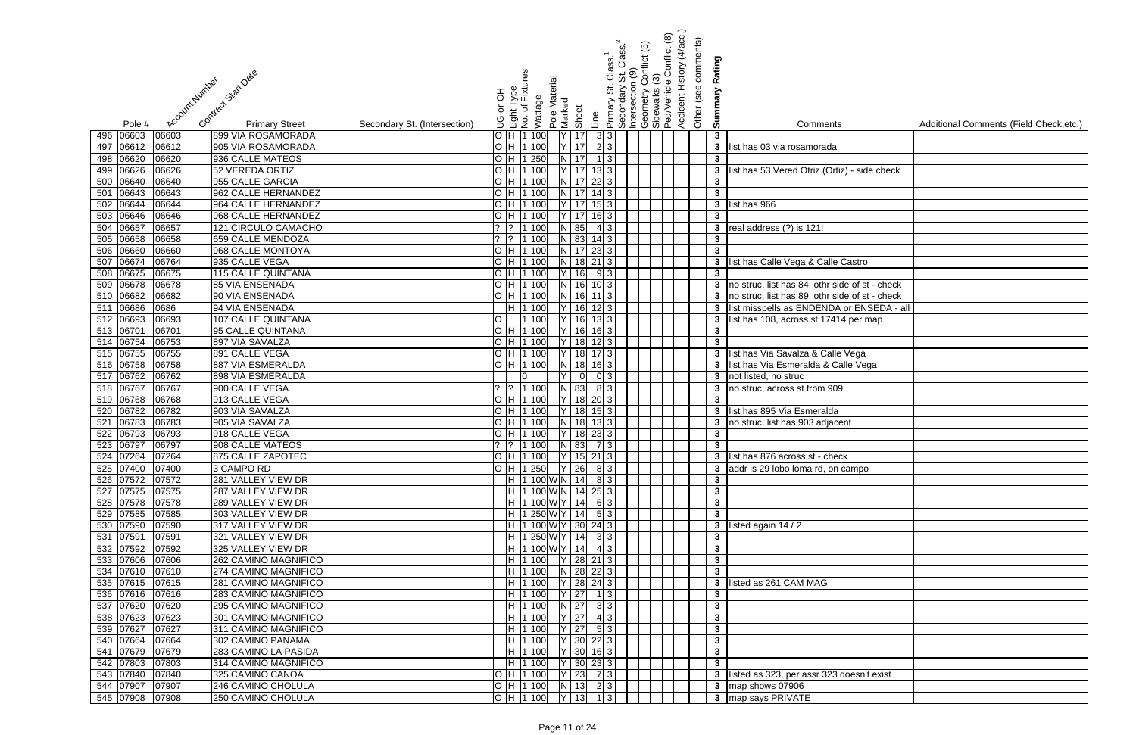| Contract Start Date<br>Account Number                                           | Accident History (4/acc.)<br>Conflict (8)<br>Other (see comments)<br>onflict (5)<br>Class. <sup>1</sup><br>St. Class. <sup>1</sup><br>0 (9)<br>Rating<br>Light Type<br>No. of Fixtures<br>Pole Material<br>Geometry Co<br>Sidewalks (3)<br>Ped/Vehicle (<br>  Primary St. (<br>  Secondary S<br>  Intersection (<br>Summary<br>라 or |                                                                |
|---------------------------------------------------------------------------------|-------------------------------------------------------------------------------------------------------------------------------------------------------------------------------------------------------------------------------------------------------------------------------------------------------------------------------------|----------------------------------------------------------------|
|                                                                                 | Wattage<br>Marked<br>Sheet                                                                                                                                                                                                                                                                                                          |                                                                |
| <b>Primary Street</b><br>Secondary St. (Intersection)<br>Pole #                 | Line<br>9                                                                                                                                                                                                                                                                                                                           | Additional Comments (Field Check, etc.)<br>Comments            |
| 496 06603<br>06603<br>899 VIA ROSAMORADA                                        | $H$ 1100<br>3 3 <br>Y 17<br>$\mathbf{3}$                                                                                                                                                                                                                                                                                            |                                                                |
| 06612<br>06612<br>905 VIA ROSAMORADA<br>497                                     | $Y$ 17<br>2 3 <br>H 1 100                                                                                                                                                                                                                                                                                                           | $\mathbf{3}$<br>list has 03 via rosamorada                     |
| 498 06620<br>06620<br>936 CALLE MATEOS                                          | H 1 250<br>$N$ 17<br>$1 \mid 3 \mid$<br>$\mathbf{3}$                                                                                                                                                                                                                                                                                |                                                                |
| 499 06626<br>06626<br>52 VEREDA ORTIZ<br>500 06640<br>955 CALLE GARCIA<br>06640 | H 1 100<br>Y 17<br>$13 \mid 3 \mid$<br>H 1 100<br>N 17<br>$22 \mid 3 \mid$<br>$\mathbf{3}$                                                                                                                                                                                                                                          | list has 53 Vered Otriz (Ortiz) - side check<br>3 <sup>1</sup> |
| 06643<br>06643<br>962 CALLE HERNANDEZ<br>501                                    | N 17<br>$\mathbf{3}$<br>H 1100<br>$14 \mid 3 \mid$                                                                                                                                                                                                                                                                                  |                                                                |
| 06644<br>964 CALLE HERNANDEZ<br>502<br>06644                                    | $Y$ 17<br>H 1100<br>153                                                                                                                                                                                                                                                                                                             | 3 list has 966                                                 |
| 503 06646<br>06646<br>968 CALLE HERNANDEZ                                       | $Y$ 17<br>H 1100<br>$\mathbf{3}$                                                                                                                                                                                                                                                                                                    |                                                                |
| 06657<br>06657<br>121 CIRCULO CAMACHO<br>504                                    | N 85<br>1 100<br>4 3                                                                                                                                                                                                                                                                                                                | $\mathbf{3}$<br>real address (?) is 121!                       |
| 06658<br>06658<br>505<br>659 CALLE MENDOZA                                      | $N$ 83<br>1 100<br>$\mathbf{3}$<br>$14 \mid 3 \mid$                                                                                                                                                                                                                                                                                 |                                                                |
| 06660<br>506<br>06660<br>968 CALLE MONTOYA                                      | H 1 100<br>$N$ 17<br>$23 \mid 3 \mid$                                                                                                                                                                                                                                                                                               | $\mathbf{3}$                                                   |
| 06674<br>507<br>06764<br>935 CALLE VEGA                                         | H 1 100<br>N 18 21 3                                                                                                                                                                                                                                                                                                                | list has Calle Vega & Calle Castro<br>3 <sup>7</sup>           |
| 508 06675<br>06675<br>115 CALLE QUINTANA                                        | H 1 100<br>16<br>$\mathbf{3}$<br>$9 \mid 3 \mid$                                                                                                                                                                                                                                                                                    |                                                                |
| 509 06678<br>06678<br>85 VIA ENSENADA                                           | $N$ 16<br>H 1100<br>$10$ 3                                                                                                                                                                                                                                                                                                          | 3 no struc, list has 84, othr side of st - check               |
| 510 06682<br>06682<br>90 VIA ENSENADA                                           | H 1 100<br>$N$ 16<br>$11$ 3                                                                                                                                                                                                                                                                                                         | 3 no struc, list has 89, othr side of st - check               |
| 511 06686<br>0686<br>94 VIA ENSENADA                                            | H 1 100<br>$Y$ 16<br>$12 \mid 3 \mid$                                                                                                                                                                                                                                                                                               | 3 list misspells as ENDENDA or ENSEDA - all                    |
| 512 06693<br>107 CALLE QUINTANA<br>06693                                        | 1100<br>Y   16   13 3                                                                                                                                                                                                                                                                                                               | 3 list has 108, across st 17414 per map                        |
| 513 06701<br>06701<br>95 CALLE QUINTANA                                         | H 1 100<br>$Y$ 16<br>$\mathbf{3}$<br>$16 \mid 3 \mid$                                                                                                                                                                                                                                                                               |                                                                |
| 514 06754<br>06753<br>897 VIA SAVALZA                                           | H 1 100<br>$18$ 12 3<br>$\mathbf{3}$<br>lY I                                                                                                                                                                                                                                                                                        |                                                                |
| 515 06755<br>891 CALLE VEGA<br>06755                                            | 18 17 3<br>H 1100                                                                                                                                                                                                                                                                                                                   | 3 list has Via Savalza & Calle Vega                            |
| 516 06758<br>887 VIA ESMERALDA<br>06758                                         | H 1 100<br>$\overline{N}$<br>18<br>$16 \mid 3 \mid$                                                                                                                                                                                                                                                                                 | 3 list has Via Esmeralda & Calle Vega                          |
| 517 06762<br>898 VIA ESMERALDA<br>06762                                         | $0 \vert 3 \vert$<br>$\overline{0}$                                                                                                                                                                                                                                                                                                 | 3 not listed, no struc                                         |
| 518 06767<br>06767<br>900 CALLE VEGA                                            | $\sqrt{?}$ 1 100<br>N 83<br>8 3                                                                                                                                                                                                                                                                                                     | $\mathbf{3}$<br>no struc, across st from 909                   |
| 519 06768<br>913 CALLE VEGA<br>06768                                            | 18<br>H 1 100<br>$20 \vert 3 \vert$                                                                                                                                                                                                                                                                                                 | $\mathbf{3}$                                                   |
| 06782<br>06782<br>903 VIA SAVALZA<br>520                                        | 18<br>H 1100<br>$15$   3                                                                                                                                                                                                                                                                                                            | 3 list has 895 Via Esmeralda                                   |
| 06783<br>905 VIA SAVALZA<br>06783<br>521                                        | H 1100<br>N 18<br>133                                                                                                                                                                                                                                                                                                               | $\mathbf{3}$<br>no struc, list has 903 adjacent                |
| 06793<br>522<br>06793<br>918 CALLE VEGA                                         | H 1 100<br>18<br>$23 \mid 3 \mid$<br>$\mathbf{3}$                                                                                                                                                                                                                                                                                   |                                                                |
| 523 06797 06797<br>908 CALLE MATEOS<br>524 07264<br>07264<br>875 CALLE ZAPOTEC  | ?  ?  1 100    N  83   7  3 <br>O H 1100 Y 15 21 3                                                                                                                                                                                                                                                                                  | $3^{\circ}$<br>3 list has 876 across st - check                |
| 525 07400<br>07400<br>3 CAMPO RD                                                | $O$  H  1 250  $ Y $ 26  8  3                                                                                                                                                                                                                                                                                                       | 3 addr is 29 lobo loma rd, on campo                            |
| 526 07572<br>281 VALLEY VIEW DR<br>07572                                        | $\mathbf{3}$                                                                                                                                                                                                                                                                                                                        |                                                                |
| 527 07575<br>287 VALLEY VIEW DR<br>07575                                        | H  1 100 W N  14  25  3 <br>$\mathbf{3}$                                                                                                                                                                                                                                                                                            |                                                                |
| 528 07578<br>289 VALLEY VIEW DR<br>07578                                        | $\mathbf{3}$                                                                                                                                                                                                                                                                                                                        |                                                                |
| 529 07585<br>303 VALLEY VIEW DR<br>07585                                        | H 1250WY 14 53<br>$\overline{\mathbf{3}}$                                                                                                                                                                                                                                                                                           |                                                                |
| 530 07590<br>317 VALLEY VIEW DR<br>07590                                        | $H$ 1 100 W Y 30 24 3                                                                                                                                                                                                                                                                                                               | 3 listed again $14/2$                                          |
| 531 07591<br>321 VALLEY VIEW DR<br>07591                                        | $H$ 1250 W Y 14 33                                                                                                                                                                                                                                                                                                                  | $\mathbf{3}$                                                   |
| 532 07592<br>325 VALLEY VIEW DR<br>07592                                        | $\mathbf{3}$                                                                                                                                                                                                                                                                                                                        |                                                                |
| 533 07606<br>262 CAMINO MAGNIFICO<br>07606                                      | H   1   100   Y   28   21   3  <br>$\mathbf{3}$                                                                                                                                                                                                                                                                                     |                                                                |
| 274 CAMINO MAGNIFICO<br>534 07610<br>07610                                      | $H$ 1100 N 28 22 3                                                                                                                                                                                                                                                                                                                  | $\mathbf{3}$                                                   |
| 535 07615<br>281 CAMINO MAGNIFICO<br>07615                                      | $ Y $ 28 24 3<br>H 1 100                                                                                                                                                                                                                                                                                                            | listed as 261 CAM MAG<br>3 <sup>1</sup>                        |
| 536 07616<br>283 CAMINO MAGNIFICO<br>07616                                      | $Y$ 27<br>H 1 100<br>$1 \mid 3 \mid$<br>$\mathbf{3}$                                                                                                                                                                                                                                                                                |                                                                |
| 537 07620<br>07620<br>295 CAMINO MAGNIFICO                                      | $N$ 27<br>$\overline{\mathbf{3}}$<br>H 1 100<br>3 3                                                                                                                                                                                                                                                                                 |                                                                |
| 538 07623<br>07623<br>301 CAMINO MAGNIFICO                                      | $Y$ 27<br>H 1 100<br>4 3 <br>$\mathbf{3}$                                                                                                                                                                                                                                                                                           |                                                                |
| 539 07627<br>07627<br>311 CAMINO MAGNIFICO                                      | $Y$ 27<br>H 1 100<br>5 3 <br>$\mathbf{3}$                                                                                                                                                                                                                                                                                           |                                                                |
| 540 07664<br>07664<br>302 CAMINO PANAMA                                         | H 1 100<br>$Y$ 30 22 3<br>$\mathbf{3}$                                                                                                                                                                                                                                                                                              |                                                                |
| 541 07679<br>283 CAMINO LA PASIDA<br>07679                                      | H 1100 Y 30 16 3                                                                                                                                                                                                                                                                                                                    | $\mathbf{3}$                                                   |
| 542 07803<br>07803<br>314 CAMINO MAGNIFICO                                      | H  1 100   Y   30   23   3                                                                                                                                                                                                                                                                                                          | $\mathbf{3}$                                                   |
| 543 07840<br>07840<br>325 CAMINO CANOA                                          | O  H  1 100   Y   23   7 3                                                                                                                                                                                                                                                                                                          | 3 listed as 323, per assr 323 doesn't exist                    |
| 544 07907<br>246 CAMINO CHOLULA<br>07907                                        | $O[H 1 100 $ $N 13 $ 2 3                                                                                                                                                                                                                                                                                                            | 3 map shows 07906                                              |
| 545 07908 07908<br>250 CAMINO CHOLULA                                           | $\overline{O}$  H  1 100   Y   13   1   3                                                                                                                                                                                                                                                                                           | 3 map says PRIVATE                                             |

| lS.               | Additional Comments (Field Check, etc.) |
|-------------------|-----------------------------------------|
|                   |                                         |
|                   |                                         |
|                   |                                         |
| tiz) - side check |                                         |
|                   |                                         |
|                   |                                         |
|                   |                                         |
|                   |                                         |
|                   |                                         |
|                   |                                         |
| Castro            |                                         |
|                   |                                         |
| ide of st - check |                                         |
| ide of st - check |                                         |
| A or ENSEDA - all |                                         |
| 14 per map        |                                         |
|                   |                                         |
|                   |                                         |
| e Vega            |                                         |
| calle Vega        |                                         |
|                   |                                         |
| $\overline{)9}$   |                                         |
| d                 |                                         |
| cent              |                                         |
|                   |                                         |
|                   |                                         |
| $\frac{1}{2}$     |                                         |
| campo             |                                         |
|                   |                                         |
|                   |                                         |
|                   |                                         |
|                   |                                         |
|                   |                                         |
|                   |                                         |
|                   |                                         |
|                   |                                         |
|                   |                                         |
|                   |                                         |
|                   |                                         |
|                   |                                         |
|                   |                                         |
|                   |                                         |
|                   |                                         |
|                   |                                         |
| doesn't exist     |                                         |
|                   |                                         |
|                   |                                         |
|                   |                                         |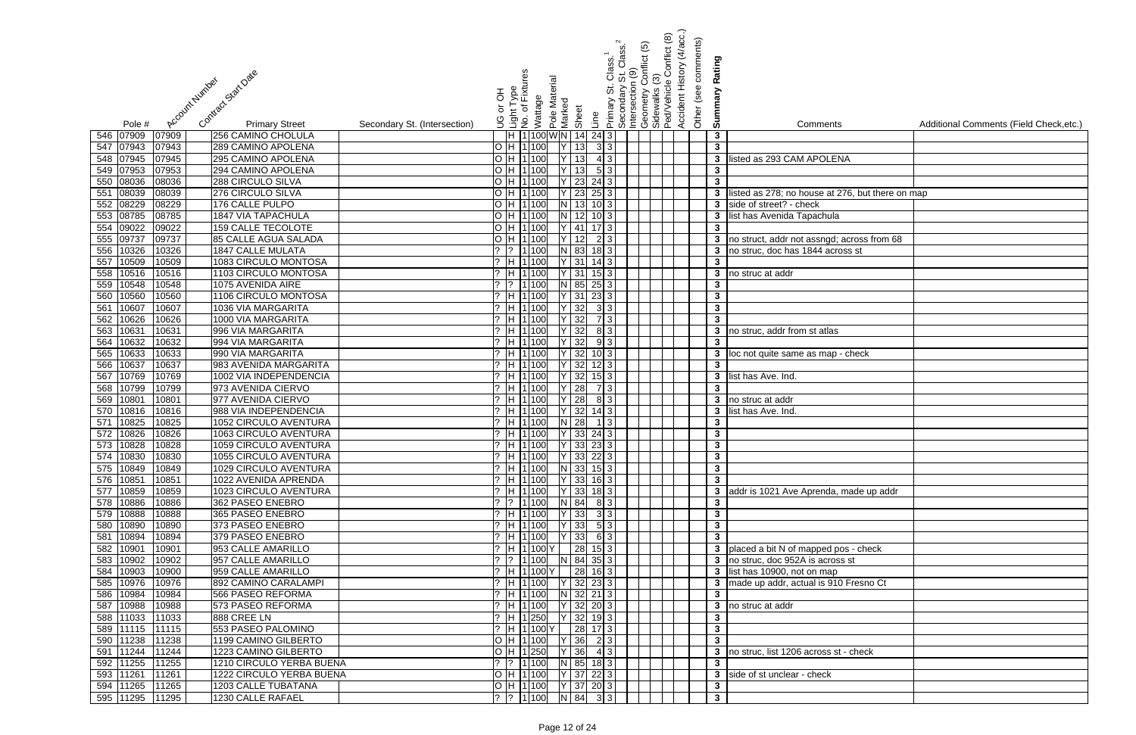|                                                                                  |                                                 | Accident History (4/acc.)<br>Conflict (8)<br>Other (see comments)<br>onflict (5)<br>St. Class.<br>0(9) |                                                                             |                                         |
|----------------------------------------------------------------------------------|-------------------------------------------------|--------------------------------------------------------------------------------------------------------|-----------------------------------------------------------------------------|-----------------------------------------|
|                                                                                  | Class.                                          |                                                                                                        | Rating                                                                      |                                         |
| Contract Start Date<br>Account Number                                            | nt Type<br>of Fixtures<br>Pole Material         | Primary St. C<br>Secondary S<br>Intersection (<br>Geometry Co<br>Sidewalks (3)<br>PedVehicle (         |                                                                             |                                         |
|                                                                                  | 라 아                                             |                                                                                                        | Summary                                                                     |                                         |
|                                                                                  | Wattage<br>Marked                               |                                                                                                        |                                                                             |                                         |
| <b>Primary Street</b><br>Secondary St. (Intersection)<br>Pole #                  | Sheet<br>انعاب<br>No. of<br>No. of<br>Line<br>9 |                                                                                                        | Comments                                                                    | Additional Comments (Field Check, etc.) |
| 546 07909<br>07909<br>256 CAMINO CHOLULA                                         | H  1 100 W N  14  24  3                         |                                                                                                        | $\mathbf{3}$                                                                |                                         |
| 547 07943<br>289 CAMINO APOLENA<br>07943                                         | H 1 100<br>13<br>3 3 <br>lY l                   |                                                                                                        | $\mathbf{3}$                                                                |                                         |
| 548 07945<br>295 CAMINO APOLENA<br>07945                                         | H 1100<br>13<br>4 3                             |                                                                                                        | $\mathbf{3}$<br>listed as 293 CAM APOLENA                                   |                                         |
| 549 07953<br>294 CAMINO APOLENA<br>07953                                         | 13<br>H 1100<br>5 3                             |                                                                                                        | $\mathbf{3}$                                                                |                                         |
| 08036<br>550<br>08036<br>288 CIRCULO SILVA                                       | $Y$ 23<br>H 1100<br>24 3                        |                                                                                                        | $\mathbf{3}$                                                                |                                         |
| 08039<br>08039<br>276 CIRCULO SILVA<br>551                                       | $Y$ 23<br>H 1100<br>$25 \mid 3 \mid$            |                                                                                                        | 3 listed as 278; no house at 276, but there on map                          |                                         |
| 08229<br>08229<br>176 CALLE PULPO<br>552                                         | H 1100<br>N 13                                  |                                                                                                        | 3 side of street? - check                                                   |                                         |
| 08785<br>553<br>08785<br><b>1847 VIA TAPACHULA</b>                               | H 1100<br>12                                    |                                                                                                        | $\mathbf{3}$<br>list has Avenida Tapachula                                  |                                         |
| 09022<br>554<br>09022<br><b>159 CALLE TECOLOTE</b>                               | H 1100<br>41<br>$17$ 3                          |                                                                                                        | $\mathbf{3}$                                                                |                                         |
| 09737<br>555<br>09737<br>85 CALLE AGUA SALADA                                    | H 1100<br>12<br>2 3                             |                                                                                                        | 3 no struct, addr not assngd; across from 68                                |                                         |
| 10326<br>556<br>1847 CALLE MULATA<br>10326                                       | $N$ 83<br>1100<br>183                           |                                                                                                        | 3 no struc, doc has 1844 across st                                          |                                         |
| 557<br>10509<br>1083 CIRCULO MONTOSA<br>10509                                    | Y 31<br>H 1100<br>$14$ 3                        |                                                                                                        | $\mathbf{3}$                                                                |                                         |
| 10516<br>1103 CIRCULO MONTOSA<br>558<br>10516                                    | $Y$ 31<br>H 1100<br>15 <b>1</b> 31              |                                                                                                        | $\overline{3}$ no struc at addr                                             |                                         |
| 10548<br>1075 AVENIDA AIRE<br>559<br>10548                                       | $N$ 85 25 3<br>$?$   1   100                    |                                                                                                        | $\mathbf{3}$                                                                |                                         |
| 560 10560<br>10560<br>1106 CIRCULO MONTOSA                                       | H 1 100<br>$Y$ 31<br>23 3                       |                                                                                                        | $\mathbf{3}$                                                                |                                         |
| 10607<br>10607<br>1036 VIA MARGARITA<br>561                                      | $Y$ 32<br>H 1100<br>3 3                         |                                                                                                        | $\mathbf{3}$                                                                |                                         |
| 562 10626<br>1000 VIA MARGARITA<br>10626                                         | $Y$ 32<br>H 1 100<br>7 3                        |                                                                                                        | $\mathbf{3}$                                                                |                                         |
| 563 10631<br>996 VIA MARGARITA<br>10631                                          | ? H 1 100<br>$Y$ 32<br>8 3                      |                                                                                                        | $3^{\circ}$<br>no struc, addr from st atlas                                 |                                         |
| 10632<br>10632<br>994 VIA MARGARITA<br>564                                       | $Y$ 32<br>$?$ H 1 100<br>9 3                    |                                                                                                        | $\mathbf{3}$                                                                |                                         |
| 10633<br>565<br>10633<br>990 VIA MARGARITA                                       | $Y$ 32<br>$?$ H 1 100<br>$10 \mid 3 \mid$       |                                                                                                        | 3 loc not quite same as map - check                                         |                                         |
| 10637<br>983 AVENIDA MARGARITA<br>566<br>10637                                   | 32<br>TH 11 100<br>$12$ 3                       |                                                                                                        | $\mathbf{3}$                                                                |                                         |
| 10769<br>1002 VIA INDEPENDENCIA<br>567<br>10769                                  | 32<br>H 1 100<br>$15$ 3                         |                                                                                                        | 3 <sup>1</sup><br>list has Ave. Ind.                                        |                                         |
| 10799<br>10799<br>568<br>973 AVENIDA CIERVO                                      | 28<br>H 1100<br>$\overline{5}$                  |                                                                                                        | $\mathbf{3}$                                                                |                                         |
| 1080'<br>10801<br>977 AVENIDA CIERVO<br>569                                      | $\overline{28}$<br>$\overline{H}$ 1100<br>8 3   |                                                                                                        | 3 no struc at addr                                                          |                                         |
| 10816<br>10816<br>988 VIA INDEPENDENCIA<br>570                                   | 32<br>H 1 100<br>$14 \mid 3 \mid$               |                                                                                                        | $\mathbf{3}$<br>list has Ave. Ind.                                          |                                         |
| 10825<br>571<br>10825<br>1052 CIRCULO AVENTURA                                   | $N$ 28<br>H 1100<br>$1 \vert 3 \vert$           |                                                                                                        | $\mathbf{3}$                                                                |                                         |
| 10826<br>572<br>10826<br>1063 CIRCULO AVENTURA                                   | $?$ H 1100<br>$Y$ 33<br>$24 \mid 3 \mid$        |                                                                                                        | $\mathbf{3}$                                                                |                                         |
| 573 10828 10828<br>1059 CIRCULO AVENTURA                                         | ?  H  1 100  Y   33   23   3                    |                                                                                                        | $\mathbf{3}$                                                                |                                         |
| 574 10830<br>10830<br><b>1055 CIRCULO AVENTURA</b>                               | ? H 1 100 Y 33 22 3                             |                                                                                                        | $\mathbf{3}$                                                                |                                         |
| 575 10849<br>10849<br><b>1029 CIRCULO AVENTURA</b>                               | $\frac{1}{2}$ H 1100 N 33 15 3                  |                                                                                                        | $\mathbf{3}$                                                                |                                         |
| 576 10851<br>10851<br>1022 AVENIDA APRENDA                                       | $?$  H  1 100   Y   33   16   3                 |                                                                                                        | $\mathbf{3}$                                                                |                                         |
| 577 10859<br>10859<br>1023 CIRCULO AVENTURA                                      | $?$  H  1 100   Y   33   18   3                 |                                                                                                        | 3 addr is 1021 Ave Aprenda, made up addr                                    |                                         |
| 578 10886<br>10886<br>362 PASEO ENEBRO                                           | $?$ $ ?$ $ 1 100$ N 84 8 3                      |                                                                                                        | $\mathbf{3}$                                                                |                                         |
| 579 10888<br>10888<br>365 PASEO ENEBRO                                           | $\frac{1}{2}$ H 1100 Y 33 33                    |                                                                                                        | $\mathbf{3}$                                                                |                                         |
| 580 10890<br>10890<br>373 PASEO ENEBRO<br>379 PASEO ENEBRO                       | $?$  H  1 100   Y   33  5  3                    |                                                                                                        | $\mathbf{3}$                                                                |                                         |
| 10894<br>10894<br>581                                                            | $?$  H  1 100   Y   33   6 3                    |                                                                                                        | $\mathbf{3}$                                                                |                                         |
| 582 10901<br>10901<br>953 CALLE AMARILLO<br>10902<br>10902<br>957 CALLE AMARILLO | ? H 1100 Y<br>$?$  1 100   N  84  35  3         |                                                                                                        | 3 placed a bit N of mapped pos - check<br>3 no struc, doc 952A is across st |                                         |
| 583<br>10903<br>10900<br>959 CALLE AMARILLO<br>584                               | H 1100 Y<br> 28 16 3                            |                                                                                                        | 3 list has 10900, not on map                                                |                                         |
| 585 10976<br>10976<br>892 CAMINO CARALAMPI                                       | $ Y $ 32 23 3<br>H 1100                         |                                                                                                        | 3 made up addr, actual is 910 Fresno Ct                                     |                                         |
| 586 10984<br>10984<br>566 PASEO REFORMA                                          | H 1100<br>$N$ 32 21 3                           |                                                                                                        | $\mathbf{3}$                                                                |                                         |
| 10988<br>10988<br>587<br>573 PASEO REFORMA                                       | H 1 100<br>$ Y $ 32 20 3                        |                                                                                                        | 3 no struc at addr                                                          |                                         |
| 588 11033<br>11033<br>888 CREE LN                                                | ?  H  1 250   Y   32   19   3                   |                                                                                                        | $\mathbf{3}$                                                                |                                         |
| 553 PASEO PALOMINO<br>589 11115<br>11115                                         | $?$  H  1 100 Y     28  17  3                   |                                                                                                        | $\overline{\mathbf{3}}$                                                     |                                         |
| 590 11238<br>11238<br>1199 CAMINO GILBERTO                                       | O[H 1 100   Y 36  23]                           |                                                                                                        | $\mathbf{3}$                                                                |                                         |
| 11244<br>11244<br>1223 CAMINO GILBERTO<br>591                                    | O[H 1 250   Y 36  43]                           |                                                                                                        | 3 no struc, list 1206 across st - check                                     |                                         |
| 11255<br>11255<br>1210 CIRCULO YERBA BUENA<br>592                                |                                                 |                                                                                                        | $\mathbf{3}$                                                                |                                         |
| 593 11261<br>11261<br>1222 CIRCULO YERBA BUENA                                   | O  H  1 100     Y   37   22   3                 |                                                                                                        | 3 side of st unclear - check                                                |                                         |
| <b>1203 CALLE TUBATANA</b><br>594 11265<br>11265                                 | $\overline{O}$ H 1100 Y 37 20 3                 |                                                                                                        | $\mathbf{3}$                                                                |                                         |
| 595 11295<br>1230 CALLE RAFAEL<br>11295                                          | $?$ $ ?$ $ 1 100$ N 84 33                       |                                                                                                        | $\mathbf{3}$                                                                |                                         |

| $\frac{1}{2}$           | Additional Comments (Field Check, etc.) |
|-------------------------|-----------------------------------------|
|                         |                                         |
|                         |                                         |
| .<br>Na                 |                                         |
|                         |                                         |
| 276, but there on map   |                                         |
|                         |                                         |
| $\overline{a}$          |                                         |
|                         |                                         |
| ; across from 68        |                                         |
| ross st                 |                                         |
|                         |                                         |
|                         |                                         |
|                         |                                         |
|                         |                                         |
|                         |                                         |
| $\frac{1}{2}$           |                                         |
|                         |                                         |
| - check                 |                                         |
|                         |                                         |
|                         |                                         |
|                         |                                         |
|                         |                                         |
|                         |                                         |
|                         |                                         |
|                         |                                         |
|                         |                                         |
|                         |                                         |
|                         |                                         |
| , made up addr          |                                         |
|                         |                                         |
|                         |                                         |
|                         |                                         |
| pos - check             |                                         |
| ss st                   |                                         |
|                         |                                         |
| 0 Fresno Ct             |                                         |
|                         |                                         |
|                         |                                         |
|                         |                                         |
|                         |                                         |
|                         |                                         |
| $st - \overline{check}$ |                                         |
|                         |                                         |
|                         |                                         |
|                         |                                         |
|                         |                                         |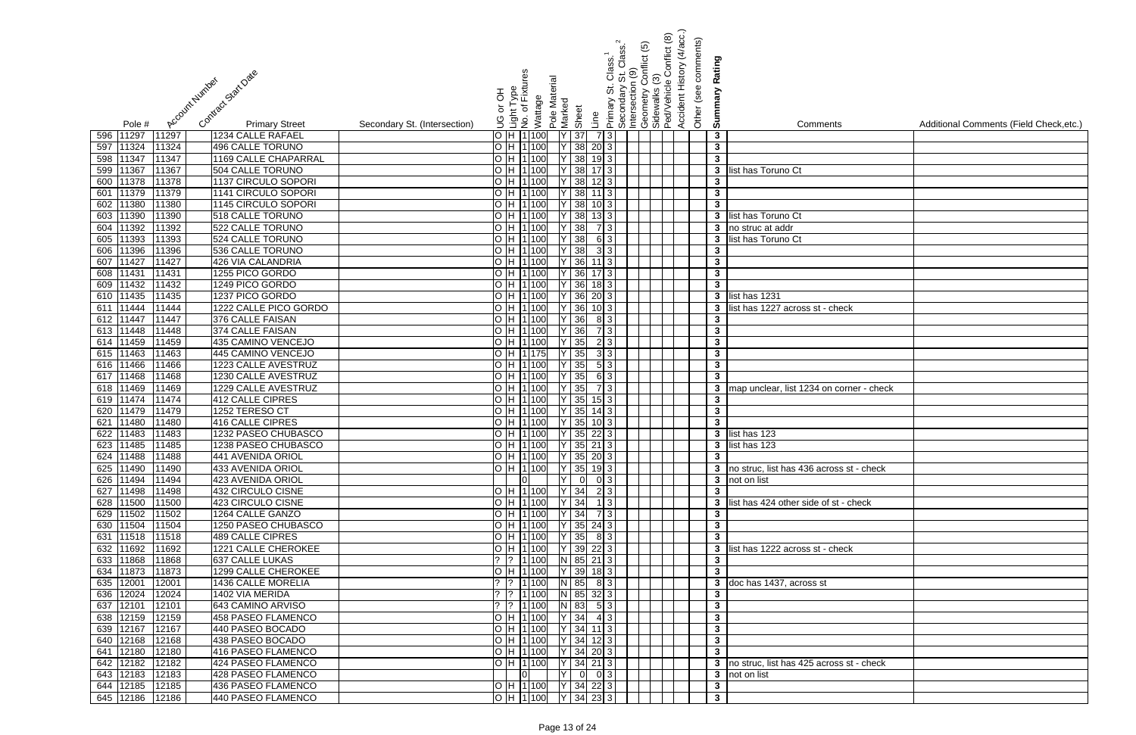|                                                                                              | Class. <sup>1</sup><br>St Class. <sup>2</sup><br>n (9)             | Conflict (8)<br>Conflict (5)                       | Accident History (4/acc.)<br>Other (see comments)<br>Rating |                                            |                                         |
|----------------------------------------------------------------------------------------------|--------------------------------------------------------------------|----------------------------------------------------|-------------------------------------------------------------|--------------------------------------------|-----------------------------------------|
| Contract Stat Date<br>Account Number                                                         | nt Type<br>of Fixtures<br>Pole Material<br><br>თ                   | ල<br>Geometry Co<br>Sidewalks (3)<br>Ped/Vehicle ( |                                                             |                                            |                                         |
|                                                                                              | Primary St.<br>Secondary<br>라 아<br>Wattage                         | Intersection                                       | Summary                                                     |                                            |                                         |
|                                                                                              | Marked<br>Sheet<br>انعام<br>No. of                                 |                                                    |                                                             |                                            |                                         |
| <b>Primary Street</b><br>Secondary St. (Intersection)<br>Pole #                              | Line<br>9                                                          |                                                    |                                                             | Comments                                   | Additional Comments (Field Check, etc.) |
| 11297<br>11297<br>1234 CALLE RAFAEL<br>596                                                   | H 1 100<br>$Y$ 37<br>7 3                                           |                                                    | $\mathbf{3}$                                                |                                            |                                         |
| 496 CALLE TORUNO<br>11324<br>597<br>11324                                                    | 38<br>H 1 100<br>$20\vert 3 \vert$                                 |                                                    | $\mathbf{3}$                                                |                                            |                                         |
| <b>1169 CALLE CHAPARRAL</b><br>11347<br>598<br>11347                                         | 38<br>H 1 100<br>$19 \mid 3 \mid$                                  |                                                    | $\mathbf{3}$                                                |                                            |                                         |
| 11367<br>11367<br>504 CALLE TORUNO<br>599                                                    | 38<br>$H$  1 100<br>$17$ 3                                         |                                                    | 3 <sup>1</sup>                                              | list has Toruno Ct                         |                                         |
| 11378<br>1137 CIRCULO SOPORI<br>11378<br>600                                                 | 38<br>H 1100<br>12I                                                |                                                    | $\mathbf{3}$                                                |                                            |                                         |
| 11379<br>1141 CIRCULO SOPORI<br>11379<br>601<br>11380<br>1145 CIRCULO SOPORI<br>602<br>11380 | 38<br>H 11 100<br>38<br>H 1100                                     |                                                    | $\mathbf{3}$<br>$\overline{\mathbf{3}}$                     |                                            |                                         |
| 11390<br>11390<br>518 CALLE TORUNO<br>603                                                    | 38<br>H 1100<br>$13$ 3                                             |                                                    | 3 <sup>1</sup>                                              | list has Toruno Ct                         |                                         |
| 1392<br>1392<br>522 CALLE TORUNO<br>604                                                      | 38<br>H 1100<br>731                                                |                                                    | $\mathbf{3}$                                                | no struc at addr                           |                                         |
| 11393<br>605<br>11393<br>524 CALLE TORUNO                                                    | 38<br>H 1100<br>6 3                                                |                                                    | 3 <sup>1</sup>                                              | list has Toruno Ct                         |                                         |
| 11396<br>536 CALLE TORUNO<br>606<br>11396                                                    | $Y$ 38<br>H 1100<br>3 3                                            |                                                    | $\mathbf{3}$                                                |                                            |                                         |
| 11427<br>426 VIA CALANDRIA<br>607<br>11427                                                   | 36<br>H 1100<br>$11$ 3                                             |                                                    | $\mathbf{3}$                                                |                                            |                                         |
| 11431<br>1255 PICO GORDO<br>608<br>11431                                                     | 36<br>H 1 100                                                      |                                                    | $\mathbf{3}$                                                |                                            |                                         |
| 609 11432<br>1249 PICO GORDO<br>11432                                                        | 36<br>H 1100<br>$18$ 3                                             |                                                    | $\mathbf{3}$                                                |                                            |                                         |
| 610 11435<br>1237 PICO GORDO<br>11435                                                        | $36$ 20 3<br>H 1 100                                               |                                                    |                                                             | 3 list has 1231                            |                                         |
| 611 11444<br>1222 CALLE PICO GORDO<br>11444                                                  | 36<br>H 1 100<br>$10 \mid 3 \mid$                                  |                                                    |                                                             | 3 list has 1227 across st - check          |                                         |
| 612 11447<br>376 CALLE FAISAN<br>11447                                                       | H 1 100<br>36<br>8 3                                               |                                                    | $\mathbf{3}$                                                |                                            |                                         |
| 613 11448<br>374 CALLE FAISAN<br>11448                                                       | H 1100<br>36<br>7 3                                                |                                                    | $\mathbf{3}$                                                |                                            |                                         |
| 614 11459<br>435 CAMINO VENCEJO<br>11459                                                     | 35<br>H 1 100<br>2 3                                               |                                                    | $\mathbf{3}$                                                |                                            |                                         |
| 615 11463<br>445 CAMINO VENCEJO<br>11463                                                     | $Y$ 35<br>H 1175<br>3 3                                            |                                                    | $\mathbf{3}$                                                |                                            |                                         |
| 11466<br>1223 CALLE AVESTRUZ<br>11466<br>616                                                 | 35<br>5 3 <br>H 1100                                               |                                                    | $\mathbf{3}$                                                |                                            |                                         |
| 11468<br>1230 CALLE AVESTRUZ<br>11468<br>617                                                 | 35<br>H 1 100                                                      |                                                    | $\mathbf{3}$                                                |                                            |                                         |
| 11469<br>1229 CALLE AVESTRUZ<br>11469<br>618                                                 | 35<br>3 <sup>1</sup><br>H 1100                                     |                                                    | $\mathbf{3}$                                                | map unclear, list 1234 on corner - check   |                                         |
| 11474<br>11474<br><b>412 CALLE CIPRES</b><br>619                                             | 35<br>H 1100<br>$15$   3                                           |                                                    | $\mathbf{3}$                                                |                                            |                                         |
| 11479<br>1252 TERESO CT<br>11479<br>620                                                      | 35<br>H 1 100<br>$14 \mid 3 \mid$                                  |                                                    | $\mathbf{3}$                                                |                                            |                                         |
| 11480<br>416 CALLE CIPRES<br>11480<br>621                                                    | 35<br>H 1100<br>$10$ 3                                             |                                                    | $\mathbf{3}$                                                |                                            |                                         |
| 11483<br>1232 PASEO CHUBASCO<br>622<br>11483                                                 | 35<br>H 1 100<br>$22 \mid 3 \mid$                                  |                                                    |                                                             | $\overline{\mathbf{3}}$ list has 123       |                                         |
| 623 11485 11485<br>1238 PASEO CHUBASCO                                                       | O  H  1 100  Y   35   21   3                                       |                                                    |                                                             | 3 list has 123                             |                                         |
| 624 11488<br>441 AVENIDA ORIOL<br>11488<br>625 11490<br>11490<br>433 AVENIDA ORIOL           | $\overline{O}$ H 1100 Y 35 20 3<br>$O$  H  1 100   Y   35   19   3 |                                                    | $\mathbf{3}$                                                | 3 no struc, list has 436 across st - check |                                         |
| 626 11494<br>11494<br>423 AVENIDA ORIOL                                                      | $Y$ 0<br> 0 3 <br>lol                                              |                                                    |                                                             | 3 not on list                              |                                         |
| 627 11498<br>11498<br>432 CIRCULO CISNE                                                      | $H$ 1100 Y 34 23                                                   |                                                    | $\mathbf{3}$                                                |                                            |                                         |
| 628 11500<br>11500<br>423 CIRCULO CISNE                                                      | $ H 1 100$ $ Y 34$ 1 3                                             |                                                    |                                                             | 3 list has 424 other side of st - check    |                                         |
| 629 11502<br>11502<br>1264 CALLE GANZO                                                       | $H$ 1 100 Y 34<br>7 3                                              |                                                    | $\mathbf{3}$                                                |                                            |                                         |
| 630 11504<br>11504<br>1250 PASEO CHUBASCO                                                    | $\overline{O}$ H 1100 Y 35 24 3                                    |                                                    | $\mathbf{3}$                                                |                                            |                                         |
| 631 11518<br><b>489 CALLE CIPRES</b><br>11518                                                | $O$  H  1 100   Y   35   8 3                                       |                                                    | $\mathbf{3}$                                                |                                            |                                         |
| 632 11692<br>11692<br>1221 CALLE CHEROKEE                                                    | H 1 100<br>Y 39 22 3                                               |                                                    |                                                             | 3 list has 1222 across st - check          |                                         |
| 633 11868<br>637 CALLE LUKAS<br>11868                                                        | $?$ 1 100<br>N 85 21 3                                             |                                                    | $\mathbf{3}$                                                |                                            |                                         |
| 634 11873<br>1299 CALLE CHEROKEE<br>11873                                                    | $Y$ 39 18 3<br>H 1100                                              |                                                    | $3^{\circ}$                                                 |                                            |                                         |
| 635 12001<br>12001<br>1436 CALLE MORELIA                                                     | $N$ 85 8 3<br>? 1   100                                            |                                                    |                                                             | 3 doc has 1437, across st                  |                                         |
| 636 12024<br>12024<br>1402 VIA MERIDA                                                        | N 85 32 3<br>? 1   100                                             |                                                    | $\mathbf{3}$                                                |                                            |                                         |
| 12101<br>643 CAMINO ARVISO<br>637<br>12101                                                   | $N$ 83 5 3<br>?  1 100                                             |                                                    | $\mathbf{3}$                                                |                                            |                                         |
| 638 12159<br>12159<br>458 PASEO FLAMENCO                                                     | $ Y $ 34 4 3<br>O H 1100                                           |                                                    | $\mathbf{3}$                                                |                                            |                                         |
| 639 12167<br>12167<br>440 PASEO BOCADO                                                       | O  H  1 100     Y   34   11   3                                    |                                                    | $\overline{\mathbf{3}}$                                     |                                            |                                         |
| 640 12168<br>12168<br>438 PASEO BOCADO                                                       | $\overline{O}$  H  1 100   Y   34   12   3                         |                                                    | $\mathbf{3}$                                                |                                            |                                         |
| 641 12180<br>416 PASEO FLAMENCO<br>12180                                                     | $O$  H  1 100   Y   34   20 3                                      |                                                    | $\mathbf{3}$                                                |                                            |                                         |
| 642 12182<br>12182<br>424 PASEO FLAMENCO                                                     | O  H  1 100     Y   34  21  3                                      |                                                    |                                                             | 3 no struc, list has 425 across st - check |                                         |
| 643 12183<br>428 PASEO FLAMENCO<br>12183                                                     | Y 0 0 3                                                            |                                                    |                                                             | 3 not on list                              |                                         |
| 644 12185<br>436 PASEO FLAMENCO<br>12185                                                     | $\overline{O}$ H 1100 Y 34 22 3                                    |                                                    | $\mathbf{3}$                                                |                                            |                                         |
| 440 PASEO FLAMENCO<br>645 12186 12186                                                        | O  H  1 100     Y   34  23  3                                      |                                                    | $\mathbf{3}$                                                |                                            |                                         |

| ts                       | Additional Comments (Field Check, etc.) |
|--------------------------|-----------------------------------------|
|                          |                                         |
|                          |                                         |
|                          |                                         |
|                          |                                         |
|                          |                                         |
|                          |                                         |
|                          |                                         |
|                          |                                         |
|                          |                                         |
|                          |                                         |
|                          |                                         |
|                          |                                         |
| າeck                     |                                         |
|                          |                                         |
|                          |                                         |
|                          |                                         |
|                          |                                         |
|                          |                                         |
| corner - check           |                                         |
|                          |                                         |
|                          |                                         |
|                          |                                         |
|                          |                                         |
| ss st - check            |                                         |
|                          |                                         |
|                          |                                         |
| t - check                |                                         |
|                          |                                         |
|                          |                                         |
| $\overline{\text{neck}}$ |                                         |
|                          |                                         |
|                          |                                         |
|                          |                                         |
|                          |                                         |
|                          |                                         |
|                          |                                         |
|                          |                                         |
| ss st - check            |                                         |
|                          |                                         |
|                          |                                         |
|                          |                                         |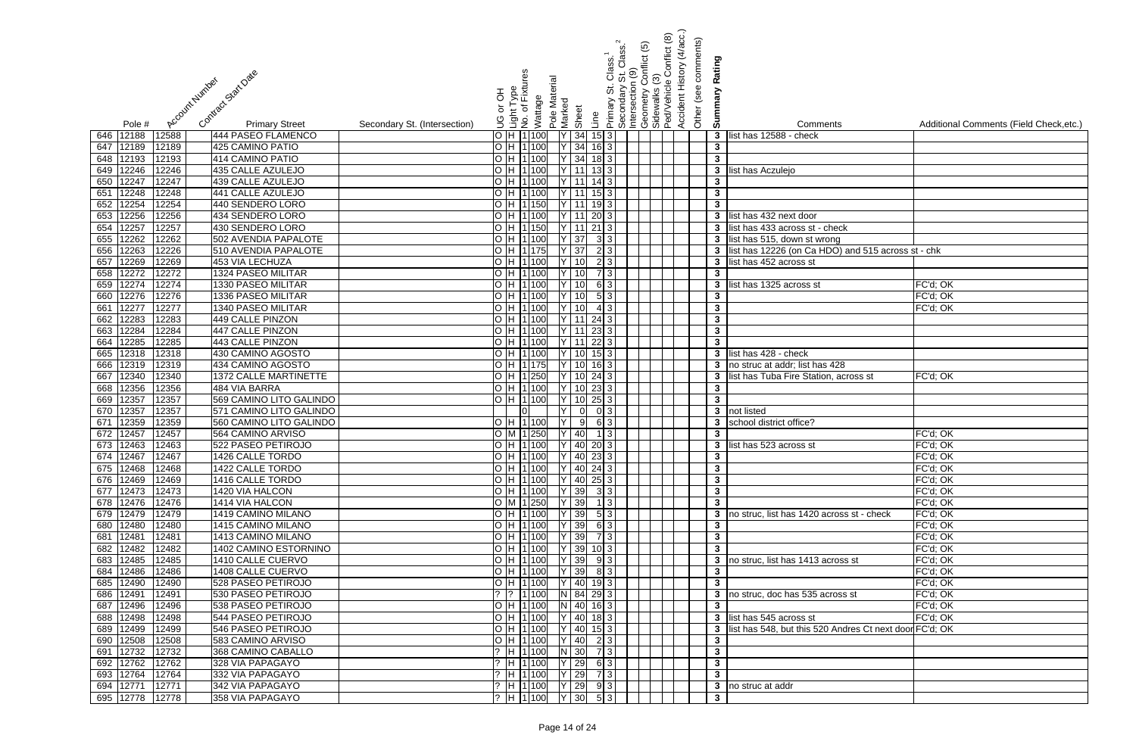|                                                                 |                                                   |                        |                    |                       |                 |                                  | ry St. Class. <sup>4</sup><br>on (9)<br>y Conflict (5) |                                    | onflict (8) | Accident History (4/acc.)<br>Other (see comments) |                |                                                         |                                         |
|-----------------------------------------------------------------|---------------------------------------------------|------------------------|--------------------|-----------------------|-----------------|----------------------------------|--------------------------------------------------------|------------------------------------|-------------|---------------------------------------------------|----------------|---------------------------------------------------------|-----------------------------------------|
|                                                                 |                                                   |                        |                    |                       |                 |                                  | Class. <sup>1</sup><br>St. Class.                      |                                    |             |                                                   |                |                                                         |                                         |
|                                                                 |                                                   |                        |                    |                       |                 |                                  |                                                        |                                    |             |                                                   | Rating         |                                                         |                                         |
|                                                                 |                                                   |                        |                    |                       |                 |                                  |                                                        | <u>ල</u>                           |             |                                                   |                |                                                         |                                         |
| Contract Start Date<br>Account Humber                           | 공                                                 | nt Type<br>of Fixtures |                    |                       |                 | ີ່<br>ທີ                         | Secondary S<br>Intersection                            | Geometry<br>Sidewalks<br>Ped/Vehic | ed/Vehicle  |                                                   | Summary        |                                                         |                                         |
|                                                                 | ১                                                 |                        | Wattage<br>Pole Ma | Marked                |                 | Primary                          |                                                        |                                    |             |                                                   |                |                                                         |                                         |
| <b>Primary Street</b><br>Secondary St. (Intersection)<br>Pole # | Light<br>No. o                                    |                        |                    |                       | Sheet           | Line                             |                                                        |                                    |             |                                                   |                | Comments                                                | Additional Comments (Field Check, etc.) |
| 12588<br>646 12188<br>444 PASEO FLAMENCO                        | O/H1100                                           |                        |                    | $Y \mid 34$           |                 | $15\overline{\smash{)}3}$        |                                                        |                                    |             |                                                   | $\mathbf{3}$   | list has 12588 - check                                  |                                         |
| 647 12189<br>12189<br>425 CAMINO PATIO                          | O H 1100                                          |                        |                    | $Y$ 34                |                 | $16\overline{\smash{)}3}$        |                                                        |                                    |             |                                                   | $\mathbf{3}$   |                                                         |                                         |
| 648 12193<br>12193<br>414 CAMINO PATIO                          | $\overline{O}$ H $\overline{11}$ 100              |                        |                    | $Y$ 34                |                 | $18 \mid 3 \mid$                 |                                                        |                                    |             |                                                   | $3\phantom{a}$ |                                                         |                                         |
| 649 12246<br>435 CALLE AZULEJO<br>12246                         | $\overline{O}$ H $\overline{11}$ 100              |                        |                    | $\overline{Y}$ 11     |                 |                                  |                                                        |                                    |             |                                                   | $\mathbf{3}$   | list has Aczulejo                                       |                                         |
| 12247<br>12247<br>439 CALLE AZULEJO<br>650                      | O H 1100                                          |                        |                    | $\overline{Y}$   11   |                 | $14 \overline{\smash{)}3}$       |                                                        |                                    |             |                                                   | $\mathbf{3}$   |                                                         |                                         |
| 12248<br>12248<br>441 CALLE AZULEJO<br>651                      | O H 1 100                                         |                        |                    | $\overline{Y}$   11   |                 | $15 \overline{\smash{\big)}\ 3}$ |                                                        |                                    |             |                                                   | $\mathbf{3}$   |                                                         |                                         |
| 12254<br>12254<br>440 SENDERO LORO<br>652                       | O H 11 150                                        |                        |                    | <b>Y</b> 11           |                 | 193                              |                                                        |                                    |             |                                                   | $3\phantom{a}$ |                                                         |                                         |
| 12256<br>12256<br>653<br>434 SENDERO LORO                       | O H 1100                                          |                        |                    | $\overline{Y}$   11   |                 | 20<br>3                          |                                                        |                                    |             |                                                   | $\mathbf{3}$   | list has 432 next door                                  |                                         |
| 12257<br>12257<br>430 SENDERO LORO<br>654                       | O H 1150                                          |                        |                    |                       |                 | $21 \overline{\smash{)}3}$       |                                                        |                                    |             |                                                   | 3              | list has 433 across st - check                          |                                         |
| 12262<br>12262<br>502 AVENDIA PAPALOTE<br>655                   | O H 1100                                          |                        |                    | $\overline{Y}$ 37     |                 | $3 \mid 3$                       |                                                        |                                    |             |                                                   | 3              | list has 515, down st wrong                             |                                         |
| 12263<br>12226<br>656<br>510 AVENDIA PAPALOTE                   | O H 11 175                                        |                        |                    | Y 37                  |                 | 2 3                              |                                                        |                                    |             |                                                   |                | list has 12226 (on Ca HDO) and 515 across st - chk      |                                         |
| 12269<br>12269<br>453 VIA LECHUZA<br>657                        | $\overline{O}$ $H$ $\overline{11}$ 100            |                        |                    | $\overline{Y}$ [10]   |                 | $\overline{2}$ $\overline{3}$    |                                                        |                                    |             |                                                   | 3              | list has 452 across st                                  |                                         |
| 12272<br>12272<br>1324 PASEO MILITAR<br>658                     | O H 1100                                          |                        |                    | $\overline{1}$ Y   10 |                 | 73                               |                                                        |                                    |             |                                                   | $\mathbf{3}$   |                                                         |                                         |
| 12274<br>12274<br><b>1330 PASEO MILITAR</b><br>659              | O H 1100                                          |                        |                    | $\overline{Y}$ [10]   |                 | 6 3                              |                                                        |                                    |             |                                                   | 3              | list has 1325 across st                                 | FC'd; OK                                |
| 12276<br><b>1336 PASEO MILITAR</b><br>12276<br>660              | $\overline{O}$ $\overline{H}$ $\overline{11}$ 100 |                        |                    | $\overline{Y}$ [10]   |                 | 5 3                              |                                                        |                                    |             |                                                   | $\mathbf{3}$   |                                                         | FC'd; OK                                |
| 12277<br>12277<br><b>1340 PASEO MILITAR</b><br>661              | O H 1100                                          |                        |                    | $\overline{Y}$ [10]   |                 | $4 \overline{\smash{3}}$         |                                                        |                                    |             |                                                   | 3              |                                                         | FC'd; OK                                |
| 662 12283<br>12283<br>449 CALLE PINZON                          | O H 1100                                          |                        |                    |                       |                 | Y 11 24 3                        |                                                        |                                    |             |                                                   | $\mathbf{3}$   |                                                         |                                         |
| 663 12284<br>12284<br>447 CALLE PINZON                          | O H 1100                                          |                        |                    | $\overline{Y}$ 11     |                 | $23\overline{)3}$                |                                                        |                                    |             |                                                   | $\mathbf{3}$   |                                                         |                                         |
| 664 12285<br>443 CALLE PINZON<br>12285                          | O H 1100                                          |                        |                    | $\overline{Y}$ 11     |                 | $22 \mid 3$                      |                                                        |                                    |             |                                                   | $\mathbf{3}$   |                                                         |                                         |
| 665 12318<br>430 CAMINO AGOSTO<br>12318                         | O H 1 100                                         |                        |                    | $\overline{Y}$ [10]   |                 | $15\overline{\smash{)}3}$        |                                                        |                                    |             |                                                   | $\mathbf{3}$   | list has 428 - check                                    |                                         |
| 666 12319<br>12319<br>434 CAMINO AGOSTO                         | O H 11 175                                        |                        |                    | $\overline{Y}$ [10]   |                 | $16\overline{\smash{)}3}$        |                                                        |                                    |             |                                                   | 3              | no struc at addr; list has 428                          |                                         |
| 12340<br>12340<br>1372 CALLE MARTINETTE<br>667                  | O H 1250                                          |                        |                    | IY I                  | 10              | 24 3                             |                                                        |                                    |             |                                                   | 3              | list has Tuba Fire Station, across st                   | FC'd; OK                                |
| 12356<br>12356<br>484 VIA BARRA<br>668                          | O H 1100                                          |                        |                    | IY.                   | 10 <sup>1</sup> | 23<br>3                          |                                                        |                                    |             |                                                   | $\mathbf{3}$   |                                                         |                                         |
| 12357<br>12357<br>569 CAMINO LITO GALINDO<br>669                | O H 1100                                          |                        |                    | IY.                   | -10             | 25<br>$\mathbf{3}$               |                                                        |                                    |             |                                                   | $\mathbf{3}$   |                                                         |                                         |
| 670 12357<br>12357<br>571 CAMINO LITO GALINDO                   |                                                   |                        |                    | Ιv                    |                 | 0 <sup>3</sup>                   |                                                        |                                    |             |                                                   | $\mathbf{3}$   | not listed                                              |                                         |
| 12359<br>12359<br>671<br>560 CAMINO LITO GALINDO                | O H 1100                                          |                        |                    | İΥ                    | $\overline{9}$  | $6 \mid 3$                       |                                                        |                                    |             |                                                   | 3              | school district office?                                 |                                         |
| 672 12457<br>12457<br>564 CAMINO ARVISO                         | O M 1 250                                         |                        |                    | $\overline{Y 40}$     |                 | $\overline{3}$                   |                                                        |                                    |             |                                                   | $\mathbf{3}$   |                                                         | FC'd; OK                                |
| 673 12463 12463<br>522 PASEO PETIROJO                           | O  H  1 100     Y   40  20  3                     |                        |                    |                       |                 |                                  |                                                        |                                    |             |                                                   |                | 3 list has 523 across st                                | FC'd; OK                                |
| 674 12467<br>12467<br>1426 CALLE TORDO                          | O  H  1 100  Y   40  23 3                         |                        |                    |                       |                 |                                  |                                                        |                                    |             |                                                   | $\mathbf{3}$   |                                                         | FC'd; OK                                |
| 675 12468 12468<br>1422 CALLE TORDO                             | O H 1100 Y 40 24 3                                |                        |                    |                       |                 |                                  |                                                        |                                    |             |                                                   | $3\phantom{a}$ |                                                         | FC'd; OK                                |
| 676 12469<br>12469<br>1416 CALLE TORDO                          | O H 1100 Y 40 25 3                                |                        |                    |                       |                 |                                  |                                                        |                                    |             |                                                   | $3\phantom{a}$ |                                                         | FC'd; OK                                |
| 677 12473<br>12473<br>1420 VIA HALCON                           | O H 1100 Y 39                                     |                        |                    |                       |                 | 33                               |                                                        |                                    |             |                                                   | $\mathbf{3}$   |                                                         | FC'd; OK                                |
| 678 12476<br>12476<br>1414 VIA HALCON                           | O M 1250 Y 39                                     |                        |                    |                       |                 | 13                               |                                                        |                                    |             |                                                   | $\mathbf{3}$   |                                                         | FC'd; OK                                |
| 679 12479<br>12479<br>1419 CAMINO MILANO                        | O H 1100 Y 39                                     |                        |                    |                       |                 | 53                               |                                                        |                                    |             |                                                   | 3              | no struc, list has 1420 across st - check               | FC'd; OK                                |
| 680 12480<br>12480<br>1415 CAMINO MILANO                        | O H 1100                                          |                        |                    | $Y$ 39                |                 | $63$                             |                                                        |                                    |             |                                                   | $\mathbf{3}$   |                                                         | FC'd; OK                                |
| 681 12481<br>12481<br>1413 CAMINO MILANO                        | O H 1100 Y 39                                     |                        |                    |                       |                 |                                  |                                                        |                                    |             |                                                   | $3\phantom{a}$ |                                                         | FC'd; OK                                |
| 1402 CAMINO ESTORNINO<br>682 12482<br>12482                     | O H 1100 Y 39                                     |                        |                    |                       |                 | $10\vert 3 \vert$                |                                                        |                                    |             |                                                   | $\overline{3}$ |                                                         | FC'd; OK                                |
| 683 12485<br>12485<br>1410 CALLE CUERVO                         | O H 1100                                          |                        |                    | $Y$ 39                |                 | 93                               |                                                        |                                    |             |                                                   | 3              | no struc, list has 1413 across st                       | FC'd; OK                                |
| 1408 CALLE CUERVO<br>684 12486<br>12486                         | O H 1 100                                         |                        |                    | $Y$ 39                |                 | $8 \mid 3 \mid$                  |                                                        |                                    |             |                                                   | $\mathbf{3}$   |                                                         | FC'd; OK                                |
| 12490<br>685 12490<br>528 PASEO PETIROJO                        | O H 1100                                          |                        |                    | Y 40                  |                 | 193                              |                                                        |                                    |             |                                                   | 3 <sup>1</sup> |                                                         | FC'd; OK                                |
| 686 12491<br>12491<br>530 PASEO PETIROJO                        | ?  ?  1 100                                       |                        |                    |                       |                 | N 84 29 3                        |                                                        |                                    |             |                                                   |                | no struc, doc has 535 across st                         | FC'd; OK                                |
| 687 12496<br>12496<br>538 PASEO PETIROJO                        | O H 1 100                                         |                        |                    | N 40                  |                 | $16\overline{\smash{)}3}$        |                                                        |                                    |             |                                                   | $\mathbf{3}$   |                                                         | FC'd; OK                                |
| 688 12498<br>12498<br>544 PASEO PETIROJO                        | O H 1100                                          |                        |                    |                       |                 | $Y$ 40 18 3                      |                                                        |                                    |             |                                                   |                | 3 list has 545 across st                                | FC'd; OK                                |
| 689 12499<br>12499<br>546 PASEO PETIROJO                        | O H 1100                                          |                        |                    |                       |                 | $ Y $ 40 15 3                    |                                                        |                                    |             |                                                   |                | list has 548, but this 520 Andres Ct next door FC'd; OK |                                         |
| 690 12508<br>12508<br>583 CAMINO ARVISO                         | O H 1 100                                         |                        |                    | Y 40                  |                 | 2 3                              |                                                        |                                    |             |                                                   | 3              |                                                         |                                         |
| 691 12732<br>12732<br>368 CAMINO CABALLO                        | ?  H  1 100   N   30                              |                        |                    |                       |                 | 7 3                              |                                                        |                                    |             |                                                   | $\mathbf{3}$   |                                                         |                                         |
| 692 12762<br>12762<br>328 VIA PAPAGAYO                          | ?  H  1 100  Y   29                               |                        |                    |                       |                 | $63$                             |                                                        |                                    |             |                                                   | $3\phantom{a}$ |                                                         |                                         |
| 693 12764<br>12764<br>332 VIA PAPAGAYO                          | ?  H  1 100   Y   29                              |                        |                    |                       |                 |                                  |                                                        |                                    |             |                                                   | 3 <sup>1</sup> |                                                         |                                         |
| 694 12771<br>12771<br>342 VIA PAPAGAYO                          | ?  H  1 100   Y   29   9   3                      |                        |                    |                       |                 |                                  |                                                        |                                    |             |                                                   |                | 3 no struc at addr                                      |                                         |
| 695 12778 12778<br>358 VIA PAPAGAYO                             | ?  H  1 100   Y   30                              |                        |                    |                       |                 | 53                               |                                                        |                                    |             |                                                   | $\mathbf{3}$   |                                                         |                                         |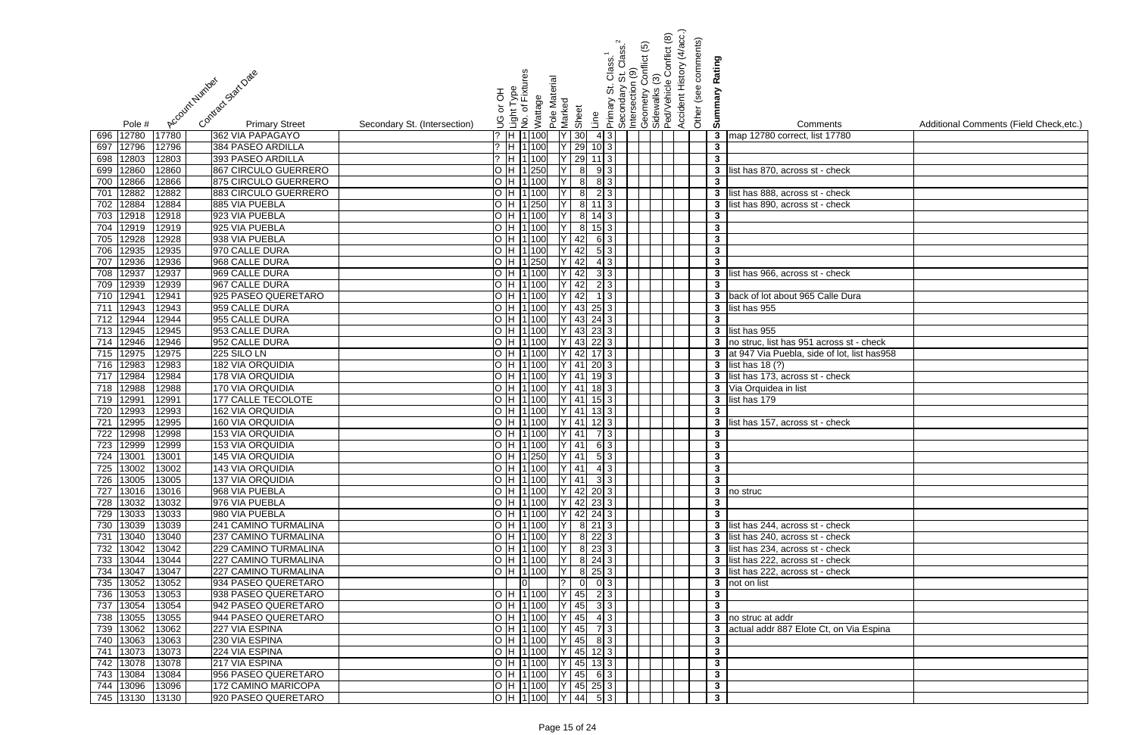|                                                                          |                                                             |                                                                      |                                                                                                                                                                  | onflict (5) | Accident History (4/acc.)<br>Conflict (8) | Other (see comments)<br>Rating |                                                      |                                         |
|--------------------------------------------------------------------------|-------------------------------------------------------------|----------------------------------------------------------------------|------------------------------------------------------------------------------------------------------------------------------------------------------------------|-------------|-------------------------------------------|--------------------------------|------------------------------------------------------|-----------------------------------------|
| Contract StatEDate<br>Account Number                                     | nt Type<br>of Fixtures<br>라 아                               | Pole Material<br>Wattage<br>Marked<br>Sheet                          | Primary St. Class. <sup>1</sup><br>_Secondary St. Class. <sup>2</sup><br>_Intersection (9)<br>_Geometry Conflict (5)<br>_Sidewalks (3)<br>_PedVehicle Conflict ( |             |                                           | mmary                          |                                                      |                                         |
| <b>Primary Street</b><br>Pole #                                          | or<br>اناق ہا<br>کا کا کا ل<br>Secondary St. (Intersection) |                                                                      | Line                                                                                                                                                             |             |                                           | ຜັ                             | Comments                                             | Additional Comments (Field Check, etc.) |
| 12780<br>17780<br>696<br>362 VIA PAPAGAYO                                | ?  H  1 100                                                 | 30                                                                   | 43                                                                                                                                                               |             |                                           | $3\phantom{a}$                 | map 12780 correct, list 17780                        |                                         |
| 12796<br>384 PASEO ARDILLA<br>697<br>12796                               | ?  H  1  100                                                | 29                                                                   | $10\vert 3 \vert$                                                                                                                                                |             |                                           | $\mathbf{3}$                   |                                                      |                                         |
| 12803<br>12803<br>393 PASEO ARDILLA<br>698                               | $?$ H 1 100                                                 | 29                                                                   | $11$ [3]                                                                                                                                                         |             |                                           | $\mathbf{3}$                   |                                                      |                                         |
| 12860<br>867 CIRCULO GUERRERO<br>12860<br>699                            | O H 1250                                                    | 8                                                                    | 93                                                                                                                                                               |             |                                           | $\mathbf{3}$                   | list has 870, across st - check                      |                                         |
| 12866<br>875 CIRCULO GUERRERO<br>700<br>12866                            | $O$ H 1100                                                  | -8                                                                   | 8 I 3                                                                                                                                                            |             |                                           | $\mathbf{3}$                   |                                                      |                                         |
| 12882<br>12882<br>883 CIRCULO GUERRERO<br>701                            | $O$ H 1100                                                  | 8                                                                    | $2 \mid 3 \mid$                                                                                                                                                  |             |                                           |                                | 3 list has 888, across st - check                    |                                         |
| 12884<br>12884<br>885 VIA PUEBLA<br>702                                  | O H 1250                                                    | 8 <sup>1</sup>                                                       |                                                                                                                                                                  |             |                                           | $3^{\circ}$                    | list has 890, across st - check                      |                                         |
| 12918<br>12918<br>923 VIA PUEBLA<br>703                                  | O H 1100                                                    | 8 <sup>1</sup>                                                       | $14 \mid 3 \mid$                                                                                                                                                 |             |                                           | $\mathbf{3}$                   |                                                      |                                         |
| 12919<br>12919<br>925 VIA PUEBLA<br>704                                  | O H 1100                                                    | 8                                                                    | $15 \mid 3 \mid$                                                                                                                                                 |             |                                           | $\mathbf{3}$                   |                                                      |                                         |
| 12928<br>705<br>12928<br>938 VIA PUEBLA                                  | O H 1100                                                    | 42                                                                   | 63                                                                                                                                                               |             |                                           | $\mathbf{3}$                   |                                                      |                                         |
| 12935<br>12935<br>970 CALLE DURA<br>706                                  | O H 1100                                                    | 42                                                                   | 5 3                                                                                                                                                              |             |                                           | $\mathbf{3}$                   |                                                      |                                         |
| 12936<br>968 CALLE DURA<br>707<br>12936                                  | O H 1250                                                    | 42                                                                   | 4 3                                                                                                                                                              |             |                                           | $\mathbf{3}$                   |                                                      |                                         |
| 12937<br>12937<br>969 CALLE DURA<br>708                                  | O H 1 100                                                   | 42                                                                   | 3 3                                                                                                                                                              |             |                                           |                                | 3 list has 966, across st - check                    |                                         |
| 12939<br>967 CALLE DURA<br>12939<br>709                                  | O H 1100                                                    | 42                                                                   | 2 3                                                                                                                                                              |             |                                           | $\mathbf{3}$                   |                                                      |                                         |
| 12941<br>12941<br>925 PASEO QUERETARO<br>710                             | O H 1100                                                    | 42                                                                   | $1 \vert 3 \vert$                                                                                                                                                |             |                                           |                                | 3 back of lot about 965 Calle Dura                   |                                         |
| 12943<br>12943<br>959 CALLE DURA<br>711                                  | O H 1100                                                    |                                                                      | $\overline{43}$ 25 3                                                                                                                                             |             |                                           |                                | 3 list has 955                                       |                                         |
| 12944<br>12944<br>955 CALLE DURA<br>712                                  | O H 1100                                                    |                                                                      | 43 24 3                                                                                                                                                          |             |                                           | $\mathbf{3}$                   |                                                      |                                         |
| 12945<br>953 CALLE DURA<br>12945<br>713                                  | O H 1100                                                    |                                                                      | 43 23 3                                                                                                                                                          |             |                                           |                                | 3 list has 955                                       |                                         |
| 12946<br>952 CALLE DURA<br>12946<br>714<br>12975                         | O H 1100<br>O H 1100                                        | 43<br>42                                                             | $22 \mid 3 \mid$                                                                                                                                                 |             |                                           |                                | 3 no struc, list has 951 across st - check           |                                         |
| 12975<br>225 SILO LN<br>715<br>12983<br>12983<br><b>182 VIA ORQUIDIA</b> | O H 1100                                                    | 41                                                                   | $17$ 3                                                                                                                                                           |             |                                           |                                | 3 at 947 Via Puebla, side of lot, list has 958       |                                         |
| 716<br>12984<br>12984<br>178 VIA ORQUIDIA<br>717                         | $O$ H 1100                                                  | 41                                                                   | 20 3 <br>19 <sup>3</sup>                                                                                                                                         |             |                                           | $\mathbf{3}$                   | 3 list has 18 (?)<br>list has 173, across st - check |                                         |
| 12988<br>12988<br>718<br>170 VIA ORQUIDIA                                | $O$ H 1100                                                  | 41                                                                   | $18 \mid 3$                                                                                                                                                      |             |                                           |                                | 3 Via Orquidea in list                               |                                         |
| 12991<br>12991<br>177 CALLE TECOLOTE<br>719                              | O H 1 100                                                   | 41                                                                   | $15$ 3                                                                                                                                                           |             |                                           |                                | 3 list has 179                                       |                                         |
| 12993<br>12993<br>162 VIA ORQUIDIA<br>720                                | O H 1100                                                    | 41                                                                   | $13 \mid 3 \mid$                                                                                                                                                 |             |                                           | $\mathbf{3}$                   |                                                      |                                         |
| 12995<br>721<br>12995<br>160 VIA ORQUIDIA                                | O H 1100                                                    | 41                                                                   | $12$ 3                                                                                                                                                           |             |                                           | $\mathbf{3}$                   | list has 157, across st - check                      |                                         |
| 12998<br>722<br>12998<br>153 VIA ORQUIDIA                                | O H 1100                                                    | 41                                                                   | 7 3                                                                                                                                                              |             |                                           | $\mathbf{3}$                   |                                                      |                                         |
| 723 12999 12999<br>153 VIA ORQUIDIA                                      |                                                             | O  H  1 100     Y   41    6  3                                       |                                                                                                                                                                  |             |                                           | $\mathbf{3}$                   |                                                      |                                         |
| 724 13001<br>13001<br>145 VIA ORQUIDIA                                   |                                                             | O  H  1 250     Y   41     5   3                                     |                                                                                                                                                                  |             |                                           | $\mathbf{3}$                   |                                                      |                                         |
| 725 13002<br>13002<br>143 VIA ORQUIDIA                                   |                                                             | O  H  1 100  Y   41  4 3                                             |                                                                                                                                                                  |             |                                           | $\mathbf{3}$                   |                                                      |                                         |
| 726 13005<br>137 VIA ORQUIDIA<br>13005                                   |                                                             | $\overline{O}$  H $\overline{1}$  100   $\overline{Y}$   41   3 3    |                                                                                                                                                                  |             |                                           | $\mathbf{3}$                   |                                                      |                                         |
| 727 13016<br>968 VIA PUEBLA<br>13016                                     |                                                             | $\overline{O}$ H 1100 Y 42 20 3                                      |                                                                                                                                                                  |             |                                           |                                | 3 no struc                                           |                                         |
| 728 13032<br>13032<br>976 VIA PUEBLA                                     |                                                             | O  H  1 100   Y   42   23   3                                        |                                                                                                                                                                  |             |                                           | $\mathbf{3}$                   |                                                      |                                         |
| 729 13033<br>980 VIA PUEBLA<br>13033                                     |                                                             | $\overline{O}$ H 1100 Y 42 24 3                                      |                                                                                                                                                                  |             |                                           | $\mathbf{3}$                   |                                                      |                                         |
| 730 13039<br>241 CAMINO TURMALINA<br>13039                               |                                                             | O H 1100<br><b>IY</b>                                                | $8 \mid 21 \mid 3 \mid$                                                                                                                                          |             |                                           |                                | 3 list has 244, across st - check                    |                                         |
| 731 13040<br>237 CAMINO TURMALINA<br>13040                               |                                                             | O H 1100<br>IY.                                                      | 8 22 3                                                                                                                                                           |             |                                           |                                | 3 list has 240, across st - check                    |                                         |
| 732 13042<br>13042<br>229 CAMINO TURMALINA                               |                                                             | O H 1100                                                             | 8 23 3                                                                                                                                                           |             |                                           |                                | 3 list has 234, across st - check                    |                                         |
| 733 13044<br>13044<br>227 CAMINO TURMALINA                               | O H 1100                                                    |                                                                      | 8 24 3                                                                                                                                                           |             |                                           |                                | 3 list has 222, across st - check                    |                                         |
| 734 13047<br>13047<br>227 CAMINO TURMALINA                               | O H 1100                                                    |                                                                      | 8 25 3                                                                                                                                                           |             |                                           |                                | 3 list has 222, across st - check                    |                                         |
| 735 13052<br>13052<br>934 PASEO QUERETARO                                |                                                             | $\Omega$                                                             | 0 3                                                                                                                                                              |             |                                           |                                | 3 not on list                                        |                                         |
| 736 13053<br>13053<br>938 PASEO QUERETARO                                |                                                             | O H 1100<br>45                                                       | 2 3                                                                                                                                                              |             |                                           | $\mathbf{3}$                   |                                                      |                                         |
| 737 13054<br>13054<br>942 PASEO QUERETARO                                |                                                             | O H 1100<br>45                                                       | 3 3                                                                                                                                                              |             |                                           | $\mathbf{3}$                   |                                                      |                                         |
| 738 13055<br>944 PASEO QUERETARO<br>13055                                |                                                             | O H 1100                                                             | $45$ 4 3                                                                                                                                                         |             |                                           |                                | 3 no struc at addr                                   |                                         |
| 739 13062<br>227 VIA ESPINA<br>13062                                     |                                                             | O H 1100                                                             | $ Y $ 45 7 3                                                                                                                                                     |             |                                           |                                | 3 actual addr 887 Elote Ct, on Via Espina            |                                         |
| 740 13063<br>230 VIA ESPINA<br>13063                                     |                                                             | O H 1100                                                             | $ Y $ 45 8 3                                                                                                                                                     |             |                                           | $\mathbf{3}$                   |                                                      |                                         |
| 741 13073<br>13073<br>224 VIA ESPINA                                     |                                                             | $\overline{O}$  H $\overline{1}$ 100 $\overline{Y}$   45   12   3    |                                                                                                                                                                  |             |                                           | $\mathbf{3}$                   |                                                      |                                         |
| 742 13078<br>217 VIA ESPINA<br>13078                                     |                                                             | O H 1100 Y 45 13 3                                                   |                                                                                                                                                                  |             |                                           | $\mathbf{3}$                   |                                                      |                                         |
| 743 13084<br>956 PASEO QUERETARO<br>13084                                |                                                             |                                                                      |                                                                                                                                                                  |             |                                           | $\mathbf{3}$                   |                                                      |                                         |
| 744 13096 13096<br>172 CAMINO MARICOPA                                   |                                                             | $\overline{O}$  H $\overline{1}$  100   $\overline{Y}$   45   25   3 |                                                                                                                                                                  |             |                                           | $\mathbf{3}$                   |                                                      |                                         |
| 920 PASEO QUERETARO<br>745 13130 13130                                   |                                                             | $\overline{ O H 1 100 }$ $\overline{ Y 44 }$ 5 3 $\overline{ }$      |                                                                                                                                                                  |             |                                           | $\mathbf{3}$                   |                                                      |                                         |

| :s<br>780         | Additional Comments (Field Check, etc.) |
|-------------------|-----------------------------------------|
|                   |                                         |
|                   |                                         |
|                   |                                         |
| eck               |                                         |
|                   |                                         |
| eck               |                                         |
| eck               |                                         |
|                   |                                         |
|                   |                                         |
|                   |                                         |
|                   |                                         |
|                   |                                         |
|                   |                                         |
| $\overline{e}$ ck |                                         |
|                   |                                         |
| e Dura            |                                         |
|                   |                                         |
|                   |                                         |
|                   |                                         |
| ss st - check     |                                         |
| lot, list has958  |                                         |
|                   |                                         |
| eck               |                                         |
|                   |                                         |
|                   |                                         |
|                   |                                         |
| eck               |                                         |
|                   |                                         |
|                   |                                         |
|                   |                                         |
|                   |                                         |
|                   |                                         |
|                   |                                         |
|                   |                                         |
|                   |                                         |
|                   |                                         |
| eck               |                                         |
| eck               |                                         |
| eck               |                                         |
| eck               |                                         |
| eck               |                                         |
|                   |                                         |
|                   |                                         |
|                   |                                         |
|                   |                                         |
| on Via Espina     |                                         |
|                   |                                         |
|                   |                                         |
|                   |                                         |
|                   |                                         |
|                   |                                         |
|                   |                                         |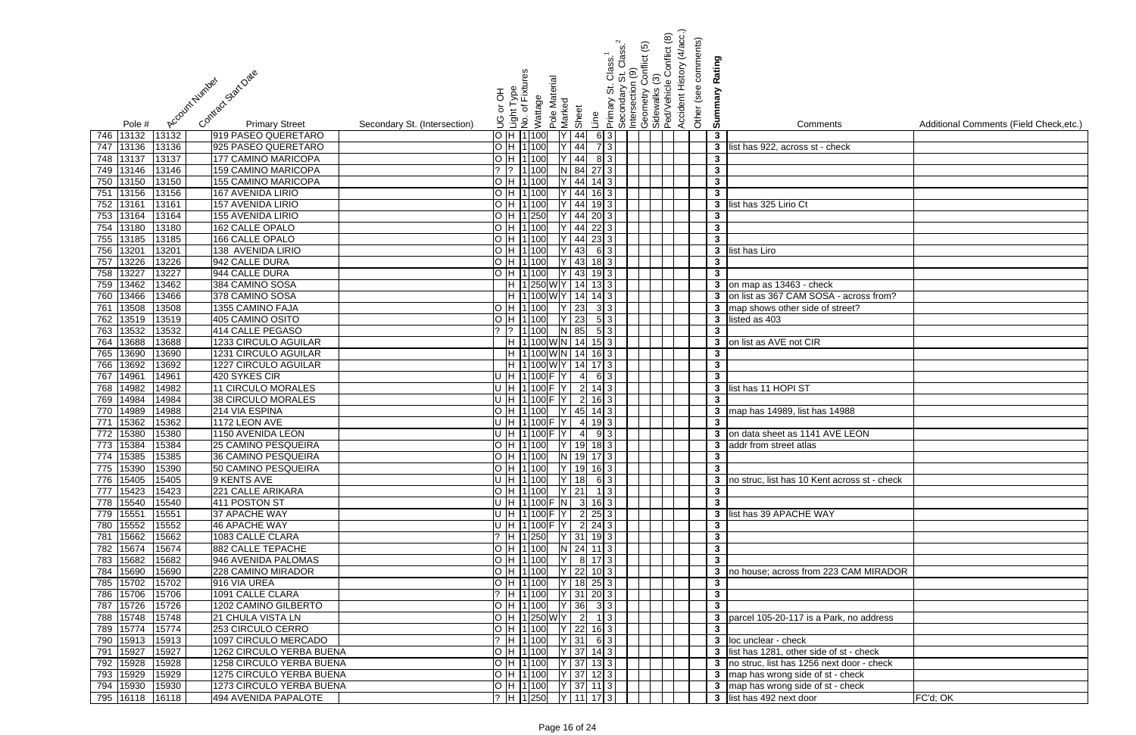| Contract Statt Date<br>Account Humber                             |                              | 공<br>$\overleftarrow{\mathrm{o}}$ | Light Type<br>No. of Fixtures<br>Wattage                                                                                                                                                                                                                                  | Pole Material<br>Marked |                                  | Clasi<br><br>თ<br>Primary       | St. Class.<br>1(9)<br>Intersection<br>Secondary | <u>ව</u><br>conflict | Conflict (8)<br>Geometry Co<br>Sidewalks (3)<br>Ped/Vehicle ( | Accident History (4/acc.)<br>Other (see comments) | Rating<br>Summary            |                                                |                                         |
|-------------------------------------------------------------------|------------------------------|-----------------------------------|---------------------------------------------------------------------------------------------------------------------------------------------------------------------------------------------------------------------------------------------------------------------------|-------------------------|----------------------------------|---------------------------------|-------------------------------------------------|----------------------|---------------------------------------------------------------|---------------------------------------------------|------------------------------|------------------------------------------------|-----------------------------------------|
| Pole #<br><b>Primary Street</b>                                   | Secondary St. (Intersection) | S.                                |                                                                                                                                                                                                                                                                           |                         | Sheet                            | Line                            |                                                 |                      |                                                               |                                                   |                              | Comments                                       | Additional Comments (Field Check, etc.) |
| 13132<br>746 13132<br>919 PASEO QUERETARO                         |                              |                                   | O H 1100                                                                                                                                                                                                                                                                  |                         | 44                               | 6 3                             |                                                 |                      |                                                               |                                                   | $\mathbf{3}$                 |                                                |                                         |
| 747<br>13136<br>925 PASEO QUERETARO<br>13136                      |                              |                                   | O H 1100                                                                                                                                                                                                                                                                  |                         | 44                               | 73                              |                                                 |                      |                                                               |                                                   | $\mathbf{3}$                 | list has 922, across st - check                |                                         |
| 748 13137<br>177 CAMINO MARICOPA<br>13137                         |                              |                                   | O H 1100                                                                                                                                                                                                                                                                  |                         | 44                               | 8 3                             |                                                 |                      |                                                               |                                                   | $\mathbf{3}$                 |                                                |                                         |
| 13146<br>159 CAMINO MARICOPA<br>13146<br>749                      |                              | $2 \sqrt{2}$                      | 1 100                                                                                                                                                                                                                                                                     |                         | 84                               | $27 \mid 3 \mid$                |                                                 |                      |                                                               |                                                   | $\mathbf{3}$                 |                                                |                                         |
| 13150<br><b>155 CAMINO MARICOPA</b><br>750<br>13150               |                              |                                   | O H 1100                                                                                                                                                                                                                                                                  |                         | 44                               | $14 \mid 3 \mid$                |                                                 |                      |                                                               |                                                   | $\mathbf{3}$                 |                                                |                                         |
| 13156<br>13156<br>167 AVENIDA LIRIO<br>751                        |                              |                                   | O H 11100                                                                                                                                                                                                                                                                 |                         | 44                               | $16$ 3                          |                                                 |                      |                                                               |                                                   | $\mathbf{3}$                 |                                                |                                         |
| 13161<br>752<br>13161<br>157 AVENIDA LIRIO                        |                              | l H O                             | 1 100                                                                                                                                                                                                                                                                     |                         | 44                               | 19                              |                                                 |                      |                                                               |                                                   | $\mathbf{3}$                 | list has 325 Lirio Ct                          |                                         |
| 13164<br>155 AVENIDA LIRIO<br>753<br>13164                        |                              |                                   | $O$  H  1  250                                                                                                                                                                                                                                                            |                         | 44                               | 20                              |                                                 |                      |                                                               |                                                   | $\mathbf{3}$                 |                                                |                                         |
| 13180<br>13180<br>754<br>162 CALLE OPALO                          |                              |                                   | O H 1 100                                                                                                                                                                                                                                                                 |                         | 44                               | 22 3                            |                                                 |                      |                                                               |                                                   | $\overline{\mathbf{3}}$      |                                                |                                         |
| 13185<br>13185<br>166 CALLE OPALO<br>755                          |                              |                                   | O H 1100                                                                                                                                                                                                                                                                  |                         | 44                               | 23 3                            |                                                 |                      |                                                               |                                                   | $\mathbf{3}$                 |                                                |                                         |
| 1320<br>756<br>13201<br>138 AVENIDA LIRIO                         |                              |                                   | O H 1100                                                                                                                                                                                                                                                                  |                         | 43                               | 6 3                             |                                                 |                      |                                                               |                                                   | $3^{\circ}$                  | list has Liro                                  |                                         |
| 13226<br>757<br>13226<br>942 CALLE DURA                           |                              |                                   | O H 1100                                                                                                                                                                                                                                                                  |                         | 43                               | 183                             |                                                 |                      |                                                               |                                                   | $\mathbf{3}$                 |                                                |                                         |
| 13227<br>758<br>13227<br>944 CALLE DURA                           |                              | O <sub>H</sub>                    | 1 100                                                                                                                                                                                                                                                                     |                         | 43                               | 193                             |                                                 |                      |                                                               |                                                   | $\overline{\mathbf{3}}$      |                                                |                                         |
| 13462<br>759<br>384 CAMINO SOSA<br>13462                          |                              |                                   | H  1 250 W Y                                                                                                                                                                                                                                                              |                         | 14                               | $13 \mid 3 \mid$                |                                                 |                      |                                                               |                                                   |                              | 3 on map as 13463 - check                      |                                         |
| 13466<br>13466<br>378 CAMINO SOSA<br>760                          |                              |                                   | H 1100WY                                                                                                                                                                                                                                                                  |                         | 14                               | $14 \mid 3 \mid$                |                                                 |                      |                                                               |                                                   |                              | 3 on list as 367 CAM SOSA - across from?       |                                         |
| 13508<br>1355 CAMINO FAJA<br>761<br>13508                         |                              |                                   | O H 1100                                                                                                                                                                                                                                                                  |                         | $\overline{23}$                  | 3 3                             |                                                 |                      |                                                               |                                                   |                              | 3 map shows other side of street?              |                                         |
| 13519<br>405 CAMINO OSITO<br>762<br>13519                         |                              |                                   | O H 1100                                                                                                                                                                                                                                                                  |                         | 23                               | 5 3                             |                                                 |                      |                                                               |                                                   |                              | 3 listed as 403                                |                                         |
| 13532<br>414 CALLE PEGASO<br>763<br>13532                         |                              |                                   | ?  ?  1 100                                                                                                                                                                                                                                                               |                         | N 85                             | 5 3                             |                                                 |                      |                                                               |                                                   | $\mathbf{3}$                 |                                                |                                         |
| 13688<br>1233 CIRCULO AGUILAR<br>13688<br>764                     |                              |                                   | H 1100WN                                                                                                                                                                                                                                                                  |                         | 14                               | $15 \mid 3 \mid$                |                                                 |                      |                                                               |                                                   | 3 <sup>1</sup>               | on list as AVE not CIR                         |                                         |
| 13690<br>1231 CIRCULO AGUILAR<br>13690<br>765                     |                              |                                   | H 1100WN                                                                                                                                                                                                                                                                  |                         | 14                               | $16 \mid 3 \mid$                |                                                 |                      |                                                               |                                                   | $\mathbf{3}$                 |                                                |                                         |
| 13692<br>1227 CIRCULO AGUILAR<br>13692<br>766                     |                              |                                   | H 1100WY                                                                                                                                                                                                                                                                  |                         | 14                               | $17\overline{\smash{\big)}\,3}$ |                                                 |                      |                                                               |                                                   | $\mathbf{3}$                 |                                                |                                         |
| 14961<br>420 SYKES CIR<br>14961<br>767                            |                              |                                   | U H 1100 F                                                                                                                                                                                                                                                                |                         | $\overline{4}$                   | 6 3 I                           |                                                 |                      |                                                               |                                                   | $\overline{\mathbf{3}}$      |                                                |                                         |
| 14982<br>11 CIRCULO MORALES<br>14982<br>768                       |                              |                                   | $U$ H $ 1 100$                                                                                                                                                                                                                                                            |                         | $\overline{2}$<br>$\overline{2}$ | $14 \mid 3 \mid$                |                                                 |                      |                                                               |                                                   | $\mathbf{3}$                 | list has 11 HOPI ST                            |                                         |
| 14984<br>38 CIRCULO MORALES<br>14984<br>769<br>14989              |                              |                                   | $U$ H $ 1 100$<br>$O$ H $ 1 100$                                                                                                                                                                                                                                          |                         |                                  |                                 |                                                 |                      |                                                               |                                                   | $\mathbf{3}$                 |                                                |                                         |
| 214 VIA ESPINA<br>770<br>14988<br>15362<br>1172 LEON AVE<br>15362 |                              |                                   | U H 1 100 F                                                                                                                                                                                                                                                               |                         | 45<br>$\overline{4}$             | 14                              |                                                 |                      |                                                               |                                                   | $\mathbf{3}$<br>$\mathbf{3}$ | map has 14989, list has 14988                  |                                         |
| 771<br>15380<br>1150 AVENIDA LEON<br>772<br>15380                 |                              |                                   | U H 1100                                                                                                                                                                                                                                                                  |                         | $\overline{4}$                   |                                 |                                                 |                      |                                                               |                                                   | $\mathbf{3}$                 | on data sheet as 1141 AVE LEON                 |                                         |
| 773   15384   15384<br><b>25 CAMINO PESQUEIRA</b>                 |                              |                                   | O  H  1 100     Y   19  18  3                                                                                                                                                                                                                                             |                         |                                  |                                 |                                                 |                      |                                                               |                                                   |                              | <b>3</b> addr from street atlas                |                                         |
| 774 15385<br>15385<br>36 CAMINO PESQUEIRA                         |                              |                                   | O H 1100 N 19 17 3                                                                                                                                                                                                                                                        |                         |                                  |                                 |                                                 |                      |                                                               |                                                   | $\mathbf{3}$                 |                                                |                                         |
| 775 15390<br>15390<br>50 CAMINO PESQUEIRA                         |                              |                                   | $\overline{O}$  H $\overline{11}$ 100   Y   19   16   3                                                                                                                                                                                                                   |                         |                                  |                                 |                                                 |                      |                                                               |                                                   | $\mathbf{3}$                 |                                                |                                         |
| 776 15405<br>9 KENTS AVE<br>15405                                 |                              |                                   | U H 1100 Y 18 63                                                                                                                                                                                                                                                          |                         |                                  |                                 |                                                 |                      |                                                               |                                                   |                              | 3 no struc, list has 10 Kent across st - check |                                         |
| 777 15423<br>15423<br>221 CALLE ARIKARA                           |                              |                                   | O  H  1 100     Y   21     1   3                                                                                                                                                                                                                                          |                         |                                  |                                 |                                                 |                      |                                                               |                                                   | $\mathbf{3}$                 |                                                |                                         |
| 778 15540<br>411 POSTON ST<br>15540                               |                              |                                   | U  H  1 100 F  N   3  16 3                                                                                                                                                                                                                                                |                         |                                  |                                 |                                                 |                      |                                                               |                                                   | $\mathbf{3}$                 |                                                |                                         |
| 779 15551<br>15551<br>37 APACHE WAY                               |                              |                                   | U  H  1 100 F  Y   2   25   3                                                                                                                                                                                                                                             |                         |                                  |                                 |                                                 |                      |                                                               |                                                   |                              | 3 list has 39 APACHE WAY                       |                                         |
| 780 15552<br>15552<br>46 APACHE WAY                               |                              |                                   | U  H  1 100 F  Y   2   24 3                                                                                                                                                                                                                                               |                         |                                  |                                 |                                                 |                      |                                                               |                                                   | $\mathbf{3}$                 |                                                |                                         |
| 781 15662<br>1083 CALLE CLARA<br>15662                            |                              |                                   | $\left[ \begin{array}{cc} ? \\ \end{array} \right]$ $\left[ \begin{array}{c} H \\ 1 \end{array} \right]$ $\left[ \begin{array}{c} 250 \\ \end{array} \right]$ $\left[ \begin{array}{c} Y \\ 31 \end{array} \right]$ $\left[ \begin{array}{c} 19 \\ 3 \end{array} \right]$ |                         |                                  |                                 |                                                 |                      |                                                               |                                                   | $\mathbf{3}$                 |                                                |                                         |
| 882 CALLE TEPACHE<br>782 15674<br>15674                           |                              |                                   | $\overline{O}$ H 1100 N 24 11 3                                                                                                                                                                                                                                           |                         |                                  |                                 |                                                 |                      |                                                               |                                                   | $\mathbf{3}$                 |                                                |                                         |
| 783 15682<br>15682<br>946 AVENIDA PALOMAS                         |                              |                                   | O H 1100                                                                                                                                                                                                                                                                  | lY l                    |                                  | 8 17 3                          |                                                 |                      |                                                               |                                                   | $\overline{\mathbf{3}}$      |                                                |                                         |
| 228 CAMINO MIRADOR<br>784 15690<br>15690                          |                              |                                   | O H 1100                                                                                                                                                                                                                                                                  |                         |                                  | $22$ 10 3                       |                                                 |                      |                                                               |                                                   |                              | 3 no house; across from 223 CAM MIRADOR        |                                         |
| 785 15702<br>15702<br>916 VIA UREA                                |                              |                                   | O H 1 100                                                                                                                                                                                                                                                                 |                         |                                  | $18$ 25 3                       |                                                 |                      |                                                               |                                                   | $\mathbf{3}$                 |                                                |                                         |
| 786 15706<br>15706<br>1091 CALLE CLARA                            |                              |                                   | $?$ H 1 100                                                                                                                                                                                                                                                               |                         |                                  | $Y$ 31 20 3                     |                                                 |                      |                                                               |                                                   | $\mathbf{3}$                 |                                                |                                         |
| 787 15726<br>15726<br>1202 CAMINO GILBERTO                        |                              |                                   | O H 1100                                                                                                                                                                                                                                                                  |                         |                                  | $ Y $ 36 3 3                    |                                                 |                      |                                                               |                                                   | $\overline{\mathbf{3}}$      |                                                |                                         |
| 788 15748<br>15748<br>21 CHULA VISTA LN                           |                              |                                   | O H 1250WY                                                                                                                                                                                                                                                                |                         | $\overline{2}$                   | $1 \vert 3 \vert$               |                                                 |                      |                                                               |                                                   |                              | 3 parcel 105-20-117 is a Park, no address      |                                         |
| 789 15774<br>15774<br>253 CIRCULO CERRO                           |                              |                                   | O H 1100                                                                                                                                                                                                                                                                  |                         |                                  | Y 22 16 3                       |                                                 |                      |                                                               |                                                   | $\mathbf{3}$                 |                                                |                                         |
| 790 15913<br>15913<br>1097 CIRCULO MERCADO                        |                              |                                   | ?  H  1 100                                                                                                                                                                                                                                                               |                         |                                  | $Y$ 31 6 3                      |                                                 |                      |                                                               |                                                   |                              | 3 loc unclear - check                          |                                         |
| 15927<br>15927<br>1262 CIRCULO YERBA BUENA<br>791                 |                              |                                   | O H 1100                                                                                                                                                                                                                                                                  |                         |                                  | $ Y $ 37   14 3                 |                                                 |                      |                                                               |                                                   |                              | 3 list has 1281, other side of st - check      |                                         |
| 792 15928<br>1258 CIRCULO YERBA BUENA<br>15928                    |                              |                                   | O H 1100                                                                                                                                                                                                                                                                  |                         |                                  | $Y$ 37 13 3                     |                                                 |                      |                                                               |                                                   |                              | 3 no struc, list has 1256 next door - check    |                                         |
| 793 15929<br>15929<br>1275 CIRCULO YERBA BUENA                    |                              |                                   | O  H  1 100     Y   37  12 3                                                                                                                                                                                                                                              |                         |                                  |                                 |                                                 |                      |                                                               |                                                   |                              | 3 map has wrong side of st - check             |                                         |
| 794 15930<br>15930<br>1273 CIRCULO YERBA BUENA                    |                              |                                   | O  H  1 100   Y   37   11   3                                                                                                                                                                                                                                             |                         |                                  |                                 |                                                 |                      |                                                               |                                                   |                              | 3 map has wrong side of st - check             |                                         |
| 795 16118 16118<br>494 AVENIDA PAPALOTE                           |                              |                                   | ?  H  1 250     Y   11  17  3                                                                                                                                                                                                                                             |                         |                                  |                                 |                                                 |                      |                                                               |                                                   |                              | 3 list has 492 next door                       | FC'd; OK                                |

| $\overline{\mathbf{s}}$ | Additional Comments (Field Check, etc.) |
|-------------------------|-----------------------------------------|
| eck                     |                                         |
|                         |                                         |
|                         |                                         |
|                         |                                         |
|                         |                                         |
|                         |                                         |
|                         |                                         |
|                         |                                         |
|                         |                                         |
|                         |                                         |
| - across from?          |                                         |
| treet?                  |                                         |
|                         |                                         |
|                         |                                         |
|                         |                                         |
|                         |                                         |
|                         |                                         |
|                         |                                         |
| 4988                    |                                         |
| E LEON                  |                                         |
|                         |                                         |
|                         |                                         |
|                         |                                         |
| across st - check       |                                         |
|                         |                                         |
|                         |                                         |
|                         |                                         |
|                         |                                         |
|                         |                                         |
| <b>GAM MIRADOR</b>      |                                         |
|                         |                                         |
|                         |                                         |
| rk, no address          |                                         |
|                         |                                         |
| st - check              |                                         |
| t door - check          |                                         |
| check<br>$\cdot$ check  |                                         |
|                         | FC'd; OK                                |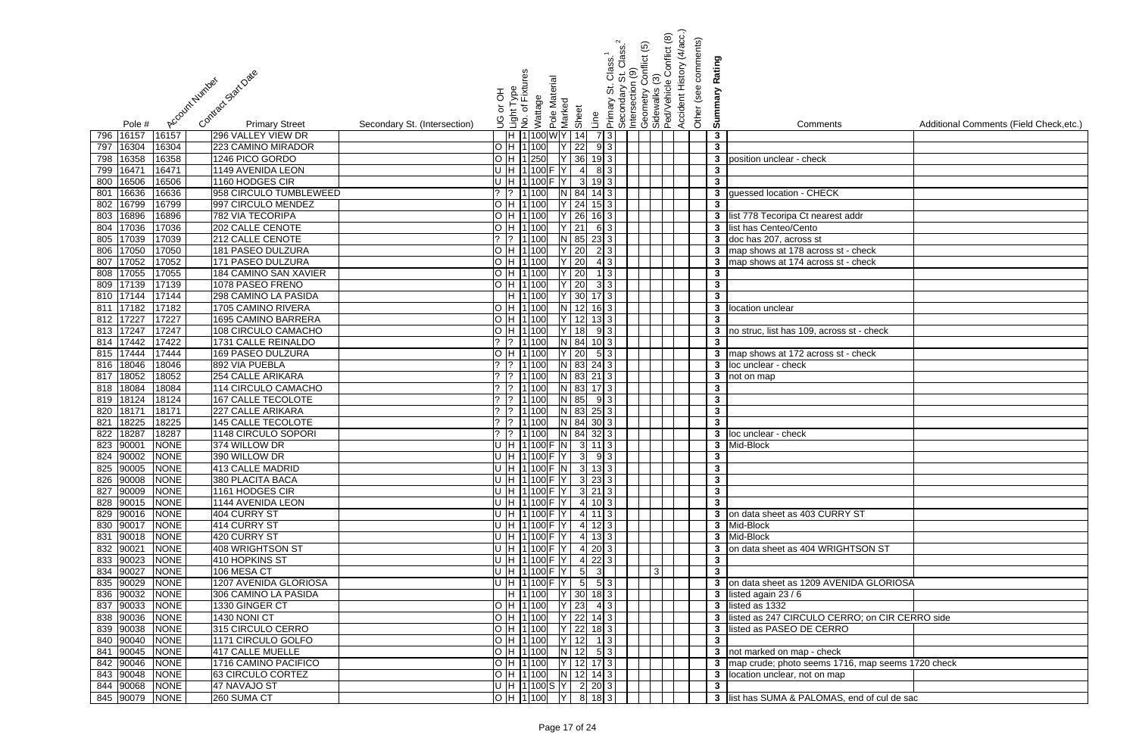|                                                                                  |                                                   | Class. <sup>1</sup><br>St Class. <sup>2</sup><br>n (9)                                         | Conflict (8)<br>conflict (5) | Accident History (4/acc.)<br>Other (see comments) |                              |                                                     |                                         |
|----------------------------------------------------------------------------------|---------------------------------------------------|------------------------------------------------------------------------------------------------|------------------------------|---------------------------------------------------|------------------------------|-----------------------------------------------------|-----------------------------------------|
|                                                                                  |                                                   |                                                                                                |                              |                                                   | Rating                       |                                                     |                                         |
| Contract Start Date                                                              | nt Type<br>of Fixtures                            |                                                                                                |                              |                                                   |                              |                                                     |                                         |
|                                                                                  |                                                   |                                                                                                |                              |                                                   |                              |                                                     |                                         |
| Account Number                                                                   | Pole Material<br>라 아<br>Wattage                   | Primary St. C<br>Secondary S<br>Intersection (<br>Geometry Co<br>Sidewalks (3)<br>PedVehicle ( |                              |                                                   | Summary                      |                                                     |                                         |
|                                                                                  |                                                   |                                                                                                |                              |                                                   |                              |                                                     |                                         |
| <b>Primary Street</b><br>Secondary St. (Intersection)<br>Pole #                  | Marked<br>Sheet<br>انعاب<br>No. of<br>No. of<br>9 | Line                                                                                           |                              |                                                   |                              | Comments                                            | Additional Comments (Field Check, etc.) |
| 16157<br>16157<br>296 VALLEY VIEW DR<br>796                                      | H 1100WY 14                                       | 73                                                                                             |                              |                                                   | $\mathbf{3}$                 |                                                     |                                         |
| 16304<br>223 CAMINO MIRADOR<br>16304<br>797                                      | H 1 100<br>22                                     | 9 3                                                                                            |                              |                                                   | $\mathbf{3}$                 |                                                     |                                         |
| 16358<br>16358<br>1246 PICO GORDO<br>798                                         | $Y$ 36<br>H 1 250                                 | $19 \mid 3 \mid$                                                                               |                              |                                                   | 3 <sup>7</sup>               | position unclear - check                            |                                         |
| 1647<br>16471<br>1149 AVENIDA LEON<br>799                                        | H 1100<br>$\overline{4}$                          | 83                                                                                             |                              |                                                   | $\mathbf{3}$                 |                                                     |                                         |
| 16506<br>1160 HODGES CIR<br>16506<br>800                                         | $\mathbf{3}$<br>1 100                             |                                                                                                |                              |                                                   | $\mathbf{3}$                 |                                                     |                                         |
| 16636<br>16636<br>958 CIRCULO TUMBLEWEED<br>801                                  | 84<br>1 100                                       | 14I                                                                                            |                              |                                                   | $\mathbf{3}$                 | guessed location - CHECK                            |                                         |
| 16799<br>16799<br>997 CIRCULO MENDEZ<br>802                                      | H 1100<br>24                                      |                                                                                                |                              |                                                   | $\mathbf{3}$                 |                                                     |                                         |
| 16896<br>782 VIA TECORIPA<br>16896<br>803                                        | 26<br>H 1100                                      |                                                                                                |                              |                                                   |                              | 3 list 778 Tecoripa Ct nearest addr                 |                                         |
| 17036<br>17036<br>202 CALLE CENOTE<br>804                                        | 21<br>H 1100                                      | 6 3                                                                                            |                              |                                                   | $\mathbf{3}$                 | list has Centeo/Cento                               |                                         |
| 17039<br>805<br>17039<br>212 CALLE CENOTE                                        | $N$ 85<br>1 100                                   | $23 \mid 3 \mid$                                                                               |                              |                                                   |                              | 3 doc has 207, across st                            |                                         |
| 17050<br>181 PASEO DULZURA<br>806<br>17050                                       | $Y$ 20<br>H 1100                                  | 2 3                                                                                            |                              |                                                   |                              | 3 map shows at 178 across st - check                |                                         |
| 17052<br>17052<br>171 PASEO DULZURA<br>807                                       | Y 20<br>H 1100                                    | 4 3                                                                                            |                              |                                                   |                              | 3 map shows at 174 across st - check                |                                         |
| 17055<br>184 CAMINO SAN XAVIER<br>808<br>17055                                   | $Y$ 20<br>H 1100                                  | $1\overline{3}$                                                                                |                              |                                                   | $\mathbf{3}$                 |                                                     |                                         |
| 809 17139<br>17139<br>1078 PASEO FRENO                                           | $Y$ 20<br>H 1 100                                 | 3 3                                                                                            |                              |                                                   | $\mathbf{3}$                 |                                                     |                                         |
| 810 17144<br>17144<br>298 CAMINO LA PASIDA                                       | $Y$ 30<br>H 1 100                                 | $17$ 3                                                                                         |                              |                                                   | $\overline{\mathbf{3}}$      |                                                     |                                         |
| 811 17182<br>17182<br>1705 CAMINO RIVERA                                         | H 1 100<br>N 12 16 3                              |                                                                                                |                              |                                                   |                              | 3 location unclear                                  |                                         |
| 812 17227<br>17227<br><b>1695 CAMINO BARRERA</b>                                 | H 1 100<br>12                                     | $13 \mid 3 \mid$                                                                               |                              |                                                   | $\mathbf{3}$                 |                                                     |                                         |
| <b>108 CIRCULO CAMACHO</b><br>813 17247<br>17247                                 | H 1 100<br>18                                     | 9 3                                                                                            |                              |                                                   |                              | 3 no struc, list has 109, across st - check         |                                         |
| 814 17442<br>1731 CALLE REINALDO<br>17422                                        | $?$ 1 100<br>N 84                                 | $10\vert 3 \vert$                                                                              |                              |                                                   | $\mathbf{3}$                 |                                                     |                                         |
| 815 17444<br><b>169 PASEO DULZURA</b><br>17444                                   | H 1 100<br>$Y$ 20                                 | 5 3                                                                                            |                              |                                                   |                              | 3 map shows at 172 across st - check                |                                         |
| 18046<br>892 VIA PUEBLA<br>18046<br>816                                          | N 83<br>$?$  1 100                                | $24 \mid 3 \mid$                                                                               |                              |                                                   |                              | 3 loc unclear - check                               |                                         |
| 18052<br>254 CALLE ARIKARA<br>18052<br>817                                       | 1 100<br>N 83                                     | $21 \mid 3 \mid$                                                                               |                              |                                                   |                              | $\overline{\textbf{3}}$ not on map                  |                                         |
| 18084<br>18084<br>114 CIRCULO CAMACHO<br>818<br>18124                            | 1 100<br>N 83                                     |                                                                                                |                              |                                                   | $\mathbf{3}$                 |                                                     |                                         |
| 18124<br><b>167 CALLE TECOLOTE</b><br>819<br>1817'<br>18171<br>227 CALLE ARIKARA | N 85<br>1 100<br>$N$ 83<br>1 100                  | 9 3                                                                                            |                              |                                                   | $\mathbf{3}$<br>$\mathbf{3}$ |                                                     |                                         |
| 820<br>18225<br>18225<br><b>145 CALLE TECOLOTE</b><br>821                        | $N$ 84<br>1 100                                   | $25 \mid 3 \mid$<br>30 3                                                                       |                              |                                                   | $\mathbf{3}$                 |                                                     |                                         |
| 18287<br>18287<br>822<br>1148 CIRCULO SOPORI                                     | N 84<br>1 100<br>$\overline{?}$                   | $32 \mid 3 \mid$                                                                               |                              |                                                   |                              | 3 loc unclear - check                               |                                         |
| 823 90001 NONE<br>374 WILLOW DR                                                  | $ U H 1 100 F N $ 3 11 3                          |                                                                                                |                              |                                                   |                              | 3 Mid-Block                                         |                                         |
| 824 90002<br><b>NONE</b><br>390 WILLOW DR                                        | $U$ H 1100 F Y 3 93                               |                                                                                                |                              |                                                   | $\mathbf{3}$                 |                                                     |                                         |
| 825 90005<br><b>NONE</b><br>413 CALLE MADRID                                     | $U$  H  1 100  F  N   3   13   3                  |                                                                                                |                              |                                                   | $\mathbf{3}$                 |                                                     |                                         |
| 826 90008<br><b>NONE</b><br>380 PLACITA BACA                                     | $U[H[1]100]F[Y]$ 3 23 3                           |                                                                                                |                              |                                                   | $\mathbf{3}$                 |                                                     |                                         |
| 827 90009<br><b>NONE</b><br>1161 HODGES CIR                                      | $U[H[1]100]F[Y]$ 3 21 3                           |                                                                                                |                              |                                                   | $\mathbf{3}$                 |                                                     |                                         |
| 828 90015<br><b>NONE</b><br>1144 AVENIDA LEON                                    | U  H  1 100 F  Y   4   10 3                       |                                                                                                |                              |                                                   | $\mathbf{3}$                 |                                                     |                                         |
| 829 90016<br>NONE<br>404 CURRY ST                                                | U H 1100 F Y 4 11 3                               |                                                                                                |                              |                                                   |                              | 3 on data sheet as 403 CURRY ST                     |                                         |
| 830 90017<br>NONE<br>414 CURRY ST                                                | U[H 1 100]F[Y 4 123]                              |                                                                                                |                              |                                                   |                              | 3 Mid-Block                                         |                                         |
| 831 90018<br><b>NONE</b><br>420 CURRY ST                                         | U[H 1 100]F[Y 4 133]                              |                                                                                                |                              |                                                   |                              | 3 Mid-Block                                         |                                         |
| 832 90021<br><b>NONE</b><br>408 WRIGHTSON ST                                     | U[H 1 100 F Y 4 203]                              |                                                                                                |                              |                                                   |                              | 3 on data sheet as 404 WRIGHTSON ST                 |                                         |
| 833 90023<br><b>NONE</b><br>410 HOPKINS ST                                       | U  H  1 100 F  Y   4 22 3                         |                                                                                                |                              |                                                   | $\mathbf{3}$                 |                                                     |                                         |
| 834 90027<br><b>NONE</b><br>106 MESA CT                                          | U[H 1 100]F[Y 5]                                  | -31                                                                                            |                              |                                                   | $\mathbf{3}$                 |                                                     |                                         |
| 835 90029<br><b>NONE</b><br>1207 AVENIDA GLORIOSA                                | U H 1 100 F Y 5 53                                |                                                                                                |                              |                                                   |                              | 3 on data sheet as 1209 AVENIDA GLORIOSA            |                                         |
| 836 90032<br><b>NONE</b><br>306 CAMINO LA PASIDA                                 | H  1 100  Y   30   18   3                         |                                                                                                |                              |                                                   |                              | 3 listed again 23 / 6                               |                                         |
| 837 90033<br><b>NONE</b><br>1330 GINGER CT                                       | $ Y $ 23<br>O H 1100                              | 4 3                                                                                            |                              |                                                   |                              | 3 listed as 1332                                    |                                         |
| 838 90036<br><b>NONE</b><br>1430 NONI CT                                         | $O$  H  1 100   Y   22   14   3                   |                                                                                                |                              |                                                   |                              | 3 listed as 247 CIRCULO CERRO; on CIR CERRO side    |                                         |
| 839 90038<br>315 CIRCULO CERRO<br><b>NONE</b>                                    | O  H  1 100   Y   22   18   3                     |                                                                                                |                              |                                                   | $\mathbf{3}$                 | listed as PASEO DE CERRO                            |                                         |
| 840 90040<br>NONE<br>1171 CIRCULO GOLFO                                          | $O$  H  1 100   Y   12   1   3                    |                                                                                                |                              |                                                   | $\mathbf{3}$                 |                                                     |                                         |
| 841 90045<br><b>NONE</b><br>417 CALLE MUELLE                                     | $O[H[1]100]$ N 12 5 3                             |                                                                                                |                              |                                                   |                              | 3 not marked on map - check                         |                                         |
| 842 90046<br><b>NONE</b><br>1716 CAMINO PACIFICO                                 | O  H  1 100     Y   12  17  3                     |                                                                                                |                              |                                                   |                              | 3 map crude; photo seems 1716, map seems 1720 check |                                         |
| 843 90048<br><b>NONE</b><br>63 CIRCULO CORTEZ                                    | O  H  1 100    N   12   14   3                    |                                                                                                |                              |                                                   |                              | 3 location unclear, not on map                      |                                         |
| 844 90068<br>47 NAVAJO ST<br><b>NONE</b>                                         | $\overline{ U H 1 100 S Y }$ 2 20 3               |                                                                                                |                              |                                                   | $\mathbf{3}$                 |                                                     |                                         |
| 845 90079 NONE<br>260 SUMA CT                                                    | OH 1100 Y 8 18 3                                  |                                                                                                |                              |                                                   |                              | 3 list has SUMA & PALOMAS, end of cul de sac        |                                         |

| $\overline{\mathsf{S}}$    | Additional Comments (Field Check, etc.) |
|----------------------------|-----------------------------------------|
|                            |                                         |
|                            |                                         |
|                            |                                         |
|                            |                                         |
| $\overline{\zeta}$         |                                         |
|                            |                                         |
| st addr                    |                                         |
|                            |                                         |
| $st - check$               |                                         |
| st - check                 |                                         |
|                            |                                         |
|                            |                                         |
|                            |                                         |
|                            |                                         |
| ss st - check              |                                         |
|                            |                                         |
| st - check                 |                                         |
|                            |                                         |
|                            |                                         |
|                            |                                         |
|                            |                                         |
|                            |                                         |
|                            |                                         |
|                            |                                         |
|                            |                                         |
|                            |                                         |
|                            |                                         |
|                            |                                         |
| RY ST                      |                                         |
|                            |                                         |
|                            |                                         |
| <b>GHTSON ST</b>           |                                         |
|                            |                                         |
| <b>ENIDA GLORIOSA</b>      |                                         |
|                            |                                         |
|                            |                                         |
| ERRO; on CIR CERRO side    |                                         |
| RO                         |                                         |
|                            |                                         |
| $\overline{\mathsf{k}}$    |                                         |
| 1716, map seems 1720 check |                                         |
| aр                         |                                         |
| S, end of cul de sac       |                                         |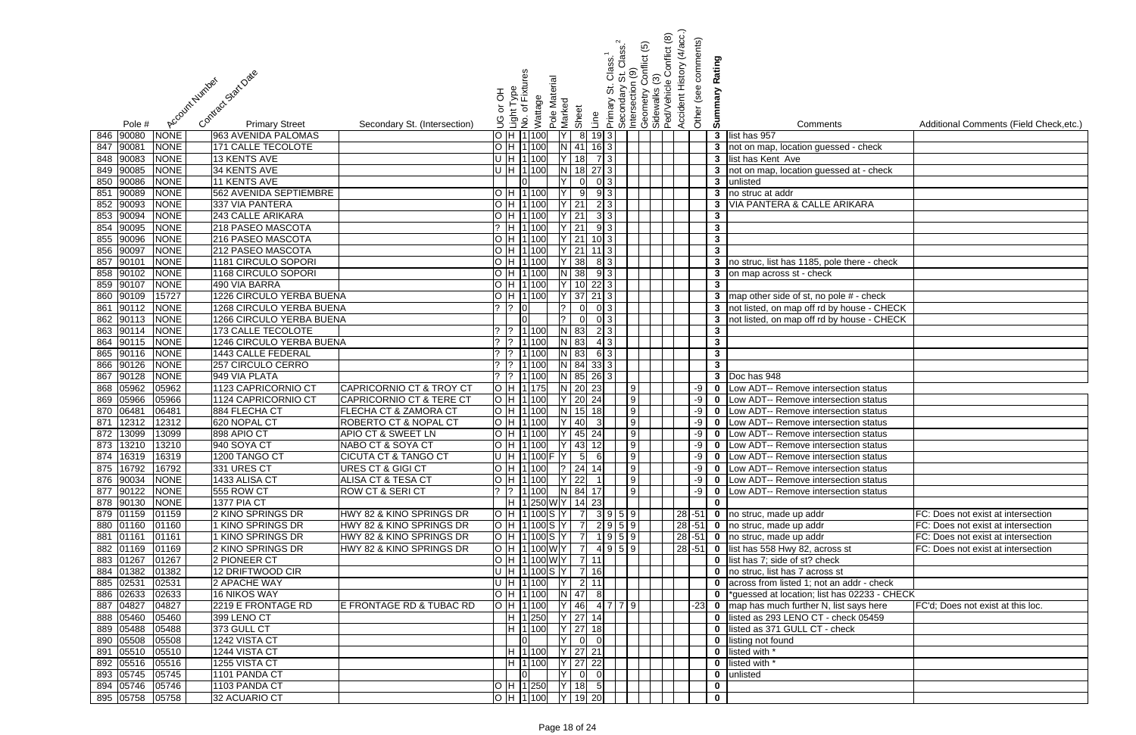|                | వ్లే        | Comments                                                                     | Additional Comments (Field Check, etc.) |
|----------------|-------------|------------------------------------------------------------------------------|-----------------------------------------|
|                | 3           | list has 957                                                                 |                                         |
|                | 3           | not on map, location guessed - check                                         |                                         |
|                | 3           | list has Kent Ave                                                            |                                         |
|                | 3           | not on map, location guessed at - check                                      |                                         |
|                | 3           | unlisted                                                                     |                                         |
|                | 3           | no struc at addr                                                             |                                         |
|                | 3           | VIA PANTERA & CALLE ARIKARA                                                  |                                         |
|                | 3           |                                                                              |                                         |
|                | 3           |                                                                              |                                         |
|                | 3           |                                                                              |                                         |
|                | 3           |                                                                              |                                         |
|                | 3           | no struc, list has 1185, pole there - check                                  |                                         |
|                | 3           | on map across st - check                                                     |                                         |
|                | 3           |                                                                              |                                         |
|                | 3           | map other side of st, no pole # - check                                      |                                         |
|                | 3           | not listed, on map off rd by house - CHECK                                   |                                         |
|                | 3           | not listed, on map off rd by house - CHECK                                   |                                         |
|                | 3           |                                                                              |                                         |
|                | 3           |                                                                              |                                         |
|                | 3           |                                                                              |                                         |
|                | 3<br>3      |                                                                              |                                         |
|                | 0           | Doc has 948                                                                  |                                         |
|                | 0           | Low ADT-- Remove intersection status<br>Low ADT-- Remove intersection status |                                         |
|                | 0           | Low ADT-- Remove intersection status                                         |                                         |
|                | 0           | Low ADT-- Remove intersection status                                         |                                         |
|                | 0           | Low ADT-- Remove intersection status                                         |                                         |
|                | 0           | Low ADT-- Remove intersection status                                         |                                         |
|                | 0           | Low ADT-- Remove intersection status                                         |                                         |
|                | 0           | Low ADT-- Remove intersection status                                         |                                         |
|                | 0           | Low ADT-- Remove intersection status                                         |                                         |
|                | 0           | Low ADT-- Remove intersection status                                         |                                         |
|                | 0           |                                                                              |                                         |
| 1              | 0           | no struc, made up addr                                                       | FC: Does not exist at intersection      |
|                | $\mathbf 0$ | no struc, made up addr                                                       | FC: Does not exist at intersection      |
| $1\vert$       | 0           | no struc, made up addr                                                       | FC: Does not exist at intersection      |
| $\overline{1}$ | 0           | list has 558 Hwy 82, across st                                               | FC: Does not exist at intersection      |
|                | 0           | list has 7; side of st? check                                                |                                         |
|                | 0           | no struc, list has 7 across st                                               |                                         |
|                | 0           | across from listed 1; not an addr - check                                    |                                         |
|                | 0           | *guessed at location; list has 02233 - CHECK                                 |                                         |
| 3              | 0           | map has much further N, list says here                                       | FC'd: Does not exist at this loc.       |
|                | 0           | listed as 293 LENO CT - check 05459                                          |                                         |
|                | 0           | listed as 371 GULL CT - check                                                |                                         |
|                | 0           | listing not found                                                            |                                         |
|                | 0           | listed with *                                                                |                                         |
|                | 0           | listed with *                                                                |                                         |
|                | 0           | unlisted                                                                     |                                         |
|                | 0           |                                                                              |                                         |
|                | U           |                                                                              |                                         |

|                                                                                                                                          |                                                                                    | Class. <sup>1</sup><br>St. Class. <sup>1</sup><br>0 (9) | $\widehat{\mathfrak{G}}$ | Conflict (8)                                  | Accident History (4/acc.)<br>Other (see comments) |              |                                                                                                |                                           |
|------------------------------------------------------------------------------------------------------------------------------------------|------------------------------------------------------------------------------------|---------------------------------------------------------|--------------------------|-----------------------------------------------|---------------------------------------------------|--------------|------------------------------------------------------------------------------------------------|-------------------------------------------|
|                                                                                                                                          |                                                                                    |                                                         | conflict                 |                                               |                                                   | Rating       |                                                                                                |                                           |
| Contract Stat Date                                                                                                                       | Light Type<br>No. of Fixtures                                                      |                                                         |                          |                                               |                                                   |              |                                                                                                |                                           |
| Account Number                                                                                                                           | Pole Material<br>공                                                                 | Primary St. (<br>Secondary S<br>Intersection            |                          | Geometry Co<br>Sidewalks (3)<br>Ped/Vehicle ( |                                                   |              |                                                                                                |                                           |
|                                                                                                                                          | Wattage<br>Marked<br>ŏ                                                             |                                                         |                          |                                               |                                                   | Summary      |                                                                                                |                                           |
|                                                                                                                                          | Sheet<br>Line                                                                      |                                                         |                          |                                               |                                                   |              |                                                                                                |                                           |
| <b>Primary Street</b><br>Secondary St. (Intersection)<br>Pole #                                                                          | ပ<br>၁                                                                             |                                                         |                          |                                               |                                                   |              | Comments                                                                                       | Additional Comments (Field Check, etc.)   |
| <b>NONE</b><br>846 90080<br>963 AVENIDA PALOMAS                                                                                          | H 1 100<br>8 19 3                                                                  |                                                         |                          |                                               |                                                   |              | 3 list has 957                                                                                 |                                           |
| 9008'<br><b>171 CALLE TECOLOTE</b><br><b>NONE</b><br>847                                                                                 | H 1 100<br>$N$ 41<br>16 3                                                          |                                                         |                          |                                               |                                                   |              | 3 not on map, location guessed - check                                                         |                                           |
| 848 90083<br><b>NONE</b><br>13 KENTS AVE                                                                                                 | $U$ H 1100<br>18                                                                   | 7 3                                                     |                          |                                               |                                                   |              | 3 list has Kent Ave                                                                            |                                           |
| 849 90085<br><b>NONE</b><br>34 KENTS AVE                                                                                                 | $U$ H 1100<br>$\overline{N}$<br>18<br>$27\overline{3}$                             |                                                         |                          |                                               |                                                   |              | 3 not on map, location guessed at - check                                                      |                                           |
| 850 90086<br><b>NONE</b><br><b>11 KENTS AVE</b><br>90089<br>562 AVENIDA SEPTIEMBRE                                                       | 0<br>-9                                                                            | 0 3 <br>9 3                                             |                          |                                               |                                                   |              | 3 unlisted                                                                                     |                                           |
| <b>NONE</b><br>851<br>90093<br><b>NONE</b><br>337 VIA PANTERA<br>852                                                                     | H 1100<br>$Y$   21<br>H 1100                                                       | 2 3                                                     |                          |                                               |                                                   | $\mathbf{3}$ | 3 no struc at addr<br><b>VIA PANTERA &amp; CALLE ARIKARA</b>                                   |                                           |
| 90094<br><b>NONE</b><br>243 CALLE ARIKARA<br>853                                                                                         | $Y$ 21<br>H 1100                                                                   | 3 3                                                     |                          |                                               |                                                   | $\mathbf{3}$ |                                                                                                |                                           |
| 90095<br><b>NONE</b><br>854<br>218 PASEO MASCOTA                                                                                         | $Y$ 21<br>H 1 100                                                                  | 9 3                                                     |                          |                                               |                                                   | $\mathbf{3}$ |                                                                                                |                                           |
| 90096<br><b>NONE</b><br>216 PASEO MASCOTA<br>855                                                                                         | H 1 100<br>$Y$ 21                                                                  | $10$ 3                                                  |                          |                                               |                                                   | $\mathbf{3}$ |                                                                                                |                                           |
| 90097<br><b>NONE</b><br>856<br>212 PASEO MASCOTA                                                                                         | H 1 100<br>$Y$ 21<br>$11$ [3]                                                      |                                                         |                          |                                               |                                                   | $\mathbf{3}$ |                                                                                                |                                           |
| 90101<br>857<br><b>NONE</b><br>1181 CIRCULO SOPORI                                                                                       | $Y$ 38<br>H 1 100                                                                  | 8 3                                                     |                          |                                               |                                                   |              | 3 no struc, list has 1185, pole there - check                                                  |                                           |
| 858 90102<br><b>NONE</b><br>1168 CIRCULO SOPORI                                                                                          | $N$ 38<br>H 1 100                                                                  | $9 \mid 3 \mid$                                         |                          |                                               |                                                   |              | 3 on map across st - check                                                                     |                                           |
| 859 90107<br><b>NONE</b><br>490 VIA BARRA                                                                                                | H 1100<br><u>IY</u><br>$22\overline{3}$<br>10I                                     |                                                         |                          |                                               |                                                   | $\mathbf{3}$ |                                                                                                |                                           |
| 860 90109<br>1226 CIRCULO YERBA BUENA<br>15727                                                                                           | $Y$ 37<br>H 1100<br>$21 \mid 3 \mid$                                               |                                                         |                          |                                               |                                                   |              | 3 map other side of st, no pole # - check                                                      |                                           |
| 90112<br>1268 CIRCULO YERBA BUENA<br>861<br><b>NONE</b>                                                                                  | 101<br>$\Omega$                                                                    | 0 3                                                     |                          |                                               |                                                   |              | 3 not listed, on map off rd by house - CHECK                                                   |                                           |
| 862 90113<br><b>NONE</b><br><b>1266 CIRCULO YERBA BUENA</b>                                                                              | lol<br> 2 <br>$\overline{0}$                                                       | $0 \mid 3 \mid$                                         |                          |                                               |                                                   |              | 3 not listed, on map off rd by house - CHECK                                                   |                                           |
| 863 90114<br><b>173 CALLE TECOLOTE</b><br><b>NONE</b>                                                                                    | $?$ 1 100<br>$N$ 83                                                                | 2 3                                                     |                          |                                               |                                                   | $\mathbf{3}$ |                                                                                                |                                           |
| 864 90115<br><b>NONE</b><br>1246 CIRCULO YERBA BUENA                                                                                     | $?$ 1 100<br>$N$ 83                                                                | 4 3                                                     |                          |                                               |                                                   | $\mathbf{3}$ |                                                                                                |                                           |
| 865 90116<br>1443 CALLE FEDERAL<br><b>NONE</b>                                                                                           | $\begin{array}{ c c c c c }\n\hline\n? & 1 & 100 \\ \hline\n\end{array}$<br>$N$ 83 | 6 3                                                     |                          |                                               |                                                   | $\mathbf{3}$ |                                                                                                |                                           |
| 866 90126<br>257 CIRCULO CERRO<br><b>NONE</b>                                                                                            | $\frac{1}{2}$ 1 100<br>N84<br>$33 \mid 3 \mid$                                     |                                                         |                          |                                               |                                                   | $\mathbf{3}$ |                                                                                                |                                           |
| 867 90128<br><b>NONE</b><br>949 VIA PLATA                                                                                                | $?$ 1 100<br>$N$ 85<br>$26 \mid 3 \mid$                                            |                                                         |                          |                                               |                                                   |              | 3 $\sqrt{2}$ Doc has $\sqrt{948}$                                                              |                                           |
| 868 05962<br>05962<br>1123 CAPRICORNIO CT<br><b>CAPRICORNIO CT &amp; TROY CT</b>                                                         | $N$ 20<br>H 1135<br>23                                                             |                                                         | 9                        |                                               | -9                                                | $\mathbf 0$  | Low ADT-- Remove intersection status                                                           |                                           |
| 05966<br>1124 CAPRICORNIO CT<br><b>CAPRICORNIO CT &amp; TERE CT</b><br>05966<br>869                                                      | $Y$ 20<br>H 1100<br>24                                                             |                                                         | 9                        |                                               | -9                                                | $\mathbf 0$  | Low ADT-- Remove intersection status                                                           |                                           |
| 870 06481<br>06481<br>FLECHA CT & ZAMORA CT<br>884 FLECHA CT                                                                             | $N$ 15<br>H 1100<br>18                                                             |                                                         | 9                        |                                               | $-9$                                              | $\mathbf 0$  | Low ADT-- Remove intersection status                                                           |                                           |
| 12312<br>12312<br>620 NOPAL CT<br>ROBERTO CT & NOPAL CT<br>871                                                                           | H 1 100<br>40<br>3                                                                 |                                                         | 9                        |                                               | -9                                                | $\bf{0}$     | Low ADT-- Remove intersection status                                                           |                                           |
| 13099<br>872<br>13099<br>898 APIO CT<br><b>APIO CT &amp; SWEET LN</b>                                                                    | H 1 100<br>45 24                                                                   |                                                         | 9 <sub>l</sub>           |                                               | -9                                                | $\mathbf 0$  | Low ADT-- Remove intersection status                                                           |                                           |
| 873 13210 13210<br>940 SOYA CT<br> NABO CT & SOYA CT                                                                                     | H  1 100   Y   43   12                                                             | 9                                                       |                          |                                               |                                                   |              | -9   0   Low ADT-- Remove intersection status                                                  |                                           |
| 874 16319 16319<br>1200 TANGO CT<br><b>CICUTA CT &amp; TANGO CT</b>                                                                      | $U$ H 1100 F Y 5 6                                                                 |                                                         | 9                        |                                               |                                                   |              | -9   0   Low ADT-- Remove intersection status                                                  |                                           |
| 875 16792<br>16792<br>331 URES CT<br>URES CT & GIGI CT                                                                                   | O  H  1 100   ?   24   14                                                          |                                                         | 9                        |                                               |                                                   |              | -9   0   Low ADT-- Remove intersection status                                                  |                                           |
| 876 90034<br><b>NONE</b><br>1433 ALISA CT<br>ALISA CT & TESA CT<br>877 90122<br><b>ROW CT &amp; SERI CT</b><br><b>NONE</b><br>555 ROW CT | O  H  1 100   Y   22   1  <br>$?$  1 100   N  84  17                               | 9                                                       | 9                        |                                               |                                                   |              | -9   0   Low ADT-- Remove intersection status<br>-9   0   Low ADT-- Remove intersection status |                                           |
| 878 90130<br><b>NONE</b><br><b>1377 PIA CT</b>                                                                                           | H  1 250 W Y   14 23                                                               |                                                         |                          |                                               |                                                   | $\mathbf 0$  |                                                                                                |                                           |
| 2 KINO SPRINGS DR<br>879 01159<br>01159<br>HWY 82 & KINO SPRINGS DR                                                                      |                                                                                    |                                                         |                          |                                               |                                                   |              | 28 -51 0 no struc, made up addr                                                                | FC: Does not exist at intersection        |
| 880 01160<br>1 KINO SPRINGS DR<br>HWY 82 & KINO SPRINGS DR<br>01160                                                                      | H  1 100 S  Y     7    2  9 5  9                                                   |                                                         |                          |                                               |                                                   |              | 28 -51 0 no struc, made up addr                                                                | FC: Does not exist at intersection        |
| 881 01161<br>1 KINO SPRINGS DR<br>HWY 82 & KINO SPRINGS DR<br>01161                                                                      | H  1 100 S  Y   7                                                                  | 1 9 5 9                                                 |                          |                                               |                                                   |              | 28 -51 0 no struc, made up addr                                                                | FC: Does not exist at intersection        |
| 882 01169<br>2 KINO SPRINGS DR<br>01169<br>HWY 82 & KINO SPRINGS DR                                                                      | H 1100WY<br>$\overline{7}$                                                         | 4959                                                    |                          |                                               |                                                   |              | 28 -51 0 list has 558 Hwy 82, across st                                                        | FC: Does not exist at intersection        |
| 883 01267<br>01267<br>2 PIONEER CT                                                                                                       | H 1100 W Y 7 11                                                                    |                                                         |                          |                                               |                                                   |              | <b>0</b> list has 7; side of st? check                                                         |                                           |
| 884 01382<br>01382<br>12 DRIFTWOOD CIR                                                                                                   | U  H  1 100 S  Y   7   16                                                          |                                                         |                          |                                               |                                                   |              | <b>0</b> no struc, list has 7 across st                                                        |                                           |
| 885 02531<br>02531<br>2 APACHE WAY                                                                                                       | U H 1100 Y<br>2 11                                                                 |                                                         |                          |                                               |                                                   |              | <b>0</b> across from listed 1; not an addr - check                                             |                                           |
| 886 02633<br>02633<br><b>16 NIKOS WAY</b>                                                                                                | H  1 100   N   47   8                                                              |                                                         |                          |                                               |                                                   |              | *guessed at location; list has 02233 - CHECK                                                   |                                           |
| 887 04827<br>04827<br>2219 E FRONTAGE RD<br>E FRONTAGE RD & TUBAC RD                                                                     | H 1 100<br> Y   46   4   7   7   9                                                 |                                                         |                          |                                               | $-23$                                             | $\mathbf 0$  | map has much further N, list says here                                                         | <b>FC'd</b> ; Does not exist at this loc. |
| 05460<br>888 05460<br>399 LENO CT                                                                                                        | $ Y $ 27   14<br>H 1250                                                            |                                                         |                          |                                               |                                                   |              | 0 listed as 293 LENO CT - check 05459                                                          |                                           |
| 889 05488<br>05488<br>373 GULL CT                                                                                                        | H 1100 Y 27 18                                                                     |                                                         |                          |                                               |                                                   | $\mathbf{0}$ | listed as 371 GULL CT - check                                                                  |                                           |
| 890 05508<br>05508<br>1242 VISTA CT                                                                                                      | $\overline{0}$<br>lY l                                                             |                                                         |                          |                                               |                                                   | $\mathbf 0$  | listing not found                                                                              |                                           |
| 891 05510<br>05510<br>1244 VISTA CT                                                                                                      | H 1100 Y 27 21                                                                     |                                                         |                          |                                               |                                                   | $\mathbf 0$  | listed with *                                                                                  |                                           |
| 892 05516<br>1255 VISTA CT<br>05516                                                                                                      | H 1 100 Y 27 22                                                                    |                                                         |                          |                                               |                                                   |              | 0 listed with *                                                                                |                                           |
| 893 05745<br>05745<br>1101 PANDA CT                                                                                                      | $\overline{Y}$ 0<br>$\overline{0}$                                                 |                                                         |                          |                                               |                                                   |              | 0 unlisted                                                                                     |                                           |
| 894 05746<br>05746<br>1103 PANDA CT                                                                                                      | H  1 250   Y   18  5                                                               |                                                         |                          |                                               |                                                   | $\mathbf 0$  |                                                                                                |                                           |
| 895 05758<br>05758<br>32 ACUARIO CT                                                                                                      | O H 1100 Y 19 20                                                                   |                                                         |                          |                                               |                                                   | $\mathbf 0$  |                                                                                                |                                           |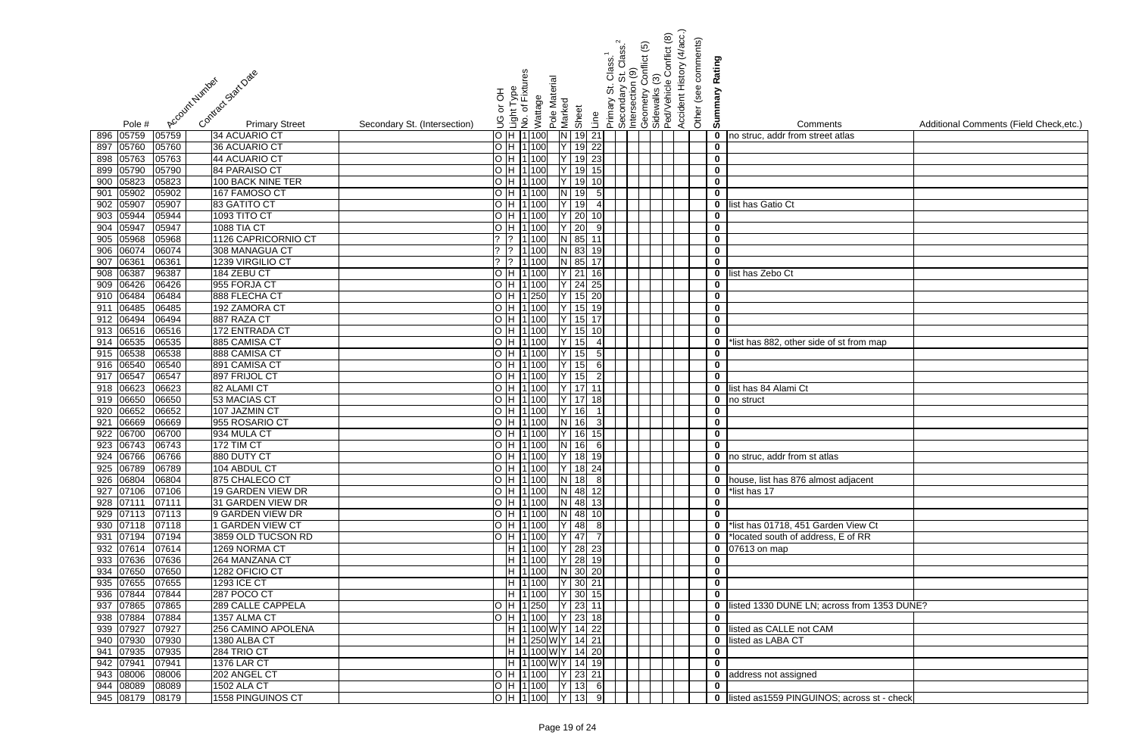| Contract Start Date<br>Account Number                                        | စ္မိ<br>Light Type<br>No. of Fixture<br>공<br>ă | Pole Material<br>Wattage | Marked                  |                       | Class. <sup>1</sup><br>St. Class. <sup>1</sup><br>0 (9)<br>Secondary S<br>Intersection<br><br>თ<br>Primary | $\widehat{\mathfrak{G}}$<br><b>conflict</b> | Conflict (8)<br>ၐ<br>Geometry Co<br>Sidewalks (3)<br>Ped/Vehicle ( | Accident History (4/acc.)<br>Other (see comments) | Rating<br>Summary          |                                               |                                         |
|------------------------------------------------------------------------------|------------------------------------------------|--------------------------|-------------------------|-----------------------|------------------------------------------------------------------------------------------------------------|---------------------------------------------|--------------------------------------------------------------------|---------------------------------------------------|----------------------------|-----------------------------------------------|-----------------------------------------|
|                                                                              | 9                                              |                          | Sheet                   | Line                  |                                                                                                            |                                             |                                                                    |                                                   |                            |                                               |                                         |
| <b>Primary Street</b><br>Pole #<br>896 05759<br>05759<br>34 ACUARIO CT       | Secondary St. (Intersection)<br>H 1100         |                          | $\overline{\mathsf{N}}$ |                       |                                                                                                            |                                             |                                                                    |                                                   |                            | Comments                                      | Additional Comments (Field Check, etc.) |
| 36 ACUARIO CT                                                                | H 1 100                                        |                          | 19                      | 19 21<br>22           |                                                                                                            |                                             |                                                                    |                                                   | $\mathbf 0$                | no struc, addr from street atlas              |                                         |
| 897<br>05760<br>05760<br>898 05763<br>44 ACUARIO CT<br>05763                 | H 1100                                         |                          | 19                      | 23                    |                                                                                                            |                                             |                                                                    |                                                   | $\mathbf 0$<br>$\mathbf 0$ |                                               |                                         |
| 899 05790<br>84 PARAISO CT<br>05790                                          | H 1 100                                        |                          | 19                      |                       |                                                                                                            |                                             |                                                                    |                                                   | $\mathbf 0$                |                                               |                                         |
| 900 05823<br><b>100 BACK NINE TER</b><br>05823                               | H 1 100                                        |                          | 19                      | 15                    |                                                                                                            |                                             |                                                                    |                                                   | $\mathbf 0$                |                                               |                                         |
| 05902<br>05902<br>167 FAMOSO CT<br>901                                       | $H$  1 100                                     |                          | N.<br>19                |                       |                                                                                                            |                                             |                                                                    |                                                   | $\mathbf 0$                |                                               |                                         |
| 05907<br>05907<br>83 GATITO CT<br>902                                        | H 1100                                         |                          | 19                      |                       |                                                                                                            |                                             |                                                                    |                                                   | $\mathbf 0$                | list has Gatio Ct                             |                                         |
| 05944<br>05944<br>1093 TITO CT<br>903                                        | H 1100                                         |                          | 20                      |                       |                                                                                                            |                                             |                                                                    |                                                   | $\mathbf 0$                |                                               |                                         |
| 05947<br>05947<br><b>1088 TIA CT</b><br>904                                  | H 1100                                         |                          | 20                      |                       |                                                                                                            |                                             |                                                                    |                                                   | $\mathbf 0$                |                                               |                                         |
| 05968<br>05968<br>1126 CAPRICORNIO CT<br>905                                 |                                                | 1 100                    | N 85                    |                       |                                                                                                            |                                             |                                                                    |                                                   | $\mathbf 0$                |                                               |                                         |
| 06074<br>06074<br>308 MANAGUA CT<br>906                                      |                                                | 1 100                    | $N$ 83                  | 19                    |                                                                                                            |                                             |                                                                    |                                                   | $\boldsymbol{0}$           |                                               |                                         |
| 0636<br>1239 VIRGILIO CT<br>907<br>06361                                     |                                                | 1 100                    | N 85                    |                       |                                                                                                            |                                             |                                                                    |                                                   | $\mathbf 0$                |                                               |                                         |
| 06387<br>908<br>96387<br>184 ZEBU CT                                         | H 1 100                                        |                          | $Y$ 21                  |                       |                                                                                                            |                                             |                                                                    |                                                   | $\mathbf 0$                | list has Zebo Ct                              |                                         |
| 909 06426<br>955 FORJA CT<br>06426                                           |                                                | 11100                    | $Y$ 24                  | 25                    |                                                                                                            |                                             |                                                                    |                                                   | $\mathbf 0$                |                                               |                                         |
| 910 06484<br>888 FLECHA CT<br>06484                                          | H   1   250                                    |                          | 15                      | 20                    |                                                                                                            |                                             |                                                                    |                                                   | $\mathbf 0$                |                                               |                                         |
| 06485<br>192 ZAMORA CT<br>911<br>06485                                       | H 1100                                         |                          | 15                      | -19                   |                                                                                                            |                                             |                                                                    |                                                   | $\mathbf 0$                |                                               |                                         |
| 912 06494<br>06494<br>887 RAZA CT                                            | H 1 100                                        |                          | 15                      |                       |                                                                                                            |                                             |                                                                    |                                                   | $\pmb{0}$                  |                                               |                                         |
| 913 06516<br>172 ENTRADA CT<br>06516                                         | H 1100                                         |                          | 15                      |                       |                                                                                                            |                                             |                                                                    |                                                   | $\mathbf 0$                |                                               |                                         |
| 914 06535<br>06535<br>885 CAMISA CT                                          | H 1100                                         |                          | 15                      | $\boldsymbol{\Delta}$ |                                                                                                            |                                             |                                                                    |                                                   | $\mathbf 0$                | *list has 882, other side of st from map      |                                         |
| 915 06538<br>888 CAMISA CT<br>06538                                          | H 1100                                         |                          | $\overline{15}$         | 5 <sub>l</sub>        |                                                                                                            |                                             |                                                                    |                                                   | $\mathbf 0$                |                                               |                                         |
| 916 06540<br>891 CAMISA CT<br>06540                                          | H 1 100                                        |                          | 15                      | 6                     |                                                                                                            |                                             |                                                                    |                                                   | $\mathbf 0$                |                                               |                                         |
| 917 06547<br>06547<br>897 FRIJOL CT                                          | H 1 100                                        |                          | 15                      |                       |                                                                                                            |                                             |                                                                    |                                                   | $\overline{\mathbf{0}}$    |                                               |                                         |
| 918 06623<br>06623<br>82 ALAMI CT                                            | H 1100                                         |                          | 17                      |                       |                                                                                                            |                                             |                                                                    |                                                   | $\mathbf 0$                | list has 84 Alami Ct                          |                                         |
| 06650<br>06650<br>53 MACIAS CT<br>919                                        | H 1 100                                        |                          | $Y$ 17                  |                       |                                                                                                            |                                             |                                                                    |                                                   | $\mathbf 0$                | no struct                                     |                                         |
| 06652<br>06652<br>107 JAZMIN CT<br>920                                       | H 1100                                         |                          | 16                      |                       |                                                                                                            |                                             |                                                                    |                                                   | $\mathbf 0$                |                                               |                                         |
| 06669<br>06669<br>955 ROSARIO CT<br>921                                      | H 1100                                         |                          | 16                      |                       |                                                                                                            |                                             |                                                                    |                                                   | $\mathbf 0$                |                                               |                                         |
| 06700<br>06700<br>922<br>934 MULA CT                                         | H 1 100                                        |                          | 16                      |                       |                                                                                                            |                                             |                                                                    |                                                   | $\mathbf 0$                |                                               |                                         |
| 923 06743 06743<br><b>172 TIM CT</b>                                         | 0 H 1100 N 16 6                                |                          |                         |                       |                                                                                                            |                                             |                                                                    |                                                   | $\mathbf 0$                |                                               |                                         |
| 924 06766<br>06766<br>880 DUTY CT                                            | OH 1100 Y 18 19                                |                          |                         |                       |                                                                                                            |                                             |                                                                    |                                                   | $\mathbf 0$                | no struc, addr from st atlas                  |                                         |
| 925 06789<br>06789<br>104 ABDUL CT                                           | O H 1100 Y 18 24                               |                          |                         |                       |                                                                                                            |                                             |                                                                    |                                                   | $\mathbf 0$                |                                               |                                         |
| 926 06804<br>06804<br>875 CHALECO CT                                         | O H 1100 N 18 8                                |                          |                         |                       |                                                                                                            |                                             |                                                                    |                                                   |                            | 0 house, list has 876 almost adjacent         |                                         |
| 927 07106<br>07106<br>19 GARDEN VIEW DR                                      |                                                | $H$ 1100 N 48 12         |                         |                       |                                                                                                            |                                             |                                                                    |                                                   |                            | $\bullet$ *list has 17                        |                                         |
| $928$ $\boxed{07111}$<br>07111<br>31 GARDEN VIEW DR                          |                                                | H  1 100  N  48  13      |                         |                       |                                                                                                            |                                             |                                                                    |                                                   | $\bf{0}$                   |                                               |                                         |
| 929 07113<br>07113<br>9 GARDEN VIEW DR                                       |                                                | H  1 100 N 48 10         |                         |                       |                                                                                                            |                                             |                                                                    |                                                   | $\mathbf 0$                |                                               |                                         |
| 930 07118<br>07118<br>1 GARDEN VIEW CT                                       |                                                | H  1 100  Y   48   8     |                         |                       |                                                                                                            |                                             |                                                                    |                                                   |                            | 0 *list has 01718, 451 Garden View Ct         |                                         |
| 931 07194<br>3859 OLD TUCSON RD<br>07194                                     | H 1100                                         |                          | $Y$ 47                  | $\overline{7}$        |                                                                                                            |                                             |                                                                    |                                                   |                            | 0  *located south of address, E of RR         |                                         |
| 932 07614<br>1269 NORMA CT<br>07614                                          |                                                | H 1100 Y 28 23           |                         |                       |                                                                                                            |                                             |                                                                    |                                                   |                            | 0 07613 on map                                |                                         |
| 933 07636<br>264 MANZANA CT<br>07636                                         |                                                | H  1 100  Y   28  19     |                         |                       |                                                                                                            |                                             |                                                                    |                                                   | $\bf{0}$                   |                                               |                                         |
| 934 07650<br>07650<br>1282 OFICIO CT<br>935 07655<br><b>1293 ICE CT</b>      | H 1100                                         | H 1100                   | $N$ 30 20               |                       |                                                                                                            |                                             |                                                                    |                                                   | $\mathbf 0$                |                                               |                                         |
| 07655                                                                        |                                                |                          | $Y$ 30 21               |                       |                                                                                                            |                                             |                                                                    |                                                   | $\mathbf 0$                |                                               |                                         |
| 936 07844<br>07844<br>287 POCO CT<br>937 07865<br>07865<br>289 CALLE CAPPELA | H 1 100                                        | H  1 250     Y   23  11  | $Y$ 30 15               |                       |                                                                                                            |                                             |                                                                    |                                                   | $\mathbf 0$                | 0 listed 1330 DUNE LN; across from 1353 DUNE? |                                         |
| 938 07884<br>07884<br>1357 ALMA CT                                           |                                                | H  1 100   Y   23   18   |                         |                       |                                                                                                            |                                             |                                                                    |                                                   | $\mathbf 0$                |                                               |                                         |
| 939 07927<br>07927<br>256 CAMINO APOLENA                                     |                                                | H  1 100 W Y   14 22     |                         |                       |                                                                                                            |                                             |                                                                    |                                                   | $\mathbf 0$                | listed as CALLE not CAM                       |                                         |
| 940 07930<br>07930<br>1380 ALBA CT                                           |                                                | H  1 250 W Y   14  21    |                         |                       |                                                                                                            |                                             |                                                                    |                                                   | $\mathbf{0}$               | listed as LABA CT                             |                                         |
| 941 07935<br>07935<br>284 TRIO CT                                            |                                                | H  1 100 W Y   14 20     |                         |                       |                                                                                                            |                                             |                                                                    |                                                   | $\mathbf 0$                |                                               |                                         |
| 942 07941<br>07941<br><b>1376 LAR CT</b>                                     |                                                | H  1 100 W Y   14   19   |                         |                       |                                                                                                            |                                             |                                                                    |                                                   | $\mathbf 0$                |                                               |                                         |
| 943 08006<br>202 ANGEL CT<br>08006                                           | O H 1100 Y 23 21                               |                          |                         |                       |                                                                                                            |                                             |                                                                    |                                                   |                            | 0 address not assigned                        |                                         |
| 944 08089<br><b>1502 ALA CT</b><br>08089                                     | O H 1100 Y 13 6                                |                          |                         |                       |                                                                                                            |                                             |                                                                    |                                                   | $\mathbf 0$                |                                               |                                         |
| 945 08179 08179<br>1558 PINGUINOS CT                                         | $O$ H 1100 Y 13 9                              |                          |                         |                       |                                                                                                            |                                             |                                                                    |                                                   |                            | 0 listed as1559 PINGUINOS; across st - check  |                                         |

| is<br>atlas           | Additional Comments (Field Check, etc.) |
|-----------------------|-----------------------------------------|
|                       |                                         |
|                       |                                         |
|                       |                                         |
|                       |                                         |
|                       |                                         |
|                       |                                         |
|                       |                                         |
|                       |                                         |
|                       |                                         |
|                       |                                         |
|                       |                                         |
|                       |                                         |
|                       |                                         |
|                       |                                         |
| st from map           |                                         |
|                       |                                         |
|                       |                                         |
|                       |                                         |
|                       |                                         |
|                       |                                         |
|                       |                                         |
| $\frac{1}{2}$         |                                         |
|                       |                                         |
| adjacent              |                                         |
|                       |                                         |
|                       |                                         |
| en View Ct<br>E of RR |                                         |
|                       |                                         |
|                       |                                         |
|                       |                                         |
|                       |                                         |
| oss from 1353 DUNE?   |                                         |
|                       |                                         |
|                       |                                         |
|                       |                                         |
|                       |                                         |
|                       |                                         |
| ; across st - check   |                                         |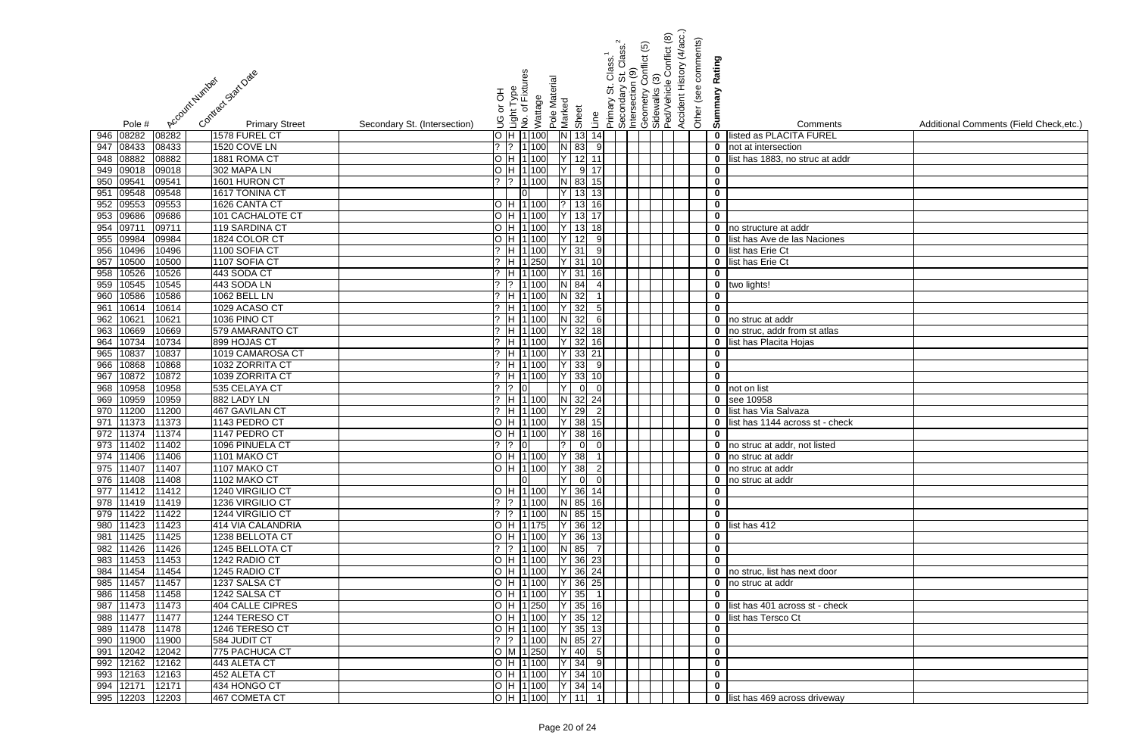|                                                                              | onflict (5)<br>Primary St. Class. <sup>1</sup><br> Secondary St. Class. <sup>2</sup><br> Intersection (9) | Accident History (4/acc.)<br>Conflict (8)<br>Other (see comments) | Rating                                         |                                         |
|------------------------------------------------------------------------------|-----------------------------------------------------------------------------------------------------------|-------------------------------------------------------------------|------------------------------------------------|-----------------------------------------|
| Contract Statt Date<br>Account Number                                        | nt Type<br>of Fixtures<br>Pole Material                                                                   | ල<br>Geometry Co<br>Sidewalks (3)<br>Ped/Vehicle (                |                                                |                                         |
|                                                                              | or OH                                                                                                     |                                                                   | Summary                                        |                                         |
|                                                                              | Wattage<br>Marked<br>Sheet                                                                                |                                                                   |                                                |                                         |
| <b>Primary Street</b><br>Secondary St. (Intersection)<br>Pole #              | انعام<br>No. of<br>Line<br>S.                                                                             |                                                                   | Comments                                       | Additional Comments (Field Check, etc.) |
| 946 08282<br>08282<br>1578 FUREL CT                                          | $O$ H $1$ 100<br>$\overline{N}$<br>$13$ 14                                                                |                                                                   | listed as PLACITA FUREL<br>$\mathbf 0$         |                                         |
| 947 08433<br>1520 COVE LN<br>08433                                           | $N$ 83<br>$?$ 1 100<br>9                                                                                  |                                                                   | $\mathbf 0$<br>not at intersection             |                                         |
| 948 08882<br>1881 ROMA CT<br>08882                                           | H 1 100<br>12                                                                                             |                                                                   | list has 1883, no struc at addr<br>$\mathbf 0$ |                                         |
| 949 09018<br>09018<br>302 MAPA LN                                            | 9<br>H 1100                                                                                               |                                                                   | $\mathbf 0$                                    |                                         |
| 09541<br>09541<br>1601 HURON CT<br>950                                       | N 83<br>1 100<br>15                                                                                       |                                                                   | $\mathbf 0$                                    |                                         |
| 09548<br>09548<br>1617 TONINA CT<br>951                                      | 13 <sup>1</sup><br>13                                                                                     |                                                                   | $\mathbf 0$                                    |                                         |
| 09553<br>09553<br>1626 CANTA CT<br>952<br>09686                              | 13<br>H 1100<br>13<br>H 1100                                                                              |                                                                   | $\mathbf 0$<br>$\mathbf 0$                     |                                         |
| 953<br>09686<br>101 CACHALOTE CT<br>0971<br>954<br>09711<br>119 SARDINA CT   | 13<br>H 1100<br>18                                                                                        |                                                                   | $\mathbf 0$<br>no structure at addr            |                                         |
| 09984<br>1824 COLOR CT<br>955<br>09984                                       | H 1100<br>12<br>9                                                                                         |                                                                   | list has Ave de las Naciones<br>$\mathbf 0$    |                                         |
| 10496<br>956<br>10496<br>1100 SOFIA CT                                       | $Y$ 31<br>H 1 100<br>9                                                                                    |                                                                   | $\mathbf 0$<br>list has Erie Ct                |                                         |
| 10500<br>957<br>1107 SOFIA CT<br>10500                                       | $Y$ 31<br>H 1250                                                                                          |                                                                   | 0 list has Erie Ct                             |                                         |
| 10526<br>958<br>10526<br>443 SODA CT                                         | $Y$ 31<br>H 1 100<br>16l                                                                                  |                                                                   | $\mathbf 0$                                    |                                         |
| 10545<br>443 SODA LN<br>959<br>10545                                         | $N$ 84<br>$?$   1   100                                                                                   |                                                                   | 0 two lights!                                  |                                         |
| 10586<br>10586<br><b>1062 BELL LN</b><br>960                                 | $N$ 32<br>H 1 100                                                                                         |                                                                   | $\bf{0}$                                       |                                         |
| 10614<br>961<br>10614<br>1029 ACASO CT                                       | $Y$ 32<br>H 1 100<br>5 <sub>l</sub>                                                                       |                                                                   | $\mathbf 0$                                    |                                         |
| 10621<br>1036 PINO CT<br>962<br>10621                                        | N 32<br>H 1 100<br>6                                                                                      |                                                                   | 0 no struc at addr                             |                                         |
| 10669<br>579 AMARANTO CT<br>963<br>10669                                     | $Y$ 32<br>? H 1 100<br>18                                                                                 |                                                                   | no struc, addr from st atlas<br>$\mathbf 0$    |                                         |
| 10734<br>899 HOJAS CT<br>10734<br>964                                        | $?$ H 1 100<br>$Y$ 32<br><u>16l</u>                                                                       |                                                                   | list has Placita Hojas<br>$\mathbf 0$          |                                         |
| 10837<br>1019 CAMAROSA CT<br>965<br>10837                                    | $?$ H 1 100<br>$Y$ 33<br>21                                                                               |                                                                   | $\mathbf 0$                                    |                                         |
| 10868<br>1032 ZORRITA CT<br>966<br>10868                                     | 33<br>$\overline{H}$  1 100                                                                               |                                                                   | $\mathbf 0$                                    |                                         |
| 10872<br>10872<br>1039 ZORRITA CT<br>967                                     | 33<br>H 1100                                                                                              |                                                                   | $\mathbf 0$                                    |                                         |
| 10958<br>10958<br>535 CELAYA CT<br>968                                       | $\Omega$                                                                                                  |                                                                   | $\mathbf 0$<br>not on list                     |                                         |
| 10959<br>10959<br>969<br>882 LADY LN                                         | H 1 100<br>$N$ 32<br>24                                                                                   |                                                                   | $\mathbf 0$<br>see 10958                       |                                         |
| 11200<br>467 GAVILAN CT<br>11200<br>970                                      | H 1 100<br>29                                                                                             |                                                                   | list has Via Salvaza<br>$\mathbf 0$            |                                         |
| 11373<br>971<br>11373<br>1143 PEDRO CT                                       | 38<br>H 1100<br>15                                                                                        |                                                                   | list has 1144 across st - check<br>$\mathbf 0$ |                                         |
| 11374<br>1147 PEDRO CT<br>972<br>11374                                       | H 1 100<br>38<br><u>16l</u>                                                                               |                                                                   | $\mathbf 0$                                    |                                         |
| 973 11402 11402<br>1096 PINUELA CT                                           | ?   ?   0             0   0                                                                               |                                                                   | <b>0</b> no struc at addr, not listed          |                                         |
| 974 11406 11406<br>1101 MAKO CT                                              | $O$  H  1 100   Y   38   1                                                                                |                                                                   | 0 no struc at addr                             |                                         |
| 975 11407<br>11407<br>1107 MAKO CT                                           | O  H  1 100     Y   38    2 <br>$Y$ 0 0<br>lol                                                            |                                                                   | 0 no struc at addr                             |                                         |
| 976 11408<br>11408<br>1102 MAKO CT<br>977 11412<br>11412<br>1240 VIRGILIO CT | $ H 1 100 $ $ Y 36 14 $                                                                                   |                                                                   | 0 no struc at addr<br>$\mathbf 0$              |                                         |
| 978 11419<br>11419<br>1236 VIRGILIO CT                                       | ?  ?  1 100   N   85   16                                                                                 |                                                                   | $\mathbf 0$                                    |                                         |
| 979 11422<br>11422<br>1244 VIRGILIO CT                                       | $?$ $?$ $1100$ N 85 15                                                                                    |                                                                   | $\mathbf 0$                                    |                                         |
| 980 11423<br>11423<br>414 VIA CALANDRIA                                      | O H 1135 Y 36 12                                                                                          |                                                                   | $\theta$ list has 412                          |                                         |
| 981 11425<br>11425<br>1238 BELLOTA CT                                        | O  H  1 100   Y   36   13                                                                                 |                                                                   | $\mathbf 0$                                    |                                         |
| 982 11426<br>11426<br>1245 BELLOTA CT                                        | $N$ 85<br>? 1100                                                                                          |                                                                   | $\mathbf 0$                                    |                                         |
| 983 11453<br>11453<br>1242 RADIO CT                                          | $Y$ 36 23<br>H 1 100                                                                                      |                                                                   | $\mathbf 0$                                    |                                         |
| 984 11454<br>11454<br>1245 RADIO CT                                          | Y 36 24<br>H 1 100                                                                                        |                                                                   | <b>0</b> no struc, list has next door          |                                         |
| 985 11457<br>11457<br>1237 SALSA CT                                          | Y 36 25<br>H 1 100                                                                                        |                                                                   | 0 no struc at addr                             |                                         |
| 986 11458<br>11458<br>1242 SALSA CT                                          | $Y$ 35<br>H 1 100                                                                                         |                                                                   | $\mathbf 0$                                    |                                         |
| 11473<br>11473<br><b>404 CALLE CIPRES</b><br>987                             | Y 35 16<br>O H 1250                                                                                       |                                                                   | 0 list has 401 across st - check               |                                         |
| 988 11477<br>11477<br>1244 TERESO CT                                         | O  H  1 100   Y   35   12                                                                                 |                                                                   | 0 list has Tersco Ct                           |                                         |
| 989 11478<br>1246 TERESO CT<br>11478                                         | O  H  1 100   Y   35   13                                                                                 |                                                                   | $\mathbf 0$                                    |                                         |
| 990 11900<br>11900<br>584 JUDIT CT                                           | $?$ $ ?$ $ 1 100$ N 85 27                                                                                 |                                                                   | $\mathbf 0$                                    |                                         |
| 775 PACHUCA CT<br>12042<br>12042<br>991                                      | $O$ M 1250 Y 40 5                                                                                         |                                                                   | $\mathbf 0$                                    |                                         |
| 992 12162<br>12162<br>443 ALETA CT                                           | O  H  1 100   Y   34   9                                                                                  |                                                                   | $\mathbf 0$                                    |                                         |
| 993 12163<br>12163<br>452 ALETA CT                                           | O  H  1 100   Y   34   10                                                                                 |                                                                   | $\mathbf 0$                                    |                                         |
| 994 12171<br>12171<br>434 HONGO CT                                           | $O$  H  1 100   Y   34   14                                                                               |                                                                   | $\mathbf 0$                                    |                                         |
| 467 COMETA CT<br>995 12203<br>12203                                          | O H 1100 Y 11 1                                                                                           |                                                                   | 0 list has 469 across driveway                 |                                         |

| $\overline{\mathbf{s}}$ | Additional Comments (Field Check, etc.) |
|-------------------------|-----------------------------------------|
|                         |                                         |
| ddr                     |                                         |
|                         |                                         |
|                         |                                         |
|                         |                                         |
|                         |                                         |
|                         |                                         |
|                         |                                         |
| es                      |                                         |
|                         |                                         |
|                         |                                         |
|                         |                                         |
|                         |                                         |
|                         |                                         |
|                         |                                         |
| $\frac{1}{2}$           |                                         |
|                         |                                         |
|                         |                                         |
|                         |                                         |
|                         |                                         |
|                         |                                         |
|                         |                                         |
| <u>neck</u>             |                                         |
|                         |                                         |
|                         |                                         |
|                         |                                         |
|                         |                                         |
|                         |                                         |
|                         |                                         |
|                         |                                         |
|                         |                                         |
|                         |                                         |
|                         |                                         |
|                         |                                         |
|                         |                                         |
|                         |                                         |
| $\frac{1}{2}$           |                                         |
|                         |                                         |
|                         |                                         |
|                         |                                         |
|                         |                                         |
|                         |                                         |
|                         |                                         |
| ay                      |                                         |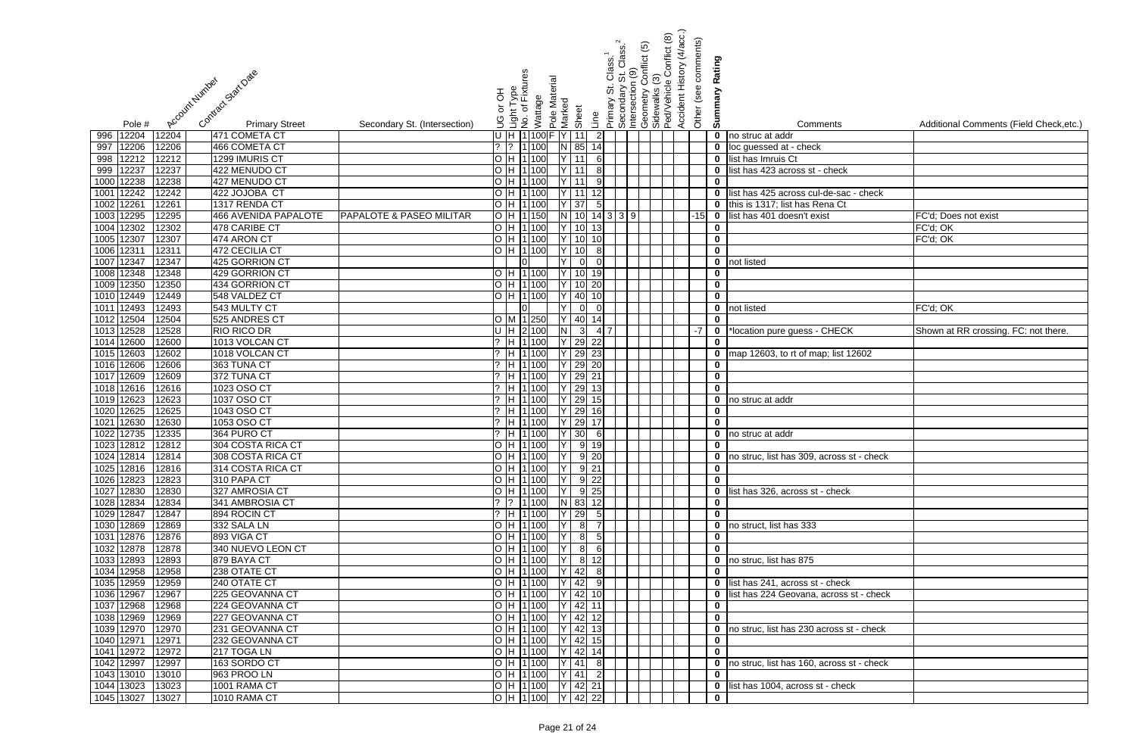|                                                                                       |                                                                                             | Accident History (4/acc.)<br>Conflict (8)<br>Primary St. Class. <sup>1</sup><br>_Secondary St. Class. <sup>2</sup><br>_Intersection (9)<br>_Geometry Conflict (5)<br>_Sidewalks (3)<br>_PedVehicle Conflict (8 | Other (see comments)        |                                                  |                                         |
|---------------------------------------------------------------------------------------|---------------------------------------------------------------------------------------------|----------------------------------------------------------------------------------------------------------------------------------------------------------------------------------------------------------------|-----------------------------|--------------------------------------------------|-----------------------------------------|
|                                                                                       |                                                                                             |                                                                                                                                                                                                                | Rating                      |                                                  |                                         |
| Contract Start Date<br>Account Number                                                 | nt Type<br>of Fixtures<br>Pole Material                                                     |                                                                                                                                                                                                                |                             |                                                  |                                         |
|                                                                                       | 공                                                                                           |                                                                                                                                                                                                                | mmary                       |                                                  |                                         |
|                                                                                       | Wattage<br>Marked<br>ŏ                                                                      |                                                                                                                                                                                                                |                             |                                                  |                                         |
| <b>Primary Street</b><br>Secondary St. (Intersection)<br>Pole #                       | Sheet<br>os<br>افغان<br>الاقتصاد<br>الاقتصاد<br>Line                                        |                                                                                                                                                                                                                | ശ                           | Comments                                         | Additional Comments (Field Check, etc.) |
| 12204<br>12204<br>471 COMETA CT<br>996                                                | U H 1100F<br>11<br>$\overline{2}$                                                           |                                                                                                                                                                                                                | $\mathbf 0$                 | no struc at addr                                 |                                         |
| 12206<br>12206<br>466 COMETA CT<br>997                                                | $ ?$ $ ?$ $ 1 $ 100<br>85<br>14<br>IN I                                                     |                                                                                                                                                                                                                | $\mathbf 0$                 | loc guessed at - check                           |                                         |
| 12212<br>1299 IMURIS CT<br>12212<br>998                                               | O H 1100<br>11<br>6                                                                         |                                                                                                                                                                                                                | $\mathbf 0$                 | list has Imruis Ct                               |                                         |
| 12237<br>12237<br>422 MENUDO CT<br>999                                                | O H 1100<br>11<br>8                                                                         |                                                                                                                                                                                                                | $\bf{0}$                    | list has 423 across st - check                   |                                         |
| 12238<br>427 MENUDO CT<br>12238<br>1000                                               | O H 1100<br>11<br>9                                                                         |                                                                                                                                                                                                                | $\mathbf 0$                 |                                                  |                                         |
| 12242<br>12242<br>422 JOJOBA CT<br>1001                                               | O H 1100<br>11<br>12                                                                        |                                                                                                                                                                                                                | $\mathbf 0$                 | list has 425 across cul-de-sac - check           |                                         |
| 1226'<br>12261<br>1317 RENDA CT<br>1002                                               | 37<br>100<br>-5I<br>O H 1                                                                   |                                                                                                                                                                                                                | $\mathbf 0$                 | this is 1317; list has Rena Ct                   |                                         |
| 12295<br>12295<br><b>PAPALOTE &amp; PASEO MILITAR</b><br>1003<br>466 AVENIDA PAPALOTE | $O/H$ 1<br>10<br>150                                                                        | $14$ 3 3 9                                                                                                                                                                                                     | $\mathbf 0$<br>$-15$        | list has 401 doesn't exist                       | FC'd; Does not exist                    |
| 12302<br>12302<br>1004<br>478 CARIBE CT                                               | O H 1100<br>10<br>13                                                                        |                                                                                                                                                                                                                | $\mathbf 0$                 |                                                  | FC'd; OK                                |
| 12307<br>1005<br>12307<br>474 ARON CT                                                 | O H 1100<br>10<br>10                                                                        |                                                                                                                                                                                                                | $\mathbf 0$                 |                                                  | FC'd; OK                                |
| 1231<br>12311<br>1006<br>472 CECILIA CT<br>12347<br>12347<br>425 GORRION CT           | O H 1100<br>10<br>-8                                                                        |                                                                                                                                                                                                                | $\mathbf 0$                 |                                                  |                                         |
| 1007<br>12348<br>12348<br>429 GORRION CT<br>1008                                      | $\overline{O}$ H $\overline{11}$ 100<br>10<br>19                                            |                                                                                                                                                                                                                | $\mathbf 0$<br>$\mathbf 0$  | not listed                                       |                                         |
| 1009 12350<br>434 GORRION CT<br>12350                                                 | O H 1100<br>10<br>20                                                                        |                                                                                                                                                                                                                | $\mathbf 0$                 |                                                  |                                         |
| 1010 12449<br>12449<br>548 VALDEZ CT                                                  | O H 1100<br>40<br>10                                                                        |                                                                                                                                                                                                                | $\overline{\mathbf{0}}$     |                                                  |                                         |
| 1011 12493<br>543 MULTY CT<br>12493                                                   | $\overline{0}$                                                                              |                                                                                                                                                                                                                | $\mathbf 0$                 | not listed                                       | FC'd; OK                                |
| 1012 12504<br>12504<br>525 ANDRES CT                                                  | 40<br>O M 1 250<br>14                                                                       |                                                                                                                                                                                                                | $\mathbf 0$                 |                                                  |                                         |
| 1013 12528<br>12528<br><b>RIO RICO DR</b>                                             | $U$ H $2$ 100<br>$\mathbf{3}$                                                               | -41 7                                                                                                                                                                                                          | $-7$<br>$\mathbf 0$         | *location pure guess - CHECK                     | Shown at RR crossing. FC: not there.    |
| 12600<br>12600<br>1013 VOLCAN CT<br>1014                                              | $?$ H 1 100<br>29<br>22                                                                     |                                                                                                                                                                                                                | $\mathbf 0$                 |                                                  |                                         |
| 1015 12603<br>1018 VOLCAN CT<br>12602                                                 | $?$ H 1 100<br>29<br>23                                                                     |                                                                                                                                                                                                                | $\mathbf 0$                 | map 12603, to rt of map; list 12602              |                                         |
| 1016 12606<br>12606<br>363 TUNA CT                                                    | 29<br>$?$ H 1100<br>20                                                                      |                                                                                                                                                                                                                | $\mathbf 0$                 |                                                  |                                         |
| 1017 12609<br>12609<br>372 TUNA CT                                                    | 29<br>21<br>$ ?$ $ H 1 $<br>100                                                             |                                                                                                                                                                                                                | $\mathbf 0$                 |                                                  |                                         |
| 1018 12616<br>12616<br>1023 OSO CT                                                    | 29<br>$?$ H 1<br>100<br>13                                                                  |                                                                                                                                                                                                                | $\mathbf 0$                 |                                                  |                                         |
| 1019 12623<br>12623<br>1037 OSO CT                                                    | $?$ H 1 100<br>29<br>15                                                                     |                                                                                                                                                                                                                | $\mathbf 0$                 | no struc at addr                                 |                                         |
| 12625<br>12625<br>1043 OSO CT<br>1020                                                 | 29<br>100<br>$?$ H 1<br>16                                                                  |                                                                                                                                                                                                                | $\mathbf 0$                 |                                                  |                                         |
| 12630<br>12630<br>1021<br>1053 OSO CT                                                 | $?$ H 1 100<br>29<br>17                                                                     |                                                                                                                                                                                                                | $\mathbf 0$                 |                                                  |                                         |
| 12735<br>12335<br>1022<br>364 PURO CT                                                 | 30<br>$?$ H 11 100<br><b>6</b>                                                              |                                                                                                                                                                                                                | $\mathbf 0$                 | no struc at addr                                 |                                         |
| 1023 12812 12812<br>304 COSTA RICA CT<br>1024 12814<br>12814<br>308 COSTA RICA CT     | O H 1 100   Y <br>9 19<br>O H 1100 Y<br>$9 \overline{20}$                                   |                                                                                                                                                                                                                | $\mathbf{0}$<br>$\mathbf 0$ | no struc, list has 309, across st - check        |                                         |
| 1025 12816 12816<br>314 COSTA RICA CT                                                 | $O$ H 1100 Y<br>$9 \ 21$                                                                    |                                                                                                                                                                                                                | $\mathbf 0$                 |                                                  |                                         |
| 1026 12823<br>12823<br>310 PAPA CT                                                    | O H 1100<br>$9 \overline{22}$                                                               |                                                                                                                                                                                                                | $\mathbf 0$                 |                                                  |                                         |
| 1027 12830<br>12830<br>327 AMROSIA CT                                                 | O H 1100<br>$9 \overline{25}$                                                               |                                                                                                                                                                                                                |                             | 0 list has 326, across st - check                |                                         |
| 1028 12834<br>12834<br>341 AMBROSIA CT                                                | ?  ?  1 100<br>N 83 12                                                                      |                                                                                                                                                                                                                | $\mathbf 0$                 |                                                  |                                         |
| 1029 12847<br>894 ROCIN CT<br>12847                                                   | ? H 1 100<br>$29 \quad 5$                                                                   |                                                                                                                                                                                                                | $\mathbf 0$                 |                                                  |                                         |
| 1030 12869<br>12869<br>332 SALA LN                                                    | O H 1 100<br>$8 \mid 7$<br>IY.                                                              |                                                                                                                                                                                                                | $\mathbf 0$                 | no struct, list has 333                          |                                         |
| 893 VIGA CT<br>1031 12876<br>12876                                                    | O H 1 100<br>$\overline{8}$<br>5                                                            |                                                                                                                                                                                                                | $\mathbf 0$                 |                                                  |                                         |
| 1032 12878<br>12878<br>340 NUEVO LEON CT                                              | O H 1 100<br>8<br>6                                                                         |                                                                                                                                                                                                                | $\mathbf 0$                 |                                                  |                                         |
| 1033 12893<br>12893<br>879 BAYA CT                                                    | O H 1 100<br>$8 \mid$<br>12                                                                 |                                                                                                                                                                                                                |                             | 0 no struc, list has 875                         |                                         |
| 1034 12958<br>12958<br>238 OTATE CT                                                   | O H 1 100<br>42<br>8 <sup>l</sup>                                                           |                                                                                                                                                                                                                | $\mathbf 0$                 |                                                  |                                         |
| 1035 12959<br>12959<br>240 OTATE CT                                                   | O  H  1 100<br>$42 \mid 9$                                                                  |                                                                                                                                                                                                                |                             | 0 list has 241, across st - check                |                                         |
| 1036 12967<br>12967<br>225 GEOVANNA CT                                                | O H 1100<br>42 10                                                                           |                                                                                                                                                                                                                |                             | <b>0</b> list has 224 Geovana, across st - check |                                         |
| 1037 12968<br>12968<br>224 GEOVANNA CT<br>1038 12969<br>12969<br>227 GEOVANNA CT      | O H 1100<br>42 11<br>O H 1100<br>$42$ 12                                                    |                                                                                                                                                                                                                | $\mathbf 0$<br>$\mathbf 0$  |                                                  |                                         |
| 1039 12970<br>12970<br>231 GEOVANNA CT                                                | O H 1100<br>$42 \mid 13$                                                                    |                                                                                                                                                                                                                | $\mathbf 0$                 | no struc, list has 230 across st - check         |                                         |
| 1040 12971<br>12971<br>232 GEOVANNA CT                                                | O H 1 100 <br>$42 \mid 15$                                                                  |                                                                                                                                                                                                                | $\mathbf 0$                 |                                                  |                                         |
| 1041 12972<br>12972<br>217 TOGA LN                                                    | $42 \mid 14$<br>O H 1100                                                                    |                                                                                                                                                                                                                | $\mathbf 0$                 |                                                  |                                         |
| 1042 12997<br>163 SORDO CT<br>12997                                                   | O H 1100<br>$41 \quad 8$                                                                    |                                                                                                                                                                                                                |                             | 0 no struc, list has 160, across st - check      |                                         |
| 1043 13010 13010<br>963 PROO LN                                                       | O H 1 100 Y 41 2                                                                            |                                                                                                                                                                                                                | $\mathbf 0$                 |                                                  |                                         |
| 1044 13023 13023<br>1001 RAMA CT                                                      | $\begin{bmatrix} 0 & H & 1 & 100 \end{bmatrix}$ $\begin{bmatrix} Y & 42 & 21 \end{bmatrix}$ |                                                                                                                                                                                                                |                             | 0 list has 1004, across st - check               |                                         |
| 1045 13027<br>1010 RAMA CT<br>13027                                                   | $\overline{O}$  H  1 100   Y   42   22                                                      |                                                                                                                                                                                                                | $\mathbf 0$                 |                                                  |                                         |

| 5              | <u>კ</u>                | Comments                                  | Additional Comments (Field Check, etc.) |
|----------------|-------------------------|-------------------------------------------|-----------------------------------------|
|                | 0                       | no struc at addr                          |                                         |
|                | 0                       | loc guessed at - check                    |                                         |
|                | 0                       | list has Imruis Ct                        |                                         |
|                | 0                       | list has 423 across st - check            |                                         |
|                | 0                       |                                           |                                         |
|                | 0                       | list has 425 across cul-de-sac - check    |                                         |
|                | 0                       | this is 1317; list has Rena Ct            |                                         |
| $\overline{5}$ | 0                       | list has 401 doesn't exist                | FC'd; Does not exist                    |
|                | 0                       |                                           | FC'd; OK                                |
|                | $\bf{0}$                |                                           | FC'd; OK                                |
|                | 0                       |                                           |                                         |
|                | 0                       | not listed                                |                                         |
|                | 0                       |                                           |                                         |
|                | $\pmb{0}$               |                                           |                                         |
|                | 0                       |                                           |                                         |
|                | $\bf{0}$                | not listed                                | $FC'd$ ; $OK$                           |
|                | 0                       |                                           |                                         |
| 7              | 0                       | *location pure guess - CHECK              | Shown at RR crossing. FC: not there.    |
|                | 0                       |                                           |                                         |
|                | 0                       | map 12603, to rt of map; list 12602       |                                         |
|                | 0                       |                                           |                                         |
|                | $\bf{0}$<br>$\mathbf 0$ |                                           |                                         |
|                | 0                       | no struc at addr                          |                                         |
|                | 0                       |                                           |                                         |
|                | 0                       |                                           |                                         |
|                | $\bf{0}$                | no struc at addr                          |                                         |
|                | 0                       |                                           |                                         |
|                | 0                       | no struc, list has 309, across st - check |                                         |
|                | 0                       |                                           |                                         |
|                | 0                       |                                           |                                         |
|                | 0                       | list has 326, across st - check           |                                         |
|                | 0                       |                                           |                                         |
|                | 0                       |                                           |                                         |
|                | 0                       | no struct, list has 333                   |                                         |
|                | 0                       |                                           |                                         |
|                | $\bf{0}$                |                                           |                                         |
|                | 0                       | no struc, list has 875                    |                                         |
|                | $\bf{0}$                |                                           |                                         |
|                | 0                       | list has 241, across st - check           |                                         |
|                | 0                       | list has 224 Geovana, across st - check   |                                         |
|                | 0                       |                                           |                                         |
|                | 0                       |                                           |                                         |
|                | 0                       | no struc, list has 230 across st - check  |                                         |
|                | 0                       |                                           |                                         |
|                | 0                       |                                           |                                         |
|                | 0                       | no struc, list has 160, across st - check |                                         |
|                | 0                       |                                           |                                         |
|                | 0<br>$\bf{0}$           | list has 1004, across st - check          |                                         |
|                |                         |                                           |                                         |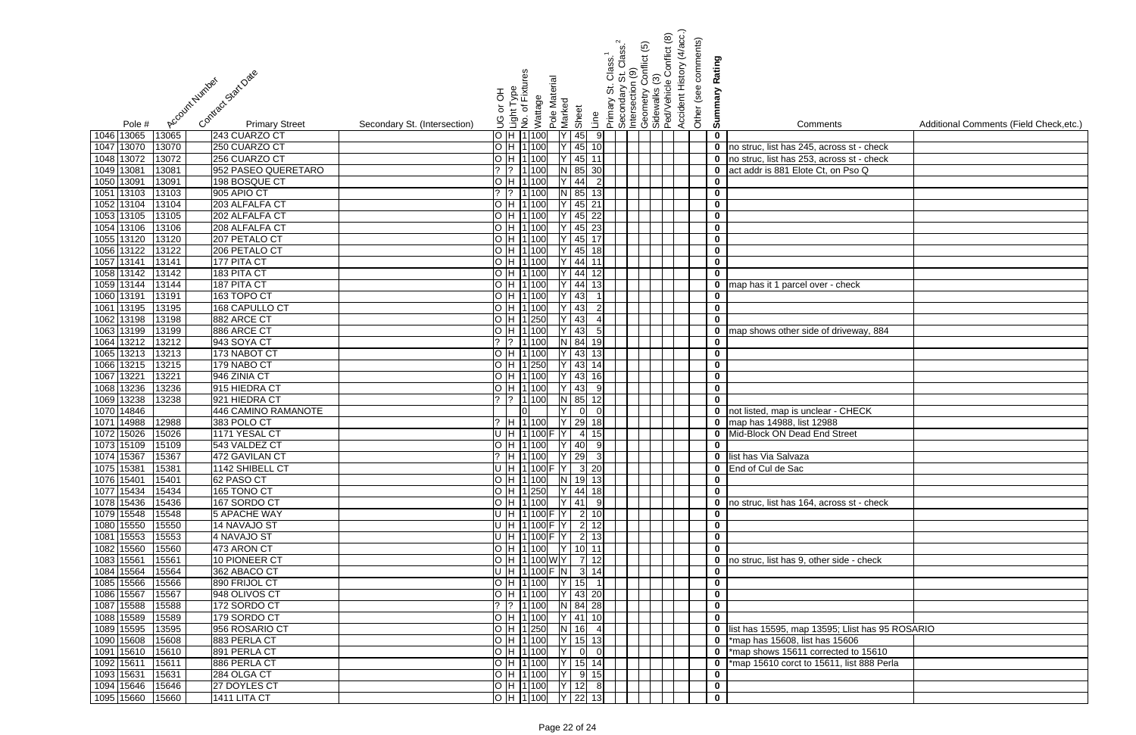|                                                                            |                              |                                                                                              |                                  | Class.<br>Clasi                                                  | <u>ම</u><br>Conflict | Conflict (8)<br>ල                             | (4/acc.)<br>Other (see comments) | Rating                     |                                                   |                                         |
|----------------------------------------------------------------------------|------------------------------|----------------------------------------------------------------------------------------------|----------------------------------|------------------------------------------------------------------|----------------------|-----------------------------------------------|----------------------------------|----------------------------|---------------------------------------------------|-----------------------------------------|
| Contract Start Date<br>Account Number                                      |                              | Light Type<br>No. of Fixtures<br>Pole Material<br>공<br>Wattage<br>Marked<br>ŏ<br>Sheet<br>9C | Line                             | Secondary St. C<br>Intersection (9)<br>5<br>Secondary<br>Primary |                      | Geometry Co<br>Sidewalks (3)<br>Ped/Vehicle ( | Accident History                 | Summary                    |                                                   | Additional Comments (Field Check, etc.) |
| <b>Primary Street</b><br>Pole #<br>1046 13065<br>13065<br>243 CUARZO CT    | Secondary St. (Intersection) | O H 1100                                                                                     | 45<br>9                          |                                                                  |                      |                                               |                                  | $\mathbf 0$                | Comments                                          |                                         |
| 13070<br>250 CUARZO CT<br>1047 13070                                       |                              | O H 1 100                                                                                    | 45<br>10                         |                                                                  |                      |                                               |                                  | $\mathbf 0$                | no struc, list has 245, across st - check         |                                         |
| 1048 13072<br>256 CUARZO CT<br>13072                                       |                              | O H 1 100                                                                                    | 45<br>11                         |                                                                  |                      |                                               |                                  | $\mathbf 0$                | no struc, list has 253, across st - check         |                                         |
| 1049 13081<br>952 PASEO QUERETARO<br>13081                                 |                              | $?$  ?  1 100                                                                                | 85<br>30                         |                                                                  |                      |                                               |                                  | $\mathbf 0$                | act addr is 881 Elote Ct, on Pso Q                |                                         |
| 1050 13091<br>13091<br>198 BOSQUE CT                                       |                              | O H 1100                                                                                     | 44<br>$\overline{2}$             |                                                                  |                      |                                               |                                  | $\mathbf 0$                |                                                   |                                         |
| 1051 13103<br>13103<br>905 APIO CT                                         |                              | ?  ?  1 100                                                                                  | 85<br>13                         |                                                                  |                      |                                               |                                  | $\mathbf 0$                |                                                   |                                         |
| 1052 13104<br>13104<br>203 ALFALFA CT                                      |                              | O  H  1 100                                                                                  | 45<br>21                         |                                                                  |                      |                                               |                                  | $\mathbf 0$                |                                                   |                                         |
| 202 ALFALFA CT<br>1053 13105<br>13105                                      |                              | 100<br>O H 1                                                                                 | 45<br>22                         |                                                                  |                      |                                               |                                  | $\mathbf 0$                |                                                   |                                         |
| 1054 13106<br>13106<br>208 ALFALFA CT                                      |                              | 100<br>$O/H$ 1                                                                               | 45<br>23                         |                                                                  |                      |                                               |                                  | $\mathbf 0$                |                                                   |                                         |
| 1055 13120<br>13120<br>207 PETALO CT                                       |                              | 100<br>O H 1                                                                                 | 45<br>17                         |                                                                  |                      |                                               |                                  | $\mathbf 0$                |                                                   |                                         |
| 1056 13122<br>13122<br>206 PETALO CT                                       |                              | $O/H$ 1<br>100                                                                               | 45<br>18                         |                                                                  |                      |                                               |                                  | $\mathbf 0$                |                                                   |                                         |
| 13141<br>1057<br>13141<br>177 PITA CT                                      |                              | O H 1100                                                                                     | 44<br>11                         |                                                                  |                      |                                               |                                  | $\mathbf 0$                |                                                   |                                         |
| 1058 13142<br>13142<br>183 PITA CT                                         |                              | O H 1100                                                                                     | 44 12                            |                                                                  |                      |                                               |                                  | $\mathbf 0$                |                                                   |                                         |
| 1059 13144<br>13144<br>187 PITA CT                                         |                              | O H 11100                                                                                    | 44 13                            |                                                                  |                      |                                               |                                  | $\mathbf 0$                | map has it 1 parcel over - check                  |                                         |
| 1060 13191<br>163 TOPO CT<br>13191                                         |                              | O H 1100                                                                                     | 43<br>-11                        |                                                                  |                      |                                               |                                  | $\mathbf 0$                |                                                   |                                         |
| 1061 13195<br>168 CAPULLO CT<br>13195                                      |                              | $O$ H 1100                                                                                   | 43<br>$\overline{2}$             |                                                                  |                      |                                               |                                  | $\mathbf 0$                |                                                   |                                         |
| 1062 13198<br>882 ARCE CT<br>13198                                         |                              | O H 1250                                                                                     | 43<br>41                         |                                                                  |                      |                                               |                                  | $\mathbf 0$                |                                                   |                                         |
| 1063 13199<br>13199<br>886 ARCE CT                                         |                              | O H 1 100                                                                                    | 43<br>-51                        |                                                                  |                      |                                               |                                  | $\bf{0}$                   | map shows other side of driveway, 884             |                                         |
| 13212<br>13212<br>943 SOYA CT<br>1064                                      |                              | $ ?$ $ ?$ 1 100                                                                              | 84<br>19                         |                                                                  |                      |                                               |                                  | $\mathbf 0$                |                                                   |                                         |
| 1065 13213<br>173 NABOT CT<br>13213                                        |                              | O H 1 100                                                                                    | 43<br>13                         |                                                                  |                      |                                               |                                  | $\mathbf 0$                |                                                   |                                         |
| 1066 13215<br>179 NABO CT<br>13215                                         |                              | O H 1250                                                                                     | 43<br>14                         |                                                                  |                      |                                               |                                  | $\mathbf 0$                |                                                   |                                         |
| 1067 13221<br>13221<br>946 ZINIA CT                                        |                              | O H 1 100                                                                                    | 43<br>16                         |                                                                  |                      |                                               |                                  | $\mathbf 0$                |                                                   |                                         |
| 13236<br>13236<br>915 HIEDRA CT<br>1068                                    |                              | O H 1100                                                                                     | 43<br>9                          |                                                                  |                      |                                               |                                  | $\mathbf 0$                |                                                   |                                         |
| 1069 13238<br>13238<br>921 HIEDRA CT                                       |                              | 1 100<br>$2 \sqrt{2}$                                                                        | 85<br>12                         |                                                                  |                      |                                               |                                  | $\mathbf 0$                |                                                   |                                         |
| 1070 14846<br>446 CAMINO RAMANOTE                                          |                              |                                                                                              |                                  |                                                                  |                      |                                               |                                  | $\mathbf 0$                | not listed, map is unclear - CHECK                |                                         |
| 14988<br>12988<br>383 POLO CT<br>1071                                      |                              | $\sqrt{?}$ H $\sqrt{1100}$                                                                   | 29<br>18                         |                                                                  |                      |                                               |                                  | $\bf{0}$                   | map has 14988, list 12988                         |                                         |
| 1072 15026<br>1171 YESAL CT<br>15026                                       |                              | U H 1100 F                                                                                   | $\overline{4}$<br>15             |                                                                  |                      |                                               |                                  | $\mathbf 0$                | Mid-Block ON Dead End Street                      |                                         |
| 1073   15109   15109<br>543 VALDEZ CT                                      |                              | O  H  1 100     Y   40    9                                                                  |                                  |                                                                  |                      |                                               |                                  | $\mathbf{0}$               |                                                   |                                         |
| 1074 15367<br>15367<br>472 GAVILAN CT                                      |                              | 2 H 1 100                                                                                    | $29 \quad 3$                     |                                                                  |                      |                                               |                                  |                            | <b>0</b> list has Via Salvaza                     |                                         |
| 1075 15381<br>1142 SHIBELL CT<br>15381                                     |                              | U H 1100FY                                                                                   | 3 20                             |                                                                  |                      |                                               |                                  |                            | <b>0</b> End of Cul de Sac                        |                                         |
| 62 PASO CT<br>1076 15401<br>15401                                          |                              | O H 1100 N 19 13                                                                             |                                  |                                                                  |                      |                                               |                                  | $\mathbf 0$                |                                                   |                                         |
| 1077 15434<br>15434<br>165 TONO CT                                         |                              | O H 1250 Y 44 18                                                                             |                                  |                                                                  |                      |                                               |                                  | $\mathbf 0$                |                                                   |                                         |
| 167 SORDO CT<br>1078 15436<br>15436                                        |                              | O H 1100 Y 41 9                                                                              |                                  |                                                                  |                      |                                               |                                  |                            | 0 no struc, list has 164, across st - check       |                                         |
| 1079 15548<br>15548<br><b>5 APACHE WAY</b>                                 |                              | U H 1100 F Y 210                                                                             |                                  |                                                                  |                      |                                               |                                  | $\mathbf 0$                |                                                   |                                         |
| 1080 15550<br>15550<br>14 NAVAJO ST                                        |                              | U H 1100 F Y 212                                                                             |                                  |                                                                  |                      |                                               |                                  | $\mathbf 0$                |                                                   |                                         |
| 1081 15553<br>15553<br>4 NAVAJO ST                                         |                              | U H 1100 F Y                                                                                 | $2 \mid 13$                      |                                                                  |                      |                                               |                                  | $\mathbf 0$                |                                                   |                                         |
| 473 ARON CT<br>1082 15560<br>15560                                         |                              | $\overline{O}$ H 1100 Y 10 11                                                                |                                  |                                                                  |                      |                                               |                                  | $\mathbf 0$                |                                                   |                                         |
| 15561<br>1083 15561<br>10 PIONEER CT                                       |                              | $\overline{O}$ H 1100 W Y 7 12                                                               |                                  |                                                                  |                      |                                               |                                  | $\mathbf 0$                | no struc, list has 9, other side - check          |                                         |
| 1084 15564<br>15564<br>362 ABACO CT                                        |                              | U H 1100 F N 3 14                                                                            |                                  |                                                                  |                      |                                               |                                  | $\mathbf 0$                |                                                   |                                         |
| 1085 15566<br>15566<br>890 FRIJOL CT                                       |                              | O H 1 100 V                                                                                  | $15$ 1                           |                                                                  |                      |                                               |                                  | $\mathbf 0$                |                                                   |                                         |
| 1086 15567<br>15567<br>948 OLIVOS CT                                       |                              | O  H  1 100                                                                                  | 43 20                            |                                                                  |                      |                                               |                                  | $\mathbf 0$                |                                                   |                                         |
| 1087 15588<br>15588<br>172 SORDO CT                                        |                              | $?$  ?  1 100<br>IN I                                                                        | 84 28                            |                                                                  |                      |                                               |                                  | $\mathbf 0$                |                                                   |                                         |
| 1088 15589<br>15589<br>179 SORDO CT                                        |                              | O H 1100                                                                                     | $41$ 10                          |                                                                  |                      |                                               |                                  | $\overline{\mathbf{0}}$    |                                                   |                                         |
| 1089 15595<br>13595<br>956 ROSARIO CT                                      |                              | O H 1250<br>$\mathsf{N}$                                                                     | 16<br>4                          |                                                                  |                      |                                               |                                  |                            | 0 list has 15595, map 13595; Llist has 95 ROSARIO |                                         |
| 1090 15608<br>15608<br>883 PERLA CT                                        |                              | O H 1100                                                                                     | $15$ 13                          |                                                                  |                      |                                               |                                  | $\mathbf{0}$               | *map has 15608, list has 15606                    |                                         |
| 1091 15610<br>15610<br>891 PERLA CT                                        |                              | O H 1 100<br>O H 1100                                                                        | $\overline{0}$<br>$\overline{0}$ |                                                                  |                      |                                               |                                  | $\mathbf 0$                | *map shows 15611 corrected to 15610               |                                         |
| 1092 15611<br>15611<br>886 PERLA CT                                        |                              |                                                                                              | $15$ 14                          |                                                                  |                      |                                               |                                  | $\mathbf{0}$               | *map 15610 corct to 15611, list 888 Perla         |                                         |
| 1093 15631<br>15631<br>284 OLGA CT                                         |                              | O H 1 100 V                                                                                  | $9 \mid 15$                      |                                                                  |                      |                                               |                                  | $\mathbf 0$                |                                                   |                                         |
| 1094 15646<br>27 DOYLES CT<br>15646<br>1095 15660<br>15660<br>1411 LITA CT |                              | $ O H 1 100 $ $ Y 12 8 $<br>O H 1100 Y 22 13                                                 |                                  |                                                                  |                      |                                               |                                  | $\mathbf 0$<br>$\mathbf 0$ |                                                   |                                         |
|                                                                            |                              |                                                                                              |                                  |                                                                  |                      |                                               |                                  |                            |                                                   |                                         |

| ss st - check           |  |
|-------------------------|--|
| ss st - check           |  |
|                         |  |
| $n \overline{Pso Q}$    |  |
|                         |  |
|                         |  |
|                         |  |
|                         |  |
|                         |  |
|                         |  |
|                         |  |
|                         |  |
|                         |  |
|                         |  |
|                         |  |
| check                   |  |
|                         |  |
|                         |  |
|                         |  |
|                         |  |
| riveway, 884            |  |
|                         |  |
|                         |  |
|                         |  |
|                         |  |
|                         |  |
|                         |  |
|                         |  |
| <b>CHECK</b>            |  |
|                         |  |
|                         |  |
| Street                  |  |
|                         |  |
|                         |  |
|                         |  |
|                         |  |
|                         |  |
|                         |  |
| ss st - check           |  |
|                         |  |
|                         |  |
|                         |  |
|                         |  |
|                         |  |
| ide - check             |  |
|                         |  |
|                         |  |
|                         |  |
|                         |  |
|                         |  |
|                         |  |
| i; Llist has 95 ROSARIO |  |
| 5606                    |  |
|                         |  |
| ted to 15610            |  |
| 1, list 888 Perla       |  |
|                         |  |
|                         |  |
|                         |  |
|                         |  |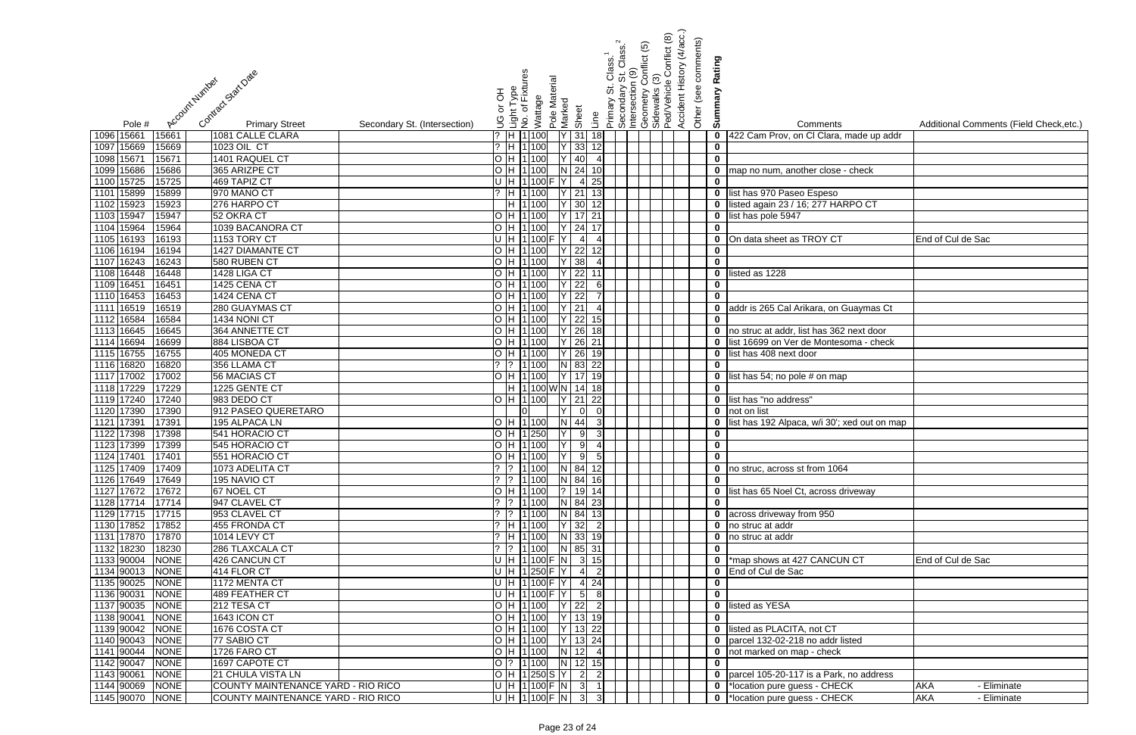|                                                                                         |                                                | Accident History (4/acc.)<br>Conflict (8)<br>conflict (5)<br>Class. <sup>1</sup><br>St. Class. <sup>1</sup><br>n (9) | Other (see comments)<br>Rating |                                                                   |                                         |
|-----------------------------------------------------------------------------------------|------------------------------------------------|----------------------------------------------------------------------------------------------------------------------|--------------------------------|-------------------------------------------------------------------|-----------------------------------------|
| Contract Start Date<br>Account Number                                                   | Light Type<br>No. of Fixtures<br>Pole Material | ල<br>Geometry Co<br>Sidewalks (3)<br>Ped/Vehicle (<br>Primary St. C<br>Secondary S<br>Intersection (                 |                                |                                                                   |                                         |
|                                                                                         | 라 or                                           |                                                                                                                      | Summary                        |                                                                   |                                         |
|                                                                                         | Wattage<br>Marked<br>Sheet                     |                                                                                                                      |                                |                                                                   |                                         |
| <b>Primary Street</b><br>Secondary St. (Intersection)<br>Pole #                         |                                                | Line                                                                                                                 |                                | Comments                                                          | Additional Comments (Field Check, etc.) |
| 15661<br>1081 CALLE CLARA<br>1096 15661                                                 | $?$ H 1 100<br>$Y$ 31                          | 18                                                                                                                   | $\mathbf 0$                    | 422 Cam Prov, on Cl Clara, made up addr                           |                                         |
| 1097 15669<br>1023 OIL CT<br>15669                                                      | $?$ H 1 100<br>$Y$ 33                          | 12                                                                                                                   | $\pmb{0}$                      |                                                                   |                                         |
| 1098 15671<br>15671<br>1401 RAQUEL CT                                                   | H 1 100<br>40                                  |                                                                                                                      | $\mathbf 0$                    |                                                                   |                                         |
| 1099 15686<br>365 ARIZPE CT<br>15686<br>15725                                           | H 1 100<br>$N$ 24<br>$\overline{4}$ 25         |                                                                                                                      |                                | 0 map no num, another close - check                               |                                         |
| 1100 15725<br>469 TAPIZ CT<br>15899<br>970 MANO CT<br>1101<br>15899                     | U  H  1 100 F  Y  <br>$Y$ 21<br>H 1100         | 13                                                                                                                   | $\mathbf 0$                    | 0 list has 970 Paseo Espeso                                       |                                         |
| 1102 15923<br>15923<br>276 HARPO CT                                                     | 30<br>H 1100                                   |                                                                                                                      | $\mathbf 0$                    | listed again 23 / 16; 277 HARPO CT                                |                                         |
| 1103 15947<br>15947<br>52 OKRA CT                                                       | H 1 100<br>$Y$ 17                              |                                                                                                                      |                                | 0 list has pole 5947                                              |                                         |
| 1104 15964<br>15964<br>1039 BACANORA CT                                                 | H 1 100<br>$Y$ 24                              |                                                                                                                      | $\mathbf 0$                    |                                                                   |                                         |
| 1105 16193<br>16193<br>1153 TORY CT                                                     | U H 1100 F Y<br>$\overline{4}$                 |                                                                                                                      | $\mathbf 0$                    | On data sheet as TROY CT                                          | End of Cul de Sac                       |
| 1106 16194<br>16194<br>1427 DIAMANTE CT                                                 | H 1100<br>Y 22                                 | 12                                                                                                                   | $\mathbf 0$                    |                                                                   |                                         |
| 1107 16243<br>16243<br>580 RUBEN CT                                                     | $Y$ 38<br>H 1100                               |                                                                                                                      | $\mathbf 0$                    |                                                                   |                                         |
| 1108 16448<br>1428 LIGA CT<br>16448                                                     | $Y$ 22<br>H 1 100                              |                                                                                                                      | $\mathbf 0$                    | listed as 1228                                                    |                                         |
| 1109 16451<br>1425 CENA CT<br>16451                                                     | $Y$ 22<br>H 1 100                              | 61                                                                                                                   | $\mathbf 0$                    |                                                                   |                                         |
| 1110 16453<br>1424 CENA CT<br>16453                                                     | $Y$ 22<br>H 1 100                              |                                                                                                                      | $\mathbf 0$                    |                                                                   |                                         |
| 1111 16519<br>16519<br>280 GUAYMAS CT                                                   | $Y$ 21<br>H 1 100                              | $\mathbf{4}$                                                                                                         |                                | 0 addr is 265 Cal Arikara, on Guaymas Ct                          |                                         |
| 1112 16584<br>16584<br>1434 NONI CT                                                     | $Y$ 22<br>H 1 100                              | 15                                                                                                                   | $\mathbf 0$                    |                                                                   |                                         |
| 1113 16645<br>364 ANNETTE CT<br>16645                                                   | H 1100<br>$Y$ 26                               | 18                                                                                                                   |                                | 0 no struc at addr, list has 362 next door                        |                                         |
| 1114 16694<br>884 LISBOA CT<br>16699                                                    | H 1100<br>$Y$ 26 21                            |                                                                                                                      |                                | 0 list 16699 on Ver de Montesoma - check                          |                                         |
| 1115 16755<br>405 MONEDA CT<br>16755                                                    | H 1 100<br>$Y$ 26                              | 19                                                                                                                   | $\mathbf 0$                    | list has 408 next door                                            |                                         |
| 1116 16820<br>16820<br>356 LLAMA CT                                                     | $N$ 83 22<br>$?$ 1 100                         |                                                                                                                      | $\mathbf 0$                    |                                                                   |                                         |
| 1117 17002<br>17002<br>56 MACIAS CT                                                     | $Y$ 17<br>H 1 100                              | 19                                                                                                                   | $\mathbf 0$                    | list has 54; no pole # on map                                     |                                         |
| 1118 17229<br>1225 GENTE CT<br>17229                                                    | H  1100WN 14                                   |                                                                                                                      | $\mathbf 0$                    |                                                                   |                                         |
| 1119 17240<br>17240<br>983 DEDO CT<br>1120 17390                                        | $Y$ 21<br>H 11100<br>$\Omega$                  | 22                                                                                                                   |                                | 0 list has "no address"<br>0 not on list                          |                                         |
| 17390<br>912 PASEO QUERETARO<br>1121 17391<br>17391<br>195 ALPACA LN                    | H 1 100<br>N 44                                | 3                                                                                                                    | $\mathbf 0$                    |                                                                   |                                         |
| 1122 17398<br>17398<br>541 HORACIO CT                                                   | H 1 250<br>9                                   | $3 \blacksquare$                                                                                                     | $\mathbf 0$                    | list has 192 Alpaca, w/i 30'; xed out on map                      |                                         |
| 1123 17399 17399<br>545 HORACIO CT                                                      | H  1 100   Y   9  4                            |                                                                                                                      | $\bf{0}$                       |                                                                   |                                         |
| 1124 17401<br>17401<br>551 HORACIO CT                                                   | OH1100 Y95                                     |                                                                                                                      | $\overline{\mathbf{0}}$        |                                                                   |                                         |
| 1125 17409<br>17409<br>1073 ADELITA CT                                                  |                                                |                                                                                                                      |                                | 0 no struc, across st from 1064                                   |                                         |
| 1126 17649<br>17649<br>195 NAVIO CT                                                     | $?$  ?  1 100   N   84   16                    |                                                                                                                      | $\mathbf 0$                    |                                                                   |                                         |
| 1127 17672<br>67 NOEL CT<br>17672                                                       | O H 1100 ? 19 14                               |                                                                                                                      |                                | 0 list has 65 Noel Ct, across driveway                            |                                         |
| 1128 17714<br>17714<br>947 CLAVEL CT                                                    | $?$ $ ?$ $ 1 100$ N 84 23                      |                                                                                                                      | $\mathbf 0$                    |                                                                   |                                         |
| 1129 17715<br>17715<br>953 CLAVEL CT                                                    | $?$  ?  1 100 <br>N 84 13                      |                                                                                                                      |                                | 0 across driveway from 950                                        |                                         |
| 1130 17852<br>17852<br>455 FRONDA CT                                                    | $?$ H 1 100<br>$Y$ 32 2                        |                                                                                                                      |                                | 0 no struc at addr                                                |                                         |
| 1131 17870<br>17870<br>1014 LEVY CT                                                     | ?  H  1 100   N   33   19                      |                                                                                                                      |                                | 0 no struc at addr                                                |                                         |
| 1132 18230<br>18230<br>286 TLAXCALA CT                                                  | $?$  ?  1 100  N  85  31                       |                                                                                                                      | $\mathbf 0$                    |                                                                   |                                         |
| 1133 90004<br><b>NONE</b><br>426 CANCUN CT                                              | $U$ H 1100 F N 3 15                            |                                                                                                                      |                                | 0  *map shows at 427 CANCUN CT                                    | End of Cul de Sac                       |
| 1134 90013<br><b>NONE</b><br>414 FLOR CT                                                | U H 1250 F Y<br>$\vert$ 4                      | $\overline{2}$                                                                                                       |                                | 0 End of Cul de Sac                                               |                                         |
| 1135 90025<br><b>NONE</b><br>1172 MENTA CT                                              | $U$ H 1100 F Y 4 24                            |                                                                                                                      | $\mathbf 0$                    |                                                                   |                                         |
| 1136 90031<br><b>NONE</b><br><b>489 FEATHER CT</b>                                      | UH 1100 F Y 5                                  |                                                                                                                      | $\mathbf 0$                    |                                                                   |                                         |
| 1137 90035<br><b>NONE</b><br>212 TESA CT                                                | $Y$ 22<br>H 1 100                              |                                                                                                                      |                                | 0 listed as YESA                                                  |                                         |
| 1138 90041<br><b>NONE</b><br>1643 ICON CT<br>1139 90042<br><b>NONE</b><br>1676 COSTA CT | Y 13 19<br>H 1100<br>$ Y $ 13 22<br>O H 1100   |                                                                                                                      | $\mathbf 0$                    |                                                                   |                                         |
| 1140 90043<br>77 SABIO CT<br><b>NONE</b>                                                | O H 1100 Y 13 24                               |                                                                                                                      |                                | 0 listed as PLACITA, not CT<br>0 parcel 132-02-218 no addr listed |                                         |
| 1141 90044<br><b>NONE</b><br>1726 FARO CT                                               | $O$ H 1100 N 12 4                              |                                                                                                                      |                                | 0 not marked on map - check                                       |                                         |
| 1142 90047<br>NONE<br>1697 CAPOTE CT                                                    | $\overline{O}$  ?  1 100   N  12  15           |                                                                                                                      | $\mathbf{0}$                   |                                                                   |                                         |
| 1143 90061<br>NONE<br>21 CHULA VISTA LN                                                 | O H 1250 S Y 2 2                               |                                                                                                                      |                                | 0 parcel 105-20-117 is a Park, no address                         |                                         |
| 1144 90069<br><b>NONE</b><br>COUNTY MAINTENANCE YARD - RIO RICO                         | UH 1100 F N 3 1                                |                                                                                                                      |                                | 0 *location pure guess - CHECK                                    | <b>AKA</b><br>- Eliminate               |
| 1145 90070<br>COUNTY MAINTENANCE YARD - RIO RICO<br><b>NONE</b>                         | $U$  H  1 100  F  N   3   3                    |                                                                                                                      |                                | 0 *location pure guess - CHECK                                    | <b>AKA</b><br>- Eliminate               |

| $\frac{1}{2}$           | Comments                                     | Additional Comments (Field Check, etc.) |
|-------------------------|----------------------------------------------|-----------------------------------------|
| $\overline{\mathbf{0}}$ | 422 Cam Prov, on Cl Clara, made up addr      |                                         |
| $\overline{\mathbf{0}}$ |                                              |                                         |
| $\overline{\mathbf{0}}$ |                                              |                                         |
| $\overline{\mathbf{0}}$ | map no num, another close - check            |                                         |
| 0                       |                                              |                                         |
| 0                       | list has 970 Paseo Espeso                    |                                         |
| 0                       | listed again 23 / 16; 277 HARPO CT           |                                         |
| 0                       | list has pole 5947                           |                                         |
| 0                       |                                              |                                         |
| 0                       | On data sheet as TROY CT                     | End of Cul de Sac                       |
| $\overline{\mathbf{0}}$ |                                              |                                         |
| Ō                       |                                              |                                         |
| $\overline{\mathbf{0}}$ | listed as 1228                               |                                         |
|                         |                                              |                                         |
| $\frac{0}{0}$           |                                              |                                         |
| $\overline{\mathbf{0}}$ | addr is 265 Cal Arikara, on Guaymas Ct       |                                         |
| $\overline{\mathbf{0}}$ |                                              |                                         |
| $\overline{\textbf{0}}$ | no struc at addr, list has 362 next door     |                                         |
| 0                       | list 16699 on Ver de Montesoma - check       |                                         |
| 0                       | list has 408 next door                       |                                         |
| 0                       |                                              |                                         |
| $\overline{\mathbf{0}}$ | list has 54; no pole # on map                |                                         |
| 0                       |                                              |                                         |
| 0                       | list has "no address"                        |                                         |
| 0                       | not on list                                  |                                         |
| 0                       | list has 192 Alpaca, w/i 30'; xed out on map |                                         |
| 0                       |                                              |                                         |
| $\overline{\mathbf{0}}$ |                                              |                                         |
| $\overline{\mathbf{0}}$ |                                              |                                         |
| $\overline{\mathbf{0}}$ | no struc, across st from 1064                |                                         |
| $\overline{\mathbf{0}}$ |                                              |                                         |
| 0                       | list has 65 Noel Ct, across driveway         |                                         |
| 0                       |                                              |                                         |
| 0                       | across driveway from 950                     |                                         |
| 0                       | no struc at addr                             |                                         |
| 0                       | no struc at addr                             |                                         |
| $\overline{\mathbf{0}}$ |                                              |                                         |
| 0                       | *map shows at 427 CANCUN CT                  | End of Cul de Sac                       |
| 0                       | End of Cul de Sac                            |                                         |
| 0                       |                                              |                                         |
| 0<br>0                  | listed as YESA                               |                                         |
| $\overline{\textbf{0}}$ |                                              |                                         |
| $\overline{\mathbf{0}}$ | listed as PLACITA, not CT                    |                                         |
| 0                       | parcel 132-02-218 no addr listed             |                                         |
| 0                       | not marked on map - check                    |                                         |
| 0                       |                                              |                                         |
| 0                       | parcel 105-20-117 is a Park, no address      |                                         |
| 0                       | *location pure guess - CHECK                 | AKA<br>- Eliminate                      |
| 0                       | *location pure guess - CHECK                 | <b>AKA</b><br>- Eliminate               |